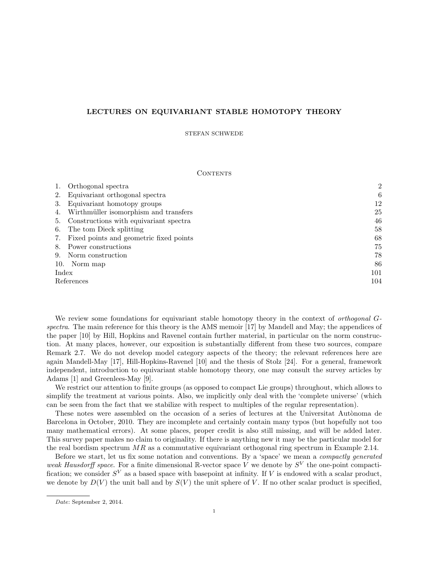# <span id="page-0-0"></span>LECTURES ON EQUIVARIANT STABLE HOMOTOPY THEORY

### STEFAN SCHWEDE

## **CONTENTS**

|            | Orthogonal spectra                      | $\overline{2}$ |
|------------|-----------------------------------------|----------------|
| 2.         | Equivariant orthogonal spectra          | 6              |
| 3.         | Equivariant homotopy groups             | 12             |
| 4.         | Wirthmüller isomorphism and transfers   | 25             |
| 5.         | Constructions with equivariant spectra  | 46             |
| 6.         | The tom Dieck splitting                 | 58             |
| 7.         | Fixed points and geometric fixed points | 68             |
| 8.         | Power constructions                     | 75             |
| 9.         | Norm construction                       | 78             |
| 10.        | Norm map                                | 86             |
| Index      |                                         | 101            |
| References |                                         | 104            |

We review some foundations for equivariant stable homotopy theory in the context of *orthogonal* G-spectra. The main reference for this theory is the AMS memoir [\[17\]](#page-103-1) by Mandell and May; the appendices of the paper [\[10\]](#page-103-2) by Hill, Hopkins and Ravenel contain further material, in particular on the norm construction. At many places, however, our exposition is substantially different from these two sources, compare Remark [2.7.](#page-7-0) We do not develop model category aspects of the theory; the relevant references here are again Mandell-May [\[17\]](#page-103-1), Hill-Hopkins-Ravenel [\[10\]](#page-103-2) and the thesis of Stolz [\[24\]](#page-103-3). For a general, framework independent, introduction to equivariant stable homotopy theory, one may consult the survey articles by Adams [\[1\]](#page-103-4) and Greenlees-May [\[9\]](#page-103-5).

We restrict our attention to finite groups (as opposed to compact Lie groups) throughout, which allows to simplify the treatment at various points. Also, we implicitly only deal with the 'complete universe' (which can be seen from the fact that we stabilize with respect to multiples of the regular representation).

These notes were assembled on the occasion of a series of lectures at the Universitat Autònoma de Barcelona in October, 2010. They are incomplete and certainly contain many typos (but hopefully not too many mathematical errors). At some places, proper credit is also still missing, and will be added later. This survey paper makes no claim to originality. If there is anything new it may be the particular model for the real bordism spectrum  $MR$  as a commutative equivariant orthogonal ring spectrum in Example [2.14.](#page-10-0)

Before we start, let us fix some notation and conventions. By a 'space' we mean a compactly generated weak Hausdorff space. For a finite dimensional R-vector space V we denote by  $S<sup>V</sup>$  the one-point compactification; we consider  $S^V$  as a based space with basepoint at infinity. If V is endowed with a scalar product, we denote by  $D(V)$  the unit ball and by  $S(V)$  the unit sphere of V. If no other scalar product is specified,

Date: September 2, 2014.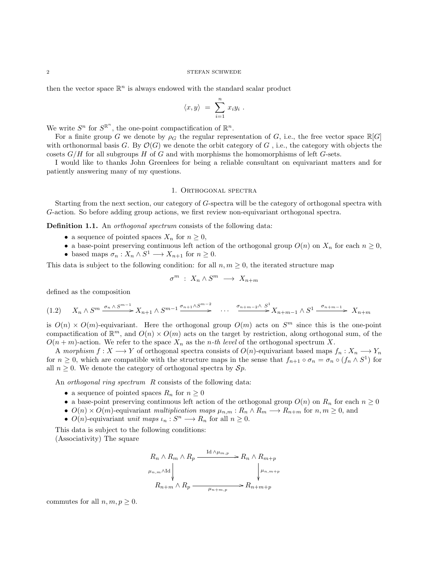then the vector space  $\mathbb{R}^n$  is always endowed with the standard scalar product

$$
\langle x, y \rangle = \sum_{i=1}^n x_i y_i .
$$

We write  $S^n$  for  $S^{\mathbb{R}^n}$ , the one-point compactification of  $\mathbb{R}^n$ .

For a finite group G we denote by  $\rho_G$  the regular representation of G, i.e., the free vector space  $\mathbb{R}[G]$ with orthonormal basis G. By  $\mathcal{O}(G)$  we denote the orbit category of G, i.e., the category with objects the cosets  $G/H$  for all subgroups H of G and with morphisms the homomorphisms of left G-sets.

I would like to thanks John Greenlees for being a reliable consultant on equivariant matters and for patiently answering many of my questions.

## 1. Orthogonal spectra

<span id="page-1-0"></span>Starting from the next section, our category of G-spectra will be the category of orthogonal spectra with G-action. So before adding group actions, we first review non-equivariant orthogonal spectra.

Definition 1.1. An *orthogonal spectrum* consists of the following data:

- a sequence of pointed spaces  $X_n$  for  $n \geq 0$ ,
- a base-point preserving continuous left action of the orthogonal group  $O(n)$  on  $X_n$  for each  $n \geq 0$ ,
- based maps  $\sigma_n : X_n \wedge S^1 \longrightarrow X_{n+1}$  for  $n \geq 0$ .

This data is subject to the following condition: for all  $n, m \geq 0$ , the iterated structure map

$$
\sigma^m \; : \; X_n \wedge S^m \; \longrightarrow \; X_{n+m}
$$

defined as the composition

$$
(1.2) \quad X_n \wedge S^m \xrightarrow{\sigma_n \wedge S^{m-1}} X_{n+1} \wedge S^{m-1} \xrightarrow{\sigma_{n+1} \wedge S^{m-2}} \cdots \xrightarrow{\sigma_{n+m-2} \wedge S^1} X_{n+m-1} \wedge S^1 \xrightarrow{\sigma_{n+m-1}} X_{n+m}
$$

is  $O(n) \times O(m)$ -equivariant. Here the orthogonal group  $O(m)$  acts on  $S<sup>m</sup>$  since this is the one-point compactification of  $\mathbb{R}^m$ , and  $O(n) \times O(m)$  acts on the target by restriction, along orthogonal sum, of the  $O(n+m)$ -action. We refer to the space  $X_n$  as the *n*-th level of the orthogonal spectrum X.

A morphism  $f: X \longrightarrow Y$  of orthogonal spectra consists of  $O(n)$ -equivariant based maps  $f_n: X_n \longrightarrow Y_n$ for  $n \geq 0$ , which are compatible with the structure maps in the sense that  $f_{n+1} \circ \sigma_n = \sigma_n \circ (f_n \wedge S^1)$  for all  $n \geq 0$ . We denote the category of orthogonal spectra by  $\mathcal{S}p$ .

An *orthogonal ring spectrum* R consists of the following data:

- a sequence of pointed spaces  $R_n$  for  $n \geq 0$
- a base-point preserving continuous left action of the orthogonal group  $O(n)$  on  $R_n$  for each  $n \geq 0$
- $O(n) \times O(m)$ -equivariant multiplication maps  $\mu_{n,m}: R_n \wedge R_m \longrightarrow R_{n+m}$  for  $n,m \geq 0$ , and
- $O(n)$ -equivariant unit maps  $\iota_n : S^n \longrightarrow R_n$  for all  $n \geq 0$ .

This data is subject to the following conditions: (Associativity) The square

$$
R_n \wedge R_m \wedge R_p \xrightarrow{\text{Id} \wedge \mu_{m,p}} R_n \wedge R_{m+p}
$$
  

$$
\downarrow \qquad \qquad \downarrow \qquad \qquad \downarrow \qquad \downarrow
$$
  

$$
R_{n+m} \wedge R_p \xrightarrow{\text{Id} \wedge \mu_{n+m,p}} R_{n+m+p}
$$

commutes for all  $n, m, p \geq 0$ .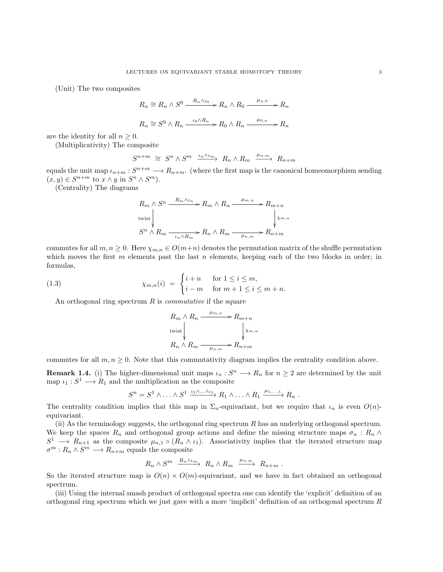(Unit) The two composites

$$
R_n \cong R_n \wedge S^0 \xrightarrow{R_n \wedge \iota_0} R_n \wedge R_0 \xrightarrow{\mu_{n,0}} R_n
$$
  

$$
R_n \cong S^0 \wedge R_n \xrightarrow{\iota_0 \wedge R_n} R_0 \wedge R_n \xrightarrow{\mu_{0,n}} R_n
$$

are the identity for all  $n \geq 0$ .

(Multiplicativity) The composite

$$
S^{n+m} \cong S^n \wedge S^m \xrightarrow{\iota_n \wedge \iota_m} R_n \wedge R_m \xrightarrow{\mu_{n,m}} R_{n+m}
$$

equals the unit map  $\iota_{n+m}: S^{n+m} \longrightarrow R_{n+m}$ . (where the first map is the canonical homeomorphism sending  $(x, y) \in S^{n+m}$  to  $x \wedge y$  in  $S^n \wedge S^m$ ).

(Centrality) The diagrams

$$
R_m \wedge S^n \xrightarrow{R_m \wedge \iota_n} R_m \wedge R_n \xrightarrow{\mu_{m,n}} R_{m+n}
$$
  
twist  

$$
S^n \wedge R_m \xrightarrow{\iota_n \wedge R_m} R_n \wedge R_m \xrightarrow{\mu_{n,m}} R_{n+m}
$$

commutes for all  $m, n \geq 0$ . Here  $\chi_{m,n} \in O(m+n)$  denotes the permutation matrix of the shuffle permutation which moves the first  $m$  elements past the last  $n$  elements, keeping each of the two blocks in order; in formulas,

(1.3) 
$$
\chi_{m,n}(i) = \begin{cases} i+n & \text{for } 1 \leq i \leq m, \\ i-m & \text{for } m+1 \leq i \leq m+n. \end{cases}
$$

An orthogonal ring spectrum  $R$  is *commutative* if the square

$$
R_m \wedge R_n \xrightarrow{\mu_{m,n}} R_{m+n}
$$
  
twist 
$$
\downarrow \qquad \qquad \downarrow x_{m,n}
$$

$$
R_n \wedge R_m \xrightarrow{\mu_{n,m}} R_{n+m}
$$

commutes for all  $m, n \geq 0$ . Note that this commutativity diagram implies the centrality condition above.

**Remark 1.4.** (i) The higher-dimensional unit maps  $\iota_n : S^n \longrightarrow R_n$  for  $n \geq 2$  are determined by the unit map  $\iota_1: S^1 \longrightarrow R_1$  and the multiplication as the composite

$$
S^n = S^1 \wedge \ldots \wedge S^1 \xrightarrow{\iota_1 \wedge \ldots \wedge \iota_1} R_1 \wedge \ldots \wedge R_1 \xrightarrow{\mu_1, \ldots, 1} R_n .
$$

The centrality condition implies that this map in  $\Sigma_n$ -equivariant, but we require that  $\iota_n$  is even  $O(n)$ equivariant.

(ii) As the terminology suggests, the orthogonal ring spectrum  $R$  has an underlying orthogonal spectrum. We keep the spaces  $R_n$  and orthogonal group actions and define the missing structure maps  $\sigma_n : R_n \wedge$  $S^1 \longrightarrow R_{n+1}$  as the composite  $\mu_{n,1} \circ (R_n \wedge \iota_1)$ . Associativity implies that the iterated structure map  $\sigma^m: R_n \wedge S^m \longrightarrow R_{n+m}$  equals the composite

$$
R_n \wedge S^m \xrightarrow{R_n \wedge \iota_m} R_n \wedge R_m \xrightarrow{\mu_{n,m}} R_{n+m} .
$$

So the iterated structure map is  $O(n) \times O(m)$ -equivariant, and we have in fact obtained an orthogonal spectrum.

(iii) Using the internal smash product of orthogonal spectra one can identify the 'explicit' definition of an orthogonal ring spectrum which we just gave with a more 'implicit' definition of an orthogonal spectrum R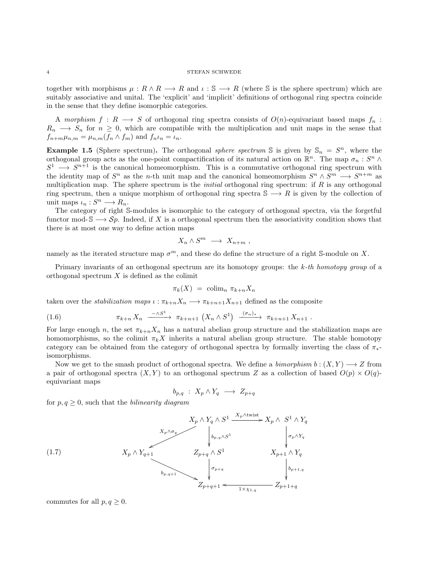together with morphisms  $\mu : R \wedge R \longrightarrow R$  and  $\iota : \mathbb{S} \longrightarrow R$  (where  $\mathbb{S}$  is the sphere spectrum) which are suitably associative and unital. The 'explicit' and 'implicit' definitions of orthogonal ring spectra coincide in the sense that they define isomorphic categories.

A morphism  $f: R \longrightarrow S$  of orthogonal ring spectra consists of  $O(n)$ -equivariant based maps  $f_n$ :  $R_n \longrightarrow S_n$  for  $n \geq 0$ , which are compatible with the multiplication and unit maps in the sense that  $f_{n+m}\mu_{n,m} = \mu_{n,m}(f_n \wedge f_m)$  and  $f_n\iota_n = \iota_n$ .

**Example 1.5** (Sphere spectrum). The orthogonal *sphere spectrum* S is given by  $\mathbb{S}_n = S^n$ , where the orthogonal group acts as the one-point compactification of its natural action on  $\mathbb{R}^n$ . The map  $\sigma_n : S^n \wedge$  $S^1 \longrightarrow S^{n+1}$  is the canonical homeomorphism. This is a commutative orthogonal ring spectrum with the identity map of  $S^n$  as the *n*-th unit map and the canonical homeomorphism  $S^n \wedge S^m \longrightarrow S^{n+m}$  as multiplication map. The sphere spectrum is the *initial* orthogonal ring spectrum: if  $R$  is any orthogonal ring spectrum, then a unique morphism of orthogonal ring spectra  $\mathbb{S} \longrightarrow R$  is given by the collection of unit maps  $\iota_n : S^n \longrightarrow R_n$ .

The category of right S-modules is isomorphic to the category of orthogonal spectra, via the forgetful functor mod-  $\mathbb{S} \longrightarrow Sp$ . Indeed, if X is a orthogonal spectrum then the associativity condition shows that there is at most one way to define action maps

$$
X_n \wedge S^m \longrightarrow X_{n+m} ,
$$

namely as the iterated structure map  $\sigma^m$ , and these do define the structure of a right S-module on X.

Primary invariants of an orthogonal spectrum are its homotopy groups: the  $k$ -th homotopy group of a orthogonal spectrum  $X$  is defined as the colimit

$$
\pi_k(X) = \operatorname{colim}_n \pi_{k+n} X_n
$$

taken over the *stabilization maps*  $\iota : \pi_{k+n}X_n \longrightarrow \pi_{k+n+1}X_{n+1}$  defined as the composite

(1.6) 
$$
\pi_{k+n} X_n \xrightarrow{-\wedge S^1} \pi_{k+n+1} (X_n \wedge S^1) \xrightarrow{(\sigma_n)_*} \pi_{k+n+1} X_{n+1} .
$$

For large enough n, the set  $\pi_{k+n}X_n$  has a natural abelian group structure and the stabilization maps are homomorphisms, so the colimit  $\pi_k X$  inherits a natural abelian group structure. The stable homotopy category can be obtained from the category of orthogonal spectra by formally inverting the class of  $\pi_*$ isomorphisms.

Now we get to the smash product of orthogonal spectra. We define a *bimorphism b* :  $(X, Y) \longrightarrow Z$  from a pair of orthogonal spectra  $(X, Y)$  to an orthogonal spectrum Z as a collection of based  $O(p) \times O(q)$ . equivariant maps

<span id="page-3-0"></span>
$$
b_{p,q} \; : \; X_p \wedge Y_q \; \longrightarrow \; Z_{p+q}
$$

for  $p, q \geq 0$ , such that the *bilinearity diagram* 

$$
(1.7)
$$
\n
$$
X_{p} \wedge Y_{q+1}
$$
\n
$$
X_{p} \wedge Y_{q+1}
$$
\n
$$
X_{p+1}
$$
\n
$$
Z_{p+q} \wedge S^{1}
$$
\n
$$
Z_{p+q+1}
$$
\n
$$
Z_{p+q+1}
$$
\n
$$
Z_{p+q+1}
$$
\n
$$
Z_{p+q+1}
$$
\n
$$
Z_{p+q+1}
$$
\n
$$
Z_{p+q+1}
$$
\n
$$
Z_{p+q+1}
$$
\n
$$
Z_{p+q+1}
$$
\n
$$
Z_{p+1+q}
$$

commutes for all  $p, q \geq 0$ .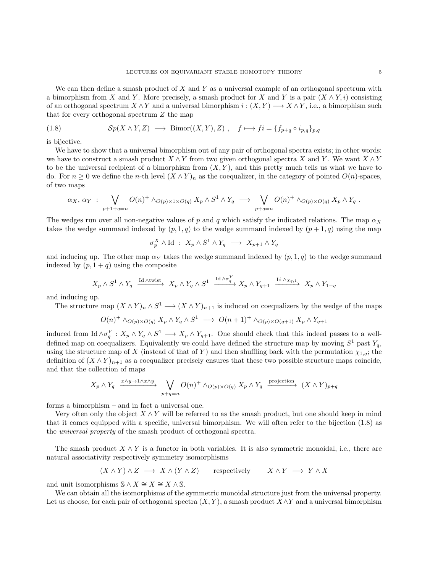We can then define a smash product of  $X$  and  $Y$  as a universal example of an orthogonal spectrum with a bimorphism from X and Y. More precisely, a smash product for X and Y is a pair  $(X \wedge Y, i)$  consisting of an orthogonal spectrum  $X \wedge Y$  and a universal bimorphism  $i : (X, Y) \longrightarrow X \wedge Y$ , i.e., a bimorphism such that for every orthogonal spectrum Z the map

<span id="page-4-0"></span>(1.8) 
$$
\mathcal{S}p(X \wedge Y, Z) \longrightarrow \text{Bimor}((X, Y), Z), \quad f \longmapsto f i = \{f_{p+q} \circ i_{p,q}\}_{p,q}
$$

is bijective.

We have to show that a universal bimorphism out of any pair of orthogonal spectra exists; in other words: we have to construct a smash product  $X \wedge Y$  from two given orthogonal spectra X and Y. We want  $X \wedge Y$ to be the universal recipient of a bimorphism from  $(X, Y)$ , and this pretty much tells us what we have to do. For  $n \geq 0$  we define the n-th level  $(X \wedge Y)_n$  as the coequalizer, in the category of pointed  $O(n)$ -spaces, of two maps

$$
\alpha_X, \, \alpha_Y \; : \; \bigvee_{p+1+q=n} O(n)^+ \wedge_{O(p)\times 1\times O(q)} X_p \wedge S^1 \wedge Y_q \; \longrightarrow \; \bigvee_{p+q=n} O(n)^+ \wedge_{O(p)\times O(q)} X_p \wedge Y_q \; .
$$

The wedges run over all non-negative values of p and q which satisfy the indicated relations. The map  $\alpha_X$ takes the wedge summand indexed by  $(p, 1, q)$  to the wedge summand indexed by  $(p + 1, q)$  using the map

$$
\sigma_p^X \wedge \text{Id} \; : \; X_p \wedge S^1 \wedge Y_q \; \longrightarrow \; X_{p+1} \wedge Y_q
$$

and inducing up. The other map  $\alpha_Y$  takes the wedge summand indexed by  $(p, 1, q)$  to the wedge summand indexed by  $(p, 1 + q)$  using the composite

$$
X_p \wedge S^1 \wedge Y_q \xrightarrow{\text{Id} \wedge \text{twist}} X_p \wedge Y_q \wedge S^1 \xrightarrow{\text{Id} \wedge \sigma_q^Y} X_p \wedge Y_{q+1} \xrightarrow{\text{Id} \wedge \chi_{q,1}} X_p \wedge Y_{1+q}
$$

and inducing up.

The structure map  $(X \wedge Y)_n \wedge S^1 \longrightarrow (X \wedge Y)_{n+1}$  is induced on coequalizers by the wedge of the maps

$$
O(n)^+ \wedge_{O(p)\times O(q)} X_p \wedge Y_q \wedge S^1 \longrightarrow O(n+1)^+ \wedge_{O(p)\times O(q+1)} X_p \wedge Y_{q+1}
$$

induced from Id  $\wedge \sigma_q^Y : X_p \wedge Y_q \wedge S^1 \longrightarrow X_p \wedge Y_{q+1}$ . One should check that this indeed passes to a welldefined map on coequalizers. Equivalently we could have defined the structure map by moving  $S^1$  past  $Y_q$ , using the structure map of X (instead of that of Y) and then shuffling back with the permutation  $\chi_{1,q}$ ; the definition of  $(X \wedge Y)_{n+1}$  as a coequalizer precisely ensures that these two possible structure maps coincide, and that the collection of maps

$$
X_p \wedge Y_q \xrightarrow{x \wedge y \mapsto 1 \wedge x \wedge y} \bigvee_{p+q=n} O(n)^+ \wedge_{O(p)\times O(q)} X_p \wedge Y_q \xrightarrow{\text{projection}} (X \wedge Y)_{p+q}
$$

forms a bimorphism – and in fact a universal one.

Very often only the object  $X \wedge Y$  will be referred to as the smash product, but one should keep in mind that it comes equipped with a specific, universal bimorphism. We will often refer to the bijection [\(1.8\)](#page-4-0) as the universal property of the smash product of orthogonal spectra.

The smash product  $X \wedge Y$  is a functor in both variables. It is also symmetric monoidal, i.e., there are natural associativity respectively symmetry isomorphisms

$$
(X \wedge Y) \wedge Z \longrightarrow X \wedge (Y \wedge Z)
$$
 respectively  $X \wedge Y \longrightarrow Y \wedge X$ 

and unit isomorphisms  $\mathcal{S} \wedge X \cong X \cong X \wedge \mathcal{S}$ .

We can obtain all the isomorphisms of the symmetric monoidal structure just from the universal property. Let us choose, for each pair of orthogonal spectra  $(X, Y)$ , a smash product  $X \wedge Y$  and a universal bimorphism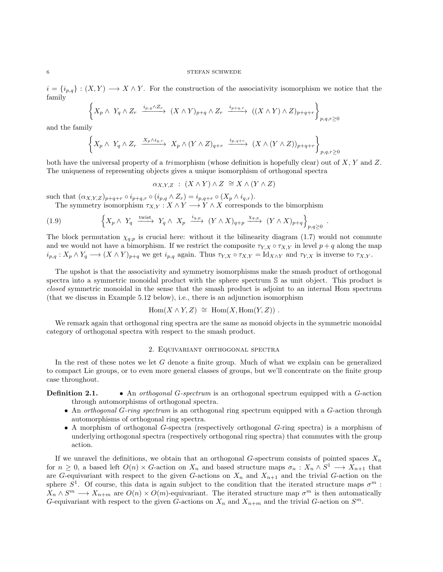#### $6$   $\,$   $\,$  STEFAN SCHWEDE  $\,$

 $i = \{i_{p,q}\} : (X, Y) \longrightarrow X \wedge Y$ . For the construction of the associativity isomorphism we notice that the family

$$
\left\{X_p \wedge Y_q \wedge Z_r \xrightarrow{i_{p,q} \wedge Z_r} (X \wedge Y)_{p+q} \wedge Z_r \xrightarrow{i_{p+q,r}} ((X \wedge Y) \wedge Z)_{p+q+r}\right\}_{p,q,r \ge 0}
$$

and the family

$$
\left\{X_p \wedge Y_q \wedge Z_r \xrightarrow{X_p \wedge i_{q,r}} X_p \wedge (Y \wedge Z)_{q+r} \xrightarrow{i_{p,q+r}} (X \wedge (Y \wedge Z))_{p+q+r} \right\}_{p,q,r \ge 0}
$$

both have the universal property of a trimorphism (whose definition is hopefully clear) out of  $X, Y$  and  $Z$ . The uniqueness of representing objects gives a unique isomorphism of orthogonal spectra

$$
\alpha_{X,Y,Z} : (X \wedge Y) \wedge Z \cong X \wedge (Y \wedge Z)
$$

such that  $(\alpha_{X,Y,Z})_{p+q+r} \circ i_{p+q,r} \circ (i_{p,q} \wedge Z_r) = i_{p,q+r} \circ (X_p \wedge i_{q,r}).$ 

The symmetry isomorphism  $\tau_{X,Y}: X \wedge Y \longrightarrow Y \wedge X$  corresponds to the bimorphism

(1.9) 
$$
\left\{X_p \wedge Y_q \xrightarrow{\text{twist}} Y_q \wedge X_p \xrightarrow{i_{q,p}} (Y \wedge X)_{q+p} \xrightarrow{\chi_{q,p}} (Y \wedge X)_{p+q} \right\}_{p,q \geq 0}.
$$

The block permutation  $\chi_{q,p}$  is crucial here: without it the bilinearity diagram [\(1.7\)](#page-3-0) would not commute and we would not have a bimorphism. If we restrict the composite  $\tau_{Y,X} \circ \tau_{X,Y}$  in level  $p+q$  along the map  $i_{p,q}: X_p \wedge Y_q \longrightarrow (X \wedge Y)_{p+q}$  we get  $i_{p,q}$  again. Thus  $\tau_{Y,X} \circ \tau_{X,Y} = \text{Id}_{X \wedge Y}$  and  $\tau_{Y,X}$  is inverse to  $\tau_{X,Y}$ .

The upshot is that the associativity and symmetry isomorphisms make the smash product of orthogonal spectra into a symmetric monoidal product with the sphere spectrum S as unit object. This product is closed symmetric monoidal in the sense that the smash product is adjoint to an internal Hom spectrum (that we discuss in Example [5.12](#page-51-0) below), i.e., there is an adjunction isomorphism

$$
Hom(X \wedge Y, Z) \cong Hom(X, Hom(Y, Z)).
$$

We remark again that orthogonal ring spectra are the same as monoid objects in the symmetric monoidal category of orthogonal spectra with respect to the smash product.

# 2. Equivariant orthogonal spectra

<span id="page-5-0"></span>In the rest of these notes we let G denote a finite group. Much of what we explain can be generalized to compact Lie groups, or to even more general classes of groups, but we'll concentrate on the finite group case throughout.

**Definition 2.1.** • An *orthogonal G-spectrum* is an orthogonal spectrum equipped with a G-action through automorphisms of orthogonal spectra.

- An orthogonal G-ring spectrum is an orthogonal ring spectrum equipped with a G-action through automorphisms of orthogonal ring spectra.
- A morphism of orthogonal G-spectra (respectively orthogonal G-ring spectra) is a morphism of underlying orthogonal spectra (respectively orthogonal ring spectra) that commutes with the group action.

If we unravel the definitions, we obtain that an orthogonal G-spectrum consists of pointed spaces  $X_n$ for  $n \geq 0$ , a based left  $O(n) \times G$ -action on  $X_n$  and based structure maps  $\sigma_n: X_n \wedge S^1 \longrightarrow X_{n+1}$  that are G-equivariant with respect to the given G-actions on  $X_n$  and  $X_{n+1}$  and the trivial G-action on the sphere  $S^1$ . Of course, this data is again subject to the condition that the iterated structure maps  $\sigma^m$ :  $X_n \wedge S^m \longrightarrow X_{n+m}$  are  $O(n) \times O(m)$ -equivariant. The iterated structure map  $\sigma^m$  is then automatically G-equivariant with respect to the given G-actions on  $X_n$  and  $X_{n+m}$  and the trivial G-action on  $S^m$ .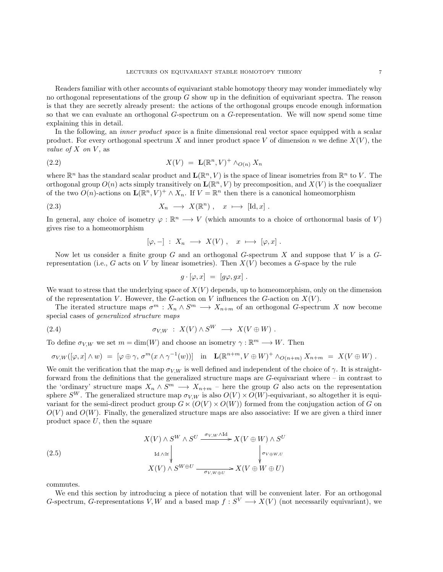Readers familiar with other accounts of equivariant stable homotopy theory may wonder immediately why no orthogonal representations of the group  $G$  show up in the definition of equivariant spectra. The reason is that they are secretly already present: the actions of the orthogonal groups encode enough information so that we can evaluate an orthogonal G-spectrum on a G-representation. We will now spend some time explaining this in detail.

In the following, an *inner product space* is a finite dimensional real vector space equipped with a scalar product. For every orthogonal spectrum X and inner product space V of dimension n we define  $X(V)$ , the value of  $X$  on  $V$ , as

$$
X(V) = \mathbf{L}(\mathbb{R}^n, V)^+ \wedge_{O(n)} X_n
$$

where  $\mathbb{R}^n$  has the standard scalar product and  $\mathbf{L}(\mathbb{R}^n, V)$  is the space of linear isometries from  $\mathbb{R}^n$  to V. The orthogonal group  $O(n)$  acts simply transitively on  $\mathbf{L}(\mathbb{R}^n, V)$  by precomposition, and  $X(V)$  is the coequalizer of the two  $O(n)$ -actions on  $\mathbf{L}(\mathbb{R}^n, V)^+ \wedge X_n$ . If  $V = \mathbb{R}^n$  then there is a canonical homeomorphism

(2.3) 
$$
X_n \longrightarrow X(\mathbb{R}^n), \quad x \longmapsto [\mathrm{Id}, x].
$$

In general, any choice of isometry  $\varphi : \mathbb{R}^n \longrightarrow V$  (which amounts to a choice of orthonormal basis of V) gives rise to a homeomorphism

<span id="page-6-3"></span><span id="page-6-1"></span>
$$
[\varphi,-] \; : \; X_n \; \longrightarrow \; X(V) \; , \quad x \; \longmapsto \; [\varphi,x] \; .
$$

Now let us consider a finite group  $G$  and an orthogonal  $G$ -spectrum  $X$  and suppose that  $V$  is a  $G$ representation (i.e., G acts on V by linear isometries). Then  $X(V)$  becomes a G-space by the rule

<span id="page-6-2"></span>
$$
g \cdot [\varphi, x] = [g\varphi, gx] .
$$

We want to stress that the underlying space of  $X(V)$  depends, up to homeomorphism, only on the dimension of the representation V. However, the G-action on V influences the G-action on  $X(V)$ .

The iterated structure maps  $\sigma^m : X_n \wedge S^m \longrightarrow X_{n+m}$  of an orthogonal G-spectrum X now become special cases of generalized structure maps

(2.4) 
$$
\sigma_{V,W} : X(V) \wedge S^W \longrightarrow X(V \oplus W).
$$

To define  $\sigma_{V,W}$  we set  $m = \dim(W)$  and choose an isometry  $\gamma : \mathbb{R}^m \longrightarrow W$ . Then

$$
\sigma_{V,W}([\varphi,x]\wedge w) = [\varphi\oplus \gamma, \sigma^m(x\wedge \gamma^{-1}(w))] \text{ in } \mathbf{L}(\mathbb{R}^{n+m}, V\oplus W)^+ \wedge_{O(n+m)} X_{n+m} = X(V\oplus W).
$$

We omit the verification that the map  $\sigma_{V,W}$  is well defined and independent of the choice of  $\gamma$ . It is straightforward from the definitions that the generalized structure maps are  $G$ -equivariant where – in contrast to the 'ordinary' structure maps  $X_n \wedge S^m \longrightarrow X_{n+m}$  – here the group G also acts on the representation sphere  $S^W$ . The generalized structure map  $\sigma_{V,W}$  is also  $O(V) \times O(W)$ -equivariant, so altogether it is equivariant for the semi-direct product group  $G \ltimes (O(V) \times O(W))$  formed from the conjugation action of G on  $O(V)$  and  $O(W)$ . Finally, the generalized structure maps are also associative: If we are given a third inner product space  $U$ , then the square

<span id="page-6-0"></span>(2.5)  
\n
$$
X(V) \wedge S^{W} \wedge S^{U} \xrightarrow{\sigma_{V,W} \wedge \text{Id}} X(V \oplus W) \wedge S^{U}
$$
\n
$$
\downarrow_{\sigma_{V \oplus W, U}} \qquad \qquad \downarrow_{\sigma_{V \oplus W, U}} X(V) \wedge S^{W \oplus U} \xrightarrow{\sigma_{V, W \oplus U}} X(V \oplus W \oplus U)
$$

commutes.

We end this section by introducing a piece of notation that will be convenient later. For an orthogonal G-spectrum, G-representations V, W and a based map  $f: S^V \longrightarrow X(V)$  (not necessarily equivariant), we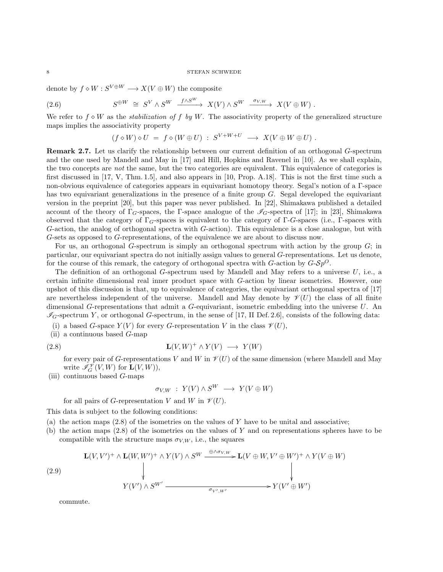denote by  $f \diamond W : S^{V \oplus W} \longrightarrow X(V \oplus W)$  the composite

(2.6) 
$$
S^{\oplus W} \cong S^{V} \wedge S^{W} \xrightarrow{f \wedge S^{W}} X(V) \wedge S^{W} \xrightarrow{\sigma_{V,W}} X(V \oplus W).
$$

We refer to  $f \circ W$  as the *stabilization of f by W*. The associativity property of the generalized structure maps implies the associativity property

<span id="page-7-3"></span>
$$
(f \diamond W) \diamond U = f \diamond (W \oplus U) : S^{V+W+U} \longrightarrow X(V \oplus W \oplus U) .
$$

<span id="page-7-0"></span>Remark 2.7. Let us clarify the relationship between our current definition of an orthogonal G-spectrum and the one used by Mandell and May in [\[17\]](#page-103-1) and Hill, Hopkins and Ravenel in [\[10\]](#page-103-2). As we shall explain, the two concepts are *not* the same, but the two categories are equivalent. This equivalence of categories is first discussed in [\[17,](#page-103-1) V, Thm. 1.5], and also appears in [\[10,](#page-103-2) Prop. A.18]. This is not the first time such a non-obvious equivalence of categories appears in equivariant homotopy theory. Segal's notion of a Γ-space has two equivariant generalizations in the presence of a finite group G. Segal developed the equivariant version in the preprint [\[20\]](#page-103-6), but this paper was never published. In [\[22\]](#page-103-7), Shimakawa published a detailed account of the theory of  $\Gamma_G$ -spaces, the Γ-space analogue of the  $\mathscr{I}_G$ -spectra of [\[17\]](#page-103-1); in [\[23\]](#page-103-8), Shimakawa observed that the category of  $\Gamma_{G}$ -spaces is equivalent to the category of  $\Gamma$ -G-spaces (i.e.,  $\Gamma$ -spaces with G-action, the analog of orthogonal spectra with G-action). This equivalence is a close analogue, but with G-sets as opposed to G-representations, of the equivalence we are about to discuss now.

For us, an orthogonal G-spectrum is simply an orthogonal spectrum with action by the group G; in particular, our equivariant spectra do not initially assign values to general G-representations. Let us denote, for the course of this remark, the category of orthogonal spectra with  $G$ -action by  $G$ - $Sp^O$ .

The definition of an orthogonal G-spectrum used by Mandell and May refers to a universe  $U$ , i.e., a certain infinite dimensional real inner product space with G-action by linear isometries. However, one upshot of this discussion is that, up to equivalence of categories, the equivariant orthogonal spectra of [\[17\]](#page-103-1) are nevertheless independent of the universe. Mandell and May denote by  $\mathcal{V}(U)$  the class of all finite dimensional G-representations that admit a G-equivariant, isometric embedding into the universe U. An  $\mathcal{I}_G$ -spectrum Y, or orthogonal G-spectrum, in the sense of [\[17,](#page-103-1) II Def. 2.6], consists of the following data:

- (i) a based G-space  $Y(V)$  for every G-representation V in the class  $\mathscr{V}(U)$ ,
- (ii) a continuous based  $G$ -map

$$
L(V, W)^{+} \wedge Y(V) \longrightarrow Y(W)
$$

for every pair of G-representations V and W in  $\mathcal{V}(U)$  of the same dimension (where Mandell and May write  $\mathscr{I}_{G}^{\mathscr{V}}(V,W)$  for  $\mathbf{L}(V,W)$ ,

(iii) continuous based  $G$ -maps

<span id="page-7-1"></span>
$$
\sigma_{V,W} : Y(V) \wedge S^W \longrightarrow Y(V \oplus W)
$$

for all pairs of G-representation V and W in  $\mathcal{V}(U)$ .

This data is subject to the following conditions:

- (a) the action maps  $(2.8)$  of the isometries on the values of Y have to be unital and associative;
- (b) the action maps  $(2.8)$  of the isometries on the values of Y and on representations spheres have to be compatible with the structure maps  $\sigma_{V,W}$ , i.e., the squares

<span id="page-7-2"></span>
$$
(2.9)
$$
\n
$$
\mathbf{L}(V, V')^+ \wedge \mathbf{L}(W, W')^+ \wedge Y(V) \wedge S^W \xrightarrow{\oplus \wedge \sigma_{V,W}} \mathbf{L}(V \oplus W, V' \oplus W')^+ \wedge Y(V \oplus W)
$$
\n
$$
\downarrow
$$
\n
$$
Y(V') \wedge S^{W'} \xrightarrow{\sigma_{V',W'}} Y(V' \oplus W')
$$

commute.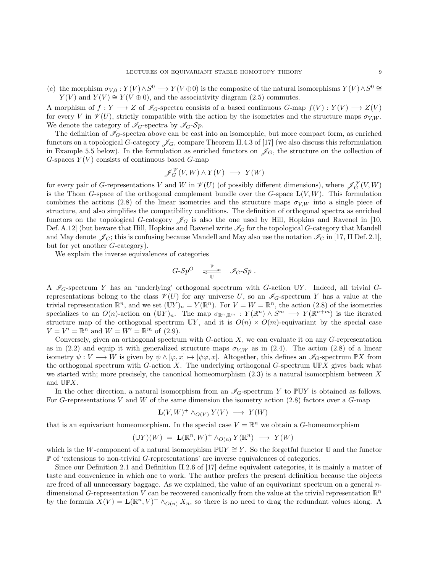(c) the morphism  $\sigma_{V,0}: Y(V) \wedge S^0 \longrightarrow Y(V \oplus 0)$  is the composite of the natural isomorphisms  $Y(V) \wedge S^0 \cong$  $Y(V)$  and  $Y(V) \cong Y(V \oplus 0)$ , and the associativity diagram [\(2.5\)](#page-6-0) commutes.

A morphism of  $f: Y \longrightarrow Z$  of  $\mathcal{I}_G$ -spectra consists of a based continuous  $G$ -map  $f(V): Y(V) \longrightarrow Z(V)$ for every V in  $\mathcal{V}(U)$ , strictly compatible with the action by the isometries and the structure maps  $\sigma_{V,W}$ . We denote the category of  $\mathcal{I}_G$ -spectra by  $\mathcal{I}_G$ -Sp.

The definition of  $\mathscr{I}_G$ -spectra above can be cast into an isomorphic, but more compact form, as enriched functors on a topological G-category  $\mathscr{J}_G$ , compare Theorem II.4.3 of [\[17\]](#page-103-1) (we also discuss this reformulation in Example [5.5](#page-47-0) below). In the formulation as enriched functors on  $\mathscr{J}_G$ , the structure on the collection of G-spaces  $Y(V)$  consists of continuous based G-map

$$
\mathscr{J}_G^{\mathscr{V}}(V,W) \wedge Y(V) \longrightarrow Y(W)
$$

for every pair of G-representations V and W in  $\mathcal{V}(U)$  (of possibly different dimensions), where  $\mathscr{J}_G^{\mathcal{V}}(V,W)$ is the Thom G-space of the orthogonal complement bundle over the G-space  $\mathbf{L}(V, W)$ . This formulation combines the actions [\(2.8\)](#page-7-1) of the linear isometries and the structure maps  $\sigma_{V,W}$  into a single piece of structure, and also simplifies the compatibility conditions. The definition of orthogonal spectra as enriched functors on the topological G-category  $\mathscr{J}_G$  is also the one used by Hill, Hopkins and Ravenel in [\[10,](#page-103-2) Def. A.12] (but beware that Hill, Hopkins and Ravenel write  $\mathcal{I}_G$  for the topological G-category that Mandell and May denote  $\mathscr{J}_G$ ; this is confusing because Mandell and May also use the notation  $\mathscr{I}_G$  in [\[17,](#page-103-1) II Def. 2.1], but for yet another G-category).

We explain the inverse equivalences of categories

$$
G\text{-}\mathcal{S}p^O \quad \underset{\mathbb{U}}{\xrightarrow{\mathbb{P}}} \quad \mathscr{I}_G\text{-}\mathcal{S}p \ .
$$

A  $\mathscr{I}_G$ -spectrum Y has an 'underlying' orthogonal spectrum with G-action UY. Indeed, all trivial Grepresentations belong to the class  $\mathscr{V}(U)$  for any universe U, so an  $\mathscr{I}_G$ -spectrum Y has a value at the trivial representation  $\mathbb{R}^n$ , and we set  $(\mathbb{U}Y)_n = Y(\mathbb{R}^n)$ . For  $V = W = \mathbb{R}^n$ , the action [\(2.8\)](#page-7-1) of the isometries specializes to an  $O(n)$ -action on  $(\mathbb{U}Y)_n$ . The map  $\sigma_{\mathbb{R}^n,\mathbb{R}^m}: Y(\mathbb{R}^n) \wedge S^m \longrightarrow Y(\mathbb{R}^{n+m})$  is the iterated structure map of the orthogonal spectrum UY, and it is  $O(n) \times O(m)$ -equivariant by the special case  $V = V' = \mathbb{R}^n$  and  $W = W' = \mathbb{R}^m$  of [\(2.9\)](#page-7-2).

Conversely, given an orthogonal spectrum with  $G$ -action  $X$ , we can evaluate it on any  $G$ -representation as in [\(2.2\)](#page-6-1) and equip it with generalized structure maps  $\sigma_{V,W}$  as in [\(2.4\)](#page-6-2). The action [\(2.8\)](#page-7-1) of a linear isometry  $\psi: V \longrightarrow W$  is given by  $\psi \wedge [\varphi, x] \mapsto [\psi \varphi, x]$ . Altogether, this defines an  $\mathscr{I}_G$ -spectrum  $\mathbb{P}X$  from the orthogonal spectrum with G-action X. The underlying orthogonal G-spectrum  $\mathbb{UP}X$  gives back what we started with; more precisely, the canonical homeomorphism  $(2.3)$  is a natural isomorphism between X and UPX.

In the other direction, a natural isomorphism from an  $\mathscr{I}_G$ -spectrum Y to PUY is obtained as follows. For G-representations V and W of the same dimension the isometry action  $(2.8)$  factors over a G-map

$$
\mathbf{L}(V,W)^+ \wedge_{O(V)} Y(V) \longrightarrow Y(W)
$$

that is an equivariant homeomorphism. In the special case  $V = \mathbb{R}^n$  we obtain a G-homeomorphism

$$
(\mathbb{U}Y)(W) = \mathbf{L}(\mathbb{R}^n, W)^+ \wedge_{O(n)} Y(\mathbb{R}^n) \longrightarrow Y(W)
$$

which is the W-component of a natural isomorphism  $\mathbb{P} \mathbb{U} Y \cong Y$ . So the forgetful functor U and the functor P of 'extensions to non-trivial G-representations' are inverse equivalences of categories.

Since our Definition [2.1](#page-0-0) and Definition II.2.6 of [\[17\]](#page-103-1) define equivalent categories, it is mainly a matter of taste and convenience in which one to work. The author prefers the present definition because the objects are freed of all unnecessary baggage. As we explained, the value of an equivariant spectrum on a general ndimensional G-representation V can be recovered canonically from the value at the trivial representation  $\mathbb{R}^n$ by the formula  $X(V) = \mathbf{L}(\mathbb{R}^n, V)^+ \wedge_{O(n)} X_n$ , so there is no need to drag the redundant values along. A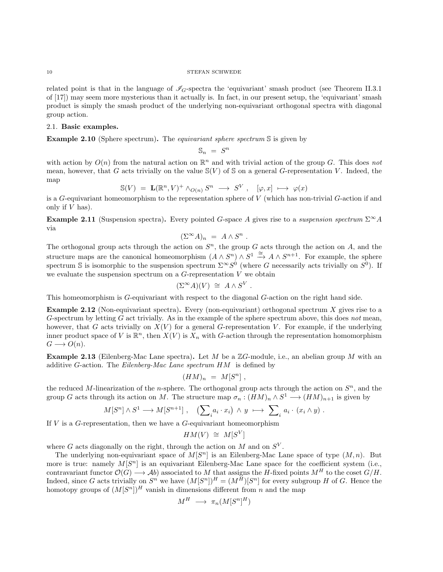#### $10$   $$\rm{STEFAN}$  SCHWEDE

related point is that in the language of  $\mathscr{I}_G$ -spectra the 'equivariant' smash product (see Theorem II.3.1) of [\[17\]](#page-103-1)) may seem more mysterious than it actually is. In fact, in our present setup, the 'equivariant' smash product is simply the smash product of the underlying non-equivariant orthogonal spectra with diagonal group action.

## 2.1. Basic examples.

Example 2.10 (Sphere spectrum). The *equivariant sphere spectrum* S is given by

$$
\mathbb{S}_n ~=~ S^n
$$

with action by  $O(n)$  from the natural action on  $\mathbb{R}^n$  and with trivial action of the group G. This does not mean, however, that G acts trivially on the value  $\mathcal{S}(V)$  of S on a general G-representation V. Indeed, the map

$$
\mathbb{S}(V) = \mathbf{L}(\mathbb{R}^n, V)^+ \wedge_{O(n)} S^n \longrightarrow S^V , \quad [\varphi, x] \longmapsto \varphi(x)
$$

is a  $G$ -equivariant homeomorphism to the representation sphere of  $V$  (which has non-trivial  $G$ -action if and only if  $V$  has).

**Example 2.11** (Suspension spectra). Every pointed G-space A gives rise to a suspension spectrum  $\Sigma^{\infty}A$ via

$$
(\Sigma^{\infty} A)_n = A \wedge S^n .
$$

The orthogonal group acts through the action on  $S<sup>n</sup>$ , the group G acts through the action on A, and the structure maps are the canonical homeomorphism  $(A \wedge S^n) \wedge S^1 \stackrel{\cong}{\to} A \wedge S^{n+1}$ . For example, the sphere spectrum S is isomorphic to the suspension spectrum  $\Sigma^{\infty}S^0$  (where G necessarily acts trivially on  $S^0$ ). If we evaluate the suspension spectrum on a  $G$ -representation  $V$  we obtain

$$
(\Sigma^{\infty} A)(V) \cong A \wedge S^V.
$$

This homeomorphism is G-equivariant with respect to the diagonal G-action on the right hand side.

**Example 2.12** (Non-equivariant spectra). Every (non-equivariant) orthogonal spectrum  $X$  gives rise to a G-spectrum by letting  $G$  act trivially. As in the example of the sphere spectrum above, this does not mean, however, that G acts trivially on  $X(V)$  for a general G-representation V. For example, if the underlying inner product space of V is  $\mathbb{R}^n$ , then  $X(V)$  is  $X_n$  with G-action through the representation homomorphism  $G \longrightarrow O(n)$ .

<span id="page-9-0"></span>**Example 2.13** (Eilenberg-Mac Lane spectra). Let M be a  $\mathbb{Z}G$ -module, i.e., an abelian group M with an additive G-action. The Eilenberg-Mac Lane spectrum  $HM$  is defined by

$$
(HM)_n = M[S^n],
$$

the reduced M-linearization of the *n*-sphere. The orthogonal group acts through the action on  $S<sup>n</sup>$ , and the group G acts through its action on M. The structure map  $\sigma_n : (HM)_n \wedge S^1 \longrightarrow (HM)_{n+1}$  is given by

$$
M[S^n] \wedge S^1 \longrightarrow M[S^{n+1}] , \quad \left( \sum_i a_i \cdot x_i \right) \wedge y \longrightarrow \sum_i a_i \cdot (x_i \wedge y) .
$$

If  $V$  is a  $G$ -representation, then we have a  $G$ -equivariant homeomorphism

$$
HM(V) \cong M[S^V]
$$

where G acts diagonally on the right, through the action on M and on  $S^V$ .

The underlying non-equivariant space of  $M[S<sup>n</sup>]$  is an Eilenberg-Mac Lane space of type  $(M, n)$ . But more is true: namely  $M[S^n]$  is an equivariant Eilenberg-Mac Lane space for the coefficient system (i.e., contravariant functor  $\mathcal{O}(G) \longrightarrow Ab$ ) associated to M that assigns the H-fixed points  $M^H$  to the coset  $G/H$ . Indeed, since G acts trivially on  $S^n$  we have  $(M[S^n])^H = (M^H)[S^n]$  for every subgroup H of G. Hence the homotopy groups of  $(M[S^n])^H$  vanish in dimensions different from n and the map

$$
M^H \ \longrightarrow \ \pi_n(M[S^n]^H)
$$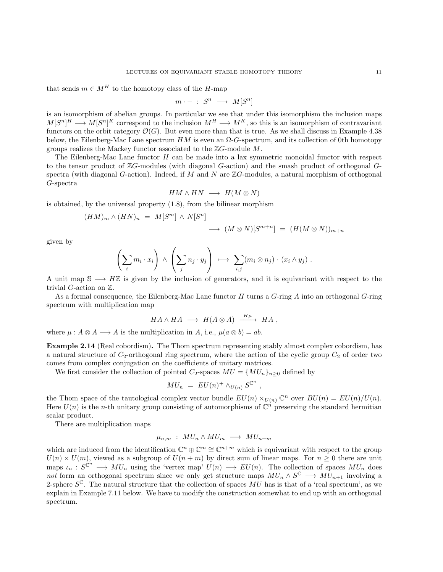that sends  $m \in M^H$  to the homotopy class of the H-map

$$
m \cdot - \; : \; S^n \; \longrightarrow \; M[S^n]
$$

is an isomorphism of abelian groups. In particular we see that under this isomorphism the inclusion maps  $M[S^n]^H \longrightarrow M[S^n]^K$  correspond to the inclusion  $M^H \longrightarrow M^K$ , so this is an isomorphism of contravariant functors on the orbit category  $\mathcal{O}(G)$ . But even more than that is true. As we shall discuss in Example [4.38](#page-44-0) below, the Eilenberg-Mac Lane spectrum  $HM$  is even an  $\Omega$ -G-spectrum, and its collection of 0th homotopy groups realizes the Mackey functor associated to the  $\mathbb{Z}G$ -module M.

The Eilenberg-Mac Lane functor  $H$  can be made into a lax symmetric monoidal functor with respect to the tensor product of  $\mathbb{Z}G$ -modules (with diagonal  $G$ -action) and the smash product of orthogonal  $G$ spectra (with diagonal G-action). Indeed, if M and N are  $\mathbb{Z}G$ -modules, a natural morphism of orthogonal G-spectra

$$
HM \wedge HN \longrightarrow H(M \otimes N)
$$

is obtained, by the universal property [\(1.8\)](#page-4-0), from the bilinear morphism

$$
(HM)_m \wedge (HN)_n = M[S^m] \wedge N[S^n]
$$
  

$$
\longrightarrow (M \otimes N)[S^{m+n}] = (H(M \otimes N))_{m+n}
$$

given by

$$
\left(\sum_i m_i \cdot x_i\right) \wedge \left(\sum_j n_j \cdot y_j\right) \ \longmapsto \ \sum_{i,j} (m_i \otimes n_j) \cdot (x_i \wedge y_j) \ .
$$

A unit map  $\mathbb{S} \longrightarrow H\mathbb{Z}$  is given by the inclusion of generators, and it is equivariant with respect to the trivial G-action on Z.

As a formal consequence, the Eilenberg-Mac Lane functor  $H$  turns a  $G$ -ring  $A$  into an orthogonal  $G$ -ring spectrum with multiplication map

$$
HA \wedge HA \longrightarrow H(A \otimes A) \xrightarrow{H\mu} HA,
$$

where  $\mu : A \otimes A \longrightarrow A$  is the multiplication in A, i.e.,  $\mu(a \otimes b) = ab$ .

<span id="page-10-0"></span>Example 2.14 (Real cobordism). The Thom spectrum representing stably almost complex cobordism, has a natural structure of  $C_2$ -orthogonal ring spectrum, where the action of the cyclic group  $C_2$  of order two comes from complex conjugation on the coefficients of unitary matrices.

We first consider the collection of pointed  $C_2$ -spaces  $MU = \{MU_n\}_{n>0}$  defined by

$$
MU_n = EU(n)^+ \wedge_{U(n)} S^{\mathbb{C}^n} ,
$$

the Thom space of the tautological complex vector bundle  $EU(n) \times_{U(n)} \mathbb{C}^n$  over  $BU(n) = EU(n)/U(n)$ . Here  $U(n)$  is the *n*-th unitary group consisting of automorphisms of  $\mathbb{C}^n$  preserving the standard hermitian scalar product.

There are multiplication maps

$$
\mu_{n,m} : MU_n \wedge MU_m \longrightarrow MU_{n+m}
$$

which are induced from the identification  $\mathbb{C}^n \oplus \mathbb{C}^m \cong \mathbb{C}^{n+m}$  which is equivariant with respect to the group  $U(n) \times U(m)$ , viewed as a subgroup of  $U(n + m)$  by direct sum of linear maps. For  $n \geq 0$  there are unit maps  $\iota_n: S^{\mathbb{C}^n} \longrightarrow MU_n$  using the 'vertex map'  $U(n) \longrightarrow EU(n)$ . The collection of spaces  $MU_n$  does not form an orthogonal spectrum since we only get structure maps  $MU_n \wedge S^{\mathbb{C}} \longrightarrow MU_{n+1}$  involving a 2-sphere  $S^{\mathbb{C}}$ . The natural structure that the collection of spaces  $\overline{MU}$  has is that of a 'real spectrum', as we explain in Example [7.11](#page-71-0) below. We have to modify the construction somewhat to end up with an orthogonal spectrum.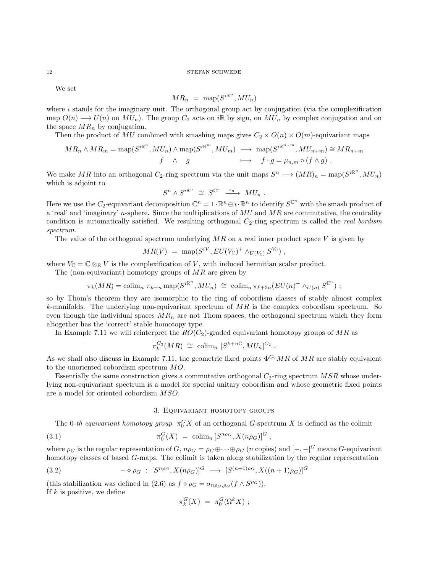We set

$$
MR_n = \ \mathrm{map}(S^{i\mathbb{R}^n}, MU_n)
$$

where  $i$  stands for the imaginary unit. The orthogonal group act by conjugation (via the complexification map  $O(n) \longrightarrow U(n)$  on  $MU_n$ ). The group  $C_2$  acts on iR by sign, on  $MU_n$  by complex conjugation and on the space  $MR_n$  by conjugation.

Then the product of MU combined with smashing maps gives  $C_2 \times O(n) \times O(m)$ -equivariant maps

$$
MR_n \wedge MR_m = \text{map}(S^{i\mathbb{R}^n}, MU_n) \wedge \text{map}(S^{i\mathbb{R}^m}, MU_m) \longrightarrow \text{map}(S^{i\mathbb{R}^{n+m}}, MU_{n+m}) \cong MR_{n+m}
$$
  
 $f \wedge g \longmapsto f \cdot g = \mu_{n,m} \circ (f \wedge g)$ .

We make MR into an orthogonal  $C_2$ -ring spectrum via the unit maps  $S^n \longrightarrow (MR)_n = \text{map}(S^{i\mathbb{R}^n}, MU_n)$ which is adjoint to

$$
S^n \wedge S^{i\mathbb{R}^n} \ \cong \ S^{\mathbb{C}^n} \ \xrightarrow{\iota_n} MU_n \ .
$$

Here we use the C<sub>2</sub>-equivariant decomposition  $\mathbb{C}^n = 1 \cdot \mathbb{R}^n \oplus i \cdot \mathbb{R}^n$  to identify  $S^{\mathbb{C}^n}$  with the smash product of a 'real' and 'imaginary' n-sphere. Since the multiplications of  $MU$  and  $MR$  are commutative, the centrality condition is automatically satisfied. We resulting orthogonal  $C_2$ -ring spectrum is called the *real bordism* spectrum.

The value of the orthogonal spectrum underlying  $MR$  on a real inner product space V is given by

$$
MR(V) = \text{map}(S^{iV}, EU(V_{\mathbb{C}})^+ \wedge_{U(V_{\mathbb{C}})} S^{V_{\mathbb{C}}}),
$$

where  $V_{\mathbb{C}} = \mathbb{C} \otimes_{\mathbb{R}} V$  is the complexification of V, with induced hermitian scalar product.

The (non-equivariant) homotopy groups of  $MR$  are given by

$$
\pi_k(MR) = \operatorname{colim}_n \pi_{k+n} \operatorname{map}(S^{i\mathbb{R}^n}, MU_n) \cong \operatorname{colim}_n \pi_{k+2n}(EU(n)^+ \wedge_{U(n)} S^{\mathbb{C}^n}) ;
$$

so by Thom's theorem they are isomorphic to the ring of cobordism classes of stably almost complex k-manifolds. The underlying non-equivariant spectrum of  $MR$  is the complex cobordism spectrum. So even though the individual spaces  $MR_n$  are not Thom spaces, the orthogonal spectrum which they form altogether has the 'correct' stable homotopy type.

In Example [7.11](#page-71-0) we will reinterpret the  $RO(C_2)$ -graded equivariant homotopy groups of MR as

$$
\pi_k^{C_2}(MR) \cong \operatorname{colim}_n [S^{k+n\mathbb{C}}, MU_n]^{C_2} .
$$

As we shall also discuss in Example [7.11,](#page-71-0) the geometric fixed points  $\Phi^{C_2}MR$  of MR are stably equivalent to the unoriented cobordism spectrum MO.

Essentially the same construction gives a commutative orthogonal  $C_2$ -ring spectrum MSR whose underlying non-equivariant spectrum is a model for special unitary cobordism and whose geometric fixed points are a model for oriented cobordism MSO.

## 3. Equivariant homotopy groups

<span id="page-11-0"></span>The 0-th equivariant homotopy group  $\pi_0^G X$  of an orthogonal G-spectrum X is defined as the colimit

(3.1) 
$$
\pi_0^G(X) = \text{colim}_n [S^{n\rho_G}, X(n\rho_G)]^G,
$$

where  $\rho_G$  is the regular representation of G,  $n\rho_G = \rho_G \oplus \cdots \oplus \rho_G$  (*n* copies) and  $[-,-]^G$  means G-equivariant homotopy classes of based G-maps. The colimit is taken along stabilization by the regular representation

(3.2) 
$$
-\diamond \rho_G : [S^{n\rho_G}, X(n\rho_G)]^G \longrightarrow [S^{(n+1)\rho_G}, X((n+1)\rho_G)]^G
$$

(this stabilization was defined in [\(2.6\)](#page-7-3) as  $f \circ \rho_G = \sigma_{n \rho_G, \rho_G}(f \wedge S^{\rho_G})$ ). If  $k$  is positive, we define

$$
\pi_k^G(X) = \pi_0^G(\Omega^k X) ;
$$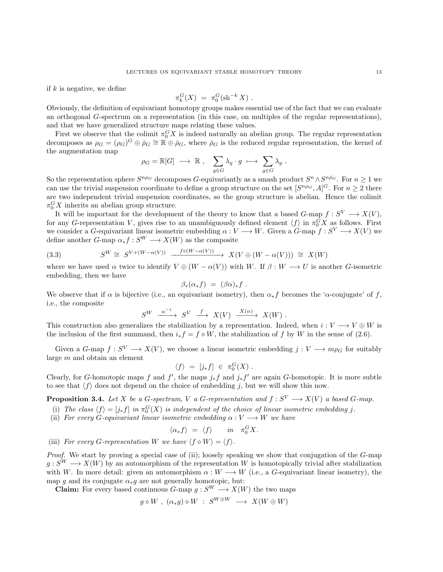if  $k$  is negative, we define

$$
\pi_k^G(X) \; = \; \pi_0^G(\sh^{-k} X) \; .
$$

Obviously, the definition of equivariant homotopy groups makes essential use of the fact that we can evaluate an orthogonal G-spectrum on a representation (in this case, on multiples of the regular representations), and that we have generalized structure maps relating these values.

First we observe that the colimit  $\pi_0^G X$  is indeed naturally an abelian group. The regular representation decomposes as  $\rho_G = (\rho_G)^G \oplus \bar{\rho}_G \cong \mathbb{R} \oplus \bar{\rho}_G$ , where  $\bar{\rho}_G$  is the reduced regular representation, the kernel of the augmentation map

$$
\rho_G = \mathbb{R}[G] \longrightarrow \mathbb{R} \ , \quad \sum_{g \in G} \lambda_g \cdot g \ \longmapsto \ \sum_{g \in G} \lambda_g \ .
$$

So the representation sphere  $S^{n\rho_G}$  decomposes G-equivariantly as a smash product  $S^n \wedge S^{n\bar{\rho}_G}$ . For  $n \geq 1$  we can use the trivial suspension coordinate to define a group structure on the set  $[S^{n\rho_G}, A]^G$ . For  $n \geq 2$  there are two independent trivial suspension coordinates, so the group structure is abelian. Hence the colimit  $\pi_0^G X$  inherits an abelian group structure.

It will be important for the development of the theory to know that a based G-map  $f: S^V \longrightarrow X(V)$ , for any G-representation V, gives rise to an unambiguously defined element  $\langle f \rangle$  in  $\pi_0^G X$  as follows. First we consider a G-equivariant linear isometric embedding  $\alpha: V \longrightarrow W$ . Given a G-map  $f: S^V \longrightarrow X(V)$  we define another  $G$ -map  $\alpha_* f : S^W \longrightarrow X(W)$  as the composite

<span id="page-12-1"></span>(3.3) 
$$
S^{W} \cong S^{V + (W - \alpha(V))} \xrightarrow{f \circ (W - \alpha(V))} X(V \oplus (W - \alpha(V))) \cong X(W)
$$

where we have used  $\alpha$  twice to identify  $V \oplus (W - \alpha(V))$  with W. If  $\beta : W \longrightarrow U$  is another G-isometric embedding, then we have

$$
\beta_*(\alpha_* f) = (\beta \alpha)_* f.
$$

We observe that if  $\alpha$  is bijective (i.e., an equivariant isometry), then  $\alpha_* f$  becomes the ' $\alpha$ -conjugate' of f, i.e., the composite

$$
S^W \xrightarrow{\alpha^{-1}} S^V \xrightarrow{f} X(V) \xrightarrow{X(\alpha)} X(W)
$$
.

This construction also generalizes the stabilization by a representation. Indeed, when  $i: V \longrightarrow V \oplus W$  is the inclusion of the first summand, then  $i_* f = f \diamond W$ , the stabilization of f by W in the sense of [\(2.6\)](#page-7-3).

Given a  $G$ -map  $f: S^V \longrightarrow X(V)$ , we choose a linear isometric embedding  $j: V \longrightarrow m\rho_G$  for suitably large m and obtain an element

$$
\langle f \rangle = [j_* f] \in \pi_0^G(X) .
$$

Clearly, for G-homotopic maps f and f', the maps  $j_*f$  and  $j_*f'$  are again G-homotopic. It is more subtle to see that  $\langle f \rangle$  does not depend on the choice of embedding j, but we will show this now.

<span id="page-12-0"></span>**Proposition 3.4.** Let X be a G-spectrum, V a G-representation and  $f: S^V \longrightarrow X(V)$  a based G-map.

- (i) The class  $\langle f \rangle = [j_* f]$  in  $\pi_0^G(X)$  is independent of the choice of linear isometric embedding j.
- (ii) For every G-equivariant linear isometric embedding  $\alpha : V \longrightarrow W$  we have

$$
\langle \alpha_* f \rangle = \langle f \rangle \quad in \quad \pi_0^G X.
$$

(iii) For every G-representation W we have  $\langle f \diamond W \rangle = \langle f \rangle$ .

Proof. We start by proving a special case of (ii); loosely speaking we show that conjugation of the G-map  $g: S^W \longrightarrow X(W)$  by an automorphism of the representation W is homotopically trivial after stabilization with W. In more detail: given an automorphism  $\alpha : W \longrightarrow W$  (i.e., a G-equivariant linear isometry), the map g and its conjugate  $\alpha_* g$  are not generally homotopic, but:

**Claim:** For every based continuous  $G$ -map  $q: S^W \longrightarrow X(W)$  the two maps

$$
g \diamond W , (\alpha_* g) \diamond W : S^{W \oplus W} \longrightarrow X(W \oplus W)
$$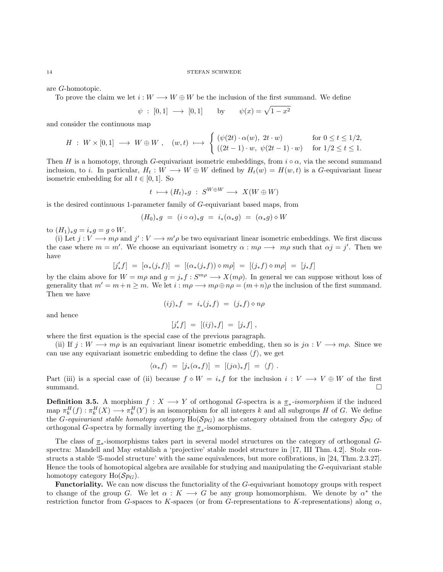are G-homotopic.

To prove the claim we let  $i: W \longrightarrow W \oplus W$  be the inclusion of the first summand. We define

$$
\psi : [0,1] \longrightarrow [0,1] \quad \text{by} \quad \psi(x) = \sqrt{1-x^2}
$$

and consider the continuous map

$$
H : W \times [0,1] \longrightarrow W \oplus W , \quad (w,t) \longmapsto \begin{cases} (\psi(2t) \cdot \alpha(w), 2t \cdot w) & \text{for } 0 \le t \le 1/2, \\ ((2t-1) \cdot w, \ \psi(2t-1) \cdot w) & \text{for } 1/2 \le t \le 1. \end{cases}
$$

Then H is a homotopy, through G-equivariant isometric embeddings, from  $i \circ \alpha$ , via the second summand inclusion, to i. In particular,  $H_t: W \longrightarrow W \oplus W$  defined by  $H_t(w) = H(w, t)$  is a G-equivariant linear isometric embedding for all  $t \in [0, 1]$ . So

$$
t \ \longmapsto (H_t)_*g \ : \ S^{W \oplus W} \longrightarrow \ X(W \oplus W)
$$

is the desired continuous 1-parameter family of G-equivariant based maps, from

$$
(H_0)_*g = (i \circ \alpha)_*g = i_*(\alpha_*g) = (\alpha_*g) \circ W
$$

to  $(H_1)_*g = i_*g = g \diamond W$ .

(i) Let  $j: V \longrightarrow m\rho$  and  $j': V \longrightarrow m'\rho$  be two equivariant linear isometric embeddings. We first discuss the case where  $m = m'$ . We choose an equivariant isometry  $\alpha : m\rho \longrightarrow m\rho$  such that  $\alpha j = j'$ . Then we have

$$
[j'_{*}f] = [\alpha_{*}(j_{*}f)] = [(\alpha_{*}(j_{*}f)) \diamond m\rho] = [(j_{*}f) \diamond m\rho] = [j_{*}f]
$$

by the claim above for  $W = m\rho$  and  $g = j_* f : S^{m\rho} \longrightarrow X(m\rho)$ . In general we can suppose without loss of generality that  $m' = m+n \ge m$ . We let  $i : m\rho \longrightarrow m\rho \oplus n\rho = (m+n)\rho$  the inclusion of the first summand. Then we have

$$
(ij)_*f = i_*(j_*f) = (j_*f) \diamond n\rho
$$

and hence

$$
[j'_{*}f] = [(ij)_{*}f] = [j_{*}f],
$$

where the first equation is the special case of the previous paragraph.

(ii) If  $j : W \longrightarrow m\rho$  is an equivariant linear isometric embedding, then so is  $j\alpha : V \longrightarrow m\rho$ . Since we can use any equivariant isometric embedding to define the class  $\langle f \rangle$ , we get

$$
\langle \alpha_* f \rangle = [j_*(\alpha_* f)] = [(j\alpha)_* f] = \langle f \rangle.
$$

Part (iii) is a special case of (ii) because  $f \circ W = i_*f$  for the inclusion  $i: V \longrightarrow V \oplus W$  of the first summand.  $\square$ 

**Definition 3.5.** A morphism  $f: X \longrightarrow Y$  of orthogonal G-spectra is a  $\underline{\pi}_*$ -isomorphism if the induced map  $\pi_k^H(f) : \pi_k^H(X) \longrightarrow \pi_k^H(Y)$  is an isomorphism for all integers k and all subgroups H of G. We define the *G*-equivariant stable homotopy category  $Ho(\mathcal{S}p_G)$  as the category obtained from the category  $\mathcal{S}p_G$  of orthogonal G-spectra by formally inverting the  $\pi_*$ -isomorphisms.

The class of  $\pi_*$ -isomorphisms takes part in several model structures on the category of orthogonal  $G$ spectra: Mandell and May establish a 'projective' stable model structure in [\[17,](#page-103-1) III Thm. 4.2]. Stolz constructs a stable 'S-model structure' with the same equivalences, but more cofibrations, in [\[24,](#page-103-3) Thm. 2.3.27]. Hence the tools of homotopical algebra are available for studying and manipulating the G-equivariant stable homotopy category  $Ho(\mathcal{S}p_G)$ .

Functoriality. We can now discuss the functoriality of the G-equivariant homotopy groups with respect to change of the group G. We let  $\alpha: K \longrightarrow G$  be any group homomorphism. We denote by  $\alpha^*$  the restriction functor from G-spaces to K-spaces (or from G-representations to K-representations) along  $\alpha$ ,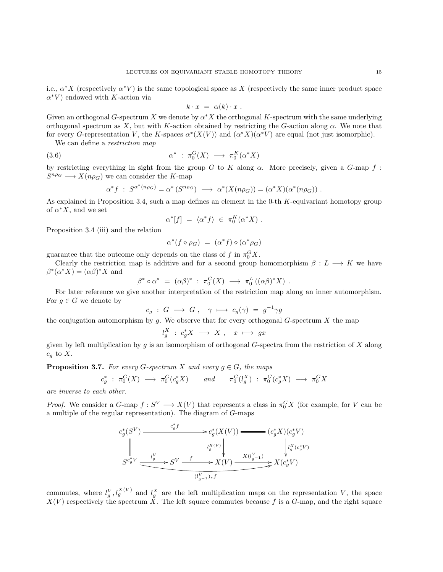i.e.,  $\alpha^* X$  (respectively  $\alpha^* V$ ) is the same topological space as X (respectively the same inner product space  $\alpha^*V$ ) endowed with K-action via

<span id="page-14-1"></span>
$$
k \cdot x = \alpha(k) \cdot x \; .
$$

Given an orthogonal G-spectrum X we denote by  $\alpha^* X$  the orthogonal K-spectrum with the same underlying orthogonal spectrum as X, but with K-action obtained by restricting the G-action along  $\alpha$ . We note that for every G-representation V, the K-spaces  $\alpha^*(X(V))$  and  $(\alpha^*X)(\alpha^*V)$  are equal (not just isomorphic).

We can define a restriction map

$$
(3.6) \qquad \alpha^* \; : \; \pi_0^G(X) \; \longrightarrow \; \pi_0^K(\alpha^*X)
$$

by restricting everything in sight from the group G to K along  $\alpha$ . More precisely, given a G-map f:  $S^{n\rho_G} \longrightarrow X(n\rho_G)$  we can consider the K-map

$$
\alpha^* f \; : \; S^{\alpha^*(n\rho_G)} = \alpha^* \left( S^{n\rho_G} \right) \; \longrightarrow \; \alpha^*(X(n\rho_G)) = (\alpha^* X)(\alpha^*(n\rho_G)) \; .
$$

As explained in Proposition [3.4,](#page-12-0) such a map defines an element in the 0-th K-equivariant homotopy group of  $\alpha^* X$ , and we set

$$
\alpha^*[f] \ = \ \langle \alpha^* f \rangle \ \in \ \pi_0^K(\alpha^* X) \ .
$$

Proposition [3.4](#page-12-0) (iii) and the relation

$$
\alpha^*(f \diamond \rho_G) = (\alpha^* f) \diamond (\alpha^* \rho_G)
$$

guarantee that the outcome only depends on the class of f in  $\pi_0^G X$ .

Clearly the restriction map is additive and for a second group homomorphism  $\beta : L \longrightarrow K$  we have  $\beta^*(\alpha^* X) = (\alpha \beta)^* X$  and

 $\beta^* \circ \alpha^* = (\alpha \beta)^* : \pi_0^G(X) \longrightarrow \pi_0^L((\alpha \beta)^* X)$ .

For later reference we give another interpretation of the restriction map along an inner automorphism. For  $g \in G$  we denote by

$$
c_g \; : \; G \; \longrightarrow \; G \; , \quad \gamma \; \longmapsto \; c_g(\gamma) \; = \; g^{-1} \gamma g
$$

the conjugation automorphism by q. We observe that for every orthogonal  $G$ -spectrum X the map

$$
l_g^X \; : \; c_g^* X \; \longrightarrow \; X \; , \quad x \; \longmapsto \; gx
$$

given by left multiplication by g is an isomorphism of orthogonal G-spectra from the restriction of X along  $c_q$  to X.

<span id="page-14-0"></span>**Proposition 3.7.** For every G-spectrum X and every  $g \in G$ , the maps

$$
c_g^* \; : \; \pi_0^G(X) \; \longrightarrow \; \pi_0^G(c_g^*X) \qquad \text{and} \qquad \pi_0^G(l_g^X) \; : \; \pi_0^G(c_g^*X) \; \longrightarrow \; \pi_0^GX
$$

are inverse to each other.

*Proof.* We consider a G-map  $f: S^V \longrightarrow X(V)$  that represents a class in  $\pi_0^G X$  (for example, for V can be a multiple of the regular representation). The diagram of G-maps

$$
c_g^*(S^V) \xrightarrow{\begin{array}{c} c_g^*f\\ \downarrow \\ \downarrow \\ S^{c_g^*V} \xrightarrow{\begin{array}{c} l_g^V\\ \downarrow \\ \downarrow \\ \downarrow \\ \end{array}}}\n c_g^*(X(V)) \xrightarrow{\begin{array}{c} c_g^*(X(V)) \xrightarrow{\begin{array}{c} \downarrow \\ \downarrow \\ \downarrow \\ \downarrow \\ \downarrow \\ \end{array}}}\n (c_g^*Y) \\ \xrightarrow{\begin{array}{c} l_g^V(c_g^*V) \xrightarrow{\begin{array}{c} \downarrow \\ \downarrow \\ \downarrow \\ \downarrow \\ \end{array}}}\n s^{(c_g^*V)} \xrightarrow{\begin{array}{c} l_g^V(c_g^*V) \xrightarrow{\begin{array}{c} \downarrow \\ \downarrow \\ \downarrow \\ \end{array}}}\n x(c_g^*V) \xrightarrow{\begin{array}{c} \downarrow \\ \downarrow \\ \end{array}}\n (c_g^*V)
$$

commutes, where  $l_g^V, l_g^{X(V)}$  and  $l_g^X$  are the left multiplication maps on the representation V, the space  $X(V)$  respectively the spectrum X. The left square commutes because f is a G-map, and the right square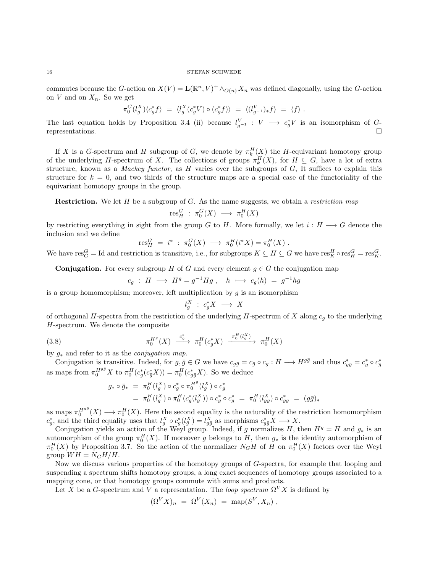commutes because the G-action on  $X(V) = \mathbf{L}(\mathbb{R}^n, V)^+ \wedge_{O(n)} X_n$  was defined diagonally, using the G-action on V and on  $X_n$ . So we get

$$
\pi_0^G(l_g^X)\langle c_g^*f\rangle \;=\; \langle l_g^X(c_g^*V)\circ (c_g^*f)\rangle \;=\; \langle (l_{g^{-1}}^V)_*f\rangle \;=\; \langle f\rangle \;.
$$

The last equation holds by Proposition [3.4](#page-12-0) (ii) because  $l_{g^{-1}}^V : V \longrightarrow c_g^*V$  is an isomorphism of Grepresentations.

If X is a G-spectrum and H subgroup of G, we denote by  $\pi_k^H(\underline{X})$  the H-equivariant homotopy group of the underlying H-spectrum of X. The collections of groups  $\pi_k^H(X)$ , for  $H \subseteq G$ , have a lot of extra structure, known as a *Mackey functor*, as  $H$  varies over the subgroups of  $G$ , It suffices to explain this structure for  $k = 0$ , and two thirds of the structure maps are a special case of the functoriality of the equivariant homotopy groups in the group.

**Restriction.** We let  $H$  be a subgroup of  $G$ . As the name suggests, we obtain a *restriction map* 

$$
\text{res}^G_H : \pi_0^G(X) \longrightarrow \pi_0^H(X)
$$

by restricting everything in sight from the group G to H. More formally, we let  $i : H \longrightarrow G$  denote the inclusion and we define

$$
res_H^G = i^* : \pi_0^G(X) \longrightarrow \pi_0^H(i^*X) = \pi_0^H(X)
$$
.

We have  $res_G^G = \text{Id}$  and restriction is transitive, i.e., for subgroups  $K \subseteq H \subseteq G$  we have  $res_K^H \circ res_H^G = res_K^G$ .

**Conjugation.** For every subgroup H of G and every element  $g \in G$  the conjugation map

$$
c_g \; : \; H \; \longrightarrow \; H^g = g^{-1} H g \; , \quad h \; \longmapsto \; c_g(h) \; = \; g^{-1} h g
$$

is a group homomorphism; moreover, left multiplication by  $q$  is an isomorphism

<span id="page-15-0"></span>
$$
l_g^X \; : \; c_g^* X \; \longrightarrow \; X
$$

of orthogonal H-spectra from the restriction of the underlying H-spectrum of X along  $c<sub>g</sub>$  to the underlying H-spectrum. We denote the composite

(3.8) 
$$
\pi_0^{H^g}(X) \xrightarrow{c_g^*} \pi_0^H(c_g^*X) \xrightarrow{\pi_0^H(l_g^X)} \pi_0^H(X)
$$

by  $g_*$  and refer to it as the *conjugation map*.

Conjugation is transitive. Indeed, for  $g, \bar{g} \in G$  we have  $c_{g\bar{g}} = c_{\bar{g}} \circ c_g : H \longrightarrow H^{g\bar{g}}$  and thus  $c_{g\bar{g}}^* = c_g^* \circ c_{\bar{g}}^*$ as maps from  $\pi_0^{H^{g\bar{g}}}X$  to  $\pi_0^H(c^*_{g}(c^*_{\bar{g}}X)) = \pi_0^H(c^*_{g\bar{g}}X)$ . So we deduce

$$
\begin{array}{rcl}\ng_{*} \circ \bar{g}_{*} & = & \pi_{0}^{H} (l_{g}^{X}) \circ c_{g}^{*} \circ \pi_{0}^{H^{g}} (l_{\bar{g}}^{X}) \circ c_{\bar{g}}^{*} \\
& = & \pi_{0}^{H} (l_{g}^{X}) \circ \pi_{0}^{H} (c_{g}^{*} (l_{\bar{g}}^{X})) \circ c_{g}^{*} \circ c_{\bar{g}}^{*} \\
& = & \pi_{0}^{H} (l_{g\bar{g}}^{X}) \circ \pi_{0}^{H} (c_{g}^{*} (l_{\bar{g}}^{X})) \circ c_{g}^{*} \circ c_{\bar{g}}^{*} \\
& = & \pi_{0}^{H} (l_{g\bar{g}}^{X}) \circ c_{g\bar{g}}^{*} \\
& = & \pi_{0}^{H} (l_{g\bar{g}}^{X}) \circ c_{g\bar{g}}^{*} \\
& = & \pi_{0}^{H} (l_{g\bar{g}}^{X}) \circ c_{g\bar{g}}^{*} \\
& = & \pi_{0}^{H} (l_{g\bar{g}}^{X}) \circ c_{g\bar{g}}^{*} \\
& = & \pi_{0}^{H} (l_{g\bar{g}}^{X}) \circ c_{g\bar{g}}^{*} \\
& = & \pi_{0}^{H} (l_{g\bar{g}}^{X}) \circ c_{g\bar{g}}^{*} \\
& = & \pi_{0}^{H} (l_{g\bar{g}}^{X}) \circ c_{g\bar{g}}^{*} \\
& = & \pi_{0}^{H} (l_{g\bar{g}}^{X}) \circ c_{g\bar{g}}^{*} \\
& = & \pi_{0}^{H} (l_{g\bar{g}}^{X}) \circ c_{g\bar{g}}^{*} \\
& = & \pi_{0}^{H} (l_{g\bar{g}}^{X}) \circ c_{g\bar{g}}^{*} \\
& = & \pi_{0}^{H} (l_{g\bar{g}}^{X}) \circ c_{g\bar{g}}^{*} \\
& = & \pi_{0}^{H} (l_{g\bar{g}}^{X}) \circ c_{g\bar{g}}^{*} \\
& = & \pi_{0}^{H} (l_{g\bar{g}}^{X}) \circ c_{g\bar{g}}^{*} \\
&
$$

as maps  $\pi_0^{H^{g\bar{g}}}(X) \longrightarrow \pi_0^H(X)$ . Here the second equality is the naturality of the restriction homomorphism  $c_g^*$ , and the third equality uses that  $l_g^X \circ c_g^*(l_{\bar{g}}^X) = l_{g\bar{g}}^X$  as morphisms  $c_{g\bar{g}}^* X \longrightarrow X$ .

Conjugation yields an action of the Weyl group. Indeed, if g normalizes H, then  $H<sup>g</sup> = H$  and  $g_*$  is an automorphism of the group  $\pi_0^H(X)$ . If moreover g belongs to H, then  $g_*$  is the identity automorphism of  $\pi_0^H(X)$  by Proposition [3.7.](#page-14-0) So the action of the normalizer  $N_GH$  of H on  $\pi_0^H(X)$  factors over the Weyl group  $WH = N_G H/H$ .

Now we discuss various properties of the homotopy groups of G-spectra, for example that looping and suspending a spectrum shifts homotopy groups, a long exact sequences of homotopy groups associated to a mapping cone, or that homotopy groups commute with sums and products.

Let X be a G-spectrum and V a representation. The loop spectrum  $\Omega^V X$  is defined by

$$
(\Omega^V X)_n = \Omega^V(X_n) = \text{map}(S^V, X_n) ,
$$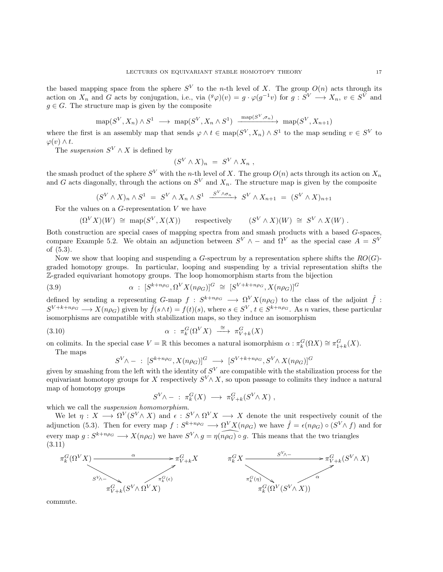the based mapping space from the sphere  $S^V$  to the *n*-th level of X. The group  $O(n)$  acts through its action on  $X_n$  and G acts by conjugation, i.e., via  $({}^g\varphi)(v) = g \cdot \varphi(g^{-1}v)$  for  $g : S^V \longrightarrow X_n$ ,  $v \in S^V$  and  $g \in G$ . The structure map is given by the composite

$$
\operatorname{map}(S^V, X_n) \wedge S^1 \longrightarrow \operatorname{map}(S^V, X_n \wedge S^1) \xrightarrow{\operatorname{map}(S^V, \sigma_n)} \operatorname{map}(S^V, X_{n+1})
$$

where the first is an assembly map that sends  $\varphi \wedge t \in \text{map}(S^V, X_n) \wedge S^1$  to the map sending  $v \in S^V$  to  $\varphi(v) \wedge t$ .

The suspension  $S^V \wedge X$  is defined by

$$
(S^V \wedge X)_n = S^V \wedge X_n ,
$$

the smash product of the sphere  $S^V$  with the *n*-th level of X. The group  $O(n)$  acts through its action on  $X_n$ and G acts diagonally, through the actions on  $S<sup>V</sup>$  and  $X<sub>n</sub>$ . The structure map is given by the composite

$$
(S^V \wedge X)_n \wedge S^1 = S^V \wedge X_n \wedge S^1 \xrightarrow{S^V \wedge \sigma_n} S^V \wedge X_{n+1} = (S^V \wedge X)_{n+1}
$$

For the values on a  $G$ -representation  $V$  we have

$$
(\Omega^V X)(W) \cong \text{map}(S^V, X(X)) \quad \text{respectively} \quad (S^V \wedge X)(W) \cong S^V \wedge X(W) .
$$

Both construction are special cases of mapping spectra from and smash products with a based G-spaces, compare Example [5.2.](#page-46-0) We obtain an adjunction between  $S^V \wedge -$  and  $\Omega^V$  as the special case  $A = S^V$ of [\(5.3\)](#page-46-1).

Now we show that looping and suspending a  $G$ -spectrum by a representation sphere shifts the  $RO(G)$ graded homotopy groups. In particular, looping and suspending by a trivial representation shifts the Z-graded equivariant homotopy groups. The loop homomorphism starts from the bijection

(3.9) 
$$
\alpha : [S^{k+n\rho_G}, \Omega^V X(n\rho_G)]^G \cong [S^{V+k+n\rho_G}, X(n\rho_G)]^G
$$

defined by sending a representing G-map  $f : S^{k+n\rho_G} \longrightarrow \Omega^V X(n\rho_G)$  to the class of the adjoint  $\hat{f}$ :  $S^{V+k+n\rho_G} \longrightarrow X(n\rho_G)$  given by  $\hat{f}(s \wedge t) = f(t)(s)$ , where  $s \in S^V$ ,  $t \in S^{k+n\rho_G}$ . As *n* varies, these particular isomorphisms are compatible with stabilization maps, so they induce an isomorphism

(3.10) 
$$
\alpha : \pi_k^G(\Omega^V X) \xrightarrow{\simeq} \pi_{V+k}^G(X)
$$

on colimits. In the special case  $V = \mathbb{R}$  this becomes a natural isomorphism  $\alpha : \pi_k^G(\Omega X) \cong \pi_{1+k}^G(X)$ . The maps

<span id="page-16-1"></span>
$$
S^{V}\wedge - : [S^{k+n\rho_G}, X(n\rho_G)]^G \longrightarrow [S^{V+k+n\rho_G}, S^V \wedge X(n\rho_G)]^G
$$

given by smashing from the left with the identity of  $S^V$  are compatible with the stabilization process for the equivariant homotopy groups for X respectively  $S<sup>V</sup> \wedge X$ , so upon passage to colimits they induce a natural map of homotopy groups

$$
S^V \wedge - : \pi_k^G(X) \longrightarrow \pi_{V+k}^G(S^V \wedge X) ,
$$

which we call the suspension homomorphism.

We let  $\eta: X \longrightarrow \Omega^V(S^V \wedge X)$  and  $\epsilon: S^V \wedge \Omega^V X \longrightarrow X$  denote the unit respectively counit of the adjunction [\(5.3\)](#page-46-1). Then for every map  $f: S^{k+n\rho_G} \longrightarrow \Omega^V X(n\rho_G)$  we have  $\hat{f} = \epsilon(n\rho_G) \circ (S^V \wedge f)$  and for every map  $g: S^{k+n\rho_G} \longrightarrow X(n\rho_G)$  we have  $S^V \wedge g = \eta(n\rho_G) \circ g$ . This means that the two triangles (3.11)

<span id="page-16-0"></span>

commute.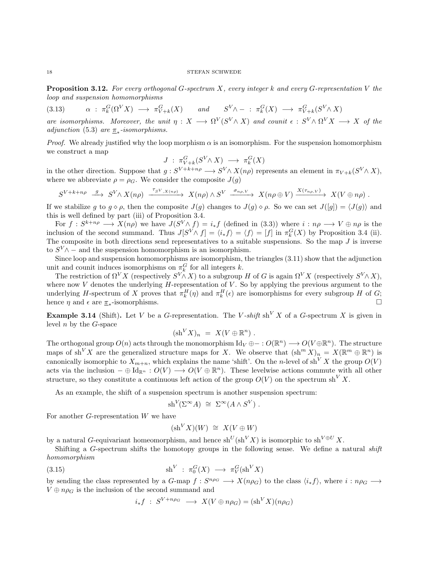<span id="page-17-0"></span>**Proposition 3.12.** For every orthogonal G-spectrum X, every integer k and every G-representation V the loop and suspension homomorphisms

(3.13)  $\alpha : \pi_k^G(\Omega^V X) \longrightarrow \pi_{V+k}^G(X) \text{ and } S^V \wedge - : \pi_k^G(X) \longrightarrow \pi_{V+k}^G(S^V \wedge X)$ are isomorphisms. Moreover, the unit  $\eta: X \longrightarrow \Omega^V(S^V \wedge X)$  and counit  $\epsilon: S^V \wedge \Omega^V X \longrightarrow X$  of the

adjunction [\(5.3\)](#page-46-1) are  $\pi_*$ -isomorphisms.

*Proof.* We already justified why the loop morphism  $\alpha$  is an isomorphism. For the suspension homomorphism we construct a map

$$
J : \pi_{V+k}^G(S^V \wedge X) \longrightarrow \pi_k^G(X)
$$

in the other direction. Suppose that  $g: S^{V+k+n\rho} \longrightarrow S^{V} \wedge X(n\rho)$  represents an element in  $\pi_{V+k}(S^{V} \wedge X)$ , where we abbreviate  $\rho = \rho_G$ . We consider the composite  $J(g)$ 

$$
S^{V+k+n\rho} \xrightarrow{g} S^{V} \wedge X(n\rho) \xrightarrow{\tau_{S^V,X(n\rho)}} X(n\rho) \wedge S^V \xrightarrow{\sigma_{n\rho,V}} X(n\rho \oplus V) \xrightarrow{X(\tau_{n\rho,V})} X(V \oplus n\rho) .
$$

If we stabilize g to  $g \circ \rho$ , then the composite  $J(g)$  changes to  $J(g) \circ \rho$ . So we can set  $J([g]) = \langle J(g) \rangle$  and this is well defined by part (iii) of Proposition [3.4.](#page-12-0)

For  $f: S^{k+n\rho} \longrightarrow X(n\rho)$  we have  $J(S^V \wedge f) = i_*f$  (defined in [\(3.3\)](#page-12-1)) where  $i: n\rho \longrightarrow V \oplus n\rho$  is the inclusion of the second summand. Thus  $J[S^V \wedge f] = \langle i_* f \rangle = \langle f \rangle = [f]$  in  $\pi_k^G(X)$  by Proposition [3.4](#page-12-0) (ii). The composite in both directions send representatives to a suitable suspensions. So the map  $J$  is inverse to  $S^V \wedge$  – and the suspension homomorphism is an isomorphism.

Since loop and suspension homomorphisms are isomorphism, the triangles [\(3.11\)](#page-16-0) show that the adjunction unit and counit induces isomorphisms on  $\pi_k^G$  for all integers k.

The restriction of  $\Omega^V X$  (respectively  $S^V \wedge X$ ) to a subgroup H of G is again  $\Omega^V X$  (respectively  $S^V \wedge X$ ), where now  $V$  denotes the underlying  $H$ -representation of  $V$ . So by applying the previous argument to the underlying H-spectrum of X proves that  $\pi_k^H(\eta)$  and  $\pi_k^H(\epsilon)$  are isomorphisms for every subgroup H of G; hence  $\eta$  and  $\epsilon$  are  $\underline{\pi}_*$ -isomorphisms.

**Example 3.14** (Shift). Let V be a G-representation. The V-shift sh<sup>V</sup> X of a G-spectrum X is given in level  $n$  by the  $G$ -space

$$
(\mathrm{sh}^V X)_n = X(V \oplus \mathbb{R}^n) .
$$

The orthogonal group  $O(n)$  acts through the monomorphism  $\mathrm{Id}_V \oplus -: O(\mathbb{R}^n) \longrightarrow O(V \oplus \mathbb{R}^n)$ . The structure maps of sh<sup>V</sup>X are the generalized structure maps for X. We observe that  $(\text{sh}^m X)_n = X(\mathbb{R}^m \oplus \mathbb{R}^n)$  is canonically isomorphic to  $X_{m+n}$ , which explains the name 'shift'. On the n-level of sh<sup>V</sup> X the group  $O(V)$ acts via the inclusion  $-\oplus \mathrm{Id}_{\mathbb{R}^n} : O(V) \longrightarrow O(V \oplus \mathbb{R}^n)$ . These levelwise actions commute with all other structure, so they constitute a continuous left action of the group  $O(V)$  on the spectrum sh<sup>V</sup> X.

As an example, the shift of a suspension spectrum is another suspension spectrum:

s

$$
h^V(\Sigma^{\infty}A) \cong \Sigma^{\infty}(A \wedge S^V) .
$$

For another  $G$ -representation  $W$  we have

$$
(\mathrm{sh}^V X)(W) \,\,\cong\,\, X(V\oplus W)
$$

by a natural G-equivariant homeomorphism, and hence  $sh^U(sh^V X)$  is isomorphic to  $sh^{V \oplus U} X$ .

Shifting a G-spectrum shifts the homotopy groups in the following sense. We define a natural *shift* homomorphism

(3.15) 
$$
\mathrm{sh}^V : \pi_0^G(X) \longrightarrow \pi_V^G(\mathrm{sh}^V X)
$$

by sending the class represented by a G-map  $f: S^{n\rho_G} \longrightarrow X(n\rho_G)$  to the class  $\langle i_* f \rangle$ , where  $i: n\rho_G \longrightarrow$  $V \oplus n\rho_G$  is the inclusion of the second summand and

$$
i_*f : S^{V+n\rho_G} \longrightarrow X(V \oplus n\rho_G) = (\text{sh}^V X)(n\rho_G)
$$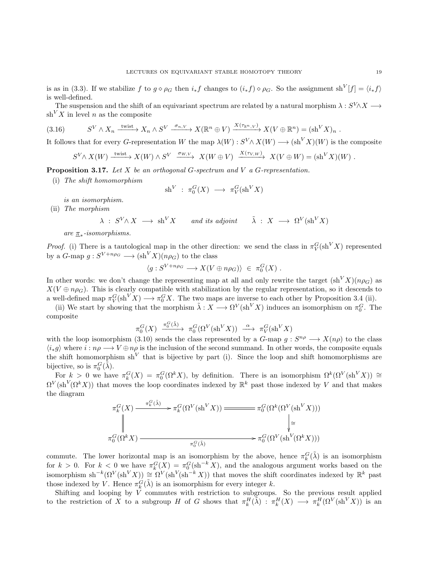is as in [\(3.3\)](#page-12-1). If we stabilize f to  $g \circ \rho_G$  then  $i_* f$  changes to  $(i_* f) \circ \rho_G$ . So the assignment sh<sup>V</sup>[f] =  $\langle i_* f \rangle$ is well-defined.

The suspension and the shift of an equivariant spectrum are related by a natural morphism  $\lambda: S^V \wedge X \longrightarrow$  $\sh^{V} X$  in level *n* as the composite

$$
(3.16) \t S^V \wedge X_n \xrightarrow{\text{twist}} X_n \wedge S^V \xrightarrow{\sigma_{n,V}} X(\mathbb{R}^n \oplus V) \xrightarrow{X(\tau_{\mathbb{R}^n,V})} X(V \oplus \mathbb{R}^n) = (\text{sh}^V X)_n .
$$

It follows that for every G-representation W the map  $\lambda(W) : S^V \wedge X(W) \longrightarrow (sh^V X)(W)$  is the composite

<span id="page-18-0"></span>
$$
S^V \wedge X(W) \xrightarrow{\text{twist}} X(W) \wedge S^V \xrightarrow{\sigma_{W,V}} X(W \oplus V) \xrightarrow{X(\tau_V, w)} X(V \oplus W) = (\text{sh}^V X)(W) .
$$

<span id="page-18-1"></span>**Proposition 3.17.** Let X be an orthogonal G-spectrum and V a G-representation.

(i) The shift homomorphism

$$
\mathrm{sh}^V\ :\ \pi_0^G(X)\ \longrightarrow\ \pi_V^G(\mathrm{sh}^V X)
$$

is an isomorphism.

(ii) The morphism

$$
\lambda \; : \; S^V \wedge X \; \longrightarrow \; \sh^V X \qquad \text{and its adjoint} \qquad \tilde{\lambda} \; : \; X \; \longrightarrow \; \Omega^V (\sh^V X)
$$

are  $\pi_*$ -isomorphisms.

*Proof.* (i) There is a tautological map in the other direction: we send the class in  $\pi_V^G(\text{sh}^V X)$  represented by a  $G$ -map  $g: S^{V+n\rho_G} \longrightarrow (sh^V X)(n\rho_G)$  to the class

$$
\langle g: S^{V+n\rho_G} \longrightarrow X(V \oplus n\rho_G) \rangle \in \pi_0^G(X) .
$$

In other words: we don't change the representing map at all and only rewrite the target  $(\text{sh}^{V} X)(n\rho_G)$  as  $X(V \oplus n\rho_G)$ . This is clearly compatible with stabilization by the regular representation, so it descends to a well-defined map  $\pi_V^G(\text{sh}^V X) \longrightarrow \pi_0^G X$ . The two maps are inverse to each other by Proposition [3.4](#page-12-0) (ii).

(ii) We start by showing that the morphism  $\tilde{\lambda}: X \longrightarrow \Omega^V(\text{sh}^V X)$  induces an isomorphism on  $\pi_0^G$ . The composite

$$
\pi_0^G(X) \xrightarrow{\pi_0^G(\tilde{\lambda})} \pi_0^G(\Omega^V(\sh^V X)) \xrightarrow{\alpha} \pi_V^G(\sh^V X)
$$

with the loop isomorphism [\(3.10\)](#page-16-1) sends the class represented by a  $G$ -map  $g: S^{n\rho} \longrightarrow X(n\rho)$  to the class  $\langle i_*g \rangle$  where  $i : n\rho \longrightarrow V \oplus n\rho$  is the inclusion of the second summand. In other words, the composite equals the shift homomorphism  $sh<sup>V</sup>$  that is bijective by part (i). Since the loop and shift homomorphisms are bijective, so is  $\pi_0^G(\tilde{\lambda})$ .

For  $k > 0$  we have  $\pi_k^G(X) = \pi_0^G(\Omega^k X)$ , by definition. There is an isomorphism  $\Omega^k(\Omega^V(\sh^V X)) \cong$  $\Omega^V(\text{sh}^V(\Omega^k X))$  that moves the loop coordinates indexed by  $\mathbb{R}^k$  past those indexed by V and that makes the diagram

$$
\pi_k^G(X) \xrightarrow{\pi_k^G(\tilde{\lambda})} \pi_k^G(\Omega^V(\sh^V X)) \xrightarrow{\pi_0^G(\Omega^k(\Omega^V(\sh^V X)))} \downarrow \cong
$$
\n
$$
\pi_0^G(\Omega^k X) \xrightarrow{\pi_0^G(\tilde{\lambda})} \pi_0^G(\Omega^V(\sh^V(\Omega^k X)))
$$

commute. The lower horizontal map is an isomorphism by the above, hence  $\pi_k^G(\tilde{\lambda})$  is an isomorphism for  $k > 0$ . For  $k < 0$  we have  $\pi_k^G(X) = \pi_0^G(\text{sh}^{-k} X)$ , and the analogous argument works based on the isomorphism sh<sup>-k</sup>( $\Omega^V(\sh^V X)$ ) ≅  $\Omega^V(\sh^{V}(\sh^{-k} X))$  that moves the shift coordinates indexed by  $\mathbb{R}^k$  past those indexed by V. Hence  $\pi_k^G(\tilde{\lambda})$  is an isomorphism for every integer k.

Shifting and looping by  $\tilde{V}$  commutes with restriction to subgroups. So the previous result applied to the restriction of X to a subgroup H of G shows that  $\pi_k^H(\tilde{\lambda}) : \pi_k^H(X) \longrightarrow \pi_k^H(\Omega^V(\sh^V X))$  is an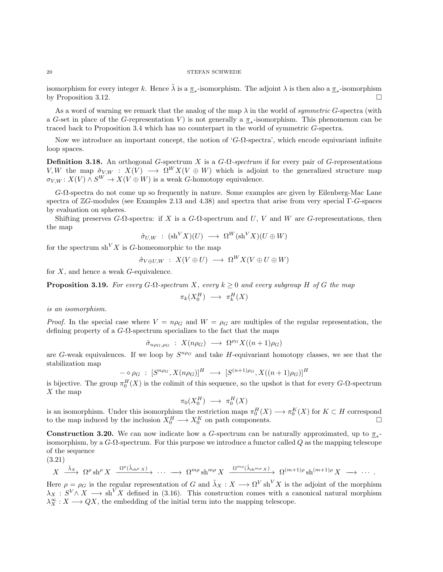isomorphism for every integer k. Hence  $\tilde{\lambda}$  is a  $\underline{\pi}_*$ -isomorphism. The adjoint  $\lambda$  is then also a  $\underline{\pi}_*$ -isomorphism by Proposition [3.12.](#page-17-0)

As a word of warning we remark that the analog of the map  $\lambda$  in the world of *symmetric G*-spectra (with a G-set in place of the G-representation V) is not generally a  $\pi_*$ -isomorphism. This phenomenon can be traced back to Proposition [3.4](#page-12-0) which has no counterpart in the world of symmetric G-spectra.

Now we introduce an important concept, the notion of ' $G$ - $\Omega$ -spectra', which encode equivariant infinite loop spaces.

**Definition 3.18.** An orthogonal G-spectrum X is a  $G$ - $\Omega$ -spectrum if for every pair of G-representations V, W the map  $\tilde{\sigma}_{V,W}$  :  $X(V) \longrightarrow \Omega^W X(V \oplus W)$  which is adjoint to the generalized structure map  $\sigma_{V.W}: X(V) \wedge S^{W} \to X(V \oplus W)$  is a weak G-homotopy equivalence.

G-Ω-spectra do not come up so frequently in nature. Some examples are given by Eilenberg-Mac Lane spectra of ZG-modules (see Examples [2.13](#page-9-0) and [4.38\)](#page-44-0) and spectra that arise from very special Γ-G-spaces by evaluation on spheres.

Shifting preserves  $G$ -Ω-spectra: if X is a  $G$ -Ω-spectrum and U, V and W are  $G$ -representations, then the map

$$
\tilde{\sigma}_{U,W} \; : \; (\mathrm{sh}^V X)(U) \; \longrightarrow \; \Omega^W (\mathrm{sh}^V X)(U \oplus W)
$$

for the spectrum  $\sh^{V} X$  is G-homeomorphic to the map

$$
\tilde{\sigma}_{V \oplus U, W} : X(V \oplus U) \longrightarrow \Omega^W X(V \oplus U \oplus W)
$$

for  $X$ , and hence a weak  $G$ -equivalence.

**Proposition 3.19.** For every G- $\Omega$ -spectrum X, every  $k \geq 0$  and every subgroup H of G the map

$$
\pi_k(X_0^H) \longrightarrow \pi_k^H(X)
$$

is an isomorphism.

*Proof.* In the special case where  $V = n\rho_G$  and  $W = \rho_G$  are multiples of the regular representation, the defining property of a  $G$ - $\Omega$ -spectrum specializes to the fact that the maps

$$
\tilde{\sigma}_{n\rho_G,\rho_G} : X(n\rho_G) \longrightarrow \Omega^{\rho_G} X((n+1)\rho_G)
$$

are G-weak equivalences. If we loop by  $S^{n\rho_G}$  and take H-equivariant homotopy classes, we see that the stabilization map

$$
- \diamond \rho_G : [S^{n\rho_G}, X(n\rho_G)]^H \longrightarrow [S^{(n+1)\rho_G}, X((n+1)\rho_G)]^H
$$

is bijective. The group  $\pi_0^H(X)$  is the colimit of this sequence, so the upshot is that for every G- $\Omega$ -spectrum  $X$  the map

$$
\pi_0(X_0^H) \longrightarrow \pi_0^H(X)
$$

is an isomorphism. Under this isomorphism the restriction maps  $\pi_0^H(X) \longrightarrow \pi_0^K(X)$  for  $K \subset H$  correspond to the map induced by the inclusion  $X_0^H \longrightarrow X_0^K$  on path components.

**Construction 3.20.** We can now indicate how a G-spectrum can be naturally approximated, up to  $\pi_*$ isomorphism, by a  $G$ - $\Omega$ -spectrum. For this purpose we introduce a functor called Q as the mapping telescope of the sequence

(3.21)

$$
X \xrightarrow{\tilde{\lambda}_X} \Omega^{\rho} \sh^{\rho} X \xrightarrow{\Omega^{\rho}(\tilde{\lambda}_{\operatorname{sh}^{\rho} X})} \cdots \longrightarrow \Omega^{m\rho} \sh^{m\rho} X \xrightarrow{\Omega^{m\rho}(\tilde{\lambda}_{\operatorname{sh}^{m\rho} X})} \Omega^{(m+1)\rho} \sh^{(m+1)\rho} X \longrightarrow \cdots
$$

Here  $\rho = \rho_G$  is the regular representation of G and  $\tilde{\lambda}_X : X \longrightarrow \Omega^V \text{sh}^V X$  is the adjoint of the morphism  $\lambda_X : S^V \wedge X \longrightarrow \text{sh}^V X$  defined in [\(3.16\)](#page-18-0). This construction comes with a canonical natural morphism  $\lambda_X^{\infty}: X \longrightarrow QX$ , the embedding of the initial term into the mapping telescope.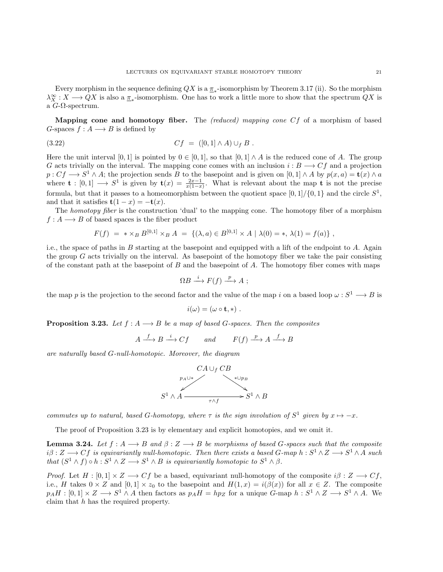Every morphism in the sequence defining  $QX$  is a  $\underline{\pi}_*$ -isomorphism by Theorem [3.17](#page-18-1) (ii). So the morphism  $\lambda_X^{\infty}: X \longrightarrow QX$  is also a  $\underline{\pi}_*$ -isomorphism. One has to work a little more to show that the spectrum  $QX$  is a G-Ω-spectrum.

Mapping cone and homotopy fiber. The (reduced) mapping cone Cf of a morphism of based G-spaces  $f : A \longrightarrow B$  is defined by

(3.22) 
$$
Cf = ([0,1] \wedge A) \cup_f B .
$$

Here the unit interval [0, 1] is pointed by  $0 \in [0, 1]$ , so that  $[0, 1] \wedge A$  is the reduced cone of A. The group G acts trivially on the interval. The mapping cone comes with an inclusion  $i : B \longrightarrow C f$  and a projection  $p: Cf \longrightarrow S^1 \wedge A$ ; the projection sends B to the basepoint and is given on  $[0,1] \wedge A$  by  $p(x, a) = \mathbf{t}(x) \wedge a$ where  $\mathbf{t} : [0,1] \longrightarrow S^1$  is given by  $\mathbf{t}(x) = \frac{2x-1}{x(1-x)}$ . What is relevant about the map  $\mathbf{t}$  is not the precise formula, but that it passes to a homeomorphism between the quotient space  $[0,1]/\{0,1\}$  and the circle  $S^1$ , and that it satisfies  $t(1-x) = -t(x)$ .

The homotopy fiber is the construction 'dual' to the mapping cone. The homotopy fiber of a morphism  $f: A \longrightarrow B$  of based spaces is the fiber product

$$
F(f) = * \times_B B^{[0,1]} \times_B A = \{ (\lambda, a) \in B^{[0,1]} \times A \mid \lambda(0) = *, \lambda(1) = f(a) \},
$$

i.e., the space of paths in  $B$  starting at the basepoint and equipped with a lift of the endpoint to  $A$ . Again the group  $G$  acts trivially on the interval. As basepoint of the homotopy fiber we take the pair consisting of the constant path at the basepoint of  $B$  and the basepoint of  $A$ . The homotopy fiber comes with maps

$$
\Omega B \xrightarrow{i} F(f) \xrightarrow{p} A ;
$$

the map p is the projection to the second factor and the value of the map i on a based loop  $\omega : S^1 \longrightarrow B$  is

$$
i(\omega)=(\omega\circ\mathbf{t},\ast)\ .
$$

<span id="page-20-0"></span>**Proposition 3.23.** Let  $f : A \longrightarrow B$  be a map of based G-spaces. Then the composites

$$
A \xrightarrow{f} B \xrightarrow{i} Cf \qquad and \qquad F(f) \xrightarrow{p} A \xrightarrow{f} B
$$

are naturally based G-null-homotopic. Moreover, the diagram



commutes up to natural, based G-homotopy, where  $\tau$  is the sign involution of  $S^1$  given by  $x \mapsto -x$ .

The proof of Proposition [3.23](#page-20-0) is by elementary and explicit homotopies, and we omit it.

<span id="page-20-1"></span>**Lemma 3.24.** Let  $f : A \longrightarrow B$  and  $\beta : Z \longrightarrow B$  be morphisms of based G-spaces such that the composite  $i\beta: Z \longrightarrow Cf$  is equivariantly null-homotopic. Then there exists a based  $G$ -map  $h: S^1 \wedge Z \longrightarrow S^1 \wedge A$  such that  $(S^1 \wedge f) \circ h : S^1 \wedge Z \longrightarrow S^1 \wedge B$  is equivariantly homotopic to  $S^1 \wedge \beta$ .

*Proof.* Let  $H : [0,1] \times Z \longrightarrow Cf$  be a based, equivariant null-homotopy of the composite  $i\beta : Z \longrightarrow Cf$ , i.e., H takes  $0 \times Z$  and  $[0,1] \times z_0$  to the basepoint and  $H(1,x) = i(\beta(x))$  for all  $x \in Z$ . The composite  $p_A H : [0,1] \times Z \longrightarrow S^1 \wedge A$  then factors as  $p_A H = hp_Z$  for a unique G-map  $h : S^1 \wedge Z \longrightarrow S^1 \wedge A$ . We claim that h has the required property.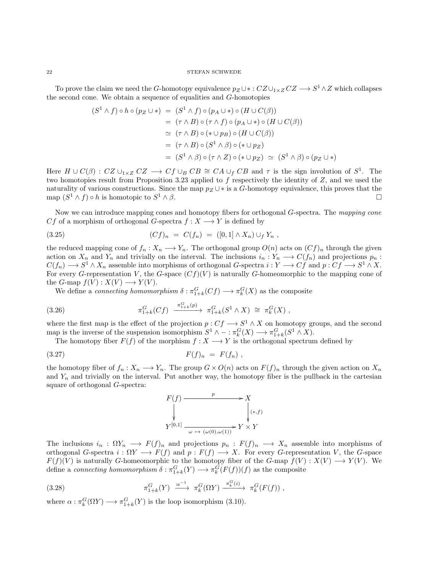To prove the claim we need the G-homotopy equivalence  $p_Z \cup * : CZ \cup_{1 \times Z} CZ \longrightarrow S^1 \wedge Z$  which collapses the second cone. We obtain a sequence of equalities and G-homotopies

$$
(S^1 \wedge f) \circ h \circ (p_Z \cup *) = (S^1 \wedge f) \circ (p_A \cup *) \circ (H \cup C(\beta))
$$
  
= (\tau \wedge B) \circ (\tau \wedge f) \circ (p\_A \cup \*) \circ (H \cup C(\beta))  

$$
\simeq (\tau \wedge B) \circ (* \cup p_B) \circ (H \cup C(\beta))
$$
  
= (\tau \wedge B) \circ (S^1 \wedge \beta) \circ (\* \cup p\_Z)  
= (S^1 \wedge \beta) \circ (\tau \wedge Z) \circ (\* \cup p\_Z) \simeq (S^1 \wedge \beta) \circ (p\_Z \cup \*)

Here  $H \cup C(\beta)$ :  $CZ \cup_{1 \times Z} CZ \longrightarrow Cf \cup_B CB \cong CA \cup_f CB$  and  $\tau$  is the sign involution of  $S^1$ . The two homotopies result from Proposition [3.23](#page-20-0) applied to  $f$  respectively the identity of  $Z$ , and we used the naturality of various constructions. Since the map  $p_Z \cup *$  is a G-homotopy equivalence, this proves that the map  $(S^1 \wedge f) \circ h$  is homotopic to S  $1 \wedge \beta$ .

Now we can introduce mapping cones and homotopy fibers for orthogonal G-spectra. The mapping cone Cf of a morphism of orthogonal G-spectra  $f: X \longrightarrow Y$  is defined by

<span id="page-21-0"></span>
$$
(3.25) \t(Cf)_n = C(f_n) = ([0,1] \wedge X_n) \cup_f Y_n ,
$$

the reduced mapping cone of  $f_n : X_n \longrightarrow Y_n$ . The orthogonal group  $O(n)$  acts on  $(Cf)_n$  through the given action on  $X_n$  and  $Y_n$  and trivially on the interval. The inclusions  $i_n: Y_n \longrightarrow C(f_n)$  and projections  $p_n$ :  $C(f_n) \longrightarrow S^1 \wedge X_n$  assemble into morphisms of orthogonal G-spectra  $i: Y \longrightarrow Cf$  and  $p: Cf \longrightarrow S^1 \wedge X$ . For every G-representation V, the G-space  $(Cf)(V)$  is naturally G-homeomorphic to the mapping cone of the G-map  $f(V) : X(V) \longrightarrow Y(V)$ .

We define a *connecting homomorphism*  $\delta: \pi_{1+k}^G(Cf) \longrightarrow \pi_k^G(X)$  as the composite

(3.26) 
$$
\pi_{1+k}^G(Cf) \xrightarrow{\pi_{1+k}^G(p)} \pi_{1+k}^G(S^1 \wedge X) \cong \pi_k^G(X) ,
$$

where the first map is the effect of the projection  $p: C_f \longrightarrow S^1 \wedge X$  on homotopy groups, and the second map is the inverse of the suspension isomorphism  $S^1 \wedge - : \pi_k^G(X) \longrightarrow \pi_{1+k}^G(S^1 \wedge X)$ .

The homotopy fiber  $F(f)$  of the morphism  $f: X \longrightarrow Y$  is the orthogonal spectrum defined by

$$
(3.27) \t\t\t F(f)_n = F(f_n) ,
$$

the homotopy fiber of  $f_n: X_n \longrightarrow Y_n$ . The group  $G \times O(n)$  acts on  $F(f)_n$  through the given action on  $X_n$ and  $Y_n$  and trivially on the interval. Put another way, the homotopy fiber is the pullback in the cartesian square of orthogonal G-spectra:



The inclusions  $i_n : \Omega Y_n \longrightarrow F(f)_n$  and projections  $p_n : F(f)_n \longrightarrow X_n$  assemble into morphisms of orthogonal G-spectra  $i : \Omega Y \longrightarrow F(f)$  and  $p : F(f) \longrightarrow X$ . For every G-representation V, the G-space  $F(f)(V)$  is naturally G-homeomorphic to the homotopy fiber of the G-map  $f(V) : X(V) \longrightarrow Y(V)$ . We define a *connecting homomorphism*  $\delta : \pi_{1+k}^G(Y) \longrightarrow \pi_k^G(F(f))(f)$  as the composite

(3.28) 
$$
\pi_{1+k}^G(Y) \xrightarrow{\alpha^{-1}} \pi_k^G(\Omega Y) \xrightarrow{\pi_k^G(i)} \pi_k^G(F(f)),
$$

where  $\alpha : \pi_k^G(\Omega Y) \longrightarrow \pi_{1+k}^G(Y)$  is the loop isomorphism [\(3.10\)](#page-16-1).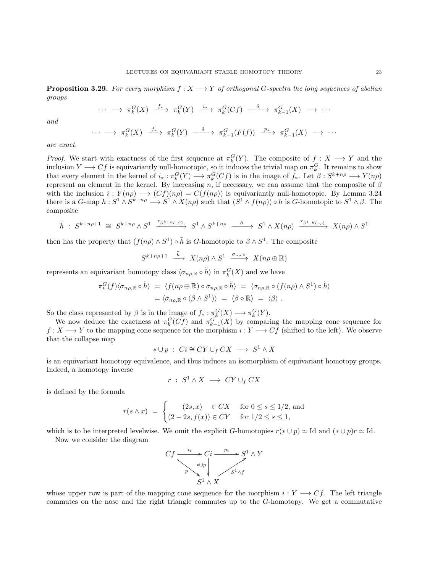<span id="page-22-0"></span>**Proposition 3.29.** For every morphism  $f: X \longrightarrow Y$  of orthogonal G-spectra the long sequences of abelian groups

$$
\cdots \longrightarrow \pi_k^G(X) \xrightarrow{f_*} \pi_k^G(Y) \xrightarrow{i_*} \pi_k^G(Cf) \xrightarrow{\delta} \pi_{k-1}^G(X) \longrightarrow \cdots
$$

and

$$
\cdots \longrightarrow \pi_k^G(X) \xrightarrow{f_*} \pi_k^G(Y) \xrightarrow{\delta} \pi_{k-1}^G(F(f)) \xrightarrow{p_*} \pi_{k-1}^G(X) \longrightarrow \cdots
$$

are exact.

*Proof.* We start with exactness of the first sequence at  $\pi_k^G(Y)$ . The composite of  $f: X \longrightarrow Y$  and the inclusion  $Y \longrightarrow Cf$  is equivariantly null-homotopic, so it induces the trivial map on  $\pi_k^G$ . It remains to show that every element in the kernel of  $i_* : \pi_k^G(Y) \longrightarrow \pi_k^G(Cf)$  is in the image of  $f_*$ . Let  $\beta: S^{k+n\rho} \longrightarrow Y(n\rho)$ represent an element in the kernel. By increasing n, if necessary, we can assume that the composite of  $\beta$ with the inclusion  $i: Y(n\rho) \longrightarrow (Cf)(n\rho) = C(f(n\rho))$  is equivariantly null-homotopic. By Lemma [3.24](#page-20-1) there is a  $G$ -map  $h: S^1 \wedge S^{k+n\rho} \longrightarrow S^1 \wedge X(n\rho)$  such that  $(S^1 \wedge f(n\rho)) \circ h$  is  $G$ -homotopic to  $S^1 \wedge \beta$ . The composite

$$
\tilde{h} \; : \; S^{k+n\rho+1} \; \cong \; S^{k+n\rho} \wedge S^1 \; \xrightarrow{\tau_{S^{k+n\rho}, S^1}} \; S^1 \wedge S^{k+n\rho} \; \xrightarrow{\quad h \quad} \; S^1 \wedge X(n\rho) \; \xrightarrow{\tau_{S^1, X(n\rho)}} \; X(n\rho) \wedge S^1
$$

then has the property that  $(f(n\rho) \wedge S^1) \circ \tilde{h}$  is G-homotopic to  $\beta \wedge S^1$ . The composite

$$
S^{k+n\rho+1} \stackrel{\tilde{h}}{\longrightarrow} X(n\rho) \wedge S^1 \stackrel{\sigma_{n\rho,\mathbb{R}}}{\longrightarrow} X(n\rho \oplus \mathbb{R})
$$

represents an equivariant homotopy class  $\langle \sigma_{n\rho,\mathbb{R}} \circ \tilde{h} \rangle$  in  $\pi_k^G(X)$  and we have

$$
\begin{array}{rcl}\n\pi_k^G(f)\langle\sigma_{n\rho,\mathbb{R}}\circ\tilde{h}\rangle &=& \langle f(n\rho\oplus\mathbb{R})\circ\sigma_{n\rho,\mathbb{R}}\circ\tilde{h}\rangle \\
&=& \langle\sigma_{n\rho,\mathbb{R}}\circ(f(n\rho)\wedge S^1)\circ\tilde{h}\rangle \\
&=& \langle\sigma_{n\rho,\mathbb{R}}\circ(\beta\wedge S^1)\rangle \\
&=& \langle\beta\circ\mathbb{R}\rangle \\
&=& \langle\beta\rangle\n\end{array}
$$

So the class represented by  $\beta$  is in the image of  $f_* : \pi_k^G(X) \longrightarrow \pi_k^G(Y)$ .

We now deduce the exactness at  $\pi_k^G(Cf)$  and  $\pi_{k-1}^G(X)$  by comparing the mapping cone sequence for  $f: X \longrightarrow Y$  to the mapping cone sequence for the morphism  $i: Y \longrightarrow Cf$  (shifted to the left). We observe that the collapse map

$$
* \cup p \; : \; Ci \cong CY \cup_f CX \; \longrightarrow \; S^1 \wedge X
$$

is an equivariant homotopy equivalence, and thus induces an isomorphism of equivariant homotopy groups. Indeed, a homotopy inverse

$$
r \; : \; S^1 \wedge X \; \longrightarrow \; CY \cup_f CX
$$

is defined by the formula

$$
r(s \wedge x) = \begin{cases} (2s, x) \in CX & \text{for } 0 \le s \le 1/2 \text{, and} \\ (2 - 2s, f(x)) \in CY & \text{for } 1/2 \le s \le 1 \end{cases}
$$

which is to be interpreted levelwise. We omit the explicit G-homotopies  $r(* \cup p) \simeq \text{Id}$  and  $(* \cup p)r \simeq \text{Id}$ .

Now we consider the diagram



whose upper row is part of the mapping cone sequence for the morphism  $i: Y \longrightarrow Cf$ . The left triangle commutes on the nose and the right triangle commutes up to the G-homotopy. We get a commutative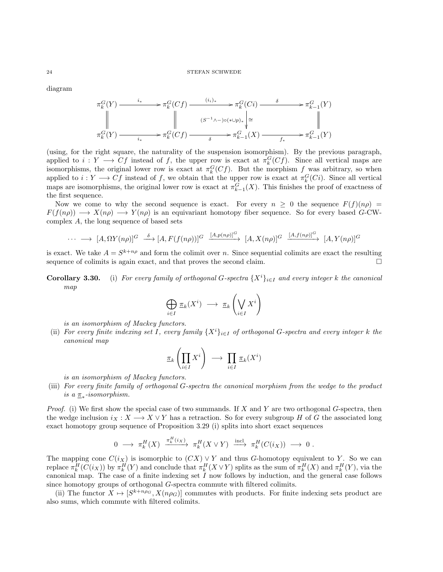#### $24$   $\,$   $\,$  STEFAN SCHWEDE  $\,$

diagram

$$
\pi_k^G(Y) \xrightarrow{i_*} \pi_k^G(Cf) \xrightarrow{(i_i)_*} \pi_k^G(Ci) \xrightarrow{\delta} \pi_{k-1}^G(Y)
$$
\n
$$
\parallel \qquad \qquad \parallel \qquad (S^{-1} \land \neg) \circ (\ast \cup p)_* \parallel \cong \qquad \qquad \parallel
$$
\n
$$
\pi_k^G(Y) \xrightarrow{i_*} \pi_k^G(Cf) \xrightarrow{\delta} \pi_{k-1}^G(X) \xrightarrow{f_*} \pi_{k-1}^G(Y)
$$

(using, for the right square, the naturality of the suspension isomorphism). By the previous paragraph, applied to  $i: Y \longrightarrow Cf$  instead of f, the upper row is exact at  $\pi_k^G(Cf)$ . Since all vertical maps are isomorphisms, the original lower row is exact at  $\pi_k^G(Cf)$ . But the morphism f was arbitrary, so when applied to  $i: Y \longrightarrow Cf$  instead of f, we obtain that the upper row is exact at  $\pi_k^G(C_i)$ . Since all vertical maps are isomorphisms, the original lower row is exact at  $\pi_{k-1}^G(X)$ . This finishes the proof of exactness of the first sequence.

Now we come to why the second sequence is exact. For every  $n \geq 0$  the sequence  $F(f)(n\rho) =$  $F(f(n\rho)) \longrightarrow X(n\rho) \longrightarrow Y(n\rho)$  is an equivariant homotopy fiber sequence. So for every based G-CWcomplex A, the long sequence of based sets

$$
\cdots \longrightarrow [A,\Omega Y(n\rho)]^G \stackrel{\delta}{\longrightarrow} [A,F(f(n\rho))]^G \stackrel{[A,p(n\rho)]^G}{\longrightarrow} [A,X(n\rho)]^G \stackrel{[A,f(n\rho)]^G}{\longrightarrow} [A,Y(n\rho)]^G
$$

is exact. We take  $A = S^{k+n\rho}$  and form the colimit over n. Since sequential colimits are exact the resulting sequence of colimits is again exact, and that proves the second claim.  $\Box$ 

**Corollary 3.30.** (i) For every family of orthogonal G-spectra  $\{X^i\}_{i\in I}$  and every integer k the canonical map

$$
\bigoplus_{i \in I} \pi_k(X^i) \longrightarrow \pi_k\left(\bigvee_{i \in I} X^i\right)
$$

is an isomorphism of Mackey functors.

(ii) For every finite indexing set I, every family  $\{X^i\}_{i\in I}$  of orthogonal G-spectra and every integer k the canonical map

$$
\pi_k\left(\prod_{i\in I}X^i\right)\ \longrightarrow\ \prod_{i\in I}\pi_k(X^i)
$$

is an isomorphism of Mackey functors.

(iii) For every finite family of orthogonal G-spectra the canonical morphism from the wedge to the product is a  $\pi_*$ -isomorphism.

*Proof.* (i) We first show the special case of two summands. If  $X$  and  $Y$  are two orthogonal  $G$ -spectra, then the wedge inclusion  $i_X : X \longrightarrow X \vee Y$  has a retraction. So for every subgroup H of G the associated long exact homotopy group sequence of Proposition [3.29](#page-22-0) (i) splits into short exact sequences

$$
0 \longrightarrow \pi_k^H(X) \xrightarrow{\pi_k^H(i_X)} \pi_k^H(X \vee Y) \xrightarrow{\text{incl}} \pi_k^H(C(i_X)) \longrightarrow 0.
$$

The mapping cone  $C(i_X)$  is isomorphic to  $(CX) \vee Y$  and thus G-homotopy equivalent to Y. So we can replace  $\pi_k^H(C(i_X))$  by  $\pi_k^H(Y)$  and conclude that  $\pi_k^H(X \vee Y)$  splits as the sum of  $\pi_k^H(X)$  and  $\pi_k^H(Y)$ , via the canonical map. The case of a finite indexing set  $I$  now follows by induction, and the general case follows since homotopy groups of orthogonal G-spectra commute with filtered colimits.

(ii) The functor  $X \mapsto [S^{k+n\rho_G}, X(n\rho_G)]$  commutes with products. For finite indexing sets product are also sums, which commute with filtered colimits.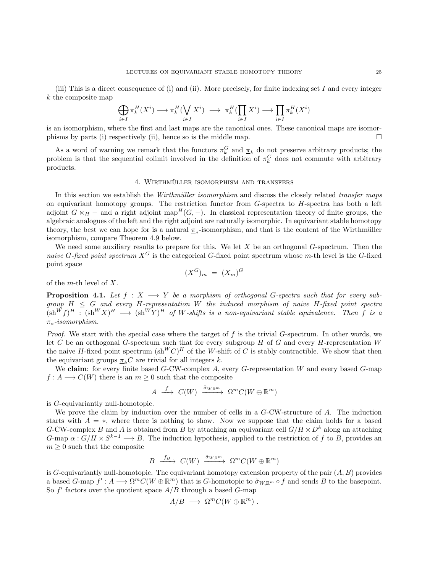(iii) This is a direct consequence of (i) and (ii). More precisely, for finite indexing set I and every integer k the composite map

$$
\bigoplus_{i\in I}\pi_k^H(X^i)\longrightarrow \pi_k^H(\bigvee_{i\in I}X^i)\ \longrightarrow\ \pi_k^H(\prod_{i\in I}X^i)\longrightarrow\prod_{i\in I}\pi_k^H(X^i)
$$

is an isomorphism, where the first and last maps are the canonical ones. These canonical maps are isomorphisms by parts (i) respectively (ii), hence so is the middle map.  $\square$ 

As a word of warning we remark that the functors  $\pi_k^G$  and  $\underline{\pi}_k$  do not preserve arbitrary products; the problem is that the sequential colimit involved in the definition of  $\pi_k^G$  does not commute with arbitrary products.

# 4. WIRTHMÜLLER ISOMORPHISM AND TRANSFERS

<span id="page-24-0"></span>In this section we establish the Wirthmüller isomorphism and discuss the closely related transfer maps on equivariant homotopy groups. The restriction functor from  $G$ -spectra to  $H$ -spectra has both a left adjoint  $G \ltimes_H -$  and a right adjoint map<sup>H</sup>(G, −). In classical representation theory of finite groups, the algebraic analogues of the left and the right adjoint are naturally isomorphic. In equivariant stable homotopy theory, the best we can hope for is a natural  $\pi_*$ -isomorphism, and that is the content of the Wirthmüller isomorphism, compare Theorem [4.9](#page-28-0) below.

We need some auxiliary results to prepare for this. We let  $X$  be an orthogonal  $G$ -spectrum. Then the naive G-fixed point spectrum  $X^G$  is the categorical G-fixed point spectrum whose m-th level is the G-fixed point space

 $(X^G)_m = (X_m)^G$ 

of the *m*-th level of  $X$ .

<span id="page-24-1"></span>**Proposition 4.1.** Let  $f : X \longrightarrow Y$  be a morphism of orthogonal G-spectra such that for every subgroup  $H \leq G$  and every H-representation W the induced morphism of naive H-fixed point spectra  $(\text{sh}^W f)^H : (\text{sh}^W X)^H \longrightarrow (\text{sh}^W Y)^H$  of W-shifts is a non-equivariant stable equivalence. Then f is a π∗ -isomorphism.

*Proof.* We start with the special case where the target of  $f$  is the trivial  $G$ -spectrum. In other words, we let C be an orthogonal G-spectrum such that for every subgroup H of G and every H-representation  $W$ the naive H-fixed point spectrum  $(\text{sh}^W C)^H$  of the W-shift of C is stably contractible. We show that then the equivariant groups  $\pi_kC$  are trivial for all integers k.

We claim: for every finite based  $G$ -CW-complex  $A$ , every  $G$ -representation  $W$  and every based  $G$ -map  $f: A \longrightarrow C(W)$  there is an  $m \geq 0$  such that the composite

$$
A \stackrel{f}{\longrightarrow} C(W) \stackrel{\tilde{\sigma}_{W,\mathbb{R}^m}}{\longrightarrow} \Omega^m C(W \oplus \mathbb{R}^m)
$$

is G-equivariantly null-homotopic.

We prove the claim by induction over the number of cells in a G-CW-structure of A. The induction starts with  $A = *$ , where there is nothing to show. Now we suppose that the claim holds for a based G-CW-complex B and A is obtained from B by attaching an equivariant cell  $G/H \times D^k$  along an attaching G-map  $\alpha: G/H \times S^{k-1} \longrightarrow B$ . The induction hypothesis, applied to the restriction of f to B, provides an  $m \geq 0$  such that the composite

$$
B \xrightarrow{f_B} C(W) \xrightarrow{\tilde{\sigma}_{W,\mathbb{R}^m}} \Omega^m C(W \oplus \mathbb{R}^m)
$$

is G-equivariantly null-homotopic. The equivariant homotopy extension property of the pair  $(A, B)$  provides a based  $G$ -map  $f': A \longrightarrow \Omega^m C(W \oplus \mathbb{R}^m)$  that is  $G$ -homotopic to  $\tilde{\sigma}_{W,\mathbb{R}^m} \circ f$  and sends  $B$  to the basepoint. So  $f'$  factors over the quotient space  $A/B$  through a based  $G$ -map

$$
A/B \longrightarrow \Omega^m C(W \oplus \mathbb{R}^m) .
$$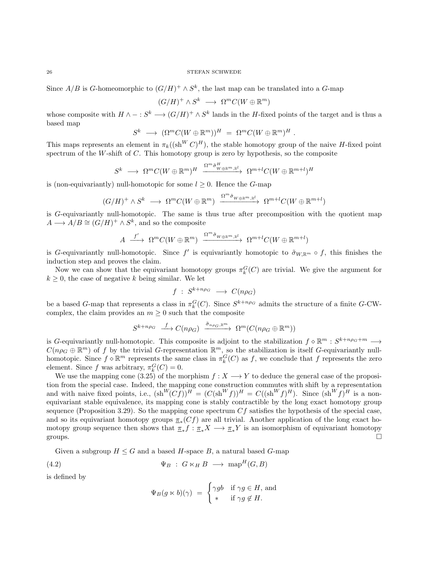Since  $A/B$  is G-homeomorphic to  $(G/H)^+ \wedge S^k$ , the last map can be translated into a G-map

$$
(G/H)^+ \wedge S^k \longrightarrow \Omega^m C(W \oplus \mathbb{R}^m)
$$

whose composite with  $H \wedge - : S^k \longrightarrow (G/H)^+ \wedge S^k$  lands in the H-fixed points of the target and is thus a based map

$$
S^k \longrightarrow (\Omega^m C(W \oplus \mathbb{R}^m)) \qquad H = \Omega^m C(W \oplus \mathbb{R}^m) H.
$$

This maps represents an element in  $\pi_k((\text{sh}^W C)^H)$ , the stable homotopy group of the naive H-fixed point spectrum of the  $W$ -shift of  $C$ . This homotopy group is zero by hypothesis, so the composite

$$
S^k \ \longrightarrow \ \Omega^m C(W \oplus \mathbb{R}^m)^H \ \xrightarrow{\Omega^m \tilde{\sigma}^H_{W \oplus \mathbb{R}^m, \mathbb{R}^l}} \ \Omega^{m+l} C(W \oplus \mathbb{R}^{m+l})^H
$$

is (non-equivariantly) null-homotopic for some  $l \geq 0$ . Hence the G-map

$$
(G/H)^+ \wedge S^k \ \longrightarrow \ \Omega^m C(W \oplus \mathbb{R}^m) \ \xrightarrow{\Omega^m \tilde{\sigma}_{W \oplus \mathbb{R}^m, \mathbb{R}^l}} \ \Omega^{m+l} C(W \oplus \mathbb{R}^{m+l})
$$

is G-equivariantly null-homotopic. The same is thus true after precomposition with the quotient map  $A \longrightarrow A/B \cong (G/H)^+ \wedge S^k$ , and so the composite

$$
A \xrightarrow{f'} \Omega^m C(W \oplus \mathbb{R}^m) \xrightarrow{\Omega^m \tilde{\sigma}_{W \oplus \mathbb{R}^m, \mathbb{R}^l}} \Omega^{m+l} C(W \oplus \mathbb{R}^{m+l})
$$

is G-equivariantly null-homotopic. Since f' is equivariantly homotopic to  $\tilde{\sigma}_{W,\mathbb{R}^m} \circ f$ , this finishes the induction step and proves the claim.

Now we can show that the equivariant homotopy groups  $\pi_k^G(C)$  are trivial. We give the argument for  $k \geq 0$ , the case of negative k being similar. We let

$$
f \; : \; S^{k+n\rho_G} \; \longrightarrow \; C(n\rho_G)
$$

be a based G-map that represents a class in  $\pi_k^G(C)$ . Since  $S^{k+n\rho_G}$  admits the structure of a finite G-CWcomplex, the claim provides an  $m \geq 0$  such that the composite

$$
S^{k+n\rho_G} \xrightarrow{f} C(n\rho_G) \xrightarrow{\tilde{\sigma}_{n\rho_G, \mathbb{R}^m}} \Omega^m(C(n\rho_G \oplus \mathbb{R}^m))
$$

is G-equivariantly null-homotopic. This composite is adjoint to the stabilization  $f \circ \mathbb{R}^m : S^{k+n\rho_G+m} \longrightarrow$  $C(n\rho_G \oplus \mathbb{R}^m)$  of f by the trivial G-representation  $\mathbb{R}^m$ , so the stabilization is itself G-equivariantly nullhomotopic. Since  $f \circ \mathbb{R}^m$  represents the same class in  $\pi_k^G(C)$  as f, we conclude that f represents the zero element. Since f was arbitrary,  $\pi_k^G(C) = 0$ .

We use the mapping cone [\(3.25\)](#page-21-0) of the morphism  $f : X \longrightarrow Y$  to deduce the general case of the proposition from the special case. Indeed, the mapping cone construction commutes with shift by a representation and with naive fixed points, i.e.,  $(\text{sh}^W(Cf))^H = (C(\text{sh}^W f))^H = C((\text{sh}^W f)^H)$ . Since  $(\text{sh}^W f)^H$  is a nonequivariant stable equivalence, its mapping cone is stably contractible by the long exact homotopy group sequence (Proposition [3.29\)](#page-22-0). So the mapping cone spectrum  $Cf$  satisfies the hypothesis of the special case, and so its equivariant homotopy groups  $\pi_*(Cf)$  are all trivial. Another application of the long exact homotopy group sequence then shows that  $\pi_* f : \pi_* X \longrightarrow \pi_* Y$  is an isomorphism of equivariant homotopy groups.  $\square$ 

Given a subgroup  $H \leq G$  and a based H-space B, a natural based G-map

(4.2) 
$$
\Psi_B : G \ltimes_H B \longrightarrow \text{map}^H(G, B)
$$

is defined by

<span id="page-25-0"></span>
$$
\Psi_B(g \ltimes b)(\gamma) = \begin{cases} \gamma g b & \text{if } \gamma g \in H, \text{ and} \\ * & \text{if } \gamma g \notin H. \end{cases}
$$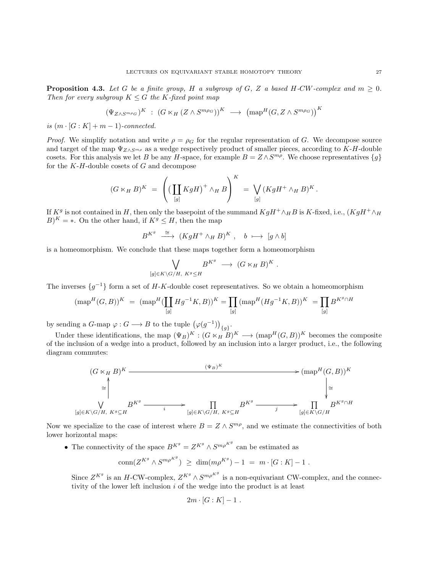<span id="page-26-0"></span>**Proposition 4.3.** Let G be a finite group, H a subgroup of G, Z a based H-CW-complex and  $m \geq 0$ . Then for every subgroup  $K \leq G$  the K-fixed point map

$$
(\Psi_{Z\wedge S^{m\rho_G}})^K \ : \ (G \ltimes_H (Z \wedge S^{m\rho_G}))^K \ \longrightarrow \ (\text{map}^H(G, Z \wedge S^{m\rho_G}))^K
$$

is  $(m \cdot [G : K] + m - 1)$ -connected.

*Proof.* We simplify notation and write  $\rho = \rho_G$  for the regular representation of G. We decompose source and target of the map  $\Psi_{Z\wedge S^{m\rho}}$  as a wedge respectively product of smaller pieces, according to K-H-double cosets. For this analysis we let B be any H-space, for example  $B = Z \wedge S^{m\rho}$ . We choose representatives  $\{g\}$ for the  $K$ - $H$ -double cosets of  $G$  and decompose

$$
(G \ltimes_H B)^K = \left( \left( \coprod_{[g]} KgH \right)^+ \wedge_H B \right)^K = \bigvee_{[g]} (KgH^+ \wedge_H B)^K.
$$

If  $K^g$  is not contained in H, then only the basepoint of the summand  $KgH^+\wedge_H B$  is K-fixed, i.e.,  $(KgH^+\wedge_H B)$  $B)^K$  = \*. On the other hand, if  $K^g \leq H$ , then the map

$$
B^{K^g} \stackrel{\cong}{\longrightarrow} (KgH^+ \wedge_H B)^K , \quad b \mapsto [g \wedge b]
$$

is a homeomorphism. We conclude that these maps together form a homeomorphism

$$
\bigvee_{[g]\in K\backslash G/H, K^g\leq H} B^{K^g} \longrightarrow (G\ltimes_H B)^K.
$$

The inverses  $\{g^{-1}\}\$ form a set of H-K-double coset representatives. So we obtain a homeomorphism

$$
(\text{map}^H(G, B))^K \ = \ (\text{map}^H(\coprod_{[g]}Hg^{-1}K, B))^K = \prod_{[g]} (\text{map}^H(Hg^{-1}K, B))^K \ = \prod_{[g]}B^{K^g \cap H}
$$

by sending a G-map  $\varphi: G \longrightarrow B$  to the tuple  $(\varphi(g^{-1}))_{\{g\}}$ .

Under these identifications, the map  $(\Psi_B)^K : (G \ltimes_H B)^K \longrightarrow (\text{map}^H(G, B))^K$  becomes the composite of the inclusion of a wedge into a product, followed by an inclusion into a larger product, i.e., the following diagram commutes:

$$
(G \ltimes_H B)^K \xrightarrow{\qquad (\Psi_B)^K} (\text{map}^H(G, B))^K
$$
  
\n
$$
\cong \qquad \qquad \downarrow \qquad \qquad \downarrow
$$
  
\n
$$
\downarrow \qquad \qquad \downarrow
$$
  
\n
$$
[g] \in K \setminus G/H, K^g \subseteq H \qquad \qquad i \longrightarrow \prod_{[g] \in K \setminus G/H, K^g \subseteq H} B^{K^g} \xrightarrow{\qquad \qquad j \longrightarrow} \prod_{[g] \in K \setminus G/H} B^{K^g \cap H}
$$

Now we specialize to the case of interest where  $B = Z \wedge S^{m\rho}$ , and we estimate the connectivities of both lower horizontal maps:

• The connectivity of the space  $B^{K^g} = Z^{K^g} \wedge S^{m \rho^{K^g}}$  can be estimated as

$$
\text{conn}(Z^{K^g} \wedge S^{m \rho^{K^g}}) \geq \dim(m \rho^{K^g}) - 1 = m \cdot [G:K] - 1.
$$

Since  $Z^{K^g}$  is an H-CW-complex,  $Z^{K^g} \wedge S^{m\rho^{K^g}}$  is a non-equivariant CW-complex, and the connectivity of the lower left inclusion  $i$  of the wedge into the product is at least

$$
2m \cdot [G:K]-1.
$$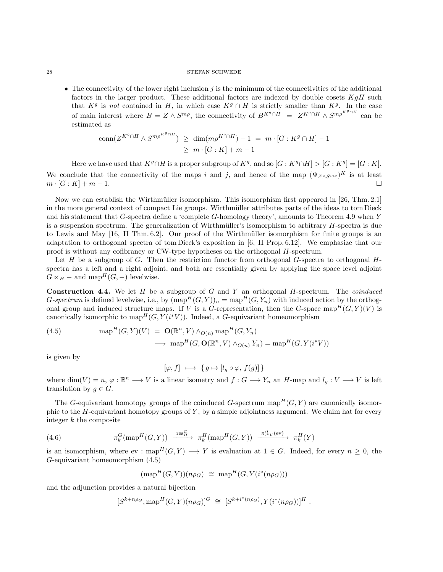• The connectivity of the lower right inclusion  $j$  is the minimum of the connectivities of the additional factors in the larger product. These additional factors are indexed by double cosets  $KqH$  such that  $K^g$  is not contained in H, in which case  $K^g \cap H$  is strictly smaller than  $K^g$ . In the case of main interest where  $B = Z \wedge S^{m\rho}$ , the connectivity of  $B^{K^g \cap H} = Z^{K^g \cap H} \wedge S^{m\rho^{K^g \cap H}}$  can be estimated as

$$
\operatorname{conn}(Z^{K^g \cap H} \wedge S^{m \rho^{K^g \cap H}}) \ge \dim(m \rho^{K^g \cap H}) - 1 = m \cdot [G : K^g \cap H] - 1
$$
  

$$
\ge m \cdot [G : K] + m - 1
$$

Here we have used that  $K^g \cap H$  is a proper subgroup of  $K^g$ , and so  $[G: K^g \cap H] > [G: K^g] = [G: K]$ . We conclude that the connectivity of the maps i and j, and hence of the map  $(\Psi_{Z\wedge S^{m\rho}})^K$  is at least  $m \cdot [G:K] + m - 1.$ 

Now we can establish the Wirthmüller isomorphism. This isomorphism first appeared in [\[26,](#page-103-9) Thm. 2.1] in the more general context of compact Lie groups. Wirthmüller attributes parts of the ideas to tom Dieck and his statement that G-spectra define a 'complete G-homology theory', amounts to Theorem [4.9](#page-28-0) when Y is a suspension spectrum. The generalization of Wirthmüller's isomorphism to arbitrary  $H$ -spectra is due to Lewis and May [\[16,](#page-103-10) II Thm. 6.2]. Our proof of the Wirthm¨uller isomorphism for finite groups is an adaptation to orthogonal spectra of tom Dieck's exposition in [\[6,](#page-103-11) II Prop. 6.12]. We emphasize that our proof is without any cofibrancy or CW-type hypotheses on the orthogonal H-spectrum.

Let  $H$  be a subgroup of  $G$ . Then the restriction functor from orthogonal  $G$ -spectra to orthogonal  $H$ spectra has a left and a right adjoint, and both are essentially given by applying the space level adjoint  $G \ltimes_H -$  and map<sup>H</sup>(G, -) levelwise.

**Construction 4.4.** We let  $H$  be a subgroup of  $G$  and  $Y$  an orthogonal  $H$ -spectrum. The *coinduced* G-spectrum is defined levelwise, i.e., by  $(\text{map}^H(G, Y))_n = \text{map}^H(G, Y_n)$  with induced action by the orthogonal group and induced structure maps. If V is a G-representation, then the G-space map<sup>H</sup>(G, Y)(V) is canonically isomorphic to  $\text{map}^H(G, Y(i^*V))$ . Indeed, a G-equivariant homeomorphism

<span id="page-27-0"></span>(4.5) 
$$
\operatorname{map}^{H}(G, Y)(V) = \mathbf{O}(\mathbb{R}^{n}, V) \wedge_{O(n)} \operatorname{map}^{H}(G, Y_{n})
$$

$$
\longrightarrow \operatorname{map}^{H}(G, \mathbf{O}(\mathbb{R}^{n}, V) \wedge_{O(n)} Y_{n}) = \operatorname{map}^{H}(G, Y(i^{*}V))
$$

is given by

$$
[\varphi, f] \ \longmapsto \ \{ \, g \mapsto [l_g \circ \varphi, \, f(g)] \, \}
$$

where  $\dim(V) = n, \varphi : \mathbb{R}^n \longrightarrow V$  is a linear isometry and  $f: G \longrightarrow Y_n$  an H-map and  $l_g: V \longrightarrow V$  is left translation by  $q \in G$ .

The G-equivariant homotopy groups of the coinduced G-spectrum map  $H(G, Y)$  are canonically isomorphic to the  $H$ -equivariant homotopy groups of Y, by a simple adjointness argument. We claim hat for every integer k the composite

(4.6) 
$$
\pi_k^G(\text{map}^H(G,Y)) \xrightarrow{\text{res}_H^G} \pi_k^H(\text{map}^H(G,Y)) \xrightarrow{\pi_{i^*V}^H(\text{ev})} \pi_k^H(Y)
$$

is an isomorphism, where ev : map<sup>H</sup>(G, Y)  $\longrightarrow$  Y is evaluation at  $1 \in G$ . Indeed, for every  $n \geq 0$ , the G-equivariant homeomorphism [\(4.5\)](#page-27-0)

<span id="page-27-1"></span>
$$
(\text{map}^H(G,Y))(n\rho_G) \ \cong \ \text{map}^H(G,Y(i^*(n\rho_G)))
$$

and the adjunction provides a natural bijection

$$
[S^{k+n\rho_G}, \text{map}^H(G, Y)(n\rho_G)]^G \cong [S^{k+i^*(n\rho_G)}, Y(i^*(n\rho_G))]^H.
$$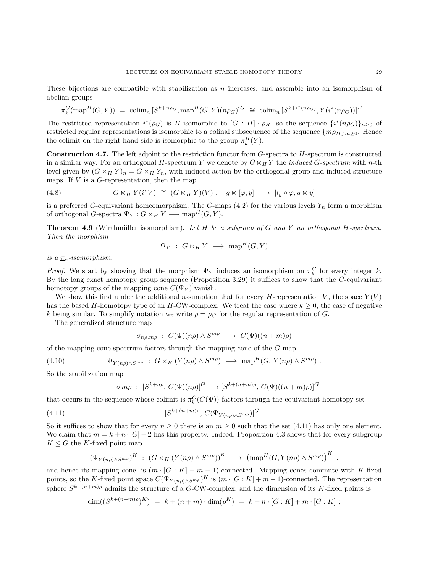These bijections are compatible with stabilization as n increases, and assemble into an isomorphism of abelian groups

$$
\pi_k^G(\text{map}^H(G,Y)) = \text{colim}_n [S^{k+n\rho_G}, \text{map}^H(G,Y)(n\rho_G)]^G \cong \text{colim}_n [S^{k+i^*(n\rho_G)}, Y(i^*(n\rho_G))]^H.
$$

The restricted representation  $i^*(\rho_G)$  is H-isomorphic to  $[G:H] \cdot \rho_H$ , so the sequence  $\{i^*(n\rho_G)\}_{n\geq 0}$  of restricted regular representations is isomorphic to a cofinal subsequence of the sequence  $\{m\rho_H\}_{m\geq 0}$ . Hence the colimit on the right hand side is isomorphic to the group  $\pi_k^H(Y)$ .

**Construction 4.7.** The left adjoint to the restriction functor from  $G$ -spectra to  $H$ -spectrum is constructed in a similar way. For an orthogonal H-spectrum Y we denote by  $G \ltimes_H Y$  the *induced G-spectrum* with n-th level given by  $(G \ltimes_H Y)_n = G \ltimes_H Y_n$ , with induced action by the orthogonal group and induced structure maps. If  $V$  is a  $G$ -representation, then the map

<span id="page-28-2"></span>(4.8) 
$$
G \ltimes_H Y(i^*V) \cong (G \ltimes_H Y)(V), \quad g \ltimes [\varphi, y] \mapsto [l_g \circ \varphi, g \ltimes y]
$$

is a preferred G-equivariant homeomorphism. The G-maps [\(4.2\)](#page-25-0) for the various levels  $Y_n$  form a morphism of orthogonal G-spectra  $\Psi_Y : G \ltimes_H Y \longrightarrow \text{map}^H(G, Y)$ .

<span id="page-28-0"></span>**Theorem 4.9** (Wirthmüller isomorphism). Let  $H$  be a subgroup of  $G$  and  $Y$  an orthogonal  $H$ -spectrum. Then the morphism

$$
\Psi_Y \; : \; G \ltimes_H Y \; \longrightarrow \; \mathrm{map}^H(G, Y)
$$

is a  $\pi_*$ -isomorphism.

*Proof.* We start by showing that the morphism  $\Psi_Y$  induces an isomorphism on  $\pi_k^G$  for every integer k. By the long exact homotopy group sequence (Proposition [3.29\)](#page-22-0) it suffices to show that the G-equivariant homotopy groups of the mapping cone  $C(\Psi_Y)$  vanish.

We show this first under the additional assumption that for every H-representation V, the space  $Y(V)$ has the based H-homotopy type of an H-CW-complex. We treat the case where  $k \geq 0$ , the case of negative k being similar. To simplify notation we write  $\rho = \rho_G$  for the regular representation of G.

The generalized structure map

$$
\sigma_{n\rho,m\rho} : C(\Psi)(n\rho) \wedge S^{m\rho} \longrightarrow C(\Psi)((n+m)\rho)
$$

of the mapping cone spectrum factors through the mapping cone of the G-map

(4.10) 
$$
\Psi_{Y(n\rho)\wedge S^{m\rho}} : G \ltimes_H (Y(n\rho) \wedge S^{m\rho}) \longrightarrow \text{map}^H(G, Y(n\rho) \wedge S^{m\rho}).
$$

So the stabilization map

<span id="page-28-1"></span>
$$
-\diamond m\rho : [S^{k+n\rho}, C(\Psi)(n\rho)]^G \longrightarrow [S^{k+(n+m)\rho}, C(\Psi)((n+m)\rho)]^G
$$

that occurs in the sequence whose colimit is  $\pi_k^G(C(\Psi))$  factors through the equivariant homotopy set

(4.11) 
$$
[S^{k+(n+m)\rho}, C(\Psi_{Y(n\rho)\wedge S^{m\rho}})]^G.
$$

So it suffices to show that for every  $n \geq 0$  there is an  $m \geq 0$  such that the set [\(4.11\)](#page-28-1) has only one element. We claim that  $m = k + n \cdot |G| + 2$  has this property. Indeed, Proposition [4.3](#page-26-0) shows that for every subgroup  $K \leq G$  the K-fixed point map

$$
(\Psi_{Y(n\rho)\wedge S^{m\rho}})^K \; : \; (G \ltimes_H (Y(n\rho) \wedge S^{m\rho}))^K \; \longrightarrow \; (\text{map}^H(G, Y(n\rho) \wedge S^{m\rho}))^K
$$

and hence its mapping cone, is  $(m \cdot [G : K] + m - 1)$ -connected. Mapping cones commute with K-fixed points, so the K-fixed point space  $C(\Psi_{Y(n\rho)\wedge S^{m\rho}})^K$  is  $(m\cdot [G:K]+m-1)$ -connected. The representation sphere  $S^{k+(n+m)\rho}$  admits the structure of a G-CW-complex, and the dimension of its K-fixed points is

$$
\dim((S^{k+(n+m)\rho})^K) = k + (n+m) \cdot \dim(\rho^K) = k + n \cdot [G:K] + m \cdot [G:K];
$$

,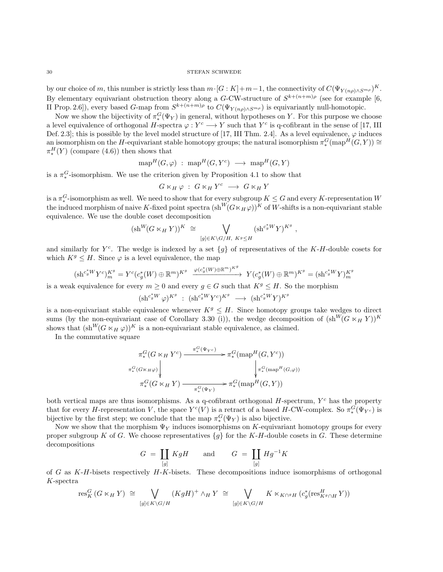by our choice of m, this number is strictly less than  $m \cdot [G : K] + m - 1$ , the connectivity of  $C(\Psi_{Y(n\rho) \wedge S^{m\rho}})^K$ . By elementary equivariant obstruction theory along a G-CW-structure of  $S^{k+(n+m)\rho}$  (see for example [\[6,](#page-103-11) II Prop. 2.6]), every based G-map from  $S^{k+(n+m)\rho}$  to  $C(\Psi_{Y(n\rho)\wedge S^{m\rho}})$  is equivariantly null-homotopic.

Now we show the bijectivity of  $\pi_*^G(\Psi_Y)$  in general, without hypotheses on Y. For this purpose we choose a level equivalence of orthogonal H-spectra  $\varphi: Y^c \longrightarrow Y$  such that  $Y^c$  is q-cofibrant in the sense of [\[17,](#page-103-1) III] Def. 2.3]; this is possible by the level model structure of [\[17,](#page-103-1) III Thm. 2.4]. As a level equivalence,  $\varphi$  induces an isomorphism on the H-equivariant stable homotopy groups; the natural isomorphism  $\pi_*^G(\text{map}^H(G,Y)) \cong$  $\pi_*^H(Y)$  (compare [\(4.6\)](#page-27-1)) then shows that

$$
\operatorname{{\rm map}}^H(G,\varphi) \; : \; \operatorname{{\rm map}}^H(G,Y^c) \; \longrightarrow \; \operatorname{{\rm map}}^H(G,Y)
$$

is a  $\pi_*^G$ -isomorphism. We use the criterion given by Proposition [4.1](#page-24-1) to show that

$$
G\ltimes_H\varphi\;:\;G\ltimes_HY^c\;\longrightarrow\;G\ltimes_HY
$$

is a  $\pi_*^G$ -isomorphism as well. We need to show that for every subgroup  $K \leq G$  and every K-representation W the induced morphism of naive K-fixed point spectra  $(\text{sh}^W(G \ltimes_H \varphi))^K$  of W-shifts is a non-equivariant stable equivalence. We use the double coset decomposition

$$
(\mathrm{sh}^W(G\ltimes_H Y))^K \cong \bigvee_{[g]\in K\backslash G/H, K^g\leq H} (\mathrm{sh}^{c^*_gW}Y)^{K^g} ,
$$

and similarly for  $Y<sup>c</sup>$ . The wedge is indexed by a set  ${g}$  of representatives of the K-H-double cosets for which  $K^g \leq H$ . Since  $\varphi$  is a level equivalence, the map

$$
(\mathrm{sh}^{c_g^*W}Y^c)_m^{K^g} = Y^c(c_g^*(W) \oplus \mathbb{R}^m)^{K^g} \xrightarrow{\varphi(c_g^*(W) \oplus \mathbb{R}^m)^{K^g}} Y(c_g^*(W) \oplus \mathbb{R}^m)^{K^g} = (\mathrm{sh}^{c_g^*W}Y)_m^{K^g}
$$

is a weak equivalence for every  $m \geq 0$  and every  $g \in G$  such that  $K^g \leq H$ . So the morphism

$$
(\mathrm{sh}^{c^*_g W} \varphi)^{K^g} \; : \; (\mathrm{sh}^{c^*_g W} Y^c)^{K^g} \; \longrightarrow \; (\mathrm{sh}^{c^*_g W} Y)^{K^g}
$$

is a non-equivariant stable equivalence whenever  $K^g \leq H$ . Since homotopy groups take wedges to direct sums (by the non-equivariant case of Corollary [3.30](#page-0-0) (i)), the wedge decomposition of  $(\text{sh}^W(G \ltimes_H Y))^K$ shows that  $(\text{sh}^W(G \times_H \varphi))^K$  is a non-equivariant stable equivalence, as claimed.

In the commutative square

$$
\pi_*^G(G \ltimes_H Y^c) \xrightarrow{\pi_*^G(\Psi_{Y^c})} \pi_*^G(\text{map}^H(G, Y^c))
$$
\n
$$
\pi_*^G(\text{G} \ltimes_H \varphi) \downarrow \qquad \qquad \downarrow \pi_*^G(\text{map}^H(G, \varphi))
$$
\n
$$
\pi_*^G(G \ltimes_H Y) \xrightarrow{\pi_*^G(\Psi_Y)} \pi_*^G(\text{map}^H(G, Y))
$$

both vertical maps are thus isomorphisms. As a q-cofibrant orthogonal  $H$ -spectrum,  $Y<sup>c</sup>$  has the property that for every H-representation V, the space  $Y^c(V)$  is a retract of a based H-CW-complex. So  $\pi_*^G(\Psi_{Y^c})$  is bijective by the first step; we conclude that the map  $\pi_*^G(\Psi_Y)$  is also bijective.

Now we show that the morphism  $\Psi_Y$  induces isomorphisms on K-equivariant homotopy groups for every proper subgroup K of G. We choose representatives  $\{g\}$  for the K-H-double cosets in G. These determine decompositions

$$
G = \coprod_{[g]} KgH \qquad \text{and} \qquad G = \coprod_{[g]} Hg^{-1}K
$$

of G as  $K-H$ -bisets respectively  $H-K$ -bisets. These decompositions induce isomorphisms of orthogonal K-spectra

$$
\operatorname{res}^G_K(G \ltimes_H Y) \cong \bigvee_{[g] \in K \backslash G/H} (KgH)^+ \wedge_H Y \cong \bigvee_{[g] \in K \backslash G/H} K \ltimes_{K \cap^g H} (c_g^* (\operatorname{res}^H_{K^g \cap H} Y))
$$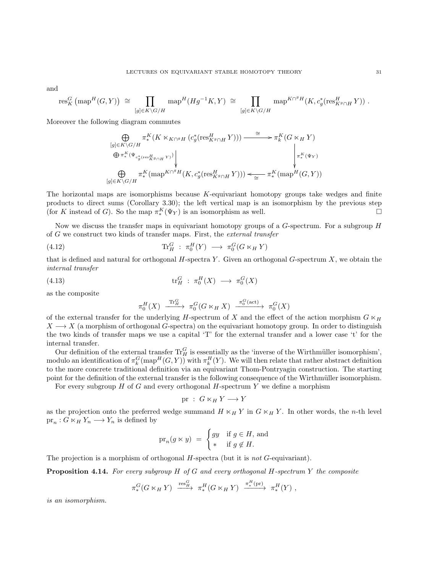and

$$
\mathrm{res}^G_K\left(\mathrm{map}^H(G,Y)\right) \;\cong\; \prod_{[g]\in K\backslash G/H} \mathrm{map}^H(Hg^{-1}K,Y) \;\cong\; \prod_{[g]\in K\backslash G/H} \mathrm{map}^{K\cap^g H}(K,c^*_g(\mathrm{res}^H_{K^g\cap H}\,Y))\;.
$$

Moreover the following diagram commutes

$$
\bigoplus_{[g]\in K\backslash G/H}\pi^K_*(K\ltimes_{K\cap^g H}(c^*_g(\operatorname{res}^H_{K^g\cap H}Y)))\xrightarrow{\cong} \pi^K_*(G\ltimes_H Y)
$$
\n
$$
\bigoplus_{\pi^K_*(\Psi_{c^*_g(\operatorname{res}^H_{K^g\cap H}Y)})}\pi^K_*(\operatorname{sup}^{H\backslash G/H}(K,c^*_g(\operatorname{res}^H_{K^g\cap H}Y)))\xleftarrow{\cong} \pi^K_*(\operatorname{sup}^H(G,Y))
$$
\n
$$
[g]\in K\backslash G/H
$$

The horizontal maps are isomorphisms because  $K$ -equivariant homotopy groups take wedges and finite products to direct sums (Corollary [3.30\)](#page-0-0); the left vertical map is an isomorphism by the previous step (for K instead of G). So the map  $\pi_*^K(\Psi_Y)$  is an isomorphism as well.

Now we discuss the transfer maps in equivariant homotopy groups of a  $G$ -spectrum. For a subgroup  $H$ of G we construct two kinds of transfer maps. First, the external transfer

(4.12) 
$$
\text{Tr}_H^G: \pi_0^H(Y) \longrightarrow \pi_0^G(G \ltimes_H Y)
$$

that is defined and natural for orthogonal  $H$ -spectra Y. Given an orthogonal  $G$ -spectrum X, we obtain the internal transfer

(4.13) 
$$
\operatorname{tr}_H^G: \pi_0^H(X) \longrightarrow \pi_0^G(X)
$$

as the composite

$$
\pi_0^H(X) \xrightarrow{\text{Tr}_H^G} \pi_0^G(G \ltimes_H X) \xrightarrow{\pi_0^G(\text{act})} \pi_0^G(X)
$$

of the external transfer for the underlying H-spectrum of X and the effect of the action morphism  $G \ltimes_H$  $X \longrightarrow X$  (a morphism of orthogonal G-spectra) on the equivariant homotopy group. In order to distinguish the two kinds of transfer maps we use a capital 'T' for the external transfer and a lower case 't' for the internal transfer.

Our definition of the external transfer  $\text{Tr}_{H}^{G}$  is essentially as the 'inverse of the Wirthmüller isomorphism', modulo an identification of  $\pi_k^G(\text{map}^H(G, Y))$  with  $\pi_k^H(Y)$ . We will then relate that rather abstract definition to the more concrete traditional definition via an equivariant Thom-Pontryagin construction. The starting point for the definition of the external transfer is the following consequence of the Wirthmüller isomorphism.

For every subgroup  $H$  of  $G$  and every orthogonal  $H$ -spectrum  $Y$  we define a morphism

$$
\text{pr} \; : \; G \ltimes_H Y \longrightarrow Y
$$

as the projection onto the preferred wedge summand  $H \ltimes_H Y$  in  $G \ltimes_H Y$ . In other words, the n-th level  $pr_n: G \ltimes_H Y_n \longrightarrow Y_n$  is defined by

$$
\mathrm{pr}_n(g \ltimes y) = \begin{cases} gy & \text{if } g \in H \text{, and} \\ * & \text{if } g \notin H. \end{cases}
$$

The projection is a morphism of orthogonal  $H$ -spectra (but it is not  $G$ -equivariant).

<span id="page-30-0"></span>**Proposition 4.14.** For every subgroup  $H$  of  $G$  and every orthogonal  $H$ -spectrum  $Y$  the composite

$$
\pi_*^G(G \ltimes_H Y) \xrightarrow{\text{res}_H^G} \pi_*^H(G \ltimes_H Y) \xrightarrow{\pi_*^H(\text{pr})} \pi_*^H(Y) ,
$$

is an isomorphism.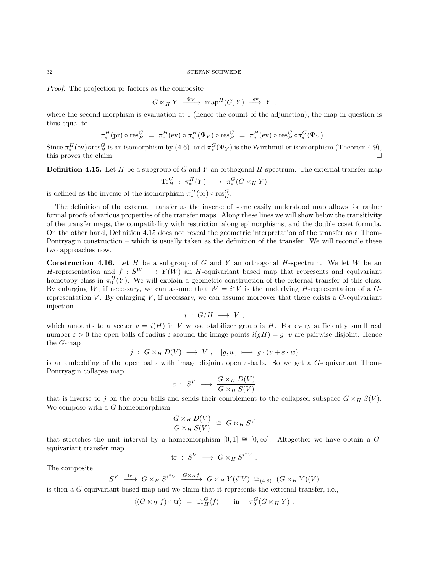#### $32$   $$\rm{STEFAN}$  SCHWEDE

Proof. The projection pr factors as the composite

$$
G \ltimes_H Y \xrightarrow{\Psi_Y} \text{map}^H(G, Y) \xrightarrow{\text{ev}} Y
$$
,

where the second morphism is evaluation at 1 (hence the counit of the adjunction); the map in question is thus equal to

$$
\pi_*^H(\text{pr}) \circ \text{res}_H^G = \pi_*^H(\text{ev}) \circ \pi_*^H(\Psi_Y) \circ \text{res}_H^G = \pi_*^H(\text{ev}) \circ \text{res}_H^G \circ \pi_*^G(\Psi_Y) .
$$

Since  $\pi_*^H$  (ev) ores<sub>H</sub> is an isomorphism by [\(4.6\)](#page-27-1), and  $\pi_*^G(\Psi_Y)$  is the Wirthmüller isomorphism (Theorem [4.9\)](#page-28-0), this proves the claim.  $\Box$ 

<span id="page-31-0"></span>**Definition 4.15.** Let H be a subgroup of G and Y an orthogonal H-spectrum. The external transfer map

$$
\text{Tr}^G_H \; : \; \pi^H_*(Y) \; \longrightarrow \; \pi^G_*(G \ltimes_H Y)
$$

is defined as the inverse of the isomorphism  $\pi_*^H(\text{pr}) \circ \text{res}_H^G$ .

The definition of the external transfer as the inverse of some easily understood map allows for rather formal proofs of various properties of the transfer maps. Along these lines we will show below the transitivity of the transfer maps, the compatibility with restriction along epimorphisms, and the double coset formula. On the other hand, Definition [4.15](#page-31-0) does not reveal the geometric interpretation of the transfer as a Thom-Pontryagin construction – which is usually taken as the definition of the transfer. We will reconcile these two approaches now.

**Construction 4.16.** Let H be a subgroup of G and Y an orthogonal H-spectrum. We let W be an H-representation and  $f: S^W \longrightarrow Y(W)$  an H-equivariant based map that represents and equivariant homotopy class in  $\pi_0^H(Y)$ . We will explain a geometric construction of the external transfer of this class. By enlarging W, if necessary, we can assume that  $W = i^*V$  is the underlying H-representation of a Grepresentation  $V$ . By enlarging  $V$ , if necessary, we can assume moreover that there exists a  $G$ -equivariant injection

$$
i~:~G/H~\longrightarrow~V~,
$$

which amounts to a vector  $v = i(H)$  in V whose stabilizer group is H. For every sufficiently small real number  $\varepsilon > 0$  the open balls of radius  $\varepsilon$  around the image points  $i(qH) = g \cdot v$  are pairwise disjoint. Hence the G-map

$$
j\;:\;G\times_H D(V)\;\longrightarrow\;V\;,\quad [g,w]\;\longmapsto\;g\cdot(v+\varepsilon\cdot w)
$$

is an embedding of the open balls with image disjoint open  $\varepsilon$ -balls. So we get a G-equivariant Thom-Pontryagin collapse map

$$
c\;:\;S^V\;\longrightarrow\;\frac{G\times_H D(V)}{G\times_H S(V)}
$$

that is inverse to j on the open balls and sends their complement to the collapsed subspace  $G \times_H S(V)$ . We compose with a G-homeomorphism

$$
\frac{G \times_H D(V)}{G \times_H S(V)} \cong G \ltimes_H S^V
$$

that stretches the unit interval by a homeomorphism  $[0, 1] \cong [0, \infty]$ . Altogether we have obtain a Gequivariant transfer map

$$
\mathrm{tr}~:~S^V~\longrightarrow~G\ltimes_H S^{i^*V}~.
$$

The composite

$$
S^V \xrightarrow{\text{tr}} G \ltimes_H S^{i^*V} \xrightarrow{G \ltimes_H f} G \ltimes_H Y(i^*V) \cong_{(4.8)} (G \ltimes_H Y)(V)
$$

is then a G-equivariant based map and we claim that it represents the external transfer, i.e.,

$$
\langle (G \ltimes_H f) \circ \text{tr} \rangle = \text{Tr}_H^G \langle f \rangle \quad \text{in} \quad \pi_0^G \langle G \ltimes_H Y \rangle .
$$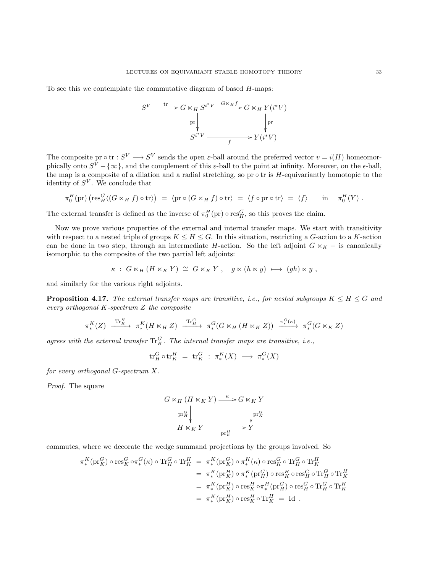To see this we contemplate the commutative diagram of based H-maps:



The composite pr  $\circ$  tr :  $S^V \longrightarrow S^V$  sends the open  $\varepsilon$ -ball around the preferred vector  $v = i(H)$  homeomorphically onto  $S^V - \{\infty\}$ , and the complement of this  $\varepsilon$ -ball to the point at infinity. Moreover, on the  $\epsilon$ -ball, the map is a composite of a dilation and a radial stretching, so  $pr \circ tr$  is  $H$ -equivariantly homotopic to the identity of  $S^V$ . We conclude that

$$
\pi_0^H(\mathrm{pr})\left(\mathrm{res}^G_H\langle (G\ltimes_H f)\circ\mathrm{tr}\rangle\right) \;=\; \langle\mathrm{pr}\circ (G\ltimes_H f)\circ\mathrm{tr}\rangle \;=\; \langle f\circ\mathrm{pr}\circ\mathrm{tr}\rangle \;=\; \langle f\rangle \qquad\text{in}\quad \pi_0^H(Y)\;.
$$

The external transfer is defined as the inverse of  $\pi_0^H(\text{pr}) \circ \text{res}_H^G$ , so this proves the claim.

Now we prove various properties of the external and internal transfer maps. We start with transitivity with respect to a nested triple of groups  $K \leq H \leq G$ . In this situation, restricting a G-action to a K-action can be done in two step, through an intermediate H-action. So the left adjoint  $G \ltimes_K -$  is canonically isomorphic to the composite of the two partial left adjoints:

$$
\kappa\;:\;G\ltimes_H(H\ltimes_KY)\;\cong\;G\ltimes_KY\;,\quad g\ltimes (h\ltimes y)\;\longmapsto\;(gh)\ltimes y\;,
$$

and similarly for the various right adjoints.

**Proposition 4.17.** The external transfer maps are transitive, i.e., for nested subgroups  $K \leq H \leq G$  and every orthogonal K-spectrum Z the composite

$$
\pi_*^K(Z) \xrightarrow{\operatorname{Tr}_K^H} \pi_*^K(H \ltimes_H Z) \xrightarrow{\operatorname{Tr}_H^G} \pi_*^G(G \ltimes_H (H \ltimes_K Z)) \xrightarrow{\pi_*^G(\kappa)} \pi_*^G(G \ltimes_K Z)
$$

agrees with the external transfer  $\text{Tr}_{K}^{G}$ . The internal transfer maps are transitive, i.e.,

$$
\operatorname{tr}_H^G\circ \operatorname{tr}_K^H \,\,=\,\, \operatorname{tr}_K^G \,\,:\,\, \pi^K_*(X) \,\,\longrightarrow\,\, \pi^G_*(X)
$$

for every orthogonal G-spectrum X.

Proof. The square

$$
G \ltimes_H (H \ltimes_K Y) \xrightarrow{\kappa} G \ltimes_K Y
$$
  
\n
$$
\begin{array}{c} \operatorname{pr}_{H}^{G} \\ H \ltimes_K Y \xrightarrow{\qquad \qquad} Y \\ H \times_K Y \xrightarrow{\qquad \qquad} \operatorname{pr}_{K}^{H} \end{array}
$$

commutes, where we decorate the wedge summand projections by the groups involved. So

$$
\begin{split} \pi^K_* (\mathrm{pr}^G_K) \circ \mathrm{res}^G_K \circ \pi^G_*(\kappa) \circ \mathrm{Tr}^G_H \circ \mathrm{Tr}^H_K &= \pi^K_*(\mathrm{pr}^G_K) \circ \pi^K_*(\kappa) \circ \mathrm{res}^G_K \circ \mathrm{Tr}^G_H \circ \mathrm{Tr}^H_K \\ &= \pi^K_*(\mathrm{pr}^H_K) \circ \pi^K_*(\mathrm{pr}^G_H) \circ \mathrm{res}^H_H \circ \mathrm{res}^G_H \circ \mathrm{Tr}^G_H \circ \mathrm{Tr}^H_K \\ &= \pi^K_*(\mathrm{pr}^H_K) \circ \mathrm{res}^H_K \circ \pi^H_*(\mathrm{pr}^G_H) \circ \mathrm{res}^G_H \circ \mathrm{Tr}^H_H \circ \mathrm{Tr}^H_K \\ &= \pi^K_*(\mathrm{pr}^H_K) \circ \mathrm{res}^H_K \circ \mathrm{Tr}^H_K \; = \; \mathrm{Id} \;\; . \end{split}
$$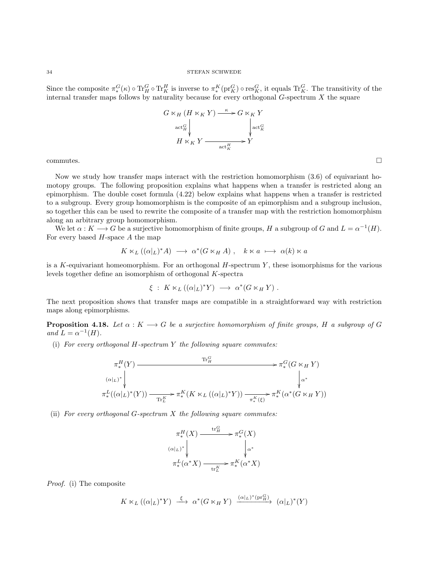### $34$   $\,$  STEFAN SCHWEDE  $\,$

Since the composite  $\pi_*^G(\kappa) \circ \text{Tr}_H^G \circ \text{Tr}_K^H$  is inverse to  $\pi_*^K(\text{pr}_K^G) \circ \text{res}_K^G$ , it equals  $\text{Tr}_K^G$ . The transitivity of the internal transfer maps follows by naturality because for every orthogonal  $G$ -spectrum  $X$  the square



 $\Box$ commutes.

Now we study how transfer maps interact with the restriction homomorphism [\(3.6\)](#page-14-1) of equivariant homotopy groups. The following proposition explains what happens when a transfer is restricted along an epimorphism. The double coset formula [\(4.22\)](#page-36-0) below explains what happens when a transfer is restricted to a subgroup. Every group homomorphism is the composite of an epimorphism and a subgroup inclusion, so together this can be used to rewrite the composite of a transfer map with the restriction homomorphism along an arbitrary group homomorphism.

We let  $\alpha: K \longrightarrow G$  be a surjective homomorphism of finite groups, H a subgroup of G and  $L = \alpha^{-1}(H)$ . For every based  $H$ -space  $A$  the map

$$
K \ltimes_L ((\alpha|_L)^* A) \longrightarrow \alpha^*(G \ltimes_H A) , \quad k \ltimes a \longrightarrow \alpha(k) \ltimes a
$$

is a K-equivariant homeomorphism. For an orthogonal  $H$ -spectrum  $Y$ , these isomorphisms for the various levels together define an isomorphism of orthogonal K-spectra

$$
\xi\;:\;K\ltimes_L((\alpha|_L)^*Y)\;\longrightarrow\;\alpha^*(G\ltimes_H Y)\;.
$$

The next proposition shows that transfer maps are compatible in a straightforward way with restriction maps along epimorphisms.

<span id="page-33-0"></span>**Proposition 4.18.** Let  $\alpha : K \longrightarrow G$  be a surjective homomorphism of finite groups, H a subgroup of G and  $L = \alpha^{-1}(H)$ .

(i) For every orthogonal  $H$ -spectrum  $Y$  the following square commutes:

$$
\pi_*^H(Y) \xrightarrow{\operatorname{Tr}_H^G} \pi_*^G(G \ltimes_H Y)
$$
\n
$$
\pi_*^L((\alpha|_L)^* \downarrow \qquad \qquad \downarrow \qquad \qquad \downarrow \qquad \qquad \downarrow \qquad \qquad \downarrow
$$
\n
$$
\pi_*^L((\alpha|_L)^*(Y)) \xrightarrow{\operatorname{Tr}_L^K} \pi_*^K(K \ltimes_L ((\alpha|_L)^* Y)) \xrightarrow{\pi_*^K(\xi)} \pi_*^K(\alpha^*(G \ltimes_H Y))
$$

(ii) For every orthogonal  $G$ -spectrum  $X$  the following square commutes:

$$
\begin{array}{c}\n\pi_{*}^{H}(X) \xrightarrow{\text{tr}_{H}^{G}} \pi_{*}^{G}(X) \\
(\alpha|_{L})^{*} \downarrow \qquad \qquad \downarrow \alpha^{*} \\
\pi_{*}^{L}(\alpha^{*}X) \xrightarrow{\text{tr}_{L}^{K}} \pi_{*}^{K}(\alpha^{*}X)\n\end{array}
$$

Proof. (i) The composite

$$
K \ltimes_L ((\alpha|_L)^* Y) \stackrel{\xi}{\longrightarrow} \alpha^* (G \ltimes_H Y) \xrightarrow{(\alpha|_L)^* (\text{pr}_H^G)} (\alpha|_L)^* (Y)
$$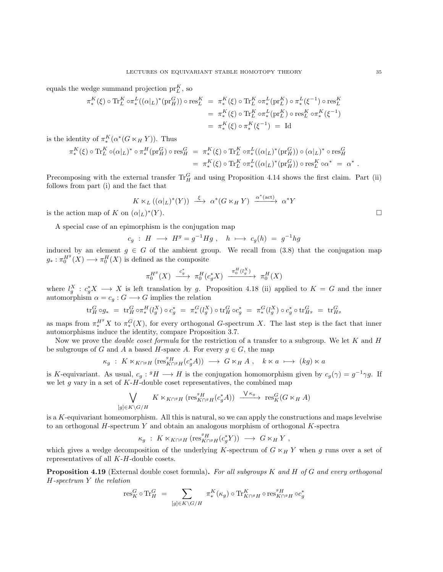equals the wedge summand projection  $pr_L^K$ , so

$$
\begin{split} \pi^K_* (\xi) \circ \operatorname{Tr}^K_L \circ \pi^L_* ((\alpha|_L)^* (\operatorname{pr}^G_H)) \circ \operatorname{res}^K_L &= \pi^K_* (\xi) \circ \operatorname{Tr}^K_L \circ \pi^L_* (\operatorname{pr}^K_L) \circ \pi^L_* (\xi^{-1}) \circ \operatorname{res}^K_L \\ &= \pi^K_* (\xi) \circ \operatorname{Tr}^K_L \circ \pi^L_* (\operatorname{pr}^K_L) \circ \operatorname{res}^K_L \circ \pi^K_* (\xi^{-1}) \\ &= \pi^K_* (\xi) \circ \pi^K_* (\xi^{-1}) = \operatorname{Id} \end{split}
$$

is the identity of  $\pi_*^K(\alpha^*(G \ltimes_H Y))$ . Thus

$$
\begin{split} \pi^{K}_{*}(\xi)\circ \text{Tr}_{L}^{K}\circ (\alpha|_{L})^{*}\circ \pi^{H}_{*}(\text{pr}_{H}^{G})\circ \text{res}_{H}^{G}\quad & =\; \pi^{K}_{*}(\xi)\circ \text{Tr}_{L}^{K}\circ \pi^{L}_{*}((\alpha|_{L})^{*}(\text{pr}_{H}^{G}))\circ (\alpha|_{L})^{*}\circ \text{res}_{H}^{G}\\ & =\; \pi^{K}_{*}(\xi)\circ \text{Tr}_{L}^{K}\circ \pi^{L}_{*}((\alpha|_{L})^{*}(\text{pr}_{H}^{G}))\circ \text{res}_{L}^{K}\circ \alpha^{*}\; =\; \alpha^{*}\ .\end{split}
$$

Precomposing with the external transfer  $\text{Tr}_{H}^{G}$  and using Proposition [4.14](#page-30-0) shows the first claim. Part (ii) follows from part (i) and the fact that

$$
K \ltimes_L ((\alpha|_L)^*(Y)) \stackrel{\xi}{\longrightarrow} \alpha^*(G \ltimes_H Y) \xrightarrow{\alpha^*(\text{act})} \alpha^*Y
$$
  

$$
(\alpha|_L)^*(Y).
$$

is the action map of K on  $(\alpha|_L)^*$ 

A special case of an epimorphism is the conjugation map

$$
c_g \; : \; H \; \longrightarrow \; H^g = g^{-1} H g \; , \quad h \; \longmapsto \; c_g(h) \; = \; g^{-1} h g
$$

induced by an element  $g \in G$  of the ambient group. We recall from [\(3.8\)](#page-15-0) that the conjugation map  $g_*: \pi_0^{H^g}(X) \longrightarrow \pi_0^H(X)$  is defined as the composite

$$
\pi_0^{H^g}(X) \xrightarrow{c^*_g} \pi_0^H(c^*_g X) \xrightarrow{\pi_0^H(l_g^X)} \pi_0^H(X)
$$

where  $l_g^X$  :  $c_g^*X \longrightarrow X$  is left translation by g. Proposition [4.18](#page-33-0) (ii) applied to  $K = G$  and the inner automorphism  $\alpha = c_g : G \longrightarrow G$  implies the relation

$$
\text{tr}_{H}^{G} \circ g_{*} \ = \ \text{tr}_{H}^{G} \circ \pi_{*}^{H}(l_{g}^{X}) \circ c_{g}^{*} \ = \ \pi_{*}^{G}(l_{g}^{X}) \circ \text{tr}_{H}^{G} \circ c_{g}^{*} \ = \ \pi_{*}^{G}(l_{g}^{X}) \circ c_{g}^{*} \circ \text{tr}_{H^{g}}^{G} \ = \ \text{tr}_{H^{g}}^{G}
$$

as maps from  $\pi^{H^g}_* X$  to  $\pi^G_*(X)$ , for every orthogonal G-spectrum X. The last step is the fact that inner automorphisms induce the identity, compare Proposition [3.7.](#page-14-0)

Now we prove the *double coset formula* for the restriction of a transfer to a subgroup. We let  $K$  and  $H$ be subgroups of G and A a based H-space A. For every  $g \in G$ , the map

$$
\kappa_g : K \ltimes_{K \cap {}^g H} (\text{res}^g_{K \cap {}^g H} (c_g^* A)) \longrightarrow G \ltimes_H A , \quad k \ltimes a \longmapsto (kg) \ltimes a
$$

is K-equivariant. As usual,  $c_g: {}^g H \longrightarrow H$  is the conjugation homomorphism given by  $c_g(\gamma) = g^{-1}\gamma g$ . If we let q vary in a set of  $K-H$ -double coset representatives, the combined map

$$
\bigvee_{[g]\in K\backslash G/H} K\ltimes_{K\cap^g H} (\operatorname{res}^g_{K\cap^g H}(c_g^*A))\xrightarrow{\ \ \vee\ \kappa_g \ \ } \operatorname{res}^G_K(G\ltimes_H A)
$$

is a K-equivariant homeomorphism. All this is natural, so we can apply the constructions and maps levelwise to an orthogonal H-spectrum Y and obtain an analogous morphism of orthogonal K-spectra

$$
\kappa_g \; : \; K \ltimes_{K \cap {}^g H} (\operatorname{res}^g_{K \cap {}^g H} (c_g^* Y)) \; \longrightarrow \; G \ltimes_H Y \; ,
$$

which gives a wedge decomposition of the underlying K-spectrum of  $G \ltimes_H Y$  when g runs over a set of representatives of all K-H-double cosets.

Proposition 4.19 (External double coset formula). For all subgroups K and H of G and every orthogonal H-spectrum Y the relation

$$
\mathrm{res}^G_K\circ \mathrm{Tr}^G_H \ = \ \sum_{[g]\in K\backslash G/H} \ \pi^K_*(\kappa_g) \circ \mathrm{Tr}^K_{K\cap^g H} \circ \mathrm{res}^g_{K\cap^g H} \circ c^*_g
$$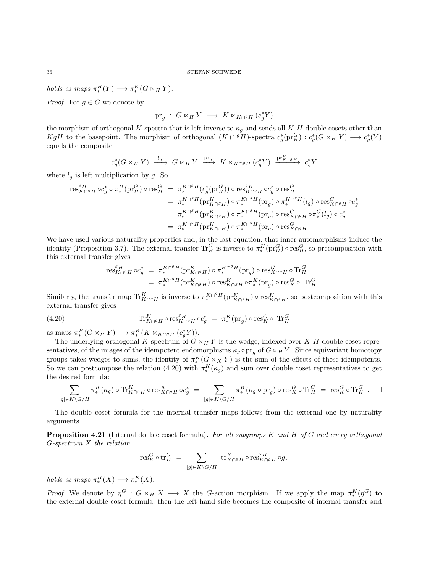holds as maps  $\pi_*^H(Y) \longrightarrow \pi_*^K(G \ltimes_H Y)$ .

*Proof.* For  $g \in G$  we denote by

$$
\text{pr}_{g} \; : \; G \ltimes_{H} Y \; \longrightarrow \; K \ltimes_{K \cap^{g} H} (c_{g}^{*} Y)
$$

the morphism of orthogonal K-spectra that is left inverse to  $\kappa_q$  and sends all K-H-double cosets other than  $KgH$  to the basepoint. The morphism of orthogonal  $(K \cap {}^g H)$ -spectra  $c_g^*({\rm pr}_H^G) : c_g^*(G \ltimes_H Y) \longrightarrow c_g^*(Y)$ equals the composite

$$
c_g^*(G \ltimes_H Y) \xrightarrow{l_g} G \ltimes_H Y \xrightarrow{\text{pr}_g} K \ltimes_{K \cap g} H (c_g^* Y) \xrightarrow{\text{pr}_{K \cap g}^K H} c_g^* Y
$$

where  $l<sub>g</sub>$  is left multiplication by g. So

$$
\begin{array}{rcl} \operatorname{res}^{g}_{K\cap^{g}H}\circ c_{g}^{*}\circ\pi_{*}^{H}(\mathrm{pr}_{H}^{G})\circ \operatorname{res}^{G}_{H} & = & \pi_{*}^{K\cap^{g}H}(c_{g}^{*}(\mathrm{pr}_{H}^{G}))\circ \operatorname{res}^{g}_{K\cap^{g}H}\circ c_{g}^{*}\circ \operatorname{res}^{G}_{H} \\ & = & \pi_{*}^{K\cap^{g}H}(\mathrm{pr}_{K\cap^{g}H}^{K})\circ\pi_{*}^{K\cap^{g}H}(\mathrm{pr}_{g})\circ\pi_{*}^{K\cap^{g}H}(l_{g})\circ \operatorname{res}^{G}_{K\cap^{g}H}\circ c_{g}^{*} \\ & = & \pi_{*}^{K\cap^{g}H}(\mathrm{pr}_{K\cap^{g}H}^{K})\circ\pi_{*}^{K\cap^{g}H}(\mathrm{pr}_{g})\circ \operatorname{res}^{G}_{K\cap^{g}H}\circ\pi_{*}^{G}(l_{g})\circ c_{g}^{*} \\ & = & \pi_{*}^{K\cap^{g}H}(\mathrm{pr}_{K\cap^{g}H}^{K})\circ\pi_{*}^{K\cap^{g}H}(\mathrm{pr}_{g})\circ \operatorname{res}^{G}_{K\cap^{g}H} \end{array}
$$

We have used various naturality properties and, in the last equation, that inner automorphisms induce the identity (Proposition [3.7\)](#page-14-0). The external transfer  $\text{Tr}_{H}^{G}$  is inverse to  $\pi_{*}^{H}(\text{pr}_{H}^{G}) \circ \text{res}_{H}^{G}$ , so precomposition with this external transfer gives

$$
\begin{array}{rcl}\operatorname{res}^g_{K\cap^gH}\circ c_g^* & = & \pi^{K\cap^gH}_*(\mathrm{pr}^K_{K\cap^gH})\circ \pi^{K\cap^gH}_*(\mathrm{pr}_g)\circ \operatorname{res}^G_{K\cap^gH}\circ \operatorname{Tr}^G_H\\ & = & \pi^{K\cap^gH}_*(\mathrm{pr}^K_{K\cap^gH})\circ \operatorname{res}^K_{K\cap^gH}\circ \pi^K_*(\mathrm{pr}_g)\circ \operatorname{res}^G_K\circ \ \operatorname{Tr}^G_H\ .\end{array}
$$

Similarly, the transfer map  $\operatorname{Tr}^K_{K\cap^gH}$  is inverse to  $\pi^{K\cap^gH}_*(\operatorname{pr}^K_{K\cap^gH}) \circ \operatorname{res}^K_{K\cap^gH}$ , so postcomposition with this external transfer gives

<span id="page-35-0"></span>(4.20) 
$$
\text{Tr}_{K \cap {}^{g}H}^{K} \circ \text{res}_{K \cap {}^{g}H}^{g} \circ c_{g}^{*} = \pi_{*}^{K}(\text{pr}_{g}) \circ \text{res}_{K}^{G} \circ \text{Tr}_{H}^{G}
$$

as maps  $\pi_*^H(G \ltimes_H Y) \longrightarrow \pi_*^K(K \ltimes_{K \cap^g H} (c_g^* Y)).$ 

The underlying orthogonal K-spectrum of  $G \ltimes_H Y$  is the wedge, indexed over K-H-double coset representatives, of the images of the idempotent endomorphisms  $\kappa_g \circ \text{pr}_g$  of  $G \ltimes_H Y$ . Since equivariant homotopy groups takes wedges to sums, the identity of  $\pi_*^K(G \ltimes_K Y)$  is the sum of the effects of these idempotents. So we can postcompose the relation [\(4.20\)](#page-35-0) with  $\pi_*^{K}(\kappa_g)$  and sum over double coset representatives to get the desired formula:

$$
\sum_{[g]\in K\backslash G/H} \pi^K_*(\kappa_g)\circ \operatorname{Tr}_{K\cap^gH}^K\circ \operatorname{res}^K_{K\cap^gH}\circ c_g^* = \sum_{[g]\in K\backslash G/H} \pi^K_*(\kappa_g\circ \operatorname{pr}_g)\circ \operatorname{res}^G_K\circ \operatorname{Tr}^G_H = \operatorname{res}^G_K\circ \operatorname{Tr}^G_H.
$$

The double coset formula for the internal transfer maps follows from the external one by naturality arguments.

**Proposition 4.21** (Internal double coset formula). For all subgroups K and H of G and every orthogonal G-spectrum X the relation

$$
\operatorname{res}^G_K\circ \operatorname{tr}_H^G \,\, = \,\, \sum_{[g]\in K\backslash G/H} \, \operatorname{tr}^K_{K\cap {}^g H}\circ \operatorname{res}^{{}^g H}_{K\cap {}^g H}\circ g_*
$$

holds as maps  $\pi_*^H(X) \longrightarrow \pi_*^K(X)$ .

*Proof.* We denote by  $\eta^G : G \ltimes_H X \longrightarrow X$  the G-action morphism. If we apply the map  $\pi_*^K(\eta^G)$  to the external double coset formula, then the left hand side becomes the composite of internal transfer and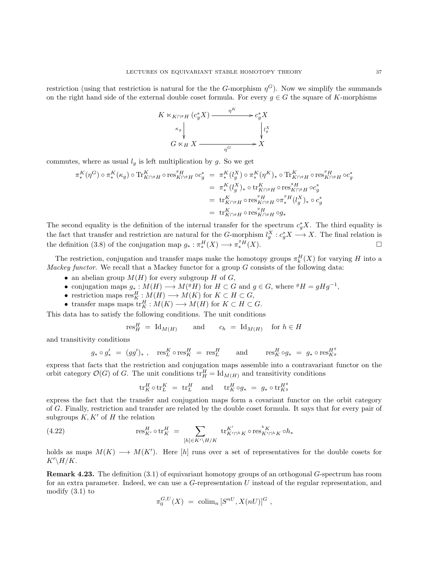restriction (using that restriction is natural for the the G-morphism  $\eta^G$ ). Now we simplify the summands on the right hand side of the external double coset formula. For every  $g \in G$  the square of K-morphisms

$$
K \ltimes_{K \cap {}^{g}H} (c_g^* X) \xrightarrow{\eta^K} c_g^* X
$$
  
\n
$$
\begin{array}{c} \n\kappa_g \downarrow \\
\downarrow \iota_g^X \\
G \ltimes_H X \xrightarrow{\eta^G} X\n\end{array}
$$

commutes, where as usual  $l_q$  is left multiplication by g. So we get

$$
\begin{split} \pi^K_*(\eta^G) \circ \pi^K_*(\kappa_g) \circ \text{Tr}^K_{K \cap {}^g H} \circ \text{res}^{{}^g H}_{K \cap {}^g H} \circ c_g^* &= \pi^K_*(l_g^X) \circ \pi^K_*(\eta^K)_* \circ \text{Tr}^K_{K \cap {}^g H} \circ \text{res}^{{}^g H}_{K \cap {}^g H} \circ c_g^* \\ &= \pi^K_*(l_g^X)_* \circ \text{tr}^K_{K \cap {}^g H} \circ \text{res}^{{}^g H}_{K \cap {}^g H} \circ c_g^* \\ &= \text{tr}^K_{K \cap {}^g H} \circ \text{res}^{{}^g H}_{K \cap {}^g H} \circ \pi^{{}^g H}_*(l_g^X)_* \circ c_g^* \\ &= \text{tr}^K_{K \cap {}^g H} \circ \text{res}^{{}^g H}_{K \cap {}^g H} \circ g_* \end{split}
$$

The second equality is the definition of the internal transfer for the spectrum  $c_g^*X$ . The third equality is the fact that transfer and restriction are natural for the G-morphism  $l_g^X: c_g^* X \longrightarrow X$ . The final relation is the definition [\(3.8\)](#page-15-0) of the conjugation map  $g_* : \pi_*^H(X) \longrightarrow \pi_*^g(H)$ .

The restriction, conjugation and transfer maps make the homotopy groups  $\pi_k^H(X)$  for varying H into a Mackey functor. We recall that a Mackey functor for a group  $G$  consists of the following data:

- an abelian group  $M(H)$  for every subgroup H of G,
- conjugation maps  $g_*: M(H) \longrightarrow M({}^g H)$  for  $H \subset G$  and  $g \in G$ , where  ${}^g H = g H g^{-1}$ ,
- restriction maps  $\text{res}^H_K : M(H) \longrightarrow M(K)$  for  $K \subset H \subset G$ ,
- transfer maps maps  $\operatorname{tr}_K^H : M(K) \longrightarrow M(H)$  for  $K \subset H \subset G$ .

This data has to satisfy the following conditions. The unit conditions

$$
res_H^H = Id_{M(H)}
$$
 and  $c_h = Id_{M(H)}$  for  $h \in H$ 

and transitivity conditions

$$
g_* \circ g'_* \ = \ (gg')_* \ , \quad \operatorname{res}^K_L \circ \operatorname{res}^H_K \ = \ \operatorname{res}^H_L \qquad \text{and} \qquad \operatorname{res}^H_K \circ g_* \ = \ g_* \circ \operatorname{res}^{H^g}_{K^g}
$$

express that facts that the restriction and conjugation maps assemble into a contravariant functor on the orbit category  $\mathcal{O}(G)$  of G. The unit conditions  $\text{tr}_{H}^{H} = \text{Id}_{M(H)}$  and transitivity conditions

$$
\mathrm{tr}_K^H \circ \mathrm{tr}_L^K \,\, = \,\, \mathrm{tr}_L^H \quad \text{ and } \quad \, \mathrm{tr}_K^H \circ g_* \,\, = \,\, g_* \circ \mathrm{tr}_{K^g}^{H^g}
$$

express the fact that the transfer and conjugation maps form a covariant functor on the orbit category of G. Finally, restriction and transfer are related by the double coset formula. It says that for every pair of subgroups  $K, K'$  of H the relation

(4.22) 
$$
\text{res}_{K'}^{H} \circ \text{tr}_{K}^{H} = \sum_{[h] \in K' \backslash H / K} \text{tr}_{K' \cap {}^{h} K}^{K'} \circ \text{res}_{K' \cap {}^{h} K}^{ {}^{h} K} \circ h_{*}
$$

holds as maps  $M(K) \longrightarrow M(K')$ . Here [h] runs over a set of representatives for the double cosets for  $K'\backslash H/K$ .

<span id="page-36-0"></span>Remark 4.23. The definition [\(3.1\)](#page-11-0) of equivariant homotopy groups of an orthogonal G-spectrum has room for an extra parameter. Indeed, we can use a G-representation U instead of the regular representation, and modify [\(3.1\)](#page-11-0) to

$$
\pi_0^{G,U}(X) \; = \; \mathrm{colim}_n \, [S^{nU}, X(nU)]^G \ ,
$$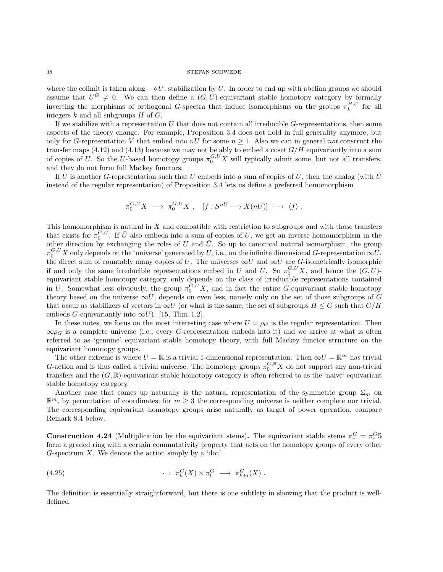## $38$   $\,$   $\,$  STEFAN SCHWEDE  $\,$

where the colimit is taken along  $-\diamond U$ , stabilization by U. In order to end up with abelian groups we should assume that  $U^G \neq 0$ . We can then define a  $(G, U)$ -equivariant stable homotopy category by formally inverting the morphisms of orthogonal G-spectra that induce isomorphisms on the groups  $\pi_k^{H,U}$  for all integers  $k$  and all subgroups  $H$  of  $G$ .

If we stabilize with a representation  $U$  that does not contain all irreducible  $G$ -representations, then some aspects of the theory change. For example, Proposition [3.4](#page-12-0) does not hold in full generality anymore, but only for G-representation V that embed into  $nU$  for some  $n \geq 1$ . Also we can in general not construct the transfer maps [\(4.12\)](#page-30-0) and [\(4.13\)](#page-30-1) because we may not be ably to embed a coset  $G/H$  equivariantly into a sum of copies of U. So the U-based homotopy groups  $\pi_0^{G,U} X$  will typically admit some, but not all transfers, and they do not form full Mackey functors.

If  $\bar{U}$  is another G-representation such that U embeds into a sum of copies of  $\bar{U}$ , then the analog (with  $\bar{U}$ instead of the regular representation) of Proposition [3.4](#page-12-0) lets us define a preferred homomorphism

$$
\pi_0^{G,U} X \longrightarrow \pi_0^{G,\bar{U}} X , \quad [f: S^{nU} \longrightarrow X(nU)] \longrightarrow \langle f \rangle .
$$

This homomorphism is natural in  $X$  and compatible with restriction to subgroups and with those transfers that exists for  $\pi_0^{G,U}$ . If  $\bar{U}$  also embeds into a sum of copies of U, we get an inverse homomorphism in the other direction by exchanging the roles of U and  $\overline{U}$ . So up to canonical natural isomorphism, the group  $\pi_0^{G,U}X$  only depends on the 'universe' generated by U, i.e., on the infinite dimensional G-representation  $\infty U$ , the direct sum of countably many copies of U. The universes  $\infty U$  and  $\infty \overline{U}$  are G-isometrically isomorphic if and only the same irreducible representations embed in U and  $\overline{U}$ . So  $\pi_0^{G,U}X$ , and hence the  $(G, U)$ equivariant stable homotopy category, only depends on the class of irreducible representations contained in U. Somewhat less obviously, the group  $\pi_0^{G,U}X$ , and in fact the entire G-equivariant stable homotopy theory based on the universe  $\infty U$ , depends on even less, namely only on the set of those subgroups of G that occur as stabilizers of vectors in  $\infty U$  (or what is the same, the set of subgroups  $H \leq G$  such that  $G/H$ embeds *G*-equivariantly into  $\infty U$ ). [\[15,](#page-103-0) Thm. 1.2].

In these notes, we focus on the most interesting case where  $U = \rho_G$  is the regular representation. Then  $\infty$ ρ<sub>G</sub> is a complete universe (i.e., every G-representation embeds into it) and we arrive at what is often referred to as 'genuine' equivariant stable homotopy theory, with full Mackey functor structure on the equivariant homotopy groups.

The other extreme is where  $U = \mathbb{R}$  is a trivial 1-dimensional representation. Then  $\infty U = \mathbb{R}^{\infty}$  has trivial G-action and is thus called a trivial universe. The homotopy groups  $\pi_0^{G,\mathbb{R}} X$  do not support any non-trivial transfers and the  $(G, \mathbb{R})$ -equivariant stable homotopy category is often referred to as the 'naive' equivariant stable homotopy category.

Another case that comes up naturally is the natural representation of the symmetric group  $\Sigma_m$  on  $\mathbb{R}^m$ , by permutation of coordinates; for  $m \geq 3$  the corresponding universe is neither complete nor trivial. The corresponding equivariant homotopy groups arise naturally as target of power operation, compare Remark [8.4](#page-76-0) below.

**Construction 4.24** (Multiplication by the equivariant stems). The equivariant stable stems  $\pi_*^G = \pi_*^G$ form a graded ring with a certain commutativity property that acts on the homotopy groups of every other G-spectrum  $X$ . We denote the action simply by a 'dot'

<span id="page-37-0"></span>(4.25) 
$$
\qquad \qquad \cdot \; : \; \pi_k^G(X) \times \pi_l^G \; \longrightarrow \; \pi_{k+l}^G(X) \; .
$$

The definition is essentially straightforward, but there is one subtlety in showing that the product is welldefined.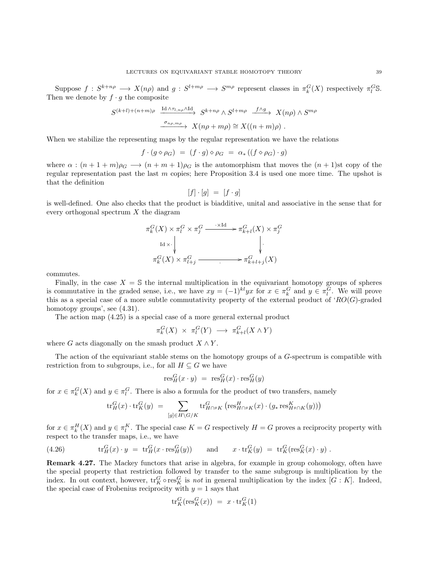Suppose  $f: S^{k+n\rho} \longrightarrow X(n\rho)$  and  $g: S^{l+m\rho} \longrightarrow S^{m\rho}$  represent classes in  $\pi_k^G(X)$  respectively  $\pi_l^G$ S. Then we denote by  $f \cdot g$  the composite

$$
S^{(k+l)+(n+m)\rho} \xrightarrow{\text{Id }\wedge \tau_{l,n\rho} \wedge \text{Id}} S^{k+n\rho} \wedge S^{l+m\rho} \xrightarrow{f\wedge g} X(n\rho) \wedge S^{m\rho}
$$

$$
\xrightarrow{\sigma_{n\rho,m\rho}} X(n\rho+m\rho) \cong X((n+m)\rho) .
$$

When we stabilize the representing maps by the regular representation we have the relations

$$
f \cdot (g \diamond \rho_G) = (f \cdot g) \diamond \rho_G = \alpha_* ((f \diamond \rho_G) \cdot g)
$$

where  $\alpha : (n+1+m)\rho_G \longrightarrow (n+m+1)\rho_G$  is the automorphism that moves the  $(n+1)$ st copy of the regular representation past the last m copies; here Proposition [3.4](#page-12-0) is used one more time. The upshot is that the definition

$$
[f] \cdot [g] = [f \cdot g]
$$

is well-defined. One also checks that the product is biadditive, unital and associative in the sense that for every orthogonal spectrum  $X$  the diagram

$$
\pi_k^G(X) \times \pi_l^G \times \pi_j^G \xrightarrow{\cdot \times \text{Id}} \pi_{k+l}^G(X) \times \pi_j^G
$$
\n
$$
\downarrow \qquad \qquad \downarrow \qquad \qquad \downarrow
$$
\n
$$
\pi_k^G(X) \times \pi_{l+j}^G \xrightarrow{\cdot \qquad \qquad \uparrow} \pi_{k+l+j}^G(X)
$$

commutes.

Finally, in the case  $X = \mathbb{S}$  the internal multiplication in the equivariant homotopy groups of spheres is commutative in the graded sense, i.e., we have  $xy = (-1)^{kl}yx$  for  $x \in \pi_k^G$  and  $y \in \pi_l^G$ . We will prove this as a special case of a more subtle commutativity property of the external product of ' $RO(G)$ -graded homotopy groups', see  $(4.31)$ .

The action map [\(4.25\)](#page-37-0) is a special case of a more general external product

$$
\pi_k^G(X) \times \pi_l^G(Y) \longrightarrow \pi_{k+l}^G(X \wedge Y)
$$

where G acts diagonally on the smash product  $X \wedge Y$ .

The action of the equivariant stable stems on the homotopy groups of a G-spectrum is compatible with restriction from to subgroups, i.e., for all  $H \subseteq G$  we have

$$
\text{res}^G_H(x \cdot y) = \text{res}^G_H(x) \cdot \text{res}^G_H(y)
$$

for  $x \in \pi_k^G(X)$  and  $y \in \pi_l^G$ . There is also a formula for the product of two transfers, namely

<span id="page-38-0"></span>
$$
\text{tr}_{H}^{G}(x) \cdot \text{tr}_{K}^{G}(y) = \sum_{[g] \in H \backslash G / K} \text{tr}_{H \cap {^g}K}^{G} \left( \text{res}_{H \cap {^g}K}^{H}(x) \cdot (g_{*} \text{res}_{H {^g} \cap K}^{K}(y)) \right)
$$

for  $x \in \pi_k^H(X)$  and  $y \in \pi_l^K$ . The special case  $K = G$  respectively  $H = G$  proves a reciprocity property with respect to the transfer maps, i.e., we have

(4.26) 
$$
\operatorname{tr}_H^G(x) \cdot y = \operatorname{tr}_H^G(x \cdot \operatorname{res}_H^G(y)) \quad \text{and} \quad x \cdot \operatorname{tr}_K^G(y) = \operatorname{tr}_K^G(\operatorname{res}_K^G(x) \cdot y).
$$

Remark 4.27. The Mackey functors that arise in algebra, for example in group cohomology, often have the special property that restriction followed by transfer to the same subgroup is multiplication by the index. In out context, however,  $\text{tr}_K^G \circ \text{res}_K^G$  is *not* in general multiplication by the index  $[G:K]$ . Indeed, the special case of Frobenius reciprocity with  $y = 1$  says that

$$
\text{tr}_K^G(\text{res}_K^G(x)) = x \cdot \text{tr}_K^G(1)
$$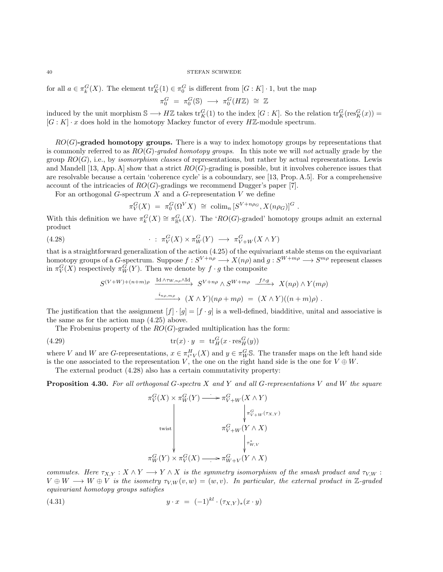for all  $a \in \pi_k^G(X)$ . The element  $\text{tr}_K^G(1) \in \pi_0^G$  is different from  $[G:K] \cdot 1$ , but the map

$$
\pi_0^G \ = \ \pi_0^G(\mathbb{S}) \ \longrightarrow \ \pi_0^G(H\mathbb{Z}) \ \cong \ \mathbb{Z}
$$

induced by the unit morphism  $\mathbb{S} \longrightarrow H\mathbb{Z}$  takes  $\text{tr}_K^G(1)$  to the index  $[G:K]$ . So the relation  $\text{tr}_K^G(\text{res}_K^G(x)) =$  $[G: K] \cdot x$  does hold in the homotopy Mackey functor of every  $H\mathbb{Z}$ -module spectrum.

 $RO(G)$ -graded homotopy groups. There is a way to index homotopy groups by representations that is commonly referred to as  $RO(G)$ -graded homotopy groups. In this note we will not actually grade by the group  $RO(G)$ , i.e., by *isomorphism classes* of representations, but rather by actual representations. Lewis and Mandell [\[13,](#page-103-1) App. A] show that a strict  $RO(G)$ -grading is possible, but it involves coherence issues that are resolvable because a certain 'coherence cycle' is a coboundary, see [\[13,](#page-103-1) Prop. A.5]. For a comprehensive account of the intricacies of  $RO(G)$ -gradings we recommend Dugger's paper [\[7\]](#page-103-2).

For an orthogonal  $G$ -spectrum  $X$  and a  $G$ -representation  $V$  we define

<span id="page-39-1"></span>
$$
\pi_V^G(X) = \pi_0^G(\Omega^V X) \cong \operatorname{colim}_n [S^{V+n\rho_G}, X(n\rho_G)]^G.
$$

With this definition we have  $\pi_k^G(X) \cong \pi_{\mathbb{R}^k}^G(X)$ . The 'RO(G)-graded' homotopy groups admit an external product

(4.28) 
$$
\qquad \qquad \cdot \; : \; \pi_V^G(X) \times \pi_W^G(Y) \; \longrightarrow \; \pi_{V+W}^G(X \wedge Y)
$$

that is a straightforward generalization of the action  $(4.25)$  of the equivariant stable stems on the equivariant homotopy groups of a G-spectrum. Suppose  $f: S^{V+n\rho} \longrightarrow X(n\rho)$  and  $g: S^{W+m\rho} \longrightarrow S^{m\rho}$  represent classes in  $\pi_V^G(X)$  respectively  $\pi_W^G(Y)$ . Then we denote by  $f \cdot g$  the composite

$$
S^{(V+W)+(n+m)\rho} \xrightarrow{\text{Id} \wedge \tau_{W,n\rho} \wedge \text{Id}} S^{V+n\rho} \wedge S^{W+m\rho} \xrightarrow{f \wedge g} X(n\rho) \wedge Y(m\rho)
$$

$$
\xrightarrow{i_{n\rho,m\rho}} (X \wedge Y)(n\rho + m\rho) = (X \wedge Y)((n+m)\rho) .
$$

The justification that the assignment  $[f] \cdot [g] = [f \cdot g]$  is a well-defined, biadditive, unital and associative is the same as for the action map [\(4.25\)](#page-37-0) above.

The Frobenius property of the  $RO(G)$ -graded multiplication has the form:

(4.29) 
$$
\operatorname{tr}(x) \cdot y = \operatorname{tr}_H^G(x \cdot \operatorname{res}_H^G(y))
$$

where V and W are G-representations,  $x \in \pi_{i^*V}^H(X)$  and  $y \in \pi_W^G$ S. The transfer maps on the left hand side is the one associated to the representation V, the one on the right hand side is the one for  $V \oplus W$ .

The external product [\(4.28\)](#page-39-1) also has a certain commutativity property:

<span id="page-39-2"></span>**Proposition 4.30.** For all orthogonal G-spectra  $X$  and  $Y$  and all G-representations  $V$  and  $W$  the square

<span id="page-39-0"></span>
$$
\pi_V^G(X) \times \pi_W^G(Y) \longrightarrow \pi_{V+W}^G(X \wedge Y)
$$
\n
$$
\downarrow \qquad \qquad \downarrow \pi_{V+W}^G(\tau_{X,Y})
$$
\n
$$
\pi_{V+W}^G(Y) \times \pi_V^G(X) \longrightarrow \pi_{W+V}^G(Y \wedge X)
$$

commutes. Here  $\tau_{X,Y}: X \wedge Y \longrightarrow Y \wedge X$  is the symmetry isomorphism of the smash product and  $\tau_{V,W}$ :  $V \oplus W \longrightarrow W \oplus V$  is the isometry  $\tau_{V,W}(v, w) = (w, v)$ . In particular, the external product in Z-graded equivariant homotopy groups satisfies

(4.31) 
$$
y \cdot x = (-1)^{kl} \cdot (\tau_{X,Y})_*(x \cdot y)
$$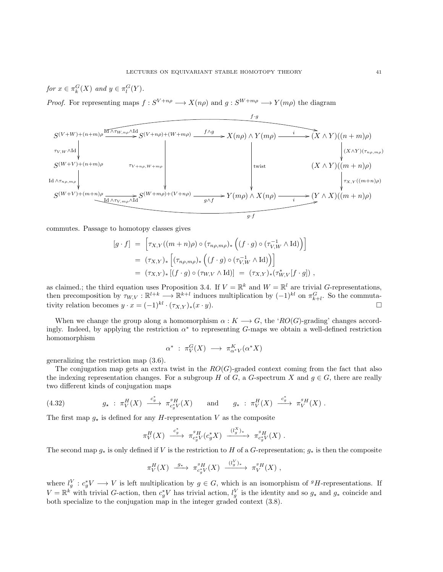for 
$$
x \in \pi_k^G(X)
$$
 and  $y \in \pi_l^G(Y)$ .

*Proof.* For representing maps  $f: S^{V+n\rho} \longrightarrow X(n\rho)$  and  $g: S^{W+m\rho} \longrightarrow Y(m\rho)$  the diagram



commutes. Passage to homotopy classes gives

$$
[g \cdot f] = \left[ \tau_{X,Y}((m+n)\rho) \circ (\tau_{n\rho,m\rho})_* \left( (f \cdot g) \circ (\tau_{V,W}^{-1} \wedge \mathrm{Id}) \right) \right]
$$
  

$$
= (\tau_{X,Y})_* \left[ (\tau_{n\rho,m\rho})_* \left( (f \cdot g) \circ (\tau_{V,W}^{-1} \wedge \mathrm{Id}) \right) \right]
$$
  

$$
= (\tau_{X,Y})_* [(f \cdot g) \circ (\tau_{W,V} \wedge \mathrm{Id})] = (\tau_{X,Y})_* (\tau_{W,V}^*[f \cdot g]) ,
$$

as claimed.; the third equation uses Proposition [3.4.](#page-12-0) If  $V = \mathbb{R}^k$  and  $W = \mathbb{R}^l$  are trivial G-representations, then precomposition by  $\tau_{W,V} : \mathbb{R}^{l+k} \longrightarrow \mathbb{R}^{k+l}$  induces multiplication by  $(-1)^{kl}$  on  $\pi_{k+l}^G$ . So the commutativity relation becomes  $y \cdot x = (-1)^{kl} \cdot (\tau_{X,Y})_*(x \cdot y)$ .

When we change the group along a homomorphism  $\alpha : K \longrightarrow G$ , the ' $RO(G)$ -grading' changes accordingly. Indeed, by applying the restriction  $\alpha^*$  to representing G-maps we obtain a well-defined restriction homomorphism

$$
\alpha^* \; : \; \pi_V^G(X) \; \longrightarrow \; \pi_{\alpha^*V}^K(\alpha^*X)
$$

generalizing the restriction map [\(3.6\)](#page-14-0).

The conjugation map gets an extra twist in the  $RO(G)$ -graded context coming from the fact that also the indexing representation changes. For a subgroup H of G, a G-spectrum X and  $g \in G$ , there are really two different kinds of conjugation maps

(4.32) 
$$
g_* : \pi_V^H(X) \xrightarrow{c^*_g} \pi_{c^*_g V}^g(X)
$$
 and  $g_* : \pi_V^H(X) \xrightarrow{c^*_g} \pi_V^{g}H(X)$ .

The first map  $g_{\star}$  is defined for any *H*-representation V as the composite

$$
\pi_V^H(X) \xrightarrow{c_g^*} \pi_{c_g^*V}^{g_H}(c_g^*X) \xrightarrow{(l_g^X)_*} \pi_{c_g^*V}^{g_H}(X) .
$$

The second map  $g_*$  is only defined if V is the restriction to H of a G-representation;  $g_*$  is then the composite

$$
\pi_V^H(X) \xrightarrow{g_*} \pi_{c_g^*V}^{g} (X) \xrightarrow{(l_g^V)_*} \pi_V^{g} H(X) ,
$$

where  $l_g^V: c_g^*V \longrightarrow V$  is left multiplication by  $g \in G$ , which is an isomorphism of  $^gH$ -representations. If  $V = \mathbb{R}^k$  with trivial G-action, then  $c_g^*V$  has trivial action,  $l_g^V$  is the identity and so  $g_*$  and  $g_*$  coincide and both specialize to the conjugation map in the integer graded context [\(3.8\)](#page-15-0).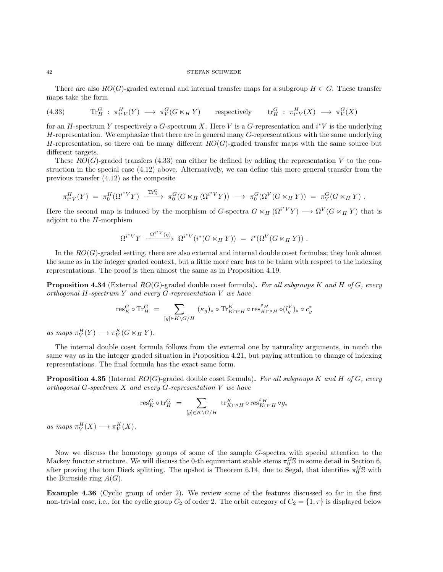There are also  $RO(G)$ -graded external and internal transfer maps for a subgroup  $H \subset G$ . These transfer maps take the form

<span id="page-41-0"></span>(4.33) 
$$
\text{Tr}_{H}^{G}: \pi_{i^*V}^H(Y) \longrightarrow \pi_V^G(G \ltimes_H Y) \text{ respectively } \text{tr}_{H}^{G}: \pi_{i^*V}^H(X) \longrightarrow \pi_V^G(X)
$$

for an H-spectrum Y respectively a G-spectrum X. Here V is a G-representation and  $i^*V$  is the underlying  $H$ -representation. We emphasize that there are in general many  $G$ -representations with the same underlying H-representation, so there can be many different  $RO(G)$ -graded transfer maps with the same source but different targets.

These  $RO(G)$ -graded transfers [\(4.33\)](#page-41-0) can either be defined by adding the representation V to the construction in the special case [\(4.12\)](#page-30-0) above. Alternatively, we can define this more general transfer from the previous transfer [\(4.12\)](#page-30-0) as the composite

$$
\pi_{i^*V}^H(Y) = \pi_0^H(\Omega^{i^*V}Y) \xrightarrow{\text{Tr}_H^G} \pi_0^G(G \ltimes_H (\Omega^{i^*V}Y)) \longrightarrow \pi_0^G(\Omega^V(G \ltimes_H Y)) = \pi_V^G(G \ltimes_H Y).
$$

Here the second map is induced by the morphism of G-spectra  $G \ltimes_H (\Omega^{i^*V} Y) \longrightarrow \Omega^V(G \ltimes_H Y)$  that is adjoint to the  $H$ -morphism

$$
\Omega^{i^*V}Y \xrightarrow{\Omega^{i^*V}(\eta)} \Omega^{i^*V}(i^*(G \ltimes_H Y)) = i^*(\Omega^V(G \ltimes_H Y)).
$$

In the  $RO(G)$ -graded setting, there are also external and internal double coset formulas; they look almost the same as in the integer graded context, but a little more care has to be taken with respect to the indexing representations. The proof is then almost the same as in Proposition [4.19.](#page-34-0)

**Proposition 4.34** (External  $RO(G)$ -graded double coset formula). For all subgroups K and H of G, every orthogonal  $H$ -spectrum  $Y$  and every  $G$ -representation  $V$  we have

$$
\mathrm{res}^G_K\circ \mathrm{Tr}^G_H \ = \ \sum_{[g]\in K\backslash G/H} \ (\kappa_g)_*\circ \mathrm{Tr}^K_{K\cap^g H}\circ \mathrm{res}^{^g H}_{K\cap^g H}\circ (l_g^V)_*\circ c_g^*
$$

as maps  $\pi_V^H(Y) \longrightarrow \pi_V^K(G \ltimes_H Y)$ .

The internal double coset formula follows from the external one by naturality arguments, in much the same way as in the integer graded situation in Proposition [4.21,](#page-35-0) but paying attention to change of indexing representations. The final formula has the exact same form.

**Proposition 4.35** (Internal  $RO(G)$ -graded double coset formula). For all subgroups K and H of G, every orthogonal  $G$ -spectrum  $X$  and every  $G$ -representation  $V$  we have

$$
\operatorname{res}^G_K\circ \operatorname{tr}_H^G \,\, = \,\, \sum_{[g]\in K\backslash G/H} \, \operatorname{tr}_{K\cap^gH}^K\circ \operatorname{res}^g_{K\cap^gH}\circ g_*
$$

as maps  $\pi_V^H(X) \longrightarrow \pi_V^K(X)$ .

Now we discuss the homotopy groups of some of the sample G-spectra with special attention to the Mackey functor structure. We will discuss the 0-th equivariant stable stems  $\pi_0^G$ S in some detail in Section [6,](#page-57-0) after proving the tom Dieck splitting. The upshot is Theorem [6.14,](#page-64-0) due to Segal, that identifies  $\pi_0^G$ S with the Burnside ring  $A(G)$ .

Example 4.36 (Cyclic group of order 2). We review some of the features discussed so far in the first non-trivial case, i.e., for the cyclic group  $C_2$  of order 2. The orbit category of  $C_2 = \{1, \tau\}$  is displayed below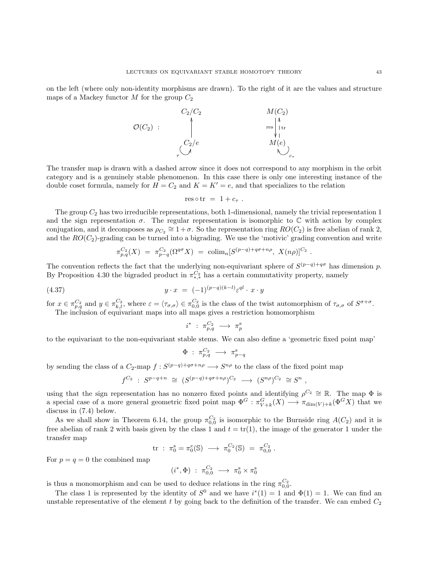on the left (where only non-identity morphisms are drawn). To the right of it are the values and structure maps of a Mackey functor M for the group  $C_2$ 



The transfer map is drawn with a dashed arrow since it does not correspond to any morphism in the orbit category and is a genuinely stable phenomenon. In this case there is only one interesting instance of the double coset formula, namely for  $H = C_2$  and  $K = K' = e$ , and that specializes to the relation

$$
res \circ tr = 1 + c_{\tau} .
$$

The group  $C_2$  has two irreducible representations, both 1-dimensional, namely the trivial representation 1 and the sign representation  $\sigma$ . The regular representation is isomorphic to  $\mathbb C$  with action by complex conjugation, and it decomposes as  $\rho_{C_2} \cong 1 + \sigma$ . So the representation ring  $RO(C_2)$  is free abelian of rank 2, and the  $RO(C_2)$ -grading can be turned into a bigrading. We use the 'motivic' grading convention and write

$$
\pi_{p,q}^{C_2}(X) = \pi_{p-q}^{C_2}(\Omega^{q\sigma}X) = \operatorname{colim}_n[S^{(p-q)+q\sigma+n\rho}, X(n\rho)]^{C_2}.
$$

The convention reflects the fact that the underlying non-equivariant sphere of  $S^{(p-q)+q\sigma}$  has dimension p. By Proposition [4.30](#page-39-2) the bigraded product in  $\pi_{*,*}^{C_2}$  has a certain commutativity property, namely

$$
(4.37) \t\t y \cdot x = (-1)^{(p-q)(k-l)} \varepsilon^{ql} \cdot x \cdot y
$$

for  $x \in \pi_{p,q}^{C_2}$  and  $y \in \pi_{k,l}^{C_2}$ , where  $\varepsilon = \langle \tau_{\sigma,\sigma} \rangle \in \pi_{0,0}^{C_2}$  is the class of the twist automorphism of  $\tau_{\sigma,\sigma}$  of  $S^{\sigma+\sigma}$ . The inclusion of equivariant maps into all maps gives a restriction homomorphism

<span id="page-42-0"></span>
$$
i^* \; : \; \pi_{p,q}^{C_2} \; \longrightarrow \; \pi_p^{\mathrm{s}}
$$

to the equivariant to the non-equivariant stable stems. We can also define a 'geometric fixed point map'

$$
\Phi \; : \; \pi^{C_2}_{p,q} \; \longrightarrow \; \pi^{\mathrm{s}}_{p-q}
$$

by sending the class of a  $C_2$ -map  $f: S^{(p-q)+q\sigma+n\rho} \longrightarrow S^{n\rho}$  to the class of the fixed point map

$$
f^{C_2} \; : \; S^{p-q+n} \; \cong \; (S^{(p-q)+q\sigma+n\rho})^{C_2} \; \longrightarrow \; (S^{n\rho})^{C_2} \; \cong S^n \; ,
$$

using that the sign representation has no nonzero fixed points and identifying  $\rho^{C_2} \cong \mathbb{R}$ . The map  $\Phi$  is a special case of a more general geometric fixed point map  $\Phi^G : \pi_{V+k}^G(X) \longrightarrow \pi_{\dim(V)+k}(\Phi^G X)$  that we discuss in [\(7.4\)](#page-68-0) below.

As we shall show in Theorem [6.14,](#page-64-0) the group  $\pi_{0,0}^{C_2}$  is isomorphic to the Burnside ring  $A(C_2)$  and it is free abelian of rank 2 with basis given by the class 1 and  $t = \text{tr}(1)$ , the image of the generator 1 under the transfer map

$$
\text{tr} \; : \; \pi_0^{\rm s} = \pi_0^e(\mathbb{S}) \; \longrightarrow \; \pi_0^{C_2}(\mathbb{S}) \; = \; \pi_{0,0}^{C_2} \; .
$$

For  $p = q = 0$  the combined map

$$
(i^*,\Phi)~:~\pi_{0,0}^{C_2}~\longrightarrow~\pi_0^{\mathrm{s}}\times\pi_0^{\mathrm{s}}
$$

is thus a monomorphism and can be used to deduce relations in the ring  $\pi_{0,0}^{C_2}$ .

The class 1 is represented by the identity of  $S^0$  and we have  $i^*(1) = 1$  and  $\Phi(1) = 1$ . We can find an unstable representative of the element t by going back to the definition of the transfer. We can embed  $C_2$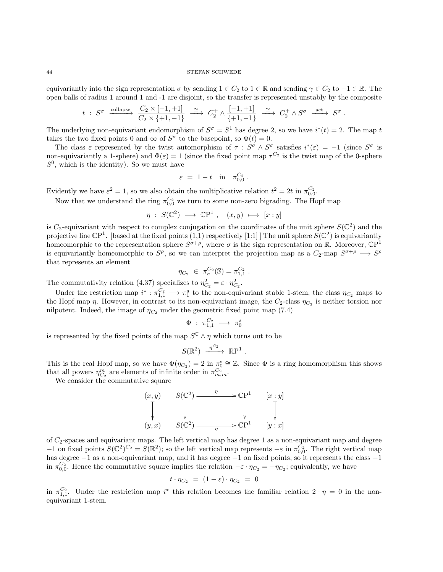equivariantly into the sign representation  $\sigma$  by sending  $1 \in C_2$  to  $1 \in \mathbb{R}$  and sending  $\gamma \in C_2$  to  $-1 \in \mathbb{R}$ . The open balls of radius 1 around 1 and -1 are disjoint, so the transfer is represented unstably by the composite

$$
t\;:\;S^{\sigma}\;\xrightarrow{\text{collapse}}\;\xrightarrow{C_2\times[-1,+1]}\;\xrightarrow{\cong}\;C_2^+\wedge\frac{[-1,+1]}{\{+1,-1\}}\;\xrightarrow{\cong}\;C_2^+\wedge S^{\sigma}\;\xrightarrow{\text{act}}\;S^{\sigma}
$$

.

The underlying non-equivariant endomorphism of  $S^{\sigma} = S^1$  has degree 2, so we have  $i^*(t) = 2$ . The map t takes the two fixed points 0 and  $\infty$  of  $S^{\sigma}$  to the basepoint, so  $\Phi(t) = 0$ .

The class  $\varepsilon$  represented by the twist automorphism of  $\tau : S^{\sigma} \wedge S^{\sigma}$  satisfies  $i^{*}(\varepsilon) = -1$  (since  $S^{\sigma}$  is non-equivariantly a 1-sphere) and  $\Phi(\varepsilon) = 1$  (since the fixed point map  $\tau^{C_2}$  is the twist map of the 0-sphere  $S^0$ , which is the identity). So we must have

$$
\varepsilon\ =\ 1-t\quad\text{in}\quad\pi_{0,0}^{C_2}
$$

.

Evidently we have  $\varepsilon^2 = 1$ , so we also obtain the multiplicative relation  $t^2 = 2t$  in  $\pi_{0,0}^{C_2}$ .

Now that we understand the ring  $\pi_{0,0}^{C_2}$  we turn to some non-zero bigrading. The Hopf map

$$
\eta \; : \; S(\mathbb{C}^2) \; \longrightarrow \; \mathbb{C}\mathrm{P}^1 \; , \quad (x,y) \; \longmapsto \; [x:y]
$$

is C<sub>2</sub>-equivariant with respect to complex conjugation on the coordinates of the unit sphere  $S(\mathbb{C}^2)$  and the projective line  $\mathbb{C}P^1$ . [based at the fixed points (1,1) respectively [1:1] The unit sphere  $S(\mathbb{C}^2)$  is equivariantly homeomorphic to the representation sphere  $S^{\sigma+\rho}$ , where  $\sigma$  is the sign representation on R. Moreover,  $\mathbb{C}P^1$ is equivariantly homeomorphic to  $S^{\rho}$ , so we can interpret the projection map as a  $C_2$ -map  $S^{\sigma+\rho} \longrightarrow S^{\rho}$ that represents an element

$$
\eta_{C_2} \in \pi_{\sigma}^{C_2}(\mathbb{S}) = \pi_{1,1}^{C_2} .
$$

The commutativity relation [\(4.37\)](#page-42-0) specializes to  $\eta_{C_2}^2 = \varepsilon \cdot \eta_{C_2}^2$ .

Under the restriction map  $i^* : \pi_{1,1}^{C_2} \longrightarrow \pi_1^s$  to the non-equivariant stable 1-stem, the class  $\eta_{C_2}$  maps to the Hopf map  $\eta$ . However, in contrast to its non-equivariant image, the  $C_2$ -class  $\eta_{C_2}$  is neither torsion nor nilpotent. Indeed, the image of  $\eta_{C_2}$  under the geometric fixed point map [\(7.4\)](#page-68-0)

$$
\Phi\ :\ \pi^{C_2}_{1,1}\ \longrightarrow\ \pi_0^s
$$

is represented by the fixed points of the map  $S^{\mathbb{C}} \wedge \eta$  which turns out to be

$$
S(\mathbb{R}^2) \xrightarrow{\eta^{C_2}} \mathbb{R}P^1 .
$$

This is the real Hopf map, so we have  $\Phi(\eta_{C_2}) = 2$  in  $\pi_0^s \cong \mathbb{Z}$ . Since  $\Phi$  is a ring homomorphism this shows that all powers  $\eta_{C_2}^m$  are elements of infinite order in  $\pi_{m,m}^{C_2}$ .

We consider the commutative square

$$
(x, y) \quad S(\mathbb{C}^2) \xrightarrow{\eta} \mathbb{CP}^1 \quad [x : y]
$$
  
\n
$$
\downarrow \qquad \qquad \downarrow \qquad \qquad \downarrow
$$
  
\n
$$
(y, x) \quad S(\mathbb{C}^2) \xrightarrow{\eta} \mathbb{CP}^1 \quad [y : x]
$$

of  $C_2$ -spaces and equivariant maps. The left vertical map has degree 1 as a non-equivariant map and degree  $-1$  on fixed points  $S(\mathbb{C}^2)^{C_2} = S(\mathbb{R}^2)$ ; so the left vertical map represents  $-\varepsilon$  in π<sub>0,0</sub>. The right vertical map has degree −1 as a non-equivariant map, and it has degree −1 on fixed points, so it represents the class −1 in  $\pi_{0,0}^{C_2}$ . Hence the commutative square implies the relation  $-\varepsilon \cdot \eta_{C_2} = -\eta_{C_2}$ ; equivalently, we have

$$
t \cdot \eta_{C_2} = (1 - \varepsilon) \cdot \eta_{C_2} = 0
$$

in  $\pi_{1,1}^{C_2}$ . Under the restriction map i<sup>\*</sup> this relation becomes the familiar relation  $2 \cdot \eta = 0$  in the nonequivariant 1-stem.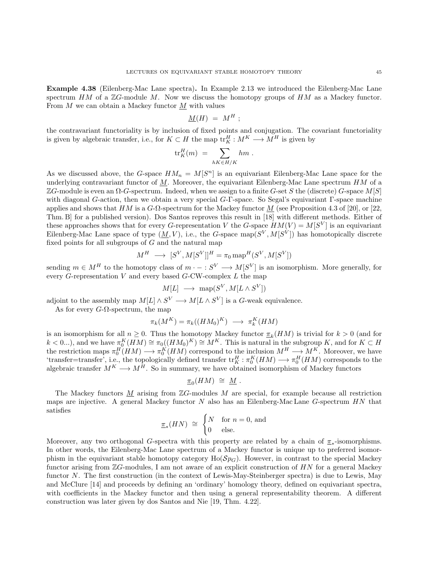Example 4.38 (Eilenberg-Mac Lane spectra). In Example [2.13](#page-9-0) we introduced the Eilenberg-Mac Lane spectrum  $HM$  of a  $\mathbb{Z}G$ -module M. Now we discuss the homotopy groups of  $HM$  as a Mackey functor. From  $M$  we can obtain a Mackey functor  $M$  with values

$$
\underline{M}(H) = M^H ;
$$

the contravariant functoriality is by inclusion of fixed points and conjugation. The covariant functoriality is given by algebraic transfer, i.e., for  $K \subset H$  the map  $\operatorname{tr}_K^H : M^K \longrightarrow M^H$  is given by

$$
\text{tr}_K^H(m) \;=\; \sum_{hK\in H/K} hm\;.
$$

As we discussed above, the G-space  $HM_n = M[S^n]$  is an equivariant Eilenberg-Mac Lane space for the underlying contravariant functor of  $M$ . Moreover, the equivariant Eilenberg-Mac Lane spectrum  $HM$  of a ZG-module is even an  $\Omega$ -G-spectrum. Indeed, when we assign to a finite G-set S the (discrete) G-space M[S] with diagonal G-action, then we obtain a very special G-Γ-space. So Segal's equivariant Γ-space machine applies and shows that  $HM$  is a  $G$ - $\Omega$ -spectrum for the Mackey functor M (see Proposition 4.3 of [\[20\]](#page-103-3), or [\[22,](#page-103-4) Thm. B] for a published version). Dos Santos reproves this result in [\[18\]](#page-103-5) with different methods. Either of these approaches shows that for every G-representation V the G-space  $HM(V) = M[S^V]$  is an equivariant Eilenberg-Mac Lane space of type  $(\underline{M}, V)$ , i.e., the G-space map $(S^V, M[S^V])$  has homotopically discrete fixed points for all subgroups of  $G$  and the natural map

$$
M^H\;\longrightarrow\;[S^V,M[S^V]]^H=\pi_0\operatorname{map}^H(S^V,M[S^V])
$$

sending  $m \in M^H$  to the homotopy class of  $m \cdot - : S^V \longrightarrow M[S^V]$  is an isomorphism. More generally, for every  $G$ -representation  $V$  and every based  $G$ -CW-complex  $L$  the map

$$
M[L] \ \longrightarrow \ \text{map}(S^V, M[L \wedge S^V])
$$

adjoint to the assembly map  $M[L] \wedge S^V \longrightarrow M[L \wedge S^V]$  is a G-weak equivalence.

As for every  $G$ - $\Omega$ -spectrum, the map

$$
\pi_k(M^K) = \pi_k((HM_0)^K) \longrightarrow \pi_k^K(HM)
$$

is an isomorphism for all  $n \geq 0$ . Thus the homotopy Mackey functor  $\pi_k(HM)$  is trivial for  $k > 0$  (and for  $k < 0...$ ), and we have  $\pi_0^K(HM) \cong \pi_0((HM_0)^K) \cong M^K$ . This is natural in the subgroup K, and for  $K \subset H$ the restriction maps  $\pi_0^H(HM) \longrightarrow \pi_0^K(HM)$  correspond to the inclusion  $M^H \longrightarrow M^K$ . Moreover, we have 'transfer=transfer', i.e., the topologically defined transfer  ${\rm tr}_K^H : \pi_0^K(HM) \longrightarrow \pi_0^H(HM)$  corresponds to the algebraic transfer  $M^K \longrightarrow M^H$ . So in summary, we have obtained isomorphism of Mackey functors

$$
\underline{\pi}_0(HM) \; \cong \; \underline{M} \; .
$$

The Mackey functors  $M$  arising from  $\mathbb{Z}G$ -modules  $M$  are special, for example because all restriction maps are injective. A general Mackey functor  $N$  also has an Eilenberg-Mac Lane  $G$ -spectrum  $HN$  that satisfies

$$
\underline{\pi}_*(HN) \cong \begin{cases} N & \text{for } n = 0, \text{ and} \\ 0 & \text{else.} \end{cases}
$$

Moreover, any two orthogonal G-spectra with this property are related by a chain of  $\pi_*$ -isomorphisms. In other words, the Eilenberg-Mac Lane spectrum of a Mackey functor is unique up to preferred isomorphism in the equivariant stable homotopy category  $Ho(\mathcal{S}_{\mathcal{P}G})$ . However, in contrast to the special Mackey functor arising from  $\mathbb{Z}G$ -modules, I am not aware of an explicit construction of  $HN$  for a general Mackey functor N. The first construction (in the context of Lewis-May-Steinberger spectra) is due to Lewis, May and McClure [\[14\]](#page-103-6) and proceeds by defining an 'ordinary' homology theory, defined on equivariant spectra, with coefficients in the Mackey functor and then using a general representability theorem. A different construction was later given by dos Santos and Nie [\[19,](#page-103-7) Thm. 4.22].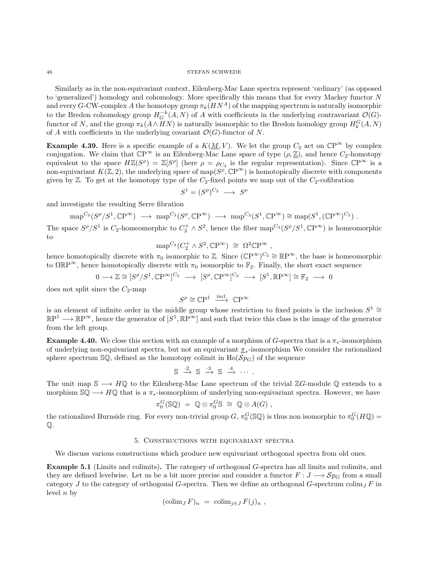Similarly as in the non-equivariant context, Eilenberg-Mac Lane spectra represent 'ordinary' (as opposed to 'generalized') homology and cohomology. More specifically this means that for every Mackey functor N and every G-CW-complex A the homotopy group  $\pi_k(HN^A)$  of the mapping spectrum is naturally isomorphic to the Bredon cohomology group  $H_G^{-k}(A, N)$  of A with coefficients in the underlying contravariant  $\mathcal{O}(G)$ functor of N, and the group  $\pi_k(A \wedge HN)$  is naturally isomorphic to the Bredon homology group  $H_k^G(A, N)$ of A with coefficients in the underlying covariant  $\mathcal{O}(G)$ -functor of N.

**Example 4.39.** Here is a specific example of a  $K(\underline{M}, V)$ . We let the group  $C_2$  act on  $\mathbb{C}P^{\infty}$  by complex conjugation. We claim that  $\mathbb{C}\mathrm{P}^{\infty}$  is an Eilenberg-Mac Lane space of type  $(\rho, \underline{\mathbb{Z}})$ , and hence  $C_2$ -homotopy equivalent to the space  $H\mathbb{Z}(S^{\rho}) = \mathbb{Z}[S^{\rho}]$  (here  $\rho = \rho_{C_2}$  is the regular representation). Since  $\mathbb{CP}^{\infty}$  is a non-equivariant  $K(\mathbb{Z}, 2)$ , the underlying space of map( $S^{\rho}, \mathbb{C}P^{\infty}$ ) is homotopically discrete with components given by  $\mathbb{Z}$ . To get at the homotopy type of the  $C_2$ -fixed points we map out of the  $C_2$ -cofibration

$$
S^1 = (S^{\rho})^{C_2} \longrightarrow S^{\rho}
$$

and investigate the resulting Serre fibration

$$
\text{map}^{C_2}(S^{\rho}/S^1, \mathbb{C}\mathrm{P}^{\infty}) \longrightarrow \text{map}^{C_2}(S^{\rho}, \mathbb{C}\mathrm{P}^{\infty}) \longrightarrow \text{map}^{C_2}(S^1, \mathbb{C}\mathrm{P}^{\infty}) \cong \text{map}(S^1, (\mathbb{C}\mathrm{P}^{\infty})^{C_2}).
$$

The space  $S^{\rho}/S^1$  is  $C_2$ -homeomorphic to  $C_2^+\wedge S^2$ , hence the fiber map<sup> $C_2(S^{\rho}/S^1,\mathbb{C}\mathbb{P}^{\infty})$  is homeomorphic</sup> to

$$
\text{map}^{C_2}(C_2^+ \wedge S^2, \mathbb{C}\mathbf{P}^\infty) \ \cong \ \Omega^2 \mathbb{C}\mathbf{P}^\infty ,
$$

hence homotopically discrete with  $\pi_0$  isomorphic to Z. Since  $(\mathbb{C}P^{\infty})^{C_2} \cong \mathbb{R}P^{\infty}$ , the base is homeomorphic to  $\Omega \mathbb{R}P^{\infty}$ , hence homotopically discrete with  $\pi_0$  isomorphic to  $\mathbb{F}_2$ . Finally, the short exact sequence

$$
0 \longrightarrow \mathbb{Z} \cong [S^{\rho}/S^1, \mathbb{C}P^{\infty}]^{C_2} \longrightarrow [S^{\rho}, \mathbb{C}P^{\infty}]^{C_2} \longrightarrow [S^1, \mathbb{R}P^{\infty}] \cong \mathbb{F}_2 \longrightarrow 0
$$

does not split since the  $C_2$ -map

$$
S^\rho \cong \mathbb{C}\mathrm{P}^1 \ \xrightarrow{\mathrm{incl}} \ \mathbb{C}\mathrm{P}^\infty
$$

is an element of infinite order in the middle group whose restriction to fixed points is the inclusion  $S^1 \cong$  $\mathbb{R}P^1 \longrightarrow \mathbb{R}P^\infty$ , hence the generator of  $[S^1, \mathbb{R}P^\infty]$  and such that twice this class is the image of the generator from the left group.

**Example 4.40.** We close this section with an example of a morphism of G-spectra that is a  $\pi_*$ -isomorphism of underlying non-equivariant spectra, but not an equivariant  $\pi_*$ -isomorphism We consider the rationalized sphere spectrum  $\mathbb{S}\mathbb{Q}$ , defined as the homotopy colimit in  $\text{Ho}(\mathcal{S}p_G)$  of the sequence

$$
\mathbb{S} \stackrel{\cdot 2}{\rightarrow} \mathbb{S} \stackrel{\cdot 3}{\rightarrow} \mathbb{S} \stackrel{\cdot 4}{\rightarrow} \cdots.
$$

The unit map  $\mathbb{S} \longrightarrow H\mathbb{Q}$  to the Eilenberg-Mac Lane spectrum of the trivial ZG-module  $\mathbb{Q}$  extends to a morphism  $\mathbb{S}\mathbb{Q}\longrightarrow H\mathbb{Q}$  that is a  $\pi_*$ -isomorphism of underlying non-equivariant spectra. However, we have

$$
\pi_0^G(\mathbb{SQ}) = \mathbb{Q} \otimes \pi_0^G \mathbb{S} \cong \mathbb{Q} \otimes A(G) ,
$$

the rationalized Burnside ring. For every non-trivial group  $G$ ,  $\pi_0^G$ ( $\mathbb{S}\mathbb{Q}$ ) is thus non isomorphic to  $\pi_0^G(H\mathbb{Q})$  = Q.

## 5. Constructions with equivariant spectra

We discuss various constructions which produce new equivariant orthogonal spectra from old ones.

Example 5.1 (Limits and colimits). The category of orthogonal G-spectra has all limits and colimits, and they are defined levelwise. Let us be a bit more precise and consider a functor  $F: J \longrightarrow Sp_G$  from a small category J to the category of orthogonal G-spectra. Then we define an orthogonal G-spectrum colim<sub>I</sub> F in level  $n$  by

$$
(\operatorname{colim}_{J} F)_n = \operatorname{colim}_{j \in J} F(j)_n ,
$$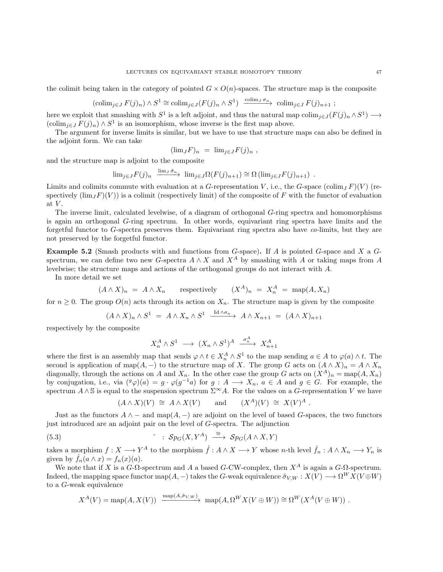the colimit being taken in the category of pointed  $G \times O(n)$ -spaces. The structure map is the composite

$$
(\text{colim}_{j\in J} F(j)_n) \wedge S^1 \cong \text{colim}_{j\in J} (F(j)_n \wedge S^1) \xrightarrow{\text{colim}_J \sigma_n} \text{colim}_{j\in J} F(j)_{n+1} ;
$$

here we exploit that smashing with  $S^1$  is a left adjoint, and thus the natural map  $\text{colim}_{j\in J}(F(j)_n \wedge S^1) \longrightarrow$  $(\text{colim}_{j\in J} F(j)_n) \wedge S^1$  is an isomorphism, whose inverse is the first map above.

The argument for inverse limits is similar, but we have to use that structure maps can also be defined in the adjoint form. We can take

$$
(\lim_{J} F)_n = \lim_{j \in J} F(j)_n ,
$$

and the structure map is adjoint to the composite

$$
\lim_{j \in J} F(j)_n \xrightarrow{\lim_{j \in J} \hat{\sigma}_n} \lim_{j \in J} \Omega(F(j)_{n+1}) \cong \Omega(\lim_{j \in J} F(j)_{n+1}).
$$

Limits and colimits commute with evaluation at a G-representation V, i.e., the G-space (colim<sub>J</sub> F)(V) (respectively  $(\lim_{J}F)(V)$  is a colimit (respectively limit) of the composite of F with the functor of evaluation at  $V$ .

The inverse limit, calculated levelwise, of a diagram of orthogonal G-ring spectra and homomorphisms is again an orthogonal G-ring spectrum. In other words, equivariant ring spectra have limits and the forgetful functor to G-spectra preserves them. Equivariant ring spectra also have co-limits, but they are not preserved by the forgetful functor.

<span id="page-46-0"></span>**Example 5.2** (Smash products with and functions from  $G$ -space). If A is pointed  $G$ -space and X a  $G$ spectrum, we can define two new G-spectra  $A \wedge X$  and  $X^A$  by smashing with A or taking maps from A levelwise; the structure maps and actions of the orthogonal groups do not interact with A.

In more detail we set

$$
(A \wedge X)_n = A \wedge X_n \qquad \text{respectively} \qquad (X^A)_n = X^A_n = \text{map}(A, X_n)
$$

for  $n \geq 0$ . The group  $O(n)$  acts through its action on  $X_n$ . The structure map is given by the composite

$$
(A \wedge X)_n \wedge S^1 = A \wedge X_n \wedge S^1 \xrightarrow{\mathrm{Id} \wedge \sigma_n} A \wedge X_{n+1} = (A \wedge X)_{n+1}
$$

respectively by the composite

$$
X_n^A \wedge S^1 \longrightarrow (X_n \wedge S^1)^A \xrightarrow{\sigma_n^A} X_{n+1}^A
$$

where the first is an assembly map that sends  $\varphi \wedge t \in X_n^A \wedge S^1$  to the map sending  $a \in A$  to  $\varphi(a) \wedge t$ . The second is application of map(A, –) to the structure map of X. The group G acts on  $(A \wedge X)_n = A \wedge X_n$ diagonally, through the actions on A and  $X_n$ . In the other case the group G acts on  $(X^A)_n = \text{map}(A, X_n)$ by conjugation, i.e., via  $({}^g\varphi)(a) = g \cdot \varphi(g^{-1}a)$  for  $g : A \longrightarrow X_n$ ,  $a \in A$  and  $g \in G$ . For example, the spectrum  $A \wedge S$  is equal to the suspension spectrum  $\Sigma^{\infty}A$ . For the values on a G-representation V we have

$$
(A \wedge X)(V) \cong A \wedge X(V)
$$
 and  $(X^A)(V) \cong X(V)^A$ .

Just as the functors  $A \wedge -$  and map $(A, -)$  are adjoint on the level of based G-spaces, the two functors just introduced are an adjoint pair on the level of G-spectra. The adjunction

(5.3) 
$$
\qquad \qquad \hat{Sp}_G(X, Y^A) \longrightarrow Sp_G(A \wedge X, Y)
$$

takes a morphism  $f: X \longrightarrow Y^A$  to the morphism  $\hat{f}: A \wedge X \longrightarrow Y$  whose n-th level  $\hat{f}_n: A \wedge X_n \longrightarrow Y_n$  is given by  $f_n(a \wedge x) = f_n(x)(a)$ .

We note that if X is a  $G$ - $\Omega$ -spectrum and A a based G-CW-complex, then  $X^A$  is again a  $G$ - $\Omega$ -spectrum. Indeed, the mapping space functor map(A, –) takes the G-weak equivalence  $\tilde{\sigma}_{V,W}: X(V) \longrightarrow \Omega^W X(V \oplus W)$ to a G-weak equivalence

$$
X^{A}(V) = \text{map}(A, X(V)) \xrightarrow{\text{map}(A, \tilde{\sigma}_{V,W})} \text{map}(A, \Omega^{W} X(V \oplus W)) \cong \Omega^{W}(X^{A}(V \oplus W)).
$$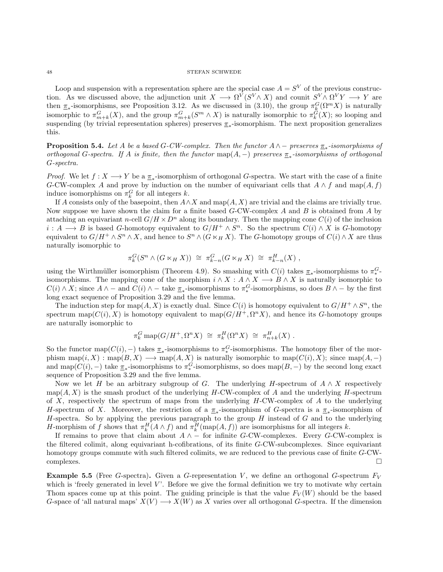Loop and suspension with a representation sphere are the special case  $A = S<sup>V</sup>$  of the previous construction. As we discussed above, the adjunction unit  $X \longrightarrow \Omega^V(S^V \wedge X)$  and counit  $S^V \wedge \Omega^V Y \longrightarrow Y$  are then  $\pi_*$ -isomorphisms, see Proposition [3.12.](#page-17-0) As we discussed in [\(3.10\)](#page-16-0), the group  $\pi_k^G(\Omega^m X)$  is naturally isomorphic to  $\pi_{m+k}^G(X)$ , and the group  $\pi_{m+k}^G(S^m \wedge X)$  is naturally isomorphic to  $\pi_k^G(X)$ ; so looping and suspending (by trivial representation spheres) preserves  $\pi_*$ -isomorphism. The next proposition generalizes this.

<span id="page-47-1"></span>**Proposition 5.4.** Let A be a based G-CW-complex. Then the functor  $A \wedge -$  preserves  $\underline{\pi}_*$ -isomorphisms of orthogonal G-spectra. If A is finite, then the functor  $map(A, -)$  preserves  $\underline{\pi}_*$ -isomorphisms of orthogonal G-spectra.

*Proof.* We let  $f: X \longrightarrow Y$  be a  $\underline{\pi}_*$ -isomorphism of orthogonal G-spectra. We start with the case of a finite G-CW-complex A and prove by induction on the number of equivariant cells that  $A \wedge f$  and map $(A, f)$ induce isomorphisms on  $\pi_k^G$  for all integers k.

If A consists only of the basepoint, then  $A \wedge X$  and map( $A, X$ ) are trivial and the claims are trivially true. Now suppose we have shown the claim for a finite based  $G$ -CW-complex  $A$  and  $B$  is obtained from  $A$  by attaching an equivariant n-cell  $G/H \times D^n$  along its boundary. Then the mapping cone  $C(i)$  of the inclusion  $i: A \longrightarrow B$  is based G-homotopy equivalent to  $G/H^+ \wedge S^n$ . So the spectrum  $C(i) \wedge X$  is G-homotopy equivalent to  $G/H^+ \wedge S^n \wedge X$ , and hence to  $S^n \wedge (G \ltimes_H X)$ . The G-homotopy groups of  $C(i) \wedge X$  are thus naturally isomorphic to

$$
\pi_k^G(S^n \wedge (G \ltimes_H X)) \cong \pi_{k-n}^G(G \ltimes_H X) \cong \pi_{k-n}^H(X) ,
$$

using the Wirthmüller isomorphism (Theorem [4.9\)](#page-28-0). So smashing with  $C(i)$  takes  $\pi_*$ -isomorphisms to  $\pi_*^G$ isomorphisms. The mapping cone of the morphism  $i \wedge X : A \wedge X \longrightarrow B \wedge X$  is naturally isomorphic to  $C(i) \wedge X$ ; since  $A \wedge -$  and  $C(i) \wedge -$  take  $\underline{\pi}_*$ -isomorphisms to  $\pi_*^G$ -isomorphisms, so does  $B \wedge -$  by the first long exact sequence of Proposition [3.29](#page-22-0) and the five lemma.

The induction step for map(A, X) is exactly dual. Since  $C(i)$  is homotopy equivalent to  $G/H^+ \wedge S^n$ , the spectrum map $(C(i), X)$  is homotopy equivalent to map $(G/H^+, \Omega^n X)$ , and hence its G-homotopy groups are naturally isomorphic to

$$
\pi_k^G \operatorname{map}(G/H^+, \Omega^n X) \cong \pi_k^H(\Omega^n X) \cong \pi_{n+k}^H(X) .
$$

So the functor map $(C(i),-)$  takes  $\underline{\pi}_*$ -isomorphisms to  $\pi_*^G$ -isomorphisms. The homotopy fiber of the morphism  $\text{map}(i, X) : \text{map}(B, X) \longrightarrow \text{map}(A, X)$  is naturally isomorphic to  $\text{map}(C(i), X)$ ; since  $\text{map}(A, -)$ and map( $C(i)$ , –) take  $\underline{\pi}_*$ -isomorphisms to  $\pi_*^G$ -isomorphisms, so does map( $B$ , –) by the second long exact sequence of Proposition [3.29](#page-22-0) and the five lemma.

Now we let H be an arbitrary subgroup of G. The underlying H-spectrum of  $A \wedge X$  respectively  $map(A, X)$  is the smash product of the underlying H-CW-complex of A and the underlying H-spectrum of X, respectively the spectrum of maps from the underlying  $H$ -CW-complex of A to the underlying H-spectrum of X. Moreover, the restriction of a  $\pi_*$ -isomorphism of G-spectra is a  $\pi_*$ -isomorphism of  $H$ -spectra. So by applying the previous paragraph to the group  $H$  instead of  $G$  and to the underlying H-morphism of f shows that  $\pi_k^H(A \wedge f)$  and  $\pi_k^H(\text{map}(A, f))$  are isomorphisms for all integers k.

If remains to prove that claim about  $A \wedge -$  for infinite G-CW-complexes. Every G-CW-complex is the filtered colimit, along equivariant h-cofibrations, of its finite G-CW-subcomplexes. Since equivariant homotopy groups commute with such filtered colimits, we are reduced to the previous case of finite G-CW- $\Box$ complexes.

<span id="page-47-0"></span>**Example 5.5** (Free G-spectra). Given a G-representation V, we define an orthogonal G-spectrum  $F_V$ which is 'freely generated in level  $V'$ . Before we give the formal definition we try to motivate why certain Thom spaces come up at this point. The guiding principle is that the value  $F_V(W)$  should be the based G-space of 'all natural maps'  $X(V) \longrightarrow X(W)$  as X varies over all orthogonal G-spectra. If the dimension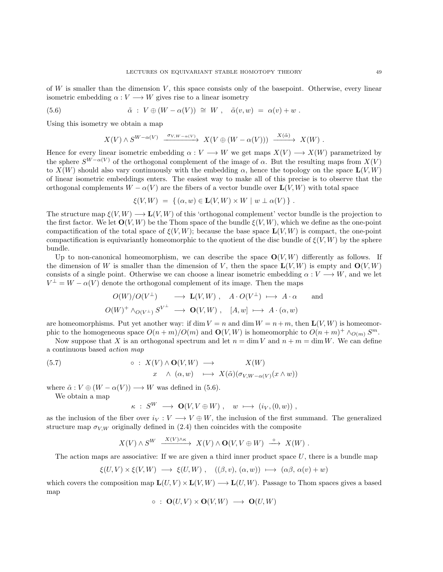of  $W$  is smaller than the dimension  $V$ , this space consists only of the basepoint. Otherwise, every linear isometric embedding  $\alpha: V \longrightarrow W$  gives rise to a linear isometry

(5.6) 
$$
\tilde{\alpha} : V \oplus (W - \alpha(V)) \cong W, \quad \tilde{\alpha}(v, w) = \alpha(v) + w.
$$

Using this isometry we obtain a map

<span id="page-48-0"></span>
$$
X(V) \wedge S^{W-\alpha(V)} \xrightarrow{\sigma_{V,W-\alpha(V)}} X(V \oplus (W-\alpha(V))) \xrightarrow{X(\tilde{\alpha})} X(W) .
$$

Hence for every linear isometric embedding  $\alpha: V \longrightarrow W$  we get maps  $X(V) \longrightarrow X(W)$  parametrized by the sphere  $S^{W-\alpha(V)}$  of the orthogonal complement of the image of  $\alpha$ . But the resulting maps from  $X(V)$ to  $X(W)$  should also vary continuously with the embedding  $\alpha$ , hence the topology on the space  $\mathbf{L}(V, W)$ of linear isometric embeddings enters. The easiest way to make all of this precise is to observe that the orthogonal complements  $W - \alpha(V)$  are the fibers of a vector bundle over  $\mathbf{L}(V, W)$  with total space

$$
\xi(V,W) = \{ (\alpha, w) \in \mathbf{L}(V,W) \times W \mid w \perp \alpha(V) \} .
$$

The structure map  $\xi(V, W) \longrightarrow L(V, W)$  of this 'orthogonal complement' vector bundle is the projection to the first factor. We let  $O(V, W)$  be the Thom space of the bundle  $\xi(V, W)$ , which we define as the one-point compactification of the total space of  $\xi(V, W)$ ; because the base space  $\mathbf{L}(V, W)$  is compact, the one-point compactification is equivariantly homeomorphic to the quotient of the disc bundle of  $\xi(V, W)$  by the sphere bundle.

Up to non-canonical homeomorphism, we can describe the space  $O(V, W)$  differently as follows. If the dimension of W is smaller than the dimension of V, then the space  $\mathbf{L}(V, W)$  is empty and  $\mathbf{O}(V, W)$ consists of a single point. Otherwise we can choose a linear isometric embedding  $\alpha: V \longrightarrow W$ , and we let  $V^{\perp} = W - \alpha(V)$  denote the orthogonal complement of its image. Then the maps

$$
O(W)/O(V^{\perp}) \longrightarrow \mathbf{L}(V,W) , A \cdot O(V^{\perp}) \longmapsto A \cdot \alpha \quad \text{and} O(W)^{+} \wedge_{O(V^{\perp})} S^{V^{\perp}} \longrightarrow \mathbf{O}(V,W) , [A, w] \longmapsto A \cdot (\alpha, w)
$$

are homeomorphisms. Put yet another way: if dim  $V = n$  and dim  $W = n+m$ , then  $\mathbf{L}(V, W)$  is homeomorphic to the homogeneous space  $O(n+m)/O(m)$  and  $O(V,W)$  is homeomorphic to  $O(n+m)^+ \wedge_{O(m)} S^m$ .

Now suppose that X is an orthogonal spectrum and let  $n = \dim V$  and  $n + m = \dim W$ . We can define a continuous based action map

<span id="page-48-1"></span>(5.7) 
$$
\circ : X(V) \wedge \mathbf{O}(V, W) \longrightarrow X(W)
$$

$$
x \wedge (\alpha, w) \longmapsto X(\tilde{\alpha})(\sigma_{V, W - \alpha(V)}(x \wedge w))
$$

where  $\tilde{\alpha}: V \oplus (W - \alpha(V)) \longrightarrow W$  was defined in [\(5.6\)](#page-48-0).

We obtain a map

$$
\kappa\;:\;S^W\;\longrightarrow\;{\mathbf O}(V,V\oplus W)\;,\quad w\;\longmapsto\; (i_V,(0,w))\;,
$$

as the inclusion of the fiber over  $i_V : V \longrightarrow V \oplus W$ , the inclusion of the first summand. The generalized structure map  $\sigma_{VW}$  originally defined in [\(2.4\)](#page-6-0) then coincides with the composite

$$
X(V) \wedge S^{W} \xrightarrow{X(V) \wedge \kappa} X(V) \wedge \mathbf{O}(V, V \oplus W) \xrightarrow{\circ} X(W) .
$$

The action maps are associative: If we are given a third inner product space  $U$ , there is a bundle map

$$
\xi(U,V) \times \xi(V,W) \longrightarrow \xi(U,W) , \quad ((\beta, v), (\alpha, w)) \longmapsto (\alpha\beta, \alpha(v) + w)
$$

which covers the composition map  $\mathbf{L}(U, V) \times \mathbf{L}(V, W) \longrightarrow \mathbf{L}(U, W)$ . Passage to Thom spaces gives a based map

$$
\circ \; : \; \mathbf{O}(U, V) \times \mathbf{O}(V, W) \; \longrightarrow \; \mathbf{O}(U, W)
$$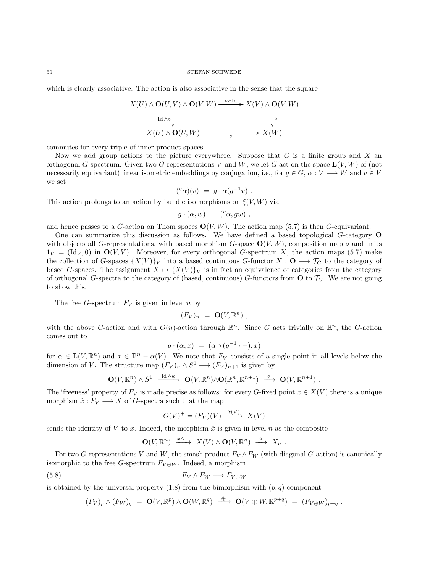which is clearly associative. The action is also associative in the sense that the square

$$
X(U) \wedge \mathbf{O}(U, V) \wedge \mathbf{O}(V, W) \xrightarrow{\circ \wedge \mathrm{Id}} X(V) \wedge \mathbf{O}(V, W)
$$
  
\n
$$
X(U) \wedge \mathbf{O}(U, W) \xrightarrow{\circ} X(W)
$$

commutes for every triple of inner product spaces.

Now we add group actions to the picture everywhere. Suppose that  $G$  is a finite group and  $X$  and orthogonal G-spectrum. Given two G-representations V and W, we let G act on the space  $\mathbf{L}(V, W)$  of (not necessarily equivariant) linear isometric embeddings by conjugation, i.e., for  $g \in G$ ,  $\alpha: V \longrightarrow W$  and  $v \in V$ we set

$$
({}^g\alpha)(v) = g \cdot \alpha(g^{-1}v) .
$$

This action prolongs to an action by bundle isomorphisms on  $\xi(V, W)$  via

$$
g \cdot (\alpha, w) = ({}^g \alpha, gw) ,
$$

and hence passes to a G-action on Thom spaces  $O(V, W)$ . The action map [\(5.7\)](#page-48-1) is then G-equivariant.

One can summarize this discussion as follows. We have defined a based topological G-category O with objects all G-representations, with based morphism G-space  $O(V, W)$ , composition map  $\circ$  and units  $1_V = (\text{Id}_V, 0)$  in  $\mathbf{O}(V, V)$ . Moreover, for every orthogonal G-spectrum X, the action maps [\(5.7\)](#page-48-1) make the collection of G-spaces  $\{X(V)\}\nu$  into a based continuous G-functor  $X: \mathbf{O} \longrightarrow \mathcal{T}_G$  to the category of based G-spaces. The assignment  $X \mapsto \{X(V)\}_V$  is in fact an equivalence of categories from the category of orthogonal G-spectra to the category of (based, continuous) G-functors from  $\bf{O}$  to  $\mathcal{T}_G$ . We are not going to show this.

The free G-spectrum  $F_V$  is given in level n by

$$
(F_V)_n = \mathbf{O}(V, \mathbb{R}^n) ,
$$

with the above G-action and with  $O(n)$ -action through  $\mathbb{R}^n$ . Since G acts trivially on  $\mathbb{R}^n$ , the G-action comes out to

$$
g \cdot (\alpha, x) = (\alpha \circ (g^{-1} \cdot -), x)
$$

for  $\alpha \in \mathbf{L}(V, \mathbb{R}^n)$  and  $x \in \mathbb{R}^n - \alpha(V)$ . We note that  $F_V$  consists of a single point in all levels below the dimension of V. The structure map  $(F_V)_n \wedge S^1 \longrightarrow (F_V)_{n+1}$  is given by

$$
\mathbf{O}(V,\mathbb{R}^n) \wedge S^1 \xrightarrow{\mathrm{Id} \wedge \kappa} \mathbf{O}(V,\mathbb{R}^n) \wedge \mathbf{O}(\mathbb{R}^n,\mathbb{R}^{n+1}) \xrightarrow{\circ} \mathbf{O}(V,\mathbb{R}^{n+1}) .
$$

The 'freeness' property of  $F_V$  is made precise as follows: for every G-fixed point  $x \in X(V)$  there is a unique morphism  $\hat{x}: F_V \longrightarrow X$  of G-spectra such that the map

$$
O(V)^{+} = (F_V)(V) \xrightarrow{\hat{x}(V)} X(V)
$$

sends the identity of V to x. Indeed, the morphism  $\hat{x}$  is given in level n as the composite

$$
\mathbf{O}(V, \mathbb{R}^n) \xrightarrow{x \wedge -} X(V) \wedge \mathbf{O}(V, \mathbb{R}^n) \xrightarrow{\circ} X_n .
$$

For two G-representations V and W, the smash product  $F_V \wedge F_W$  (with diagonal G-action) is canonically isomorphic to the free G-spectrum  $F_{V \oplus W}$ . Indeed, a morphism

$$
(5.8)\t\t F_V \wedge F_W \longrightarrow F_{V \oplus W}
$$

is obtained by the universal property  $(1.8)$  from the bimorphism with  $(p, q)$ -component

$$
(F_V)_p \wedge (F_W)_q = \mathbf{O}(V, \mathbb{R}^p) \wedge \mathbf{O}(W, \mathbb{R}^q) \stackrel{\oplus}{\longrightarrow} \mathbf{O}(V \oplus W, \mathbb{R}^{p+q}) = (F_{V \oplus W})_{p+q}.
$$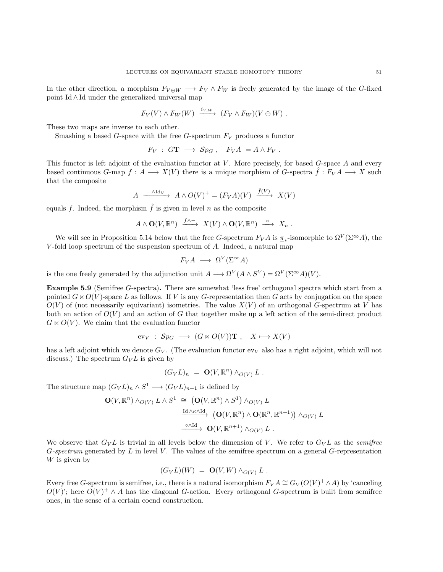In the other direction, a morphism  $F_{V \oplus W} \longrightarrow F_V \wedge F_W$  is freely generated by the image of the G-fixed point Id ∧ Id under the generalized universal map

$$
F_V(V) \wedge F_W(W) \xrightarrow{i_V, w} (F_V \wedge F_W)(V \oplus W) .
$$

These two maps are inverse to each other.

Smashing a based G-space with the free G-spectrum  $F_V$  produces a functor

$$
F_V : G\mathbf{T} \longrightarrow Sp_G , F_V A = A \wedge F_V .
$$

This functor is left adjoint of the evaluation functor at  $V$ . More precisely, for based  $G$ -space  $A$  and every based continuous G-map  $f: A \longrightarrow X(V)$  there is a unique morphism of G-spectra  $\hat{f}: F_V A \longrightarrow X$  such that the composite

$$
A \xrightarrow{-\wedge \text{Id}_V} A \wedge O(V)^+ = (F_V A)(V) \xrightarrow{\hat{f}(V)} X(V)
$$

equals f. Indeed, the morphism  $\hat{f}$  is given in level n as the composite

$$
A \wedge \mathbf{O}(V, \mathbb{R}^n) \xrightarrow{f \wedge \neg} X(V) \wedge \mathbf{O}(V, \mathbb{R}^n) \xrightarrow{\circ} X_n .
$$

We will see in Proposition [5.14](#page-52-0) below that the free G-spectrum  $F_V A$  is  $\pi_*$ -isomorphic to  $\Omega^V(\Sigma^{\infty}A)$ , the V -fold loop spectrum of the suspension spectrum of A. Indeed, a natural map

$$
F_V A \longrightarrow \Omega^V(\Sigma^{\infty} A)
$$

is the one freely generated by the adjunction unit  $A \longrightarrow \Omega^V(A \wedge S^V) = \Omega^V(\Sigma^{\infty}A)(V)$ .

Example 5.9 (Semifree G-spectra). There are somewhat 'less free' orthogonal spectra which start from a pointed  $G \ltimes O(V)$ -space L as follows. If V is any G-representation then G acts by conjugation on the space  $O(V)$  of (not necessarily equivariant) isometries. The value  $X(V)$  of an orthogonal G-spectrum at V has both an action of  $O(V)$  and an action of G that together make up a left action of the semi-direct product  $G \ltimes O(V)$ . We claim that the evaluation functor

$$
ev_V : Sp_G \longrightarrow (G \ltimes O(V))\mathbf{T}, \quad X \longmapsto X(V)
$$

has a left adjoint which we denote  $G_V$ . (The evaluation functor  $ev_V$  also has a right adjoint, which will not discuss.) The spectrum  $G_V L$  is given by

$$
(G_V L)_n = \mathbf{O}(V, \mathbb{R}^n) \wedge_{O(V)} L .
$$

The structure map  $(G_V L)_n \wedge S^1 \longrightarrow (G_V L)_{n+1}$  is defined by

$$
\mathbf{O}(V, \mathbb{R}^n) \wedge_{O(V)} L \wedge S^1 \cong (\mathbf{O}(V, \mathbb{R}^n) \wedge S^1) \wedge_{O(V)} L
$$
\n
$$
\xrightarrow{\mathrm{Id} \wedge \kappa \wedge \mathrm{Id}} (\mathbf{O}(V, \mathbb{R}^n) \wedge \mathbf{O}(\mathbb{R}^n, \mathbb{R}^{n+1})) \wedge_{O(V)} L
$$
\n
$$
\xrightarrow{\circ \wedge \mathrm{Id}} \mathbf{O}(V, \mathbb{R}^{n+1}) \wedge_{O(V)} L .
$$

We observe that  $G_V L$  is trivial in all levels below the dimension of V. We refer to  $G_V L$  as the *semifree* G-spectrum generated by  $L$  in level  $V$ . The values of the semifree spectrum on a general  $G$ -representation  $W$  is given by

$$
(G_V L)(W) = \mathbf{O}(V, W) \wedge_{O(V)} L .
$$

Every free G-spectrum is semifree, i.e., there is a natural isomorphism  $F_V A \cong G_V(O(V)^+ \wedge A)$  by 'canceling  $O(V)$ ; here  $O(V)^+ \wedge A$  has the diagonal G-action. Every orthogonal G-spectrum is built from semifree ones, in the sense of a certain coend construction.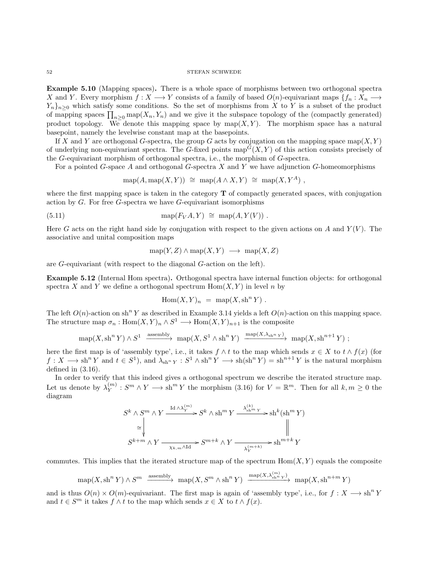## $52$   $$\rm{STEFAN}$  SCHWEDE

Example 5.10 (Mapping spaces). There is a whole space of morphisms between two orthogonal spectra X and Y. Every morphism  $f: X \longrightarrow Y$  consists of a family of based  $O(n)$ -equivariant maps  $\{f_n: X_n \longrightarrow Y\}$  $Y_n$ <sub>n</sub>><sub>0</sub> which satisfy some conditions. So the set of morphisms from X to Y is a subset of the product of mapping spaces  $\prod_{n\geq 0} \text{map}(X_n, Y_n)$  and we give it the subspace topology of the (compactly generated) product topology. We denote this mapping space by  $map(X, Y)$ . The morphism space has a natural basepoint, namely the levelwise constant map at the basepoints.

If X and Y are orthogonal G-spectra, the group G acts by conjugation on the mapping space map $(X, Y)$ of underlying non-equivariant spectra. The G-fixed points  $map^G(X, Y)$  of this action consists precisely of the G-equivariant morphism of orthogonal spectra, i.e., the morphism of G-spectra.

For a pointed G-space A and orthogonal G-spectra  $X$  and  $Y$  we have adjunction G-homeomorphisms

$$
\operatorname{map}(A, \operatorname{map}(X, Y)) \cong \operatorname{map}(A \wedge X, Y) \cong \operatorname{map}(X, Y^A) ,
$$

where the first mapping space is taken in the category  $T$  of compactly generated spaces, with conjugation action by  $G$ . For free  $G$ -spectra we have  $G$ -equivariant isomorphisms

(5.11) 
$$
\text{map}(F_V A, Y) \cong \text{map}(A, Y(V)).
$$

Here G acts on the right hand side by conjugation with respect to the given actions on A and  $Y(V)$ . The associative and unital composition maps

$$
\operatorname{map}(Y, Z) \wedge \operatorname{map}(X, Y) \longrightarrow \operatorname{map}(X, Z)
$$

are G-equivariant (with respect to the diagonal G-action on the left).

Example 5.12 (Internal Hom spectra). Orthogonal spectra have internal function objects: for orthogonal spectra X and Y we define a orthogonal spectrum  $\text{Hom}(X, Y)$  in level n by

$$
Hom(X, Y)_n = map(X, \operatorname{sh}^n Y).
$$

The left  $O(n)$ -action on sh<sup>n</sup> Y as described in Example [3.14](#page-17-1) yields a left  $O(n)$ -action on this mapping space. The structure map  $\sigma_n: \text{Hom}(X, Y)_n \wedge S^1 \longrightarrow \text{Hom}(X, Y)_{n+1}$  is the composite

$$
\operatorname{map}(X,\operatorname{sh}^n Y)\wedge S^1 \xrightarrow{\operatorname{assembly}} \operatorname{map}(X,S^1\wedge \operatorname{sh}^n Y) \xrightarrow{\operatorname{map}(X,\lambda_{\operatorname{sh}^n Y})} \operatorname{map}(X,\operatorname{sh}^{n+1} Y);
$$

here the first map is of 'assembly type', i.e., it takes  $f \wedge t$  to the map which sends  $x \in X$  to  $t \wedge f(x)$  (for  $f: X \longrightarrow \text{sh}^n Y$  and  $t \in S^1$ , and  $\lambda_{\text{sh}^n} Y : S^1 \wedge \text{sh}^n Y \longrightarrow \text{sh}(\text{sh}^n Y) = \text{sh}^{n+1} Y$  is the natural morphism defined in [\(3.16\)](#page-18-0).

In order to verify that this indeed gives a orthogonal spectrum we describe the iterated structure map. Let us denote by  $\lambda_Y^{(m)}$  $y_Y^{(m)}$ :  $S^m \wedge Y \longrightarrow \text{sh}^m Y$  the morphism  $(3.16)$  for  $V = \mathbb{R}^m$ . Then for all  $k, m \geq 0$  the diagram

$$
S^{k} \wedge S^{m} \wedge Y \xrightarrow{\operatorname{Id} \wedge \lambda_Y^{(m)}} S^{k} \wedge \operatorname{sh}^{m} Y \xrightarrow{\lambda_{\operatorname{sh}^{m} Y}^{(k)}} \operatorname{sh}^{k}(\operatorname{sh}^{m} Y)
$$
  
\n
$$
\cong \downarrow \qquad \qquad \downarrow \qquad \qquad \downarrow
$$
  
\n
$$
S^{k+m} \wedge Y \xrightarrow{\chi_{k,m} \wedge \operatorname{Id}} S^{m+k} \wedge Y \xrightarrow{\lambda_Y^{(m+k)}} \operatorname{sh}^{m+k} Y
$$

commutes. This implies that the iterated structure map of the spectrum  $\text{Hom}(X, Y)$  equals the composite

$$
\operatorname{map}(X, \operatorname{sh}^n Y) \wedge S^m \xrightarrow{\operatorname{assembly}} \operatorname{map}(X, S^m \wedge \operatorname{sh}^n Y) \xrightarrow{\operatorname{map}(X, \lambda_{\operatorname{sh}^n Y}^{(m)})} \operatorname{map}(X, \operatorname{sh}^{n+m} Y)
$$

and is thus  $O(n) \times O(m)$ -equivariant. The first map is again of 'assembly type', i.e., for  $f: X \longrightarrow \text{sh}^n Y$ and  $t \in S^m$  it takes  $f \wedge t$  to the map which sends  $x \in X$  to  $t \wedge f(x)$ .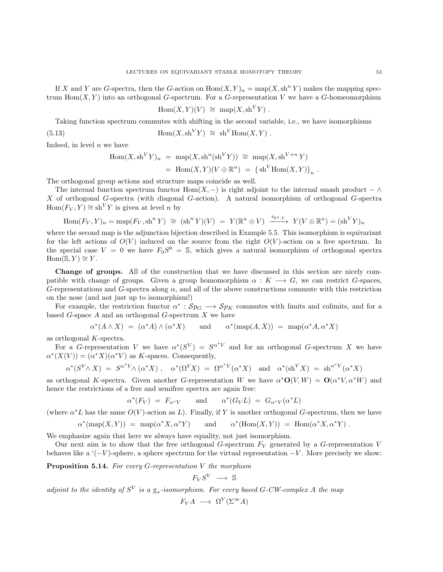If X and Y are G-spectra, then the G-action on  $\text{Hom}(X, Y)_n = \text{map}(X, \text{sh}^n Y)$  makes the mapping spectrum  $\text{Hom}(X, Y)$  into an orthogonal G-spectrum. For a G-representation V we have a G-homeomorphism

$$
\operatorname{Hom}(X,Y)(V) \; \cong \; \operatorname{map}(X,\operatorname{sh}^V Y) \; .
$$

Taking function spectrum commutes with shifting in the second variable, i.e., we have isomorphisms

(5.13) 
$$
\text{Hom}(X, \text{sh}^V Y) \cong \text{sh}^V \text{Hom}(X, Y) .
$$

Indeed, in level  $n$  we have

$$
\text{Hom}(X, \text{sh}^V Y)_n = \text{map}(X, \text{sh}^n(\text{sh}^V Y)) \cong \text{map}(X, \text{sh}^{V+n} Y)
$$
  
= 
$$
\text{Hom}(X, Y)(V \oplus \mathbb{R}^n) = (\text{sh}^V \text{Hom}(X, Y))_n.
$$

The orthogonal group actions and structure maps coincide as well.

The internal function spectrum functor Hom(X, –) is right adjoint to the internal smash product –  $\wedge$ X of orthogonal G-spectra (with diagonal G-action). A natural isomorphism of orthogonal G-spectra  $Hom(F_V, Y) \cong sh^V Y$  is given at level *n* by

$$
\operatorname{Hom}(F_V, Y)_n = \operatorname{map}(F_V, \operatorname{sh}^n Y) \cong (\operatorname{sh}^n Y)(V) = Y(\mathbb{R}^n \oplus V) \xrightarrow{\tau_{\mathbb{R}^n, V}} Y(V \oplus \mathbb{R}^n) = (\operatorname{sh}^V Y)_n
$$

where the second map is the adjunction bijection described in Example [5.5.](#page-47-0) This isomorphism is equivariant for the left actions of  $O(V)$  induced on the source from the right  $O(V)$ -action on a free spectrum. In the special case  $V = 0$  we have  $F_0S^0 = S$ , which gives a natural isomorphism of orthogonal spectra  $Hom(\mathbb{S}, Y) \cong Y$ .

Change of groups. All of the construction that we have discussed in this section are nicely compatible with change of groups. Given a group homomorphism  $\alpha : K \longrightarrow G$ , we can restrict G-spaces, G-representations and G-spectra along  $\alpha$ , and all of the above constructions commute with this restriction on the nose (and not just up to isomorphism!)

For example, the restriction functor  $\alpha^* : Sp_G \longrightarrow Sp_K$  commutes with limits and colimits, and for a based  $G$ -space  $A$  and an orthogonal  $G$ -spectrum  $X$  we have

$$
\alpha^*(A \wedge X) \ = \ (\alpha^*A) \wedge (\alpha^*X) \qquad \text{and} \qquad \alpha^*(\text{map}(A,X)) \ = \ \text{map}(\alpha^*A, \alpha^*X)
$$

as orthogonal K-spectra.

For a G-representation V we have  $\alpha^*(S^V) = S^{\alpha^*V}$  and for an orthogonal G-spectrum X we have  $\alpha^*(X(V)) = (\alpha^*X)(\alpha^*V)$  as K-spaces. Consequently,

$$
\alpha^*(S^V \wedge X) = S^{\alpha^*V} \wedge (\alpha^*X) , \quad \alpha^*(\Omega^V X) = \Omega^{\alpha^*V}(\alpha^*X) \quad \text{and} \quad \alpha^*(\mathrm{sh}^V X) = \mathrm{sh}^{\alpha^*V}(\alpha^*X)
$$

as orthogonal K-spectra. Given another G-representation W we have  $\alpha^* \mathbf{O}(V, W) = \mathbf{O}(\alpha^* V, \alpha^* W)$  and hence the restrictions of a free and semifree spectra are again free:

$$
\alpha^*(F_V) = F_{\alpha^*V}
$$
 and  $\alpha^*(G_VL) = G_{\alpha^*V}(\alpha^*L)$ 

(where  $\alpha^* L$  has the same  $O(V)$ -action as L). Finally, if Y is another orthogonal G-spectrum, then we have

$$
\alpha^*(\text{map}(X,Y)) = \text{map}(\alpha^*X, \alpha^*Y) \quad \text{and} \quad \alpha^*(\text{Hom}(X,Y)) = \text{Hom}(\alpha^*X, \alpha^*Y).
$$

We emphasize again that here we always have equality, not just isomorphism.

Our next aim is to show that the free orthogonal G-spectrum  $F_V$  generated by a G-representation V behaves like a  $(-V)$ -sphere, a sphere spectrum for the virtual representation  $-V$ . More precisely we show:

<span id="page-52-0"></span>**Proposition 5.14.** For every G-representation V the morphism

$$
F_VS^V\ \longrightarrow\ \mathbb{S}
$$

adjoint to the identity of  $S^V$  is a  $\underline{\pi}_*$ -isomorphism. For every based G-CW-complex A the map

$$
F_V A \longrightarrow \Omega^V(\Sigma^\infty A)
$$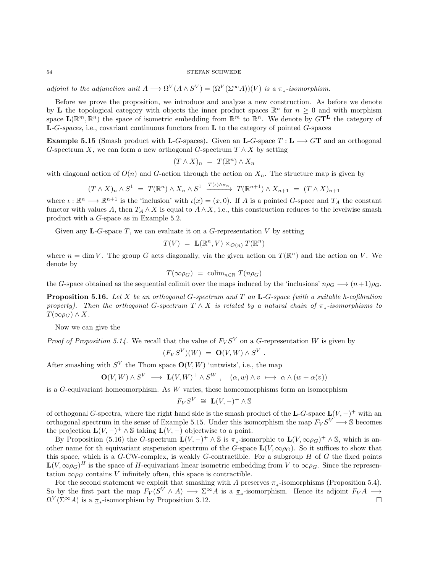adjoint to the adjunction unit  $A \longrightarrow \Omega^V(A \wedge S^V) = (\Omega^V(\Sigma^{\infty}A))(V)$  is a  $\underline{\pi}_*$ -isomorphism.

Before we prove the proposition, we introduce and analyze a new construction. As before we denote by **L** the topological category with objects the inner product spaces  $\mathbb{R}^n$  for  $n \geq 0$  and with morphism space  $\mathbf{L}(\mathbb{R}^m,\mathbb{R}^n)$  the space of isometric embedding from  $\mathbb{R}^m$  to  $\mathbb{R}^n$ . We denote by  $G\mathbf{T}^{\mathbf{L}}$  the category of  $L-G\text{-}spaces, i.e., covariant continuous functors from } L$  to the category of pointed G-spaces

<span id="page-53-0"></span>**Example 5.15** (Smash product with L-G-spaces). Given an L-G-space  $T : L \longrightarrow G\mathbf{T}$  and an orthogonal G-spectrum X, we can form a new orthogonal G-spectrum  $T \wedge X$  by setting

$$
(T \wedge X)_n = T(\mathbb{R}^n) \wedge X_n
$$

with diagonal action of  $O(n)$  and G-action through the action on  $X_n$ . The structure map is given by

$$
(T \wedge X)_n \wedge S^1 = T(\mathbb{R}^n) \wedge X_n \wedge S^1 \xrightarrow{T(\iota) \wedge \sigma_n} T(\mathbb{R}^{n+1}) \wedge X_{n+1} = (T \wedge X)_{n+1}
$$

where  $\iota : \mathbb{R}^n \longrightarrow \mathbb{R}^{n+1}$  is the 'inclusion' with  $\iota(x) = (x, 0)$ . If A is a pointed G-space and  $T_A$  the constant functor with values A, then  $T_A \wedge X$  is equal to  $A \wedge X$ , i.e., this construction reduces to the levelwise smash product with a G-space as in Example [5.2.](#page-46-0)

Given any **L**-G-space T, we can evaluate it on a G-representation V by setting

$$
T(V) = \mathbf{L}(\mathbb{R}^n, V) \times_{O(n)} T(\mathbb{R}^n)
$$

where  $n = \dim V$ . The group G acts diagonally, via the given action on  $T(\mathbb{R}^n)$  and the action on V. We denote by

$$
T(\infty \rho_G) = \operatorname{colim}_{n \in \mathbb{N}} T(n \rho_G)
$$

the G-space obtained as the sequential colimit over the maps induced by the 'inclusions'  $n\rho_G \rightarrow (n+1)\rho_G$ .

<span id="page-53-1"></span>**Proposition 5.16.** Let X be an orthogonal G-spectrum and T an L-G-space (with a suitable h-cofibration property). Then the orthogonal G-spectrum  $T \wedge X$  is related by a natural chain of  $\underline{\pi}_*$ -isomorphisms to  $T(\infty \rho_G) \wedge X$ .

Now we can give the

*Proof of Proposition [5.14.](#page-52-0)* We recall that the value of  $F_V S^V$  on a G-representation W is given by

$$
(F_VS^V)(W) = \mathbf{O}(V,W) \wedge S^V.
$$

After smashing with  $S^V$  the Thom space  $O(V, W)$  'untwists', i.e., the map

$$
\mathbf{O}(V,W) \wedge S^V \longrightarrow \mathbf{L}(V,W)^+ \wedge S^W , \quad (\alpha,w) \wedge v \longrightarrow \alpha \wedge (w + \alpha(v))
$$

is a  $G$ -equivariant homeomorphism. As  $W$  varies, these homeomorphisms form an isomorphism

$$
F_V S^V \cong \mathbf{L}(V, -)^+ \wedge \mathbb{S}
$$

of orthogonal G-spectra, where the right hand side is the smash product of the L-G-space  $L(V, -)^+$  with an orthogonal spectrum in the sense of Example [5.15.](#page-53-0) Under this isomorphism the map  $F_V S^V \longrightarrow \mathbb{S}$  becomes the projection  $\mathbf{L}(V, -)^+ \wedge \mathbb{S}$  taking  $\mathbf{L}(V, -)$  objectwise to a point.

By Proposition [\(5.16\)](#page-53-1) the G-spectrum  $\mathbf{L}(V, -)^+ \wedge \mathbb{S}$  is  $\underline{\pi}_*$ -isomorphic to  $\mathbf{L}(V, \infty \rho_G)^+ \wedge \mathbb{S}$ , which is another name for th equivariant suspension spectrum of the G-space  $\mathbf{L}(V, \infty \rho_G)$ . So it suffices to show that this space, which is a  $G$ -CW-complex, is weakly  $G$ -contractible. For a subgroup  $H$  of  $G$  the fixed points  $\mathbf{L}(V, \infty,\rho_G)^H$  is the space of H-equivariant linear isometric embedding from V to  $\infty,\rho_G$ . Since the representation  $\infty \rho_G$  contains V infinitely often, this space is contractible.

For the second statement we exploit that smashing with A preserves  $\pi_*$ -isomorphisms (Proposition [5.4\)](#page-47-1). So by the first part the map  $F_V(S^V \wedge A) \longrightarrow \Sigma^{\infty}A$  is a  $\underline{\pi}_*$ -isomorphism. Hence its adjoint  $F_V A \longrightarrow$  $\Omega^V(\Sigma^{\infty}A)$  is a  $\underline{\pi}_*$ -isomorphism by Proposition [3.12.](#page-17-0)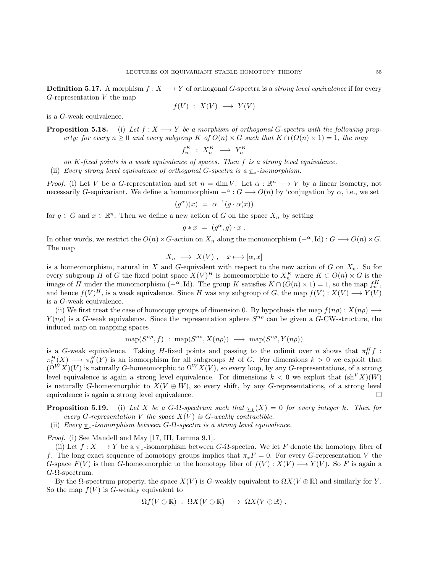**Definition 5.17.** A morphism  $f : X \longrightarrow Y$  of orthogonal G-spectra is a *strong level equivalence* if for every  $G$ -representation  $V$  the map

$$
f(V) \; : \; X(V) \; \longrightarrow \; Y(V)
$$

is a G-weak equivalence.

**Proposition 5.18.** (i) Let  $f: X \longrightarrow Y$  be a morphism of orthogonal G-spectra with the following property: for every  $n \geq 0$  and every subgroup K of  $O(n) \times G$  such that  $K \cap (O(n) \times 1) = 1$ , the map

$$
f_n^K \; : \; X_n^K \; \longrightarrow \; Y_n^K
$$

on K-fixed points is a weak equivalence of spaces. Then f is a strong level equivalence.

(ii) Every strong level equivalence of orthogonal G-spectra is a  $\pi_*$ -isomorphism.

*Proof.* (i) Let V be a G-representation and set  $n = \dim V$ . Let  $\alpha : \mathbb{R}^n \longrightarrow V$  by a linear isometry, not necessarily G-equivariant. We define a homomorphism  $-\alpha$  :  $G \longrightarrow O(n)$  by 'conjugation by  $\alpha$ , i.e., we set

$$
(g^{\alpha})(x) = \alpha^{-1}(g \cdot \alpha(x))
$$

for  $g \in G$  and  $x \in \mathbb{R}^n$ . Then we define a new action of G on the space  $X_n$  by setting

$$
g * x = (g^{\alpha}, g) \cdot x .
$$

In other words, we restrict the  $O(n) \times G$ -action on  $X_n$  along the monomorphism  $(-\alpha, Id) : G \longrightarrow O(n) \times G$ . The map

$$
X_n \longrightarrow X(V) , \quad x \longmapsto [\alpha, x]
$$

is a homeomorphism, natural in X and G-equivalent with respect to the new action of G on  $X_n$ . So for every subgroup H of G the fixed point space  $X(V)^H$  is homeomorphic to  $X_n^K$  where  $K \subset O(n) \times G$  is the image of H under the monomorphism  $(-\alpha, Id)$ . The group K satisfies  $K \cap (O(n) \times 1) = 1$ , so the map  $f_n^K$ , and hence  $f(V)^H$ , is a weak equivalence. Since H was any subgroup of G, the map  $f(V) : X(V) \longrightarrow Y(V)$ is a G-weak equivalence.

(ii) We first treat the case of homotopy groups of dimension 0. By hypothesis the map  $f(n\rho): X(n\rho) \longrightarrow$  $Y(n\rho)$  is a G-weak equivalence. Since the representation sphere  $S^{n\rho}$  can be given a G-CW-structure, the induced map on mapping spaces

$$
\operatorname{map}(S^{n\rho}, f) \; : \; \operatorname{map}(S^{n\rho}, X(n\rho)) \; \longrightarrow \; \operatorname{map}(S^{n\rho}, Y(n\rho))
$$

is a G-weak equivalence. Taking H-fixed points and passing to the colimit over n shows that  $\pi_0^H f$ :  $\pi_0^H(X) \longrightarrow \pi_0^H(Y)$  is an isomorphism for all subgroups H of G. For dimensions  $k > 0$  we exploit that  $(\Omega^W X)(V)$  is naturally G-homeomorphic to  $\Omega^W X(V)$ , so every loop, by any G-representations, of a strong level equivalence is again a strong level equivalence. For dimensions  $k < 0$  we exploit that  $(sh<sup>V</sup> X)(W)$ is naturally G-homeomorphic to  $X(V \oplus W)$ , so every shift, by any G-representations, of a strong level equivalence is again a strong level equivalence.

**Proposition 5.19.** (i) Let X be a G- $\Omega$ -spectrum such that  $\underline{\pi}_k(X) = 0$  for every integer k. Then for every G-representation V the space  $X(V)$  is G-weakly contractible.

(ii) Every  $\underline{\pi}_*$ -isomorphism between  $G$ - $\Omega$ -spectra is a strong level equivalence.

Proof. (i) See Mandell and May [\[17,](#page-103-8) III, Lemma 9.1].

(ii) Let  $f: X \longrightarrow Y$  be a  $\underline{\pi}_*$ -isomorphism between G- $\Omega$ -spectra. We let F denote the homotopy fiber of f. The long exact sequence of homotopy groups implies that  $\pi_*F = 0$ . For every G-representation V the G-space  $F(V)$  is then G-homeomorphic to the homotopy fiber of  $f(V) : X(V) \longrightarrow Y(V)$ . So F is again a  $G$ - $\Omega$ -spectrum.

By the  $\Omega$ -spectrum property, the space  $X(V)$  is G-weakly equivalent to  $\Omega X(V \oplus \mathbb{R})$  and similarly for Y. So the map  $f(V)$  is G-weakly equivalent to

$$
\Omega f(V \oplus \mathbb{R}) \; : \; \Omega X(V \oplus \mathbb{R}) \; \longrightarrow \; \Omega X(V \oplus \mathbb{R}) \; .
$$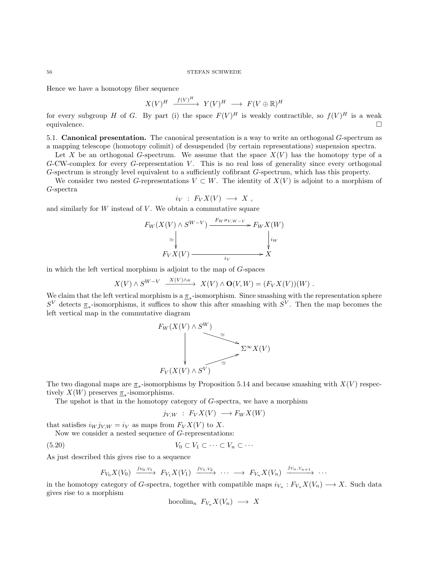Hence we have a homotopy fiber sequence

$$
X(V)^H \xrightarrow{f(V)^H} Y(V)^H \longrightarrow F(V \oplus \mathbb{R})^H
$$

for every subgroup H of G. By part (i) the space  $F(V)^H$  is weakly contractible, so  $f(V)^H$  is a weak equivalence.

5.1. Canonical presentation. The canonical presentation is a way to write an orthogonal G-spectrum as a mapping telescope (homotopy colimit) of desuspended (by certain representations) suspension spectra.

Let X be an orthogonal G-spectrum. We assume that the space  $X(V)$  has the homotopy type of a  $G$ -CW-complex for every  $G$ -representation  $V$ . This is no real loss of generality since every orthogonal G-spectrum is strongly level equivalent to a sufficiently cofibrant G-spectrum, which has this property.

We consider two nested G-representations  $V \subset W$ . The identity of  $X(V)$  is adjoint to a morphism of G-spectra

$$
i_V : F_V X(V) \longrightarrow X ,
$$

and similarly for  $W$  instead of  $V$ . We obtain a commutative square

$$
F_W(X(V) \wedge S^{W-V}) \xrightarrow{F_W \sigma_{V,W-V}} F_W X(W)
$$
  
\n
$$
\simeq \downarrow \qquad \qquad \downarrow_{iw}
$$
  
\n
$$
F_V X(V) \xrightarrow{\phantom{V_V} \downarrow_{iw}} X
$$

in which the left vertical morphism is adjoint to the map of G-spaces

$$
X(V) \wedge S^{W-V} \xrightarrow{X(V) \wedge \kappa} X(V) \wedge \mathbf{O}(V,W) = (F_V X(V))(W) .
$$

We claim that the left vertical morphism is a  $\pi_*$ -isomorphism. Since smashing with the representation sphere  $S^V$  detects  $\pi_*$ -isomorphisms, it suffices to show this after smashing with  $S^V$ . Then the map becomes the left vertical map in the commutative diagram



The two diagonal maps are  $\pi_*$ -isomorphisms by Proposition [5.14](#page-52-0) and because smashing with  $X(V)$  respectively  $X(W)$  preserves  $\pi_*$ -isomorphisms.

The upshot is that in the homotopy category of G-spectra, we have a morphism

<span id="page-55-0"></span>
$$
j_{V,W} : F_V X(V) \longrightarrow F_W X(W)
$$

that satisfies  $i_W j_{V,W} = i_V$  as maps from  $F_V X(V)$  to X.

Now we consider a nested sequence of G-representations:

$$
(5.20) \t\t V_0 \subset V_1 \subset \cdots \subset V_n \subset \cdots
$$

As just described this gives rise to a sequence

$$
F_{V_0}X(V_0) \xrightarrow{j_{V_0,V_1}} F_{V_1}X(V_1) \xrightarrow{j_{V_1,V_2}} \cdots \longrightarrow F_{V_n}X(V_n) \xrightarrow{j_{V_n,V_{n+1}}} \cdots
$$

in the homotopy category of G-spectra, together with compatible maps  $i_{V_n}: F_{V_n}X(V_n) \longrightarrow X$ . Such data gives rise to a morphism

hocolim<sub>n</sub>  $F_V X(V_n) \longrightarrow X$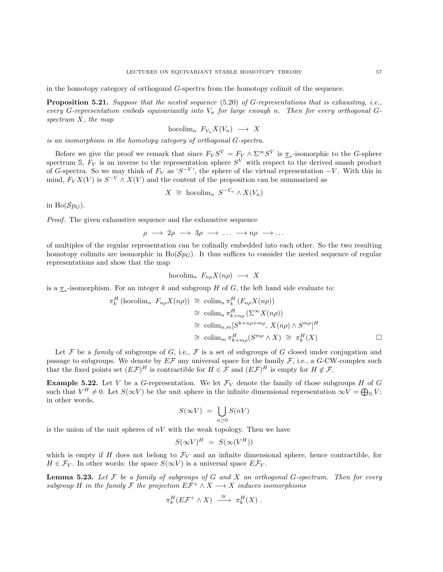in the homotopy category of orthogonal G-spectra from the homotopy colimit of the sequence.

**Proposition 5.21.** Suppose that the nested sequence  $(5.20)$  of G-representations that is exhausting, i.e., every G-representation embeds equivariantly into  $V_n$  for large enough n. Then for every orthogonal Gspectrum X, the map

$$
\text{hocolim}_{n} F_{V_n} X(V_n) \longrightarrow X
$$

is an isomorphism in the homotopy category of orthogonal G-spectra.

Before we give the proof we remark that since  $F_V S^V = F_V \wedge \Sigma^{\infty} S^V$  is  $\underline{\pi}_*$ -isomorphic to the G-sphere spectrum S,  $F_V$  is an inverse to the representation sphere  $S^V$  with respect to the derived smash product of G-spectra. So we may think of  $F_V$  as 'S<sup>-V</sup>', the sphere of the virtual representation  $-V$ . With this in mind,  $F_V X(V)$  is  $S^{-V} \wedge X(V)$  and the content of the proposition can be summarized as

$$
X \cong \text{hocolim}_n S^{-V_n} \wedge X(V_n)
$$

in Ho( $Sp_G$ ).

Proof. The given exhaustive sequence and the exhaustive sequence

$$
\rho \longrightarrow 2\rho \longrightarrow 3\rho \longrightarrow \dots \longrightarrow n\rho \longrightarrow \dots
$$

of multiples of the regular representation can be cofinally embedded into each other. So the two resulting homotopy colimits are isomorphic in  $H_0(Sp_G)$ . It thus suffices to consider the nested sequence of regular representations and show that the map

$$
\text{hocolim}_{n} F_{n\rho} X(n\rho) \longrightarrow X
$$

is a  $\pi_*$ -isomorphism. For an integer k and subgroup H of G, the left hand side evaluate to:

$$
\pi_k^H(\text{hocolim}_n \ F_{n\rho}X(n\rho)) \cong \text{colim}_n \pi_k^H(F_{n\rho}X(n\rho))
$$
  
\n
$$
\cong \text{colim}_n \pi_{k+n\rho}^H(\Sigma^{\infty}X(n\rho))
$$
  
\n
$$
\cong \text{colim}_{n,m}[S^{k+n\rho+n\rho}, X(n\rho) \wedge S^{m\rho}]^H
$$
  
\n
$$
\cong \text{colim}_m \pi_{k+m\rho}^H(S^{m\rho} \wedge X) \cong \pi_k^H(X)
$$

Let F be a family of subgroups of G, i.e., F is a set of subgroups of G closed under conjugation and passage to subgroups. We denote by  $E\mathcal{F}$  any universal space for the family  $\mathcal{F}$ , i.e., a G-CW-complex such that the fixed points set  $(E\mathcal{F})^H$  is contractible for  $H \in \mathcal{F}$  and  $(E\mathcal{F})^H$  is empty for  $H \notin \mathcal{F}$ .

<span id="page-56-1"></span>**Example 5.22.** Let V be a G-representation. We let  $\mathcal{F}_V$  denote the family of those subgroups H of G such that  $V^H \neq 0$ . Let  $S(\infty V)$  be the unit sphere in the infinite dimensional representation  $\infty V = \bigoplus_{\mathbb{N}} V$ ; in other words,

$$
S(\infty V) = \bigcup_{n \geq 0} S(nV)
$$

is the union of the unit spheres of  $nV$  with the weak topology. Then we have

$$
S(\infty V)^H = S(\infty (V^H))
$$

which is empty if H does not belong to  $\mathcal{F}_V$  and an infinite dimensional sphere, hence contractible, for  $H \in \mathcal{F}_V$ . In other words: the space  $S(\infty V)$  is a universal space  $E\mathcal{F}_V$ .

<span id="page-56-0"></span>**Lemma 5.23.** Let  $\mathcal F$  be a family of subgroups of  $G$  and  $X$  an orthogonal  $G$ -spectrum. Then for every subgroup H in the family F the projection  $E\mathcal{F}^+ \wedge X \longrightarrow X$  induces isomorphisms

$$
\pi_k^H(E\mathcal{F}^+\wedge X)\ \stackrel{\cong}{\longrightarrow}\ \pi_k^H(X)\ .
$$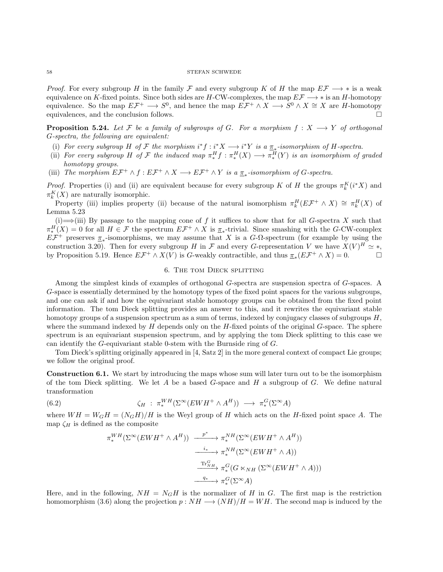*Proof.* For every subgroup H in the family F and every subgroup K of H the map  $E\mathcal{F} \longrightarrow *$  is a weak equivalence on K-fixed points. Since both sides are H-CW-complexes, the map  $E\mathcal{F} \longrightarrow *$  is an H-homotopy equivalence. So the map  $E\mathcal{F}^+ \longrightarrow S^0$ , and hence the map  $E\mathcal{F}^+ \wedge X \longrightarrow S^0 \wedge X \cong X$  are *H*-homotopy equivalences, and the conclusion follows.

**Proposition 5.24.** Let F be a family of subgroups of G. For a morphism  $f: X \longrightarrow Y$  of orthogonal G-spectra, the following are equivalent:

- (i) For every subgroup H of F the morphism  $i^*f : i^*X \longrightarrow i^*Y$  is a  $\underline{\pi}_*$ -isomorphism of H-spectra.
- (ii) For every subgroup H of F the induced map  $\pi_*^H f : \pi_*^H(X) \longrightarrow \pi_*^H(Y)$  is an isomorphism of graded homotopy groups.
- (iii) The morphism  $E\mathcal{F}^+ \wedge f : E\mathcal{F}^+ \wedge X \longrightarrow E\mathcal{F}^+ \wedge Y$  is a  $\underline{\pi}_*$ -isomorphism of G-spectra.

*Proof.* Properties (i) and (ii) are equivalent because for every subgroup K of H the groups  $\pi_k^K(i^*X)$  and  $\pi_k^K(X)$  are naturally isomorphic.

Property (iii) implies property (ii) because of the natural isomorphism  $\pi_k^H(E\mathcal{F}^+\wedge X)\cong \pi_k^H(X)$  of Lemma [5.23](#page-56-0)

(i)  $\Rightarrow$ (iii) By passage to the mapping cone of f it suffices to show that for all G-spectra X such that  $\pi_*^H(X) = 0$  for all  $H \in \mathcal{F}$  the spectrum  $E\mathcal{F}^+ \wedge X$  is  $\underline{\pi}_*$ -trivial. Since smashing with the G-CW-complex  $E\mathcal{F}^+$  preserves  $\underline{\pi}_*$ -isomorphisms, we may assume that X is a G- $\Omega$ -spectrum (for example by using the construction [3.20\)](#page-19-0). Then for every subgroup H in F and every G-representation V we have  $X(V)^H \simeq *,$ by Proposition [5.19.](#page-0-0) Hence  $E\mathcal{F}^+ \wedge X(V)$  is G-weakly contractible, and thus  $\underline{\pi}_*(E\mathcal{F}^+ \wedge X) = 0$ .

# 6. The tom Dieck splitting

<span id="page-57-0"></span>Among the simplest kinds of examples of orthogonal G-spectra are suspension spectra of G-spaces. A G-space is essentially determined by the homotopy types of the fixed point spaces for the various subgroups, and one can ask if and how the equivariant stable homotopy groups can be obtained from the fixed point information. The tom Dieck splitting provides an answer to this, and it rewrites the equivariant stable homotopy groups of a suspension spectrum as a sum of terms, indexed by conjugacy classes of subgroups H, where the summand indexed by  $H$  depends only on the  $H$ -fixed points of the original  $G$ -space. The sphere spectrum is an equivariant suspension spectrum, and by applying the tom Dieck splitting to this case we can identify the G-equivariant stable 0-stem with the Burnside ring of G.

Tom Dieck's splitting originally appeared in [\[4,](#page-103-9) Satz 2] in the more general context of compact Lie groups; we follow the original proof.

Construction 6.1. We start by introducing the maps whose sum will later turn out to be the isomorphism of the tom Dieck splitting. We let A be a based G-space and H a subgroup of G. We define natural transformation

 $(6.2)$ 

<span id="page-57-1"></span>
$$
\zeta_H \; : \; \pi^{WH}_*(\Sigma^\infty(EWH^+ \wedge A^H)) \; \longrightarrow \; \pi^G_*(\Sigma^\infty A)
$$

where  $WH = W_GH = (N_GH)/H$  is the Weyl group of H which acts on the H-fixed point space A. The map  $\zeta_H$  is defined as the composite

$$
\pi_*^{WH}(\Sigma^{\infty}(EWH^+ \wedge A^H)) \xrightarrow{\qquad p^* \qquad \pi_*^{NH}(\Sigma^{\infty}(EWH^+ \wedge A^H))
$$
  

$$
\xrightarrow{\qquad i_* \qquad \pi_*^{NH}(\Sigma^{\infty}(EWH^+ \wedge A))
$$
  

$$
\xrightarrow{\text{Tr}_{NH}^G} \pi_*^G(G \ltimes_{NH} (\Sigma^{\infty}(EWH^+ \wedge A)))
$$
  

$$
\xrightarrow{\qquad q_* \qquad \pi_*^G(\Sigma^{\infty}A)}
$$

Here, and in the following,  $NH = N_GH$  is the normalizer of H in G. The first map is the restriction homomorphism [\(3.6\)](#page-14-0) along the projection  $p : NH \longrightarrow (NH)/H = WH$ . The second map is induced by the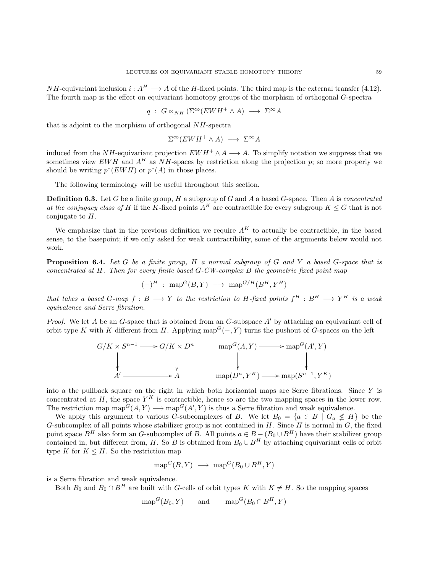$NH$ -equivariant inclusion  $i: A^H \longrightarrow A$  of the H-fixed points. The third map is the external transfer [\(4.12\)](#page-30-0). The fourth map is the effect on equivariant homotopy groups of the morphism of orthogonal G-spectra

$$
q : G \ltimes_{NH} (\Sigma^{\infty} (EWH^+ \wedge A) \longrightarrow \Sigma^{\infty} A
$$

that is adjoint to the morphism of orthogonal NH-spectra

$$
\Sigma^{\infty}(EWH^+ \wedge A) \longrightarrow \Sigma^{\infty}A
$$

induced from the NH-equivariant projection  $EWH^+ \wedge A \longrightarrow A$ . To simplify notation we suppress that we sometimes view EWH and  $A^H$  as NH-spaces by restriction along the projection p; so more properly we should be writing  $p^*(EWH)$  or  $p^*(A)$  in those places.

The following terminology will be useful throughout this section.

<span id="page-58-1"></span>**Definition 6.3.** Let G be a finite group, H a subgroup of G and A a based G-space. Then A is *concentrated* at the conjugacy class of H if the K-fixed points  $A^K$  are contractible for every subgroup  $K \leq G$  that is not conjugate to  $H$ .

We emphasize that in the previous definition we require  $A<sup>K</sup>$  to actually be contractible, in the based sense, to the basepoint; if we only asked for weak contractibility, some of the arguments below would not work.

<span id="page-58-0"></span>Proposition 6.4. Let G be a finite group, H a normal subgroup of G and Y a based G-space that is concentrated at  $H$ . Then for every finite based  $G$ -CW-complex  $B$  the geometric fixed point map

$$
(-)^H
$$
 :  $\text{map}^G(B, Y) \longrightarrow \text{map}^{G/H}(B^H, Y^H)$ 

that takes a based G-map  $f : B \longrightarrow Y$  to the restriction to H-fixed points  $f^H : B^H \longrightarrow Y^H$  is a weak equivalence and Serre fibration.

*Proof.* We let A be an G-space that is obtained from an G-subspace  $A'$  by attaching an equivariant cell of orbit type K with K different from H. Applying map<sup> $G(-, Y)$ </sup> turns the pushout of G-spaces on the left

$$
G/K \times S^{n-1} \longrightarrow G/K \times D^n \qquad \text{map}^G(A, Y) \longrightarrow \text{map}^G(A', Y)
$$
  
\n
$$
\downarrow \qquad \qquad \downarrow \qquad \qquad \downarrow
$$
  
\n
$$
A' \longrightarrow A \qquad \text{map}(D^n, Y^K) \longrightarrow \text{map}(S^{n-1}, Y^K)
$$

into a the pullback square on the right in which both horizontal maps are Serre fibrations. Since Y is concentrated at H, the space  $Y^K$  is contractible, hence so are the two mapping spaces in the lower row. The restriction map  $\text{map}^G(A, Y) \longrightarrow \text{map}^G(A', Y)$  is thus a Serre fibration and weak equivalence.

We apply this argument to various G-subcomplexes of B. We let  $B_0 = \{a \in B \mid G_a \nleq H\}$  be the G-subcomplex of all points whose stabilizer group is not contained in H. Since  $H$  is normal in  $G$ , the fixed point space  $B^H$  also form an G-subcomplex of B. All points  $a \in B - (B_0 \cup B^H)$  have their stabilizer group contained in, but different from, H. So B is obtained from  $B_0 \cup B^H$  by attaching equivariant cells of orbit type K for  $K \leq H$ . So the restriction map

$$
\text{map}^G(B, Y) \longrightarrow \text{map}^G(B_0 \cup B^H, Y)
$$

is a Serre fibration and weak equivalence.

Both  $B_0$  and  $B_0 \cap B^H$  are built with G-cells of orbit types K with  $K \neq H$ . So the mapping spaces

$$
\text{map}^G(B_0, Y) \quad \text{and} \quad \text{map}^G(B_0 \cap B^H, Y)
$$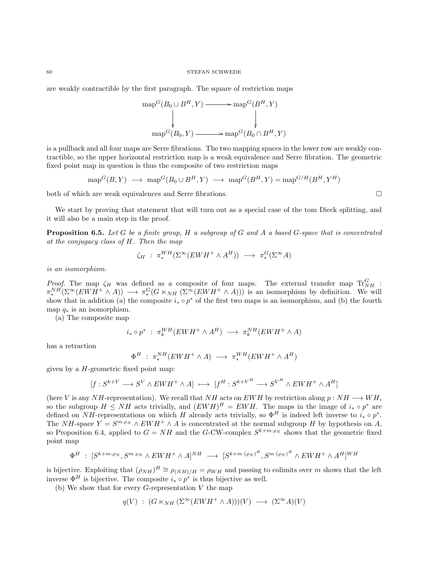are weakly contractible by the first paragraph. The square of restriction maps

$$
\operatorname{map}^G(B_0 \cup B^H, Y) \longrightarrow \operatorname{map}^G(B^H, Y)
$$
  
\n
$$
\downarrow \qquad \qquad \downarrow
$$
  
\n
$$
\operatorname{map}^G(B_0, Y) \longrightarrow \operatorname{map}^G(B_0 \cap B^H, Y)
$$

is a pullback and all four maps are Serre fibrations. The two mapping spaces in the lower row are weakly contractible, so the upper horizontal restriction map is a weak equivalence and Serre fibration. The geometric fixed point map in question is thus the composite of two restriction maps

$$
\operatorname{{\rm map}}^G(B,Y) \ \longrightarrow \ \operatorname{{\rm map}}^G(B_0\cup B^H,Y) \ \longrightarrow \ \operatorname{{\rm map}}^G(B^H,Y)=\operatorname{{\rm map}}^{G/H}(B^H,Y^H)
$$

both of which are weak equivalences and Serre fibrations.

We start by proving that statement that will turn out as a special case of the tom Dieck splitting, and it will also be a main step in the proof.

<span id="page-59-0"></span>**Proposition 6.5.** Let G be a finite group, H a subgroup of G and A a based G-space that is concentrated at the conjugacy class of H. Then the map

$$
\zeta_H : \pi_*^{WH}(\Sigma^{\infty}(EWH^+ \wedge A^H)) \longrightarrow \pi_*^G(\Sigma^{\infty}A)
$$

is an isomorphism.

*Proof.* The map  $\zeta_H$  was defined as a composite of four maps. The external transfer map  $\text{Tr}_{NH}^G$ :  $\pi_*^{NH}(\Sigma^{\infty}(EWH^+\wedge A))\longrightarrow \pi_*^G(G\ltimes_{NH}(\Sigma^{\infty}(EWH^+\wedge A)))$  is an isomorphism by definition. We will show that in addition (a) the composite  $i_* \circ p^*$  of the first two maps is an isomorphism, and (b) the fourth map  $q_*$  is an isomorphism.

(a) The composite map

$$
i_* \circ p^* \; : \; \pi_k^{WH}(EWH^+ \wedge A^H) \; \longrightarrow \; \pi_k^{NH}(EWH^+ \wedge A)
$$

has a retraction

$$
\Phi^H : \pi_*^{NH}(EWH^+ \wedge A) \longrightarrow \pi_*^{WH}(EWH^+ \wedge A^H)
$$

given by a  $H$ -geometric fixed point map:

$$
[f:S^{k+V}\longrightarrow S^V\wedge EWH^+\wedge A]\ \longmapsto\ [f^H:S^{k+V^H}\longrightarrow S^{V^H}\wedge EWH^+\wedge A^H]
$$

(here V is any NH-representation). We recall that NH acts on EWH by restriction along  $p : NH \longrightarrow WH$ , so the subgroup  $H \leq NH$  acts trivially, and  $(EWH)^H = EWH$ . The maps in the image of  $i_* \circ p^*$  are defined on NH-representations on which H already acts trivially, so  $\Phi^H$  is indeed left inverse to  $i_* \circ p^*$ . The NH-space  $Y = S^{m \cdot \rho_N} \wedge EWH^+ \wedge A$  is concentrated at the normal subgroup H by hypothesis on A, so Proposition [6.4,](#page-58-0) applied to  $G = NH$  and the G-CW-complex  $S^{k+m \cdot \rho_N}$  shows that the geometric fixed point map

$$
\Phi^H \; : \; [S^{k+m\cdot\rho_N}, S^{m\cdot\rho_N} \wedge EWH^+ \wedge A]^{NH} \; \longrightarrow \; [S^{k+m\cdot(\rho_N)^H}, S^{m\cdot(\rho_N)^H} \wedge EWH^+ \wedge A^H]^{WH}
$$

is bijective. Exploiting that  $(\rho_{NH})^H \cong \rho_{(NH)/H} = \rho_{WH}$  and passing to colimits over m shows that the left inverse  $\Phi^H$  is bijective. The composite  $i_* \circ p^*$  is thus bijective as well.

(b) We show that for every  $G$ -representation  $V$  the map

$$
q(V) : (G \ltimes_{NH} (\Sigma^{\infty} (EWH^+ \wedge A)))(V) \longrightarrow (\Sigma^{\infty} A)(V)
$$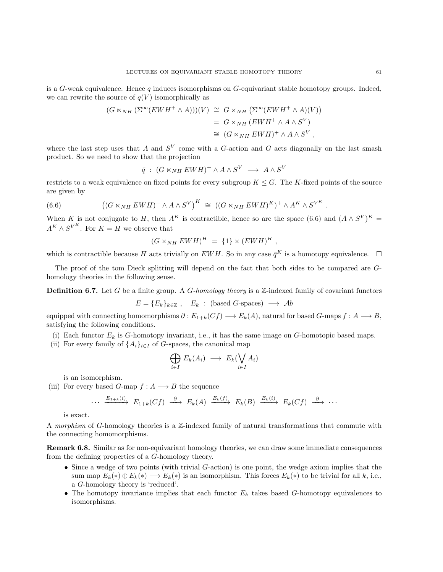is a G-weak equivalence. Hence q induces isomorphisms on G-equivariant stable homotopy groups. Indeed, we can rewrite the source of  $q(V)$  isomorphically as

$$
(G \ltimes_{NH} (\Sigma^{\infty} (EWH^+ \wedge A)))(V) \cong G \ltimes_{NH} (\Sigma^{\infty} (EWH^+ \wedge A)(V))
$$
  
=  $G \ltimes_{NH} (EWH^+ \wedge A \wedge S^V)$   
 $\cong (G \ltimes_{NH} EWH)^+ \wedge A \wedge S^V,$ 

where the last step uses that A and  $S<sup>V</sup>$  come with a G-action and G acts diagonally on the last smash product. So we need to show that the projection

<span id="page-60-0"></span>
$$
\bar{q} \; : \; (G \ltimes_{NH} EWH)^+ \wedge A \wedge S^V \; \longrightarrow \; A \wedge S^V
$$

restricts to a weak equivalence on fixed points for every subgroup  $K \leq G$ . The K-fixed points of the source are given by

(6.6) 
$$
((G \ltimes_{NH} EWH)^+ \wedge A \wedge S^V)^K \cong ((G \ltimes_{NH} EWH)^K)^+ \wedge A^K \wedge S^{V^K}.
$$

When K is not conjugate to H, then  $A^K$  is contractible, hence so are the space [\(6.6\)](#page-60-0) and  $(A \wedge S^V)^K =$  $A^K \wedge S^{V^K}$ . For  $K = H$  we observe that

$$
(G \times_{NH} EWH)^H = \{1\} \times (EWH)^H,
$$

which is contractible because H acts trivially on EWH. So in any case  $\bar{q}^K$  is a homotopy equivalence.  $\Box$ 

The proof of the tom Dieck splitting will depend on the fact that both sides to be compared are Ghomology theories in the following sense.

**Definition 6.7.** Let G be a finite group. A G-homology theory is a Z-indexed family of covariant functors

$$
E = \{E_k\}_{k \in \mathbb{Z}}, \quad E_k : (\text{based } G\text{-spaces}) \longrightarrow Ab
$$

equipped with connecting homomorphisms  $\partial: E_{1+k}(Cf) \longrightarrow E_k(A)$ , natural for based G-maps  $f: A \longrightarrow B$ , satisfying the following conditions.

- (i) Each functor  $E_k$  is G-homotopy invariant, i.e., it has the same image on G-homotopic based maps.
- (ii) For every family of  $\{A_i\}_{i\in I}$  of G-spaces, the canonical map

$$
\bigoplus_{i\in I} E_k(A_i) \longrightarrow E_k(\bigvee_{i\in I} A_i)
$$

is an isomorphism.

(iii) For every based G-map  $f : A \longrightarrow B$  the sequence

$$
\cdots \xrightarrow{E_{1+k}(i)} E_{1+k}(Cf) \xrightarrow{\partial} E_k(A) \xrightarrow{E_k(f)} E_k(B) \xrightarrow{E_k(i)} E_k(Cf) \xrightarrow{\partial} \cdots
$$

is exact.

A morphism of G-homology theories is a Z-indexed family of natural transformations that commute with the connecting homomorphisms.

Remark 6.8. Similar as for non-equivariant homology theories, we can draw some immediate consequences from the defining properties of a G-homology theory.

- Since a wedge of two points (with trivial G-action) is one point, the wedge axiom implies that the sum map  $E_k(*) \oplus E_k(*) \longrightarrow E_k(*)$  is an isomorphism. This forces  $E_k(*)$  to be trivial for all k, i.e., a G-homology theory is 'reduced'.
- The homotopy invariance implies that each functor  $E_k$  takes based G-homotopy equivalences to isomorphisms.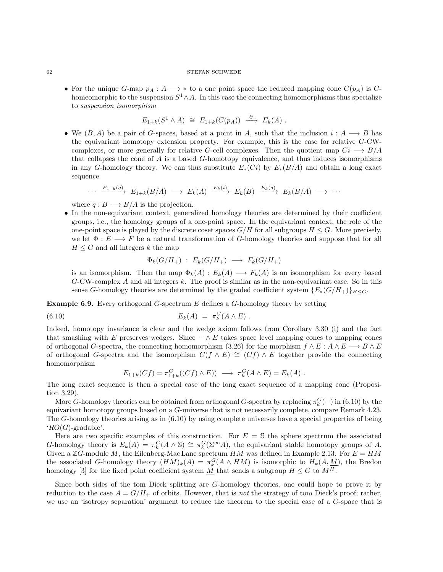• For the unique G-map  $p_A : A \longrightarrow *$  to a one point space the reduced mapping cone  $C(p_A)$  is Ghomeomorphic to the suspension  $S^1 \wedge A$ . In this case the connecting homomorphisms thus specialize to suspension isomorphism

$$
E_{1+k}(S^1 \wedge A) \cong E_{1+k}(C(p_A)) \stackrel{\partial}{\longrightarrow} E_k(A) .
$$

• We  $(B, A)$  be a pair of G-spaces, based at a point in A, such that the inclusion  $i : A \longrightarrow B$  has the equivariant homotopy extension property. For example, this is the case for relative G-CWcomplexes, or more generally for relative G-cell complexes. Then the quotient map  $Ci \longrightarrow B/A$ that collapses the cone of A is a based G-homotopy equivalence, and thus induces isomorphisms in any G-homology theory. We can thus substitute  $E_*(Ci)$  by  $E_*(B/A)$  and obtain a long exact sequence

$$
\cdots \xrightarrow{E_{1+k}(q)} E_{1+k}(B/A) \longrightarrow E_k(A) \xrightarrow{E_k(i)} E_k(B) \xrightarrow{E_k(q)} E_k(B/A) \longrightarrow \cdots
$$

where  $q : B \longrightarrow B/A$  is the projection.

• In the non-equivariant context, generalized homology theories are determined by their coefficient groups, i.e., the homology groups of a one-point space. In the equivariant context, the role of the one-point space is played by the discrete coset spaces  $G/H$  for all subgroups  $H \leq G$ . More precisely, we let  $\Phi: E \longrightarrow F$  be a natural transformation of G-homology theories and suppose that for all  $H \leq G$  and all integers k the map

<span id="page-61-0"></span>
$$
\Phi_k(G/H_+) \; : \; E_k(G/H_+) \; \longrightarrow \; F_k(G/H_+)
$$

is an isomorphism. Then the map  $\Phi_k(A) : E_k(A) \longrightarrow F_k(A)$  is an isomorphism for every based  $G$ -CW-complex A and all integers k. The proof is similar as in the non-equivariant case. So in this sense G-homology theories are determined by the graded coefficient system  $\{E_*(G/H_+)\}_{H\leq G}$ .

**Example 6.9.** Every orthogonal G-spectrum  $E$  defines a G-homology theory by setting

$$
(6.10) \t\t\t Ek(A) = \pikG(A \wedge E).
$$

Indeed, homotopy invariance is clear and the wedge axiom follows from Corollary [3.30](#page-0-0) (i) and the fact that smashing with E preserves wedges. Since  $-\wedge E$  takes space level mapping cones to mapping cones of orthogonal G-spectra, the connecting homomorphism [\(3.26\)](#page-21-0) for the morphism  $f \wedge E : A \wedge E \longrightarrow B \wedge E$ of orthogonal G-spectra and the isomorphism  $C(f \wedge E) \cong (Cf) \wedge E$  together provide the connecting homomorphism

$$
E_{1+k}(Cf) = \pi_{1+k}^G((Cf) \wedge E) \longrightarrow \pi_k^G(A \wedge E) = E_k(A) .
$$

The long exact sequence is then a special case of the long exact sequence of a mapping cone (Proposition [3.29\)](#page-22-0).

More G-homology theories can be obtained from orthogonal G-spectra by replacing  $\pi_k^G(-)$  in [\(6.10\)](#page-61-0) by the equivariant homotopy groups based on a G-universe that is not necessarily complete, compare Remark [4.23.](#page-36-0) The G-homology theories arising as in [\(6.10\)](#page-61-0) by using complete universes have a special properties of being  $^{4}RO(G)$ -gradable'.

Here are two specific examples of this construction. For  $E = S$  the sphere spectrum the associated G-homology theory is  $E_k(A) = \pi_k^G(A \wedge \mathbb{S}) \cong \pi_k^G(\Sigma^{\infty}A)$ , the equivariant stable homotopy groups of A. Given a  $\mathbb{Z}G$ -module M, the Eilenberg-Mac Lane spectrum HM was defined in Example [2.13.](#page-9-0) For  $E = HM$ the associated G-homology theory  $(HM)_k(A) = \pi_k^G(A \wedge HM)$  is isomorphic to  $H_k(A, M)$ , the Bredon homology [\[3\]](#page-103-10) for the fixed point coefficient system  $\underline{M}$  that sends a subgroup  $H \leq G$  to  $M^H$ .

Since both sides of the tom Dieck splitting are G-homology theories, one could hope to prove it by reduction to the case  $A = G/H_+$  of orbits. However, that is not the strategy of tom Dieck's proof; rather, we use an 'isotropy separation' argument to reduce the theorem to the special case of a G-space that is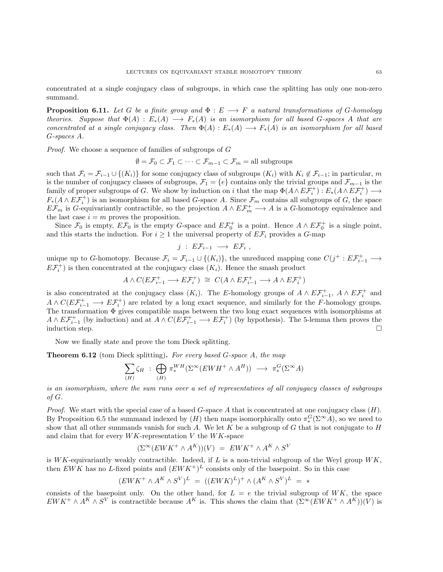concentrated at a single conjugacy class of subgroups, in which case the splitting has only one non-zero summand.

<span id="page-62-0"></span>**Proposition 6.11.** Let G be a finite group and  $\Phi : E \longrightarrow F$  a natural transformations of G-homology theories. Suppose that  $\Phi(A) : E_*(A) \longrightarrow F_*(A)$  is an isomorphism for all based G-spaces A that are concentrated at a single conjugacy class. Then  $\Phi(A) : E_*(A) \longrightarrow F_*(A)$  is an isomorphism for all based G-spaces A.

Proof. We choose a sequence of families of subgroups of G

$$
\emptyset = \mathcal{F}_0 \subset \mathcal{F}_1 \subset \cdots \subset \mathcal{F}_{m-1} \subset \mathcal{F}_m = \text{all subgroups}
$$

such that  $\mathcal{F}_i = \mathcal{F}_{i-1} \cup \{(K_i)\}\$  for some conjugacy class of subgroups  $(K_i)$  with  $K_i \notin \mathcal{F}_{i-1}$ ; in particular, m is the number of conjugacy classes of subgroups,  $\mathcal{F}_1 = \{e\}$  contains only the trivial groups and  $\mathcal{F}_{m-1}$  is the family of proper subgroups of G. We show by induction on i that the map  $\Phi(A \wedge E\mathcal{F}_{i}^{+}) : E_*(A \wedge E\mathcal{F}_{i}^{+}) \longrightarrow$  $F_*(A \wedge E\mathcal{F}^+_i)$  is an isomorphism for all based G-space A. Since  $\mathcal{F}_m$  contains all subgroups of G, the space  $E\mathcal{F}_m$  is G-equivariantly contractible, so the projection  $A \wedge E\mathcal{F}_m^+ \longrightarrow A$  is a G-homotopy equivalence and the last case  $i = m$  proves the proposition.

Since  $\mathcal{F}_0$  is empty,  $E\mathcal{F}_0$  is the empty G-space and  $E\mathcal{F}_0^+$  is a point. Hence  $A \wedge E\mathcal{F}_0^+$  is a single point, and this starts the induction. For  $i \geq 1$  the universal property of  $E\mathcal{F}_i$  provides a G-map

$$
j\;:\;E\mathcal{F}_{i-1}\;\longrightarrow\;E\mathcal{F}_i\;,
$$

unique up to G-homotopy. Because  $\mathcal{F}_i = \mathcal{F}_{i-1} \cup \{(K_i)\}\)$ , the unreduced mapping cone  $C(j^+ : E\mathcal{F}_{i-1}^+ \longrightarrow E\mathcal{F}_{i-1}^+)$  $E\mathcal{F}_i^+$ ) is then concentrated at the conjugacy class  $(K_i)$ . Hence the smash product

$$
A\wedge C(E\mathcal{F}_{i-1}^+\longrightarrow E\mathcal{F}_{i}^+) ~\cong~ C(A\wedge E\mathcal{F}_{i-1}^+\longrightarrow A\wedge E\mathcal{F}_{i}^+)
$$

is also concentrated at the conjugacy class  $(K_i)$ . The E-homology groups of  $A \wedge EF_{i-1}^+$ ,  $A \wedge EF_i^+$  and  $A \wedge C(E\mathcal{F}_{i-1}^+ \longrightarrow E\mathcal{F}_i^+)$  are related by a long exact sequence, and similarly for the F-homology groups. The transformation Φ gives compatible maps between the two long exact sequences with isomorphisms at  $A \wedge E\mathcal{F}_{i-1}^+$  (by induction) and at  $A \wedge C(E\mathcal{F}_{i-1}^+ \longrightarrow E\mathcal{F}_i^+)$  (by hypothesis). The 5-lemma then proves the induction step.  $\Box$ 

Now we finally state and prove the tom Dieck splitting.

**Theorem 6.12** (tom Dieck splitting). For every based  $G$ -space  $A$ , the map

$$
\sum_{(H)} \zeta_H : \bigoplus_{(H)} \pi_*^{WH}(\Sigma^{\infty}(EWH^+ \wedge A^H)) \longrightarrow \pi_*^G(\Sigma^{\infty} A)
$$

is an isomorphism, where the sum runs over a set of representatives of all conjugacy classes of subgroups of G.

*Proof.* We start with the special case of a based  $G$ -space A that is concentrated at one conjugacy class  $(H)$ . By Proposition [6.5](#page-59-0) the summand indexed by  $(H)$  then maps isomorphically onto  $\pi_*^G(\Sigma^{\infty}A)$ , so we need to show that all other summands vanish for such A. We let K be a subgroup of G that is not conjugate to  $H$ and claim that for every  $WK$ -representation  $V$  the  $WK$ -space

$$
(\Sigma^{\infty}(EWK^+ \wedge A^K))(V) = EWK^+ \wedge A^K \wedge S^V
$$

is WK-equivariantly weakly contractible. Indeed, if  $L$  is a non-trivial subgroup of the Weyl group  $WK$ , then EWK has no L-fixed points and  $(EWK^+)^L$  consists only of the basepoint. So in this case

$$
(EWK^{+} \wedge A^{K} \wedge S^{V})^{L} = ((EWK)^{L})^{+} \wedge (A^{K} \wedge S^{V})^{L} = *
$$

consists of the basepoint only. On the other hand, for  $L = e$  the trivial subgroup of WK, the space  $EWK^+ \wedge A^K \wedge S^V$  is contractible because  $A^K$  is. This shows the claim that  $(\Sigma^{\infty}(EWK^+ \wedge A^K))(V)$  is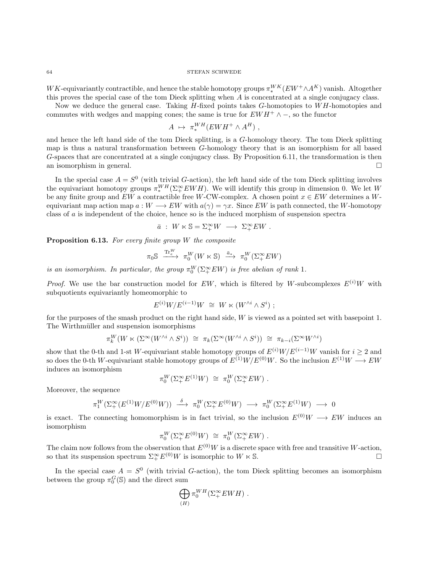$WK$ -equivariantly contractible, and hence the stable homotopy groups  $\pi^{WK}_*(EW^+ \wedge A^K)$  vanish. Altogether this proves the special case of the tom Dieck splitting when  $A$  is concentrated at a single conjugacy class.

Now we deduce the general case. Taking  $H$ -fixed points takes  $G$ -homotopies to  $WH$ -homotopies and commutes with wedges and mapping cones; the same is true for  $EWH^+ \wedge -$ , so the functor

$$
A \mapsto \pi_*^{WH}(EWH^+ \wedge A^H) ,
$$

and hence the left hand side of the tom Dieck splitting, is a G-homology theory. The tom Dieck splitting map is thus a natural transformation between G-homology theory that is an isomorphism for all based G-spaces that are concentrated at a single conjugacy class. By Proposition [6.11,](#page-62-0) the transformation is then an isomorphism in general.

In the special case  $A = S^0$  (with trivial G-action), the left hand side of the tom Dieck splitting involves the equivariant homotopy groups  $\pi_*^{WH}(\Sigma^{\infty}_+ EWH)$ . We will identify this group in dimension 0. We let W be any finite group and  $EW$  a contractible free W-CW-complex. A chosen point  $x \in EW$  determines a Wequivariant map action map  $a: W \longrightarrow EW$  with  $a(\gamma) = \gamma x$ . Since EW is path connected, the W-homotopy class of a is independent of the choice, hence so is the induced morphism of suspension spectra

$$
\bar{a} \; : \; W \ltimes \mathbb{S} = \Sigma^{\infty}_+ W \; \longrightarrow \; \Sigma^{\infty}_+ EW \; .
$$

<span id="page-63-0"></span>**Proposition 6.13.** For every finite group  $W$  the composite

$$
\pi_0 {\mathbb S} \ \xrightarrow{\mathrm{Tr}^W_e} \ \pi_0^W(W \ltimes {\mathbb S}) \ \xrightarrow{\bar{a}_*} \ \pi_0^W(\Sigma_+^\infty EW)
$$

is an isomorphism. In particular, the group  $\pi_0^W(\Sigma_+^{\infty} EW)$  is free abelian of rank 1.

*Proof.* We use the bar construction model for EW, which is filtered by W-subcomplexes  $E^{(i)}$ W with subquotients equivariantly homeomorphic to

$$
E^{(i)}W/E^{(i-1)}W \cong W \ltimes (W^{\wedge i} \wedge S^i) ;
$$

for the purposes of the smash product on the right hand side, W is viewed as a pointed set with basepoint 1. The Wirthmüller and suspension isomorphisms

$$
\pi_k^W(W \ltimes (\Sigma^\infty(W^{\wedge i} \wedge S^i)) \cong \pi_k(\Sigma^\infty(W^{\wedge i} \wedge S^i)) \cong \pi_{k-i}(\Sigma^\infty W^{\wedge i})
$$

show that the 0-th and 1-st W-equivariant stable homotopy groups of  $E^{(i)}W/E^{(i-1)}W$  vanish for  $i \geq 2$  and so does the 0-th W-equivariant stable homotopy groups of  $E^{(1)}W/E^{(0)}W$ . So the inclusion  $E^{(1)}W \longrightarrow EW$ induces an isomorphism

$$
\pi_0^W(\Sigma^\infty_+E^{(1)}W) \cong \pi_0^W(\Sigma^\infty_+EW) .
$$

Moreover, the sequence

$$
\pi_1^W(\Sigma^\infty_+(E^{(1)}W/E^{(0)}W)) \stackrel{\delta}{\longrightarrow} \pi_0^W(\Sigma^\infty_+ E^{(0)}W) \longrightarrow \pi_0^W(\Sigma^\infty_+ E^{(1)}W) \longrightarrow 0
$$

is exact. The connecting homomorphism is in fact trivial, so the inclusion  $E^{(0)}W \longrightarrow EW$  induces an isomorphism

$$
\pi_0^W(\Sigma^\infty_+ E^{(0)} W) \;\cong\; \pi_0^W(\Sigma^\infty_+ E W) \ .
$$

The claim now follows from the observation that  $E^{(0)}W$  is a discrete space with free and transitive W-action, so that its suspension spectrum  $\Sigma^{\infty}_+ E^{(0)}W$  is isomorphic to  $W \ltimes \mathbb{S}$ .

In the special case  $A = S^0$  (with trivial G-action), the tom Dieck splitting becomes an isomorphism between the group  $\pi_0^G$ (S) and the direct sum

$$
\bigoplus_{(H)} \pi_0^{WH}(\Sigma_+^{\infty} EWH) .
$$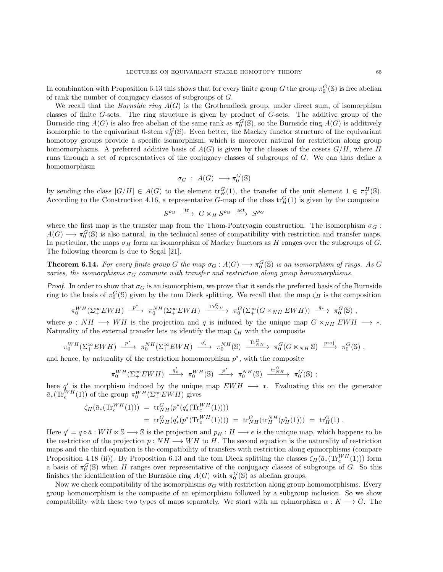In combination with Proposition [6.13](#page-63-0) this shows that for every finite group  $G$  the group  $\pi_0^G(S)$  is free abelian of rank the number of conjugacy classes of subgroups of G.

We recall that the *Burnside ring*  $A(G)$  is the Grothendieck group, under direct sum, of isomorphism classes of finite G-sets. The ring structure is given by product of G-sets. The additive group of the Burnside ring  $A(G)$  is also free abelian of the same rank as  $\pi_0^G(\mathbb{S})$ , so the Burnside ring  $A(G)$  is additively isomorphic to the equivariant 0-stem  $\pi_0^G(\mathbb{S})$ . Even better, the Mackey functor structure of the equivariant homotopy groups provide a specific isomorphism, which is moreover natural for restriction along group homomorphisms. A preferred additive basis of  $A(G)$  is given by the classes of the cosets  $G/H$ , where H runs through a set of representatives of the conjugacy classes of subgroups of G. We can thus define a homomorphism

$$
\sigma_G \; : \; A(G) \; \longrightarrow \pi_0^G(\mathbb{S})
$$

by sending the class  $[G/H] \in A(G)$  to the element  $\text{tr}_H^G(1)$ , the transfer of the unit element  $1 \in \pi_0^H(\mathbb{S})$ . According to the Construction [4.16,](#page-31-0) a representative G-map of the class  $\text{tr}_H^G(1)$  is given by the composite

$$
S^{\rho_G} \stackrel{\text{tr}}{\longrightarrow} G \ltimes_H S^{\rho_G} \stackrel{\text{act}}{\longrightarrow} S^{\rho_G}
$$

where the first map is the transfer map from the Thom-Pontryagin construction. The isomorphism  $\sigma_G$ :  $A(G) \longrightarrow \pi_0^G(\mathbb{S})$  is also natural, in the technical sense of compatibility with restriction and transfer maps. In particular, the maps  $\sigma_H$  form an isomorphism of Mackey functors as H ranges over the subgroups of G. The following theorem is due to Segal [\[21\]](#page-103-11).

<span id="page-64-0"></span>**Theorem 6.14.** For every finite group G the map  $\sigma_G$  :  $A(G) \longrightarrow \pi_0^G(\mathbb{S})$  is an isomorphism of rings. As G varies, the isomorphisms  $\sigma_G$  commute with transfer and restriction along group homomorphisms.

*Proof.* In order to show that  $\sigma_G$  is an isomorphism, we prove that it sends the preferred basis of the Burnside ring to the basis of  $\pi_0^G(\mathbb{S})$  given by the tom Dieck splitting. We recall that the map  $\zeta_H$  is the composition

$$
\pi_0^{WH}(\Sigma_+^{\infty} EWH) \xrightarrow{p^*} \pi_0^{NH}(\Sigma_+^{\infty} EWH) \xrightarrow{\text{Tr}_{NH}^G} \pi_0^G(\Sigma_+^{\infty}(G \times_{NH} EWH)) \xrightarrow{q_*} \pi_0^G(\mathbb{S}) ,
$$

where  $p : NH \longrightarrow WH$  is the projection and q is induced by the unique map  $G \times_{NH} EWH \longrightarrow *$ . Naturality of the external transfer lets us identify the map  $\zeta_H$  with the composite

$$
\pi_0^{WH}(\Sigma_+^{\infty} EWH) \xrightarrow{p^*} \pi_0^{NH}(\Sigma_+^{\infty} EWH) \xrightarrow{q'_*} \pi_0^{NH}(\mathbb{S}) \xrightarrow{\text{Tr}_{NH}^G} \pi_0^G(G \ltimes_{NH} \mathbb{S}) \xrightarrow{\text{proj}} \pi_0^G(\mathbb{S}) ,
$$

and hence, by naturality of the restriction homomorphism  $p^*$ , with the composite

$$
\pi_0^{WH}(\Sigma_+^{\infty} EWH) \xrightarrow{q'_*} \pi_0^{WH}(\mathbb{S}) \xrightarrow{p^*} \pi_0^{NH}(\mathbb{S}) \xrightarrow{\text{tr}_{NH}^G} \pi_0^G(\mathbb{S}) ;
$$

here q' is the morphism induced by the unique map  $EWH \rightarrow *$ . Evaluating this on the generator  $\bar{a}_*(\text{Tr}_{e}^{WH}(1))$  of the group  $\pi_0^{WH}(\Sigma_{+}^{\infty} EWH)$  gives

$$
\zeta_H(\bar{a}_*(\text{Tr}_{e}^{WH}(1))) = \text{tr}_{NH}^G(p^*(q'_*(\text{Tr}_{e}^{WH}(1))))
$$
  
=  $\text{tr}_{NH}^G(q'_*(p^*(\text{Tr}_{e}^{WH}(1)))) = \text{tr}_{NH}^G(\text{tr}_{H}^{NH}(p^*_H(1))) = \text{tr}_{H}^G(1)$ .

Here  $q' = q \circ \bar{a} : WH \times \mathbb{S} \longrightarrow \mathbb{S}$  is the projection and  $p_H : H \longrightarrow e$  is the unique map, which happens to be the restriction of the projection  $p: NH \longrightarrow WH$  to H. The second equation is the naturality of restriction maps and the third equation is the compatibility of transfers with restriction along epimorphisms (compare Proposition [4.18](#page-33-0) (ii)). By Proposition [6.13](#page-63-0) and the tom Dieck splitting the classes  $\zeta_H(\bar{a}_*(\text{Tr}_{e}^{WH}(1)))$  form a basis of  $\pi_0^G(\mathbb{S})$  when H ranges over representative of the conjugacy classes of subgroups of G. So this finishes the identification of the Burnside ring  $A(G)$  with  $\pi_0^G(S)$  as abelian groups.

Now we check compatibility of the isomorphisms  $\sigma_G$  with restriction along group homomorphisms. Every group homomorphism is the composite of an epimorphism followed by a subgroup inclusion. So we show compatibility with these two types of maps separately. We start with an epimorphism  $\alpha : K \longrightarrow G$ . The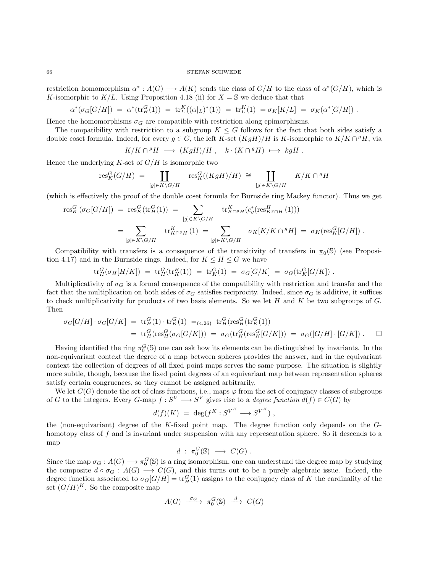restriction homomorphism  $\alpha^*: A(G) \longrightarrow A(K)$  sends the class of  $G/H$  to the class of  $\alpha^*(G/H)$ , which is K-isomorphic to  $K/L$ . Using Proposition [4.18](#page-33-0) (ii) for  $X = \mathbb{S}$  we deduce that that

$$
\alpha^*(\sigma_G[G/H]) = \alpha^*(\text{tr}_H^G(1)) = \text{tr}_L^K((\alpha|_L)^*(1)) = \text{tr}_L^K(1) = \sigma_K[K/L] = \sigma_K(\alpha^*[G/H]).
$$

Hence the homomorphisms  $\sigma_G$  are compatible with restriction along epimorphisms.

The compatibility with restriction to a subgroup  $K \leq G$  follows for the fact that both sides satisfy a double coset formula. Indeed, for every  $g \in G$ , the left K-set  $(KgH)/H$  is K-isomorphic to  $K/K \cap {}^g H$ , via

$$
K/K \cap {}^{g}H \ \longrightarrow \ (KgH)/H \ , \quad k \cdot (K \cap {}^{g}H) \ \longmapsto \ kgH \ .
$$

Hence the underlying  $K$ -set of  $G/H$  is isomorphic two

$$
\mathrm{res}^G_K(G/H) \;=\; \coprod_{[g]\in K\backslash G/H} \ \ \, \mathrm{res}^G_K((KgH)/H) \;\cong\; \coprod_{[g]\in K\backslash G/H} \ \ \, K/K\cap {}^gH
$$

(which is effectively the proof of the double coset formula for Burnside ring Mackey functor). Thus we get

$$
\text{res}_{K}^{G}(\sigma_{G}[G/H]) = \text{res}_{K}^{G}(\text{tr}_{H}^{G}(1)) = \sum_{[g] \in K \backslash G/H} \text{tr}_{K \cap g}^{K}(\sigma_{g}(\text{res}_{K^{g} \cap H}^{H}(1)))
$$

$$
= \sum_{[g] \in K \backslash G/H} \text{tr}_{K \cap g}^{K}(\text{tr}_{H}^{G}(1)) = \sum_{[g] \in K \backslash G/H} \sigma_{K}[K/K \cap gH] = \sigma_{K}(\text{res}_{K}^{G}[G/H]).
$$

Compatibility with transfers is a consequence of the transitivity of transfers in  $\pi_0(\mathbb{S})$  (see Proposi-tion [4.17\)](#page-32-0) and in the Burnside rings. Indeed, for  $K \leq H \leq G$  we have

$$
\text{tr}^G_H(\sigma_H[H/K]) \;=\; \text{tr}^G_H(\text{tr}^H_K(1)) \;=\; \text{tr}^G_K(1) \;=\; \sigma_G[G/K] \;=\; \sigma_G(\text{tr}^G_K[G/K]) \;.
$$

Multiplicativity of  $\sigma_G$  is a formal consequence of the compatibility with restriction and transfer and the fact that the multiplication on both sides of  $\sigma_G$  satisfies reciprocity. Indeed, since  $\sigma_G$  is additive, it suffices to check multiplicativity for products of two basis elements. So we let  $H$  and  $K$  be two subgroups of  $G$ . Then

$$
\sigma_G[G/H] \cdot \sigma_G[G/K] = \text{tr}_H^G(1) \cdot \text{tr}_K^G(1) =_{(4.26)} \text{tr}_H^G(\text{res}_H^G(\text{tr}_K^G(1))
$$
  
=  $\text{tr}_H^G(\text{res}_H^G(\sigma_G[G/K])) = \sigma_G(\text{tr}_H^G(\text{res}_H^G[G/K])) = \sigma_G([G/H] \cdot [G/K])$ .

Having identified the ring  $\pi_0^G(\mathbb{S})$  one can ask how its elements can be distinguished by invariants. In the non-equivariant context the degree of a map between spheres provides the answer, and in the equivariant context the collection of degrees of all fixed point maps serves the same purpose. The situation is slightly more subtle, though, because the fixed point degrees of an equivariant map between representation spheres satisfy certain congruences, so they cannot be assigned arbitrarily.

We let  $C(G)$  denote the set of class functions, i.e., maps  $\varphi$  from the set of conjugacy classes of subgroups of G to the integers. Every G-map  $f: S^V \longrightarrow S^V$  gives rise to a *degree function*  $d(f) \in C(G)$  by

$$
d(f)(K) = \deg(f^K : S^{V^K} \longrightarrow S^{V^K}) ,
$$

the (non-equivariant) degree of the K-fixed point map. The degree function only depends on the  $G$ homotopy class of f and is invariant under suspension with any representation sphere. So it descends to a map

$$
d : \pi_0^G(\mathbb{S}) \longrightarrow C(G) .
$$

Since the map  $\sigma_G : A(G) \longrightarrow \pi_0^G(S)$  is a ring isomorphism, one can understand the degree map by studying the composite  $d \circ \sigma_G : A(G) \longrightarrow C(G)$ , and this turns out to be a purely algebraic issue. Indeed, the degree function associated to  $\sigma_G[G/H] = \text{tr}_H^G(1)$  assigns to the conjugacy class of K the cardinality of the set  $(G/H)^K$ . So the composite map

$$
A(G) \xrightarrow{\sigma_G} \pi_0^G(\mathbb{S}) \xrightarrow{d} C(G)
$$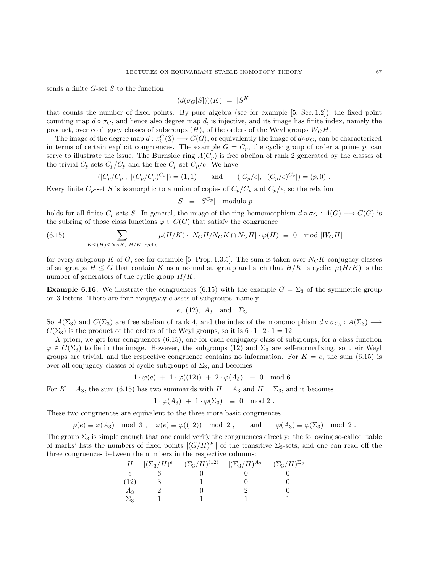sends a finite  $G$ -set  $S$  to the function

$$
(d(\sigma_G[S])(K) = |S^K|
$$

that counts the number of fixed points. By pure algebra (see for example [\[5,](#page-103-12) Sec. 1.2]), the fixed point counting map  $d \circ \sigma_G$ , and hence also degree map d, is injective, and its image has finite index, namely the product, over conjugacy classes of subgroups  $(H)$ , of the orders of the Weyl groups  $W_GH$ .

The image of the degree map  $d : \pi_0^G(\mathbb{S}) \longrightarrow C(G)$ , or equivalently the image of  $d \circ \sigma_G$ , can be characterized in terms of certain explicit congruences. The example  $G = C_p$ , the cyclic group of order a prime p, can serve to illustrate the issue. The Burnside ring  $A(C_p)$  is free abelian of rank 2 generated by the classes of the trivial  $C_p$ -sets  $C_p/C_p$  and the free  $C_p$ -set  $C_p/e$ . We have

$$
(|C_p/C_p|, |(C_p/C_p)^{C_p}|) = (1,1) \quad \text{and} \quad (|C_p/e|, |(C_p/e)^{C_p}|) = (p,0).
$$

Every finite  $C_p$ -set S is isomorphic to a union of copies of  $C_p/C_p$  and  $C_p/e$ , so the relation

$$
|S| \equiv |S^{C_p}| \mod p
$$

holds for all finite  $C_p$ -sets S. In general, the image of the ring homomorphism  $d \circ \sigma_G : A(G) \longrightarrow C(G)$  is the subring of those class functions  $\varphi \in C(G)$  that satisfy the congruence

<span id="page-66-0"></span>(6.15) 
$$
\sum_{K \trianglelefteq(H) \leq N_G K, H/K \text{ cyclic}} \mu(H/K) \cdot |N_G H/N_G K \cap N_G H| \cdot \varphi(H) \equiv 0 \mod |W_G H|
$$

for every subgroup K of G, see for example [\[5,](#page-103-12) Prop. 1.3.5]. The sum is taken over  $N_GK$ -conjugacy classes of subgroups  $H \leq G$  that contain K as a normal subgroup and such that  $H/K$  is cyclic;  $\mu(H/K)$  is the number of generators of the cyclic group  $H/K$ .

**Example 6.16.** We illustrate the congruences [\(6.15\)](#page-66-0) with the example  $G = \Sigma_3$  of the symmetric group on 3 letters. There are four conjugacy classes of subgroups, namely

$$
e, (12), A_3 \text{ and } \Sigma_3.
$$

So  $A(\Sigma_3)$  and  $C(\Sigma_3)$  are free abelian of rank 4, and the index of the monomorphism  $d \circ \sigma_{\Sigma_3}: A(\Sigma_3) \longrightarrow$  $C(\Sigma_3)$  is the product of the orders of the Weyl groups, so it is  $6 \cdot 1 \cdot 2 \cdot 1 = 12$ .

A priori, we get four congruences [\(6.15\)](#page-66-0), one for each conjugacy class of subgroups, for a class function  $\varphi \in C(\Sigma_3)$  to lie in the image. However, the subgroups (12) and  $\Sigma_3$  are self-normalizing, so their Weyl groups are trivial, and the respective congruence contains no information. For  $K = e$ , the sum [\(6.15\)](#page-66-0) is over all conjugacy classes of cyclic subgroups of  $\Sigma_3$ , and becomes

$$
1 \cdot \varphi(e) + 1 \cdot \varphi((12)) + 2 \cdot \varphi(A_3) \equiv 0 \mod 6.
$$

For  $K = A_3$ , the sum [\(6.15\)](#page-66-0) has two summands with  $H = A_3$  and  $H = \Sigma_3$ , and it becomes

$$
1 \cdot \varphi(A_3) + 1 \cdot \varphi(\Sigma_3) \equiv 0 \mod 2.
$$

These two congruences are equivalent to the three more basic congruences

$$
\varphi(e) \equiv \varphi(A_3) \mod 3
$$
,  $\varphi(e) \equiv \varphi((12)) \mod 2$ , and  $\varphi(A_3) \equiv \varphi(\Sigma_3) \mod 2$ .

The group  $\Sigma_3$  is simple enough that one could verify the congruences directly: the following so-called 'table of marks' lists the numbers of fixed points  $|(G/H)^K|$  of the transitive  $\Sigma_3$ -sets, and one can read off the three congruences between the numbers in the respective columns:

| Н            | $ (\Sigma_3/H)^e  \quad  (\Sigma_3/H)^{(12)}  \quad  (\Sigma_3/H)^{A_3} $ | $ (\Sigma_3/H)^{\Sigma_3} $ |
|--------------|---------------------------------------------------------------------------|-----------------------------|
|              |                                                                           |                             |
|              |                                                                           |                             |
| $A_3$        |                                                                           |                             |
| $\Sigma_{2}$ |                                                                           |                             |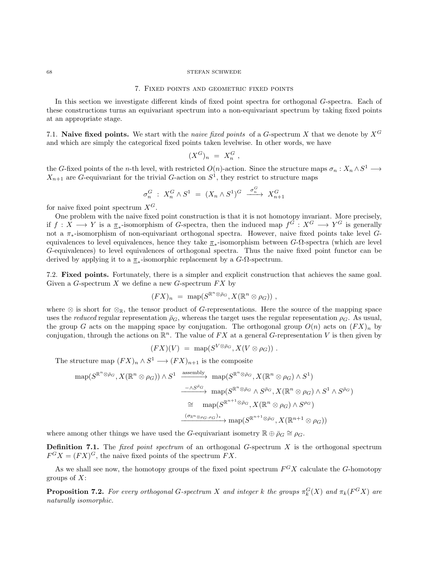## 7. Fixed points and geometric fixed points

In this section we investigate different kinds of fixed point spectra for orthogonal G-spectra. Each of these constructions turns an equivariant spectrum into a non-equivariant spectrum by taking fixed points at an appropriate stage.

7.1. Naive fixed points. We start with the *naive fixed points* of a G-spectrum X that we denote by  $X^G$ and which are simply the categorical fixed points taken levelwise. In other words, we have

$$
(X^G)_n = X_n^G,
$$

the G-fixed points of the n-th level, with restricted  $O(n)$ -action. Since the structure maps  $\sigma_n: X_n \wedge S^1 \longrightarrow$  $X_{n+1}$  are G-equivariant for the trivial G-action on  $S^1$ , they restrict to structure maps

$$
\sigma_n^G : X_n^G \wedge S^1 = (X_n \wedge S^1)^G \xrightarrow{\sigma_n^G} X_{n+1}^G
$$

for naive fixed point spectrum  $X^G$ .

One problem with the naive fixed point construction is that it is not homotopy invariant. More precisely, if  $f: X \longrightarrow Y$  is a  $\underline{\pi}_*$ -isomorphism of G-spectra, then the induced map  $f^G: X^G \longrightarrow Y^G$  is generally not a π∗-isomorphism of non-equivariant orthogonal spectra. However, naive fixed points take level Gequivalences to level equivalences, hence they take  $\pi_*$ -isomorphism between G- $\Omega$ -spectra (which are level G-equivalences) to level equivalences of orthogonal spectra. Thus the naive fixed point functor can be derived by applying it to a  $\pi_*$ -isomorphic replacement by a  $G$ - $\Omega$ -spectrum.

7.2. Fixed points. Fortunately, there is a simpler and explicit construction that achieves the same goal. Given a G-spectrum X we define a new G-spectrum  $FX$  by

$$
(FX)_n = \text{map}(S^{\mathbb{R}^n \otimes \bar{\rho}_G}, X(\mathbb{R}^n \otimes \rho_G)),
$$

where  $\otimes$  is short for  $\otimes_{\mathbb{R}}$ , the tensor product of G-representations. Here the source of the mapping space uses the *reduced* regular representation  $\bar{\rho}_G$ , whereas the target uses the regular representation  $\rho_G$ . As usual, the group G acts on the mapping space by conjugation. The orthogonal group  $O(n)$  acts on  $(F X)_n$  by conjugation, through the actions on  $\mathbb{R}^n$ . The value of FX at a general G-representation V is then given by

$$
(FX)(V) = \text{map}(S^{V \otimes \bar{\rho}_G}, X(V \otimes \rho_G)) .
$$

The structure map  $(FX)_n \wedge S^1 \longrightarrow (FX)_{n+1}$  is the composite

$$
\begin{array}{rcl}\n\operatorname{map}(S^{\mathbb{R}^n \otimes \bar{\rho}_G}, X(\mathbb{R}^n \otimes \rho_G)) \wedge S^1 & \xrightarrow{\operatorname{assembly}} \operatorname{map}(S^{\mathbb{R}^n \otimes \bar{\rho}_G}, X(\mathbb{R}^n \otimes \rho_G) \wedge S^1) \\
& \xrightarrow{-\wedge S^{\bar{\rho}_G}} \operatorname{map}(S^{\mathbb{R}^n \otimes \bar{\rho}_G} \wedge S^{\bar{\rho}_G}, X(\mathbb{R}^n \otimes \rho_G) \wedge S^1 \wedge S^{\bar{\rho}_G}) \\
&\cong \operatorname{map}(S^{\mathbb{R}^{n+1} \otimes \bar{\rho}_G}, X(\mathbb{R}^n \otimes \rho_G) \wedge S^{\rho_G}) \\
& \xrightarrow{(\sigma_{\mathbb{R}^n \otimes \rho_G}, \rho_G)^*} \operatorname{map}(S^{\mathbb{R}^{n+1} \otimes \bar{\rho}_G}, X(\mathbb{R}^{n+1} \otimes \rho_G))\n\end{array}
$$

where among other things we have used the G-equivariant isometry  $\mathbb{R} \oplus \bar{\rho}_G \cong \rho_G$ .

**Definition 7.1.** The *fixed point spectrum* of an orthogonal  $G$ -spectrum  $X$  is the orthogonal spectrum  $F^{G}X = (FX)^{G}$ , the naive fixed points of the spectrum  $FX$ .

As we shall see now, the homotopy groups of the fixed point spectrum  $F<sup>G</sup>X$  calculate the G-homotopy groups of  $X$ :

<span id="page-67-0"></span>**Proposition 7.2.** For every orthogonal G-spectrum X and integer k the groups  $\pi_k^G(X)$  and  $\pi_k(F^GX)$  are naturally isomorphic.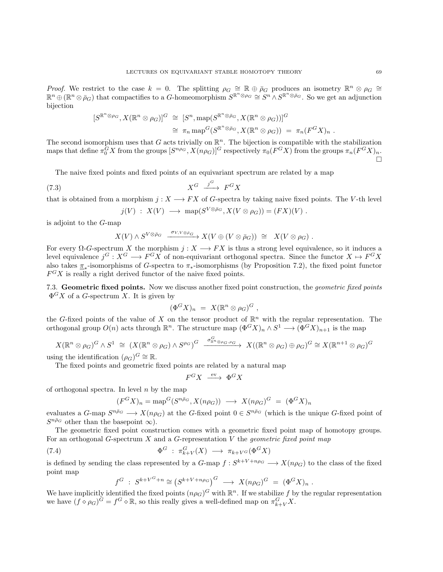Proof. We restrict to the case  $k = 0$ . The splitting  $\rho_G \cong \mathbb{R} \oplus \overline{\rho}_G$  produces an isometry  $\mathbb{R}^n \otimes \rho_G \cong$  $\mathbb{R}^n \oplus (\mathbb{R}^n \otimes \bar{\rho}_G)$  that compactifies to a G-homeomorphism  $S^{\mathbb{R}^n \otimes \bar{\rho}_G} \cong S^n \wedge S^{\mathbb{R}^n \otimes \bar{\rho}_G}$ . So we get an adjunction bijection

$$
[S^{\mathbb{R}^n \otimes \rho_G}, X(\mathbb{R}^n \otimes \rho_G)]^G \cong [S^n, \text{map}(S^{\mathbb{R}^n \otimes \bar{\rho}_G}, X(\mathbb{R}^n \otimes \rho_G))]^G
$$
  

$$
\cong \pi_n \text{map}^G(S^{\mathbb{R}^n \otimes \bar{\rho}_G}, X(\mathbb{R}^n \otimes \rho_G)) = \pi_n(F^G X)_n.
$$

The second isomorphism uses that G acts trivially on  $\mathbb{R}^n$ . The bijection is compatible with the stabilization maps that define  $\pi_0^G X$  from the groups  $[S^{n\rho_G}, X(n\rho_G)]^G$  respectively  $\pi_0(F^G X)$  from the groups  $\pi_n(F^G X)_n$ . Ò

The naive fixed points and fixed points of an equivariant spectrum are related by a map

$$
(7.3)\t\t\t X^G \xrightarrow{j^G} F^G X
$$

that is obtained from a morphism  $j : X \longrightarrow FX$  of G-spectra by taking naive fixed points. The V-th level

<span id="page-68-1"></span>
$$
j(V) : X(V) \longrightarrow \text{map}(S^{V \otimes \bar{\rho}_G}, X(V \otimes \rho_G)) = (FX)(V) .
$$

is adjoint to the G-map

$$
X(V) \wedge S^{V \otimes \bar{\rho}_G} \xrightarrow{\sigma_{V,V \otimes \bar{\rho}_G}} X(V \oplus (V \otimes \bar{\rho}_G)) \cong X(V \otimes \rho_G).
$$

For every  $\Omega$ -G-spectrum X the morphism  $j : X \longrightarrow FX$  is thus a strong level equivalence, so it induces a level equivalence  $j^G: X^G \longrightarrow F^G X$  of non-equivariant orthogonal spectra. Since the functor  $X \mapsto F^G X$ also takes  $\pi_*$ -isomorphisms of G-spectra to  $\pi_*$ -isomorphisms (by Proposition [7.2\)](#page-67-0), the fixed point functor  $F<sup>G</sup>X$  is really a right derived functor of the naive fixed points.

7.3. Geometric fixed points. Now we discuss another fixed point construction, the *geometric fixed points*  $\Phi$ <sup>G</sup>X of a G-spectrum X. It is given by

$$
(\Phi^G X)_n = X (\mathbb{R}^n \otimes \rho_G)^G ,
$$

the G-fixed points of the value of X on the tensor product of  $\mathbb{R}^n$  with the regular representation. The orthogonal group  $O(n)$  acts through  $\mathbb{R}^n$ . The structure map  $(\Phi^G X)_n \wedge S^1 \longrightarrow (\Phi^G X)_{n+1}$  is the map

$$
X(\mathbb{R}^n \otimes \rho_G)^G \wedge S^1 \cong (X(\mathbb{R}^n \otimes \rho_G) \wedge S^{\rho_G})^G \xrightarrow{\sigma_{\mathbb{R}^n \otimes \rho_G, \rho_G}} X((\mathbb{R}^n \otimes \rho_G) \oplus \rho_G)^G \cong X(\mathbb{R}^{n+1} \otimes \rho_G)^G
$$

using the identification  $(\rho_G)^G \cong \mathbb{R}$ .

The fixed points and geometric fixed points are related by a natural map

$$
F^G X \; \xrightarrow{\;\; \mathrm{ev}\; } \; \Phi^G X
$$

of orthogonal spectra. In level  $n$  by the map

$$
(F^{G}X)_{n} = \text{map}^{G}(S^{n\bar{\rho}_{G}}, X(n\rho_{G})) \longrightarrow X(n\rho_{G})^{G} = (\Phi^{G}X)_{n}
$$

evaluates a G-map  $S^{n\bar{p}_G} \longrightarrow X(n\rho_G)$  at the G-fixed point  $0 \in S^{n\bar{p}_G}$  (which is the unique G-fixed point of  $S^{n\bar{p}_G}$  other than the basepoint  $\infty$ ).

The geometric fixed point construction comes with a geometric fixed point map of homotopy groups. For an orthogonal G-spectrum  $X$  and a G-representation  $V$  the *geometric fixed point map* 

(7.4) 
$$
\Phi^G : \pi_{k+V}^G(X) \longrightarrow \pi_{k+V^G}(\Phi^G X)
$$

is defined by sending the class represented by a  $G$ -map  $f : S^{k+V+n\rho_G} \longrightarrow X(n\rho_G)$  to the class of the fixed point map

<span id="page-68-0"></span>
$$
f^G : S^{k+V^G+n} \cong (S^{k+V+n\rho_G})^G \longrightarrow X(n\rho_G)^G = (\Phi^G X)_n .
$$

We have implicitly identified the fixed points  $(n\rho_G)^G$  with  $\mathbb{R}^n$ . If we stabilize f by the regular representation we have  $(f \circ \rho_G)^G = f^G \circ \mathbb{R}$ , so this really gives a well-defined map on  $\pi_{k+V}^G X$ .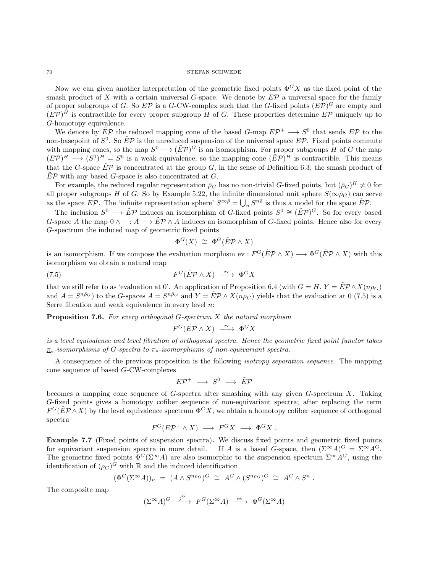Now we can given another interpretation of the geometric fixed points  $\Phi^G X$  as the fixed point of the smash product of X with a certain universal G-space. We denote by  $E\mathcal{P}$  a universal space for the family of proper subgroups of G. So  $E\mathcal{P}$  is a G-CW-complex such that the G-fixed points  $(E\mathcal{P})^G$  are empty and  $(E\mathcal{P})^H$  is contractible for every proper subgroup H of G. These properties determine  $E\mathcal{P}$  uniquely up to G-homotopy equivalence.

We denote by  $\tilde{E}P$  the reduced mapping cone of the based G-map  $E\mathcal{P}^+ \longrightarrow S^0$  that sends  $E\mathcal{P}$  to the non-basepoint of  $S^0$ . So  $E^2\mathcal{P}$  is the unreduced suspension of the universal space  $E\mathcal{P}$ . Fixed points commute with mapping cones, so the map  $S^0 \longrightarrow (\tilde{E}\mathcal{P})^G$  is an isomorphism. For proper subgroups H of G the map  $(E\mathcal{P})^H \longrightarrow (S^0)^H = S^0$  is a weak equivalence, so the mapping cone  $(\tilde{E}\mathcal{P})^H$  is contractible. This means that the G-space  $\tilde{E}P$  is concentrated at the group G, in the sense of Definition [6.3;](#page-58-1) the smash product of  $E\mathcal{P}$  with any based G-space is also concentrated at G.

For example, the reduced regular representation  $\bar{p}_G$  has no non-trivial G-fixed points, but  $(\bar{p}_G)^H \neq 0$  for all proper subgroups H of G. So by Example [5.22,](#page-56-1) the infinite dimensional unit sphere  $S(\infty \bar{\rho}_G)$  can serve as the space EP. The 'infinite representation sphere'  $S^{\infty\bar{\rho}} = \bigcup_n S^{n\bar{\rho}}$  is thus a model for the space  $\tilde{E}\mathcal{P}$ .

The inclusion  $S^0 \to \tilde{E}P$  induces an isomorphism of G-fixed points  $S^0 \cong (\tilde{E}P)^G$ . So for every based G-space A the map  $0 \wedge - : A \longrightarrow \tilde{E} \mathcal{P} \wedge A$  induces an isomorphism of G-fixed points. Hence also for every G-spectrum the induced map of geometric fixed points

<span id="page-69-0"></span>
$$
\Phi^G(X) \cong \Phi^G(\tilde{E} \mathcal{P} \wedge X)
$$

is an isomorphism. If we compose the evaluation morphism  $ev : F^G(\tilde{E}P \wedge X) \longrightarrow \Phi^G(\tilde{E}P \wedge X)$  with this isomorphism we obtain a natural map

(7.5) 
$$
F^G(\tilde{E}\mathcal{P}\wedge X) \xrightarrow{\text{ev}} \Phi^G X
$$

that we still refer to as 'evaluation at 0'. An application of Proposition [6.4](#page-58-0) (with  $G = H, Y = \tilde{E} \mathcal{P} \wedge X(n \rho_G)$ ) and  $A = S^{n\bar{p}_G}$  to the G-spaces  $A = S^{n\bar{p}_G}$  and  $Y = \tilde{E} \mathcal{P} \wedge X(n\rho_G)$  yields that the evaluation at 0 [\(7.5\)](#page-69-0) is a Serre fibration and weak equivalence in every level  $n$ :

**Proposition 7.6.** For every orthogonal G-spectrum  $X$  the natural morphism

$$
F^G(\tilde{E}\mathcal{P}\wedge X) \xrightarrow{\text{ev}} \Phi^G X
$$

is a level equivalence and level fibration of orthogonal spectra. Hence the geometric fixed point functor takes  $\pi_*$ -isomorphisms of G-spectra to  $\pi_*$ -isomorphisms of non-equivariant spectra.

A consequence of the previous proposition is the following isotropy separation sequence. The mapping cone sequence of based G-CW-complexes

$$
E\mathcal{P}^+\ \longrightarrow\ S^0\ \longrightarrow\ \tilde{E}\mathcal{P}
$$

becomes a mapping cone sequence of  $G$ -spectra after smashing with any given  $G$ -spectrum  $X$ . Taking G-fixed points gives a homotopy cofiber sequence of non-equivariant spectra; after replacing the term  $F^G(\tilde{E}P \wedge X)$  by the level equivalence spectrum  $\Phi^G X$ , we obtain a homotopy cofiber sequence of orthogonal spectra

$$
F^G(E\mathcal{P}^+\wedge X)\ \longrightarrow\ F^G X\ \longrightarrow\ \Phi^G X\ .
$$

Example 7.7 (Fixed points of suspension spectra). We discuss fixed points and geometric fixed points for equivariant suspension spectra in more detail. If A is a based G-space, then  $(\Sigma^{\infty} A)^G = \Sigma^{\infty} A^G$ . The geometric fixed points  $\Phi^G(\Sigma^{\infty}A)$  are also isomorphic to the suspension spectrum  $\Sigma^{\infty}A^G$ , using the identification of  $(\rho_G)^{\overline{G}}$  with  $\mathbb R$  and the induced identification

$$
(\Phi^G(\Sigma^{\infty}A))_n = (A \wedge S^{n\rho_G})^G \cong A^G \wedge (S^{n\rho_G})^G \cong A^G \wedge S^n.
$$

The composite map

$$
(\Sigma^{\infty} A)^G \xrightarrow{j^G} F^G(\Sigma^{\infty} A) \xrightarrow{\text{ev}} \Phi^G(\Sigma^{\infty} A)
$$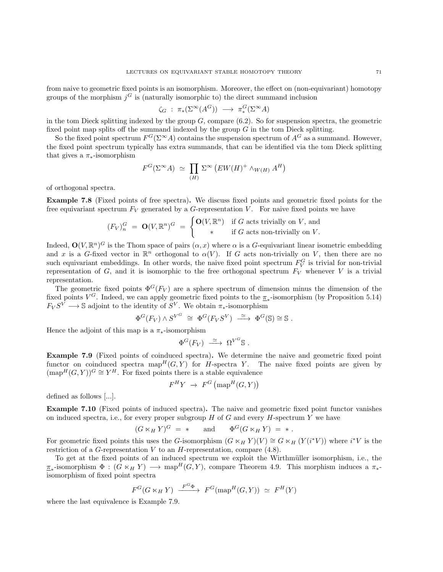from naive to geometric fixed points is an isomorphism. Moreover, the effect on (non-equivariant) homotopy groups of the morphism  $j<sup>G</sup>$  is (naturally isomorphic to) the direct summand inclusion

$$
\zeta_G : \pi_*(\Sigma^{\infty}(A^G)) \longrightarrow \pi_*^G(\Sigma^{\infty}A)
$$

in the tom Dieck splitting indexed by the group  $G$ , compare  $(6.2)$ . So for suspension spectra, the geometric fixed point map splits off the summand indexed by the group  $G$  in the tom Dieck splitting.

So the fixed point spectrum  $F^G(\Sigma^{\infty}A)$  contains the suspension spectrum of  $A^G$  as a summand. However, the fixed point spectrum typically has extra summands, that can be identified via the tom Dieck splitting that gives a  $\pi_*$ -isomorphism

$$
F^{G}(\Sigma^{\infty} A) \simeq \prod_{(H)} \Sigma^{\infty} (EW(H)^{+} \wedge_{W(H)} A^{H})
$$

of orthogonal spectra.

Example 7.8 (Fixed points of free spectra). We discuss fixed points and geometric fixed points for the free equivariant spectrum  $F_V$  generated by a G-representation V. For naive fixed points we have

$$
(F_V)_n^G = \mathbf{O}(V, \mathbb{R}^n)^G = \begin{cases} \mathbf{O}(V, \mathbb{R}^n) & \text{if } G \text{ acts trivially on } V, \text{ and} \\ * & \text{if } G \text{ acts non-trivially on } V. \end{cases}
$$

Indeed,  $\mathbf{O}(V,\mathbb{R}^n)^G$  is the Thom space of pairs  $(\alpha, x)$  where  $\alpha$  is a G-equivariant linear isometric embedding and x is a G-fixed vector in  $\mathbb{R}^n$  orthogonal to  $\alpha(V)$ . If G acts non-trivially on V, then there are no such equivariant embeddings. In other words, the naive fixed point spectrum  $F_V^G$  is trivial for non-trivial representation of G, and it is isomorphic to the free orthogonal spectrum  $F_V$  whenever V is a trivial representation.

The geometric fixed points  $\Phi^G(F_V)$  are a sphere spectrum of dimension minus the dimension of the fixed points  $V^G$ . Indeed, we can apply geometric fixed points to the  $\pi_*$ -isomorphism (by Proposition [5.14\)](#page-52-0)  $F_V S^V \longrightarrow \mathbb{S}$  adjoint to the identity of  $S^V$ . We obtain  $\pi_*$ -isomorphism

$$
\Phi^G(F_V) \wedge S^{V^G} \cong \Phi^G(F_V S^V) \stackrel{\simeq}{\longrightarrow} \Phi^G(\mathbb{S}) \cong \mathbb{S} .
$$

Hence the adjoint of this map is a  $\pi_*$ -isomorphism

$$
\Phi^G(F_V) \stackrel{\simeq}{\longrightarrow} \Omega^{V^G} \mathbb{S} .
$$

<span id="page-70-0"></span>Example 7.9 (Fixed points of coinduced spectra). We determine the naive and geometric fixed point functor on coinduced spectra  $\text{map}^H(G, Y)$  for H-spectra Y. The naive fixed points are given by  $(\text{map}^H(G, Y))^G \cong Y^H$ . For fixed points there is a stable equivalence

$$
F^H Y \rightarrow F^G \left( \text{map}^H(G, Y) \right)
$$

defined as follows [...].

Example 7.10 (Fixed points of induced spectra). The naive and geometric fixed point functor vanishes on induced spectra, i.e., for every proper subgroup  $H$  of  $G$  and every  $H$ -spectrum  $Y$  we have

$$
(G \ltimes_H Y)^G = * \quad \text{and} \quad \Phi^G(G \ltimes_H Y) = *.
$$

For geometric fixed points this uses the G-isomorphism  $(G \ltimes_H Y)(V) \cong G \ltimes_H (Y(i^*V))$  where  $i^*V$  is the restriction of a G-representation V to an  $H$ -representation, compare  $(4.8)$ .

To get at the fixed points of an induced spectrum we exploit the Wirthmüller isomorphism, i.e., the  $\pi_*$ -isomorphism  $\Phi: (G \ltimes_H Y) \longrightarrow \text{map}^H(G, Y)$ , compare Theorem [4.9.](#page-28-0) This morphism induces a  $\pi_*$ isomorphism of fixed point spectra

$$
F^G(G \ltimes_H Y) \xrightarrow{F^G \Phi} F^G(\text{map}^H(G, Y)) \simeq F^H(Y)
$$

where the last equivalence is Example [7.9.](#page-70-0)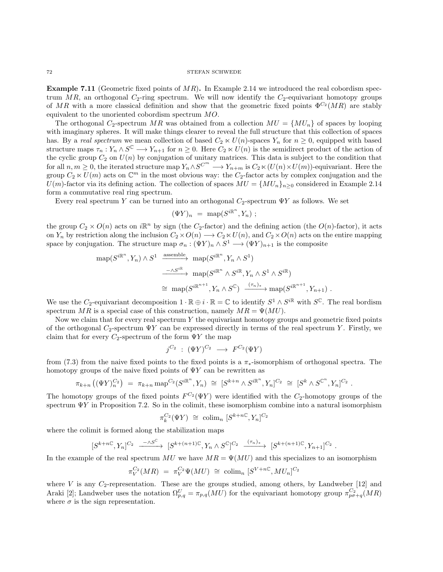**Example 7.11** (Geometric fixed points of  $MR$ ). In Example [2.14](#page-10-0) we introduced the real cobordism spectrum MR, an orthogonal  $C_2$ -ring spectrum. We will now identify the  $C_2$ -equivariant homotopy groups of MR with a more classical definition and show that the geometric fixed points  $\Phi^{C_2}(MR)$  are stably equivalent to the unoriented cobordism spectrum MO.

The orthogonal  $C_2$ -spectrum MR was obtained from a collection  $MU = \{MU_n\}$  of spaces by looping with imaginary spheres. It will make things clearer to reveal the full structure that this collection of spaces has. By a real spectrum we mean collection of based  $C_2 \ltimes U(n)$ -spaces  $Y_n$  for  $n \geq 0$ , equipped with based structure maps  $\tau_n : Y_n \wedge S^{\mathbb{C}} \longrightarrow Y_{n+1}$  for  $n \geq 0$ . Here  $C_2 \ltimes U(n)$  is the semidirect product of the action of the cyclic group  $C_2$  on  $U(n)$  by conjugation of unitary matrices. This data is subject to the condition that for all  $n, m \geq 0$ , the iterated structure map  $Y_n \wedge S^{C^m} \longrightarrow Y_{n+m}$  is  $C_2 \wedge (U(n) \times U(m))$ -equivariant. Here the group  $C_2 \ltimes U(m)$  acts on  $\mathbb{C}^m$  in the most obvious way: the  $C_2$ -factor acts by complex conjugation and the  $U(m)$ -factor via its defining action. The collection of spaces  $MU = \{MU_n\}_{n\geq 0}$  considered in Example [2.14](#page-10-0) form a commutative real ring spectrum.

Every real spectrum Y can be turned into an orthogonal  $C_2$ -spectrum  $\Psi Y$  as follows. We set

$$
(\Psi Y)_n = \text{map}(S^{i\mathbb{R}^n}, Y_n) ;
$$

the group  $C_2 \times O(n)$  acts on  $i\mathbb{R}^n$  by sign (the  $C_2$ -factor) and the defining action (the  $O(n)$ -factor), it acts on  $Y_n$  by restriction along the inclusion  $C_2\times O(n) \longrightarrow C_2\times U(n)$ , and  $C_2\times O(n)$  acts on the entire mapping space by conjugation. The structure map  $\sigma_n : (\Psi Y)_n \wedge S^1 \longrightarrow (\Psi Y)_{n+1}$  is the composite

$$
\begin{array}{rcl}\n\operatorname{map}(S^{i\mathbb{R}^n}, Y_n) \wedge S^1 & \xrightarrow{\text{assemble}} \operatorname{map}(S^{i\mathbb{R}^n}, Y_n \wedge S^1) \\
& \xrightarrow{-\wedge S^{i\mathbb{R}}} \operatorname{map}(S^{i\mathbb{R}^n} \wedge S^{i\mathbb{R}}, Y_n \wedge S^1 \wedge S^{i\mathbb{R}}) \\
&\cong \operatorname{map}(S^{i\mathbb{R}^{n+1}}, Y_n \wedge S^{\mathbb{C}}) \xrightarrow{(\tau_n)_*} \operatorname{map}(S^{i\mathbb{R}^{n+1}}, Y_{n+1})\n\end{array}.
$$

We use the  $C_2$ -equivariant decomposition  $1 \cdot \mathbb{R} \oplus i \cdot \mathbb{R} = \mathbb{C}$  to identify  $S^1 \wedge S^{i\mathbb{R}}$  with  $S^{\mathbb{C}}$ . The real bordism spectrum MR is a special case of this construction, namely  $MR = \Psi(MU)$ .

Now we claim that for every real spectrum  $Y$  the equivariant homotopy groups and geometric fixed points of the orthogonal  $C_2$ -spectrum  $\Psi Y$  can be expressed directly in terms of the real spectrum Y. Firstly, we claim that for every  $C_2$ -spectrum of the form  $\Psi Y$  the map

$$
j^{C_2} \; : \; (\Psi Y)^{C_2} \; \longrightarrow \; F^{C_2}(\Psi Y)
$$

from [\(7.3\)](#page-68-1) from the naive fixed points to the fixed points is a  $\pi_*$ -isomorphism of orthogonal spectra. The homotopy groups of the naive fixed points of  $\Psi Y$  can be rewritten as

$$
\pi_{k+n}((\Psi Y)^{C_2}_{n}) = \pi_{k+n} \operatorname{map}^{C_2}(S^{i\mathbb{R}^n}, Y_n) \cong [S^{k+n} \wedge S^{i\mathbb{R}^n}, Y_n]^{C_2} \cong [S^k \wedge S^{\mathbb{C}^n}, Y_n]^{C_2}.
$$

The homotopy groups of the fixed points  $F^{C_2}(\Psi Y)$  were identified with the  $C_2$ -homotopy groups of the spectrum  $\Psi Y$  in Proposition [7.2.](#page-67-0) So in the colimit, these isomorphism combine into a natural isomorphism

$$
\pi_k^{C_2}(\Psi Y) \cong \operatorname{colim}_n [S^{k+n\mathbb{C}}, Y_n]^{C_2}
$$

where the colimit is formed along the stabilization maps

$$
[S^{k+n\mathbb{C}},Y_n]^{C_2} \ \xrightarrow{\ \ -\wedge S^{\mathbb{C}}\ } \ [S^{k+(n+1)\mathbb{C}},Y_n\wedge S^{\mathbb{C}}]^{C_2} \ \xrightarrow{(\tau_n)_*}\ [S^{k+(n+1)\mathbb{C}},Y_{n+1}]^{C_2}
$$

.

In the example of the real spectrum MU we have  $MR = \Psi(MU)$  and this specializes to an isomorphism

$$
\pi_V^{C_2}(MR) = \pi_V^{C_2} \Psi(MU) \cong \operatorname{colim}_n [S^{V+n\mathbb{C}}, MU_n]^{C_2}
$$

where  $V$  is any  $C_2$ -representation. These are the groups studied, among others, by Landweber [\[12\]](#page-103-13) and Araki [\[2\]](#page-103-14); Landweber uses the notation  $\Omega_{p,q}^U = \pi_{p,q}(MU)$  for the equivariant homotopy group  $\pi_{p\sigma+q}^{C_2}(MR)$ where  $\sigma$  is the sign representation.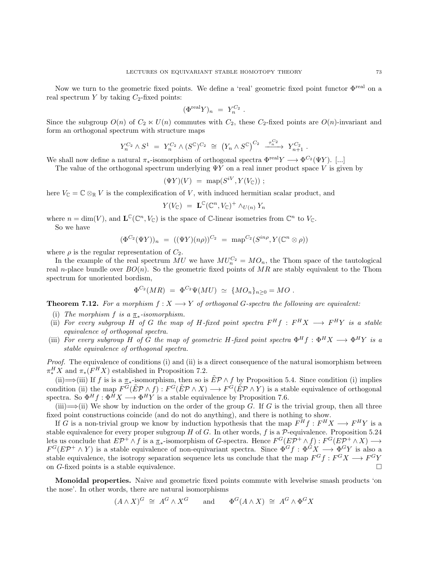Now we turn to the geometric fixed points. We define a 'real' geometric fixed point functor Φreal on a real spectrum Y by taking  $C_2$ -fixed points:

$$
(\Phi^{\text{real}} Y)_n \;=\; Y_n^{C_2} \;.
$$

Since the subgroup  $O(n)$  of  $C_2 \ltimes U(n)$  commutes with  $C_2$ , these  $C_2$ -fixed points are  $O(n)$ -invariant and form an orthogonal spectrum with structure maps

$$
Y_n^{C_2} \wedge S^1 = Y_n^{C_2} \wedge (S^{\mathbb{C}})^{C_2} \cong (Y_n \wedge S^{\mathbb{C}})^{C_2} \xrightarrow{\tau_n^{C_2}} Y_{n+1}^{C_2}.
$$

We shall now define a natural  $\pi_*$ -isomorphism of orthogonal spectra  $\Phi^{\text{real}} Y \longrightarrow \Phi^{C_2}(\Psi Y)$ . [...]

The value of the orthogonal spectrum underlying  $\Psi Y$  on a real inner product space V is given by

$$
(\Psi Y)(V) = \text{map}(S^{iV}, Y(V_{\mathbb{C}})) ;
$$

here  $V_{\mathbb{C}} = \mathbb{C} \otimes_{\mathbb{R}} V$  is the complexification of V, with induced hermitian scalar product, and

$$
Y(V_{\mathbb{C}}) = \mathbf{L}^{\mathbb{C}}(\mathbb{C}^n, V_{\mathbb{C}})^+ \wedge_{U(n)} Y_n
$$

where  $n = \dim(V)$ , and  $\mathbf{L}^{\mathbb{C}}(\mathbb{C}^n, V_{\mathbb{C}})$  is the space of C-linear isometries from  $\mathbb{C}^n$  to  $V_{\mathbb{C}}$ . So we have

$$
(\Phi^{C_2}(\Psi Y))_n = ((\Psi Y)(n\rho))^{C_2} = \text{map}^{C_2}(S^{in\rho}, Y(\mathbb{C}^n \otimes \rho))
$$

where  $\rho$  is the regular representation of  $C_2$ .

In the example of the real spectrum  $MU$  we have  $MU_n^{C_2} = MO_n$ , the Thom space of the tautological real n-place bundle over  $BO(n)$ . So the geometric fixed points of MR are stably equivalent to the Thom spectrum for unoriented bordism,

$$
\Phi^{C_2}(MR) = \Phi^{C_2}\Psi(MU) \simeq \{MO_n\}_{n\geq 0} = MO.
$$

**Theorem 7.12.** For a morphism  $f: X \longrightarrow Y$  of orthogonal G-spectra the following are equivalent:

- (i) The morphism  $f$  is a  $\underline{\pi}_*$ -isomorphism.
- (ii) For every subgroup H of G the map of H-fixed point spectra  $F^H f : F^H X \longrightarrow F^H Y$  is a stable equivalence of orthogonal spectra.
- (iii) For every subgroup H of G the map of geometric H-fixed point spectra  $\Phi^H f : \Phi^H X \longrightarrow \Phi^H Y$  is a stable equivalence of orthogonal spectra.

Proof. The equivalence of conditions (i) and (ii) is a direct consequence of the natural isomorphism between  $\pi_*^H X$  and  $\pi_*(F^H X)$  established in Proposition [7.2.](#page-67-0)

(ii)  $\Longrightarrow$ (iii) If f is is a  $\pi_*$ -isomorphism, then so is  $E^p \wedge f$  by Proposition [5.4.](#page-47-0) Since condition (i) implies condition (ii) the map  $F^G(\tilde{E}P \wedge f) : F^G(\tilde{E}P \wedge X) \longrightarrow F^G(\tilde{E}P \wedge Y)$  is a stable equivalence of orthogonal spectra. So  $\Phi^H f : \Phi^H X \longrightarrow \Phi^H Y$  is a stable equivalence by Proposition [7.6.](#page-69-0)

 $(iii) \rightarrow (ii)$  We show by induction on the order of the group G. If G is the trivial group, then all three fixed point constructions coincide (and do not do anything), and there is nothing to show.

If G is a non-trivial group we know by induction hypothesis that the map  $F^H f : F^H X \longrightarrow F^H Y$  is a stable equivalence for every proper subgroup H of G. In other words, f is a  $P$ -equivalence. Proposition [5.24](#page-57-0) lets us conclude that  $E\mathcal{P}^+ \wedge f$  is a  $\underline{\pi}_*$ -isomorphism of G-spectra. Hence  $F^G(E\mathcal{P}^+ \wedge f) : F^G(E\mathcal{P}^+ \wedge X) \longrightarrow$  $F^G(E\mathcal{P}^+\wedge Y)$  is a stable equivalence of non-equivariant spectra. Since  $\Phi^G f : \Phi^G X \longrightarrow \Phi^G Y$  is also a stable equivalence, the isotropy separation sequence lets us conclude that the map  $F^G f : F^G X \longrightarrow F^G Y$ on G-fixed points is a stable equivalence.

Monoidal properties. Naive and geometric fixed points commute with levelwise smash products 'on the nose'. In other words, there are natural isomorphisms

$$
(A \wedge X)^G \cong A^G \wedge X^G
$$
 and  $\Phi^G(A \wedge X) \cong A^G \wedge \Phi^G X$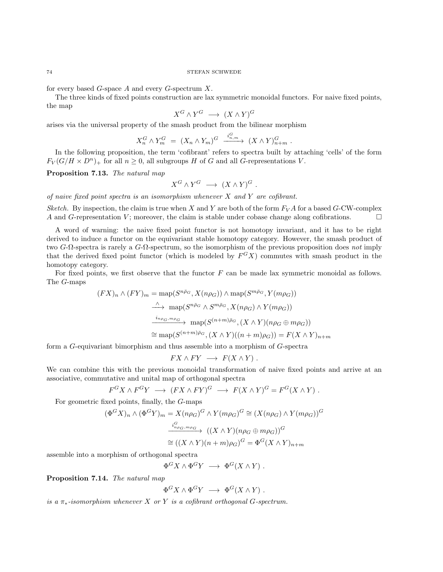for every based  $G$ -space  $A$  and every  $G$ -spectrum  $X$ .

The three kinds of fixed points construction are lax symmetric monoidal functors. For naive fixed points, the map

$$
X^G \wedge Y^G \longrightarrow (X \wedge Y)^G
$$

arises via the universal property of the smash product from the bilinear morphism

$$
X_n^G \wedge Y_m^G = (X_n \wedge Y_m)^G \xrightarrow{i_{n,m}^G} (X \wedge Y)_{n+m}^G.
$$

In the following proposition, the term 'cofibrant' refers to spectra built by attaching 'cells' of the form  $F_V(G/H \times D^n)$  for all  $n \geq 0$ , all subgroups H of G and all G-representations V.

Proposition 7.13. The natural map

$$
X^G \wedge Y^G \longrightarrow (X \wedge Y)^G.
$$

of naive fixed point spectra is an isomorphism whenever  $X$  and  $Y$  are cofibrant.

Sketch. By inspection, the claim is true when X and Y are both of the form  $F_V A$  for a based G-CW-complex A and G-representation V; moreover, the claim is stable under cobase change along cofibrations.

A word of warning: the naive fixed point functor is not homotopy invariant, and it has to be right derived to induce a functor on the equivariant stable homotopy category. However, the smash product of two  $G$ - $\Omega$ -spectra is rarely a  $G$ - $\Omega$ -spectrum, so the isomorphism of the previous proposition does not imply that the derived fixed point functor (which is modeled by  $F^{G}X$ ) commutes with smash product in the homotopy category.

For fixed points, we first observe that the functor  $F$  can be made lax symmetric monoidal as follows. The G-maps

$$
(FX)_n \wedge (FY)_m = \text{map}(S^{n\bar{\rho}_G}, X(n\rho_G)) \wedge \text{map}(S^{m\bar{\rho}_G}, Y(m\rho_G))
$$
  

$$
\xrightarrow{\wedge} \text{map}(S^{n\bar{\rho}_G} \wedge S^{m\bar{\rho}_G}, X(n\rho_G) \wedge Y(m\rho_G))
$$
  

$$
\xrightarrow{i_{n\rho_G, m\rho_G}} \text{map}(S^{(n+m)\bar{\rho}_G}, (X \wedge Y)(n\rho_G \oplus m\rho_G))
$$
  

$$
\cong \text{map}(S^{(n+m)\bar{\rho}_G}, (X \wedge Y)((n+m)\rho_G)) = F(X \wedge Y)_{n+m}
$$

form a G-equivariant bimorphism and thus assemble into a morphism of G-spectra

$$
FX \wedge FY \longrightarrow F(X \wedge Y) .
$$

We can combine this with the previous monoidal transformation of naive fixed points and arrive at an associative, commutative and unital map of orthogonal spectra

$$
F^{G}X \wedge F^{G}Y \longrightarrow (FX \wedge FY)^{G} \longrightarrow F(X \wedge Y)^{G} = F^{G}(X \wedge Y).
$$

For geometric fixed points, finally, the G-maps

$$
(\Phi^G X)_n \wedge (\Phi^G Y)_m = X(n\rho_G)^G \wedge Y(m\rho_G)^G \cong (X(n\rho_G) \wedge Y(m\rho_G))^G
$$

$$
\xrightarrow{i^G_{n\rho_G, m\rho_G}} ((X \wedge Y)(n\rho_G \oplus m\rho_G))^G
$$

$$
\cong ((X \wedge Y)(n+m)\rho_G)^G = \Phi^G (X \wedge Y)_{n+m}
$$

assemble into a morphism of orthogonal spectra

 $\Phi^G X \wedge \Phi^G Y \longrightarrow \Phi^G (X \wedge Y)$ .

Proposition 7.14. The natural map

$$
\Phi^G X \wedge \Phi^G Y \longrightarrow \Phi^G (X \wedge Y) .
$$

is a  $\pi_*$ -isomorphism whenever X or Y is a cofibrant orthogonal G-spectrum.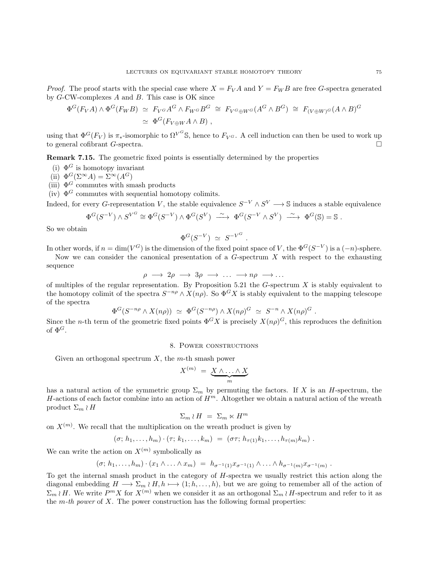*Proof.* The proof starts with the special case where  $X = F_V A$  and  $Y = F_W B$  are free G-spectra generated by G-CW-complexes A and B. This case is OK since

$$
\Phi^{G}(F_{V}A) \wedge \Phi^{G}(F_{W}B) \simeq F_{V^{G}}A^{G} \wedge F_{W^{G}}B^{G} \cong F_{V^{G}\oplus W^{G}}(A^{G} \wedge B^{G}) \cong F_{(V\oplus W)^{G}}(A \wedge B)^{G}
$$
  

$$
\simeq \Phi^{G}(F_{V\oplus W}A \wedge B),
$$

using that  $\Phi^G(F_V)$  is  $\pi_*$ -isomorphic to  $\Omega^{V^G}$ S, hence to  $F_V$ . A cell induction can then be used to work up to general cofibrant G-spectra.

Remark 7.15. The geometric fixed points is essentially determined by the properties

- (i)  $\Phi^G$  is homotopy invariant
- (ii)  $\Phi^G(\Sigma^{\infty}A) = \Sigma^{\infty}(A^G)$
- (iii)  $\Phi$ <sup>G</sup> commutes with smash products
- (iv)  $\Phi^G$  commutes with sequential homotopy colimits.

Indeed, for every G-representation V, the stable equivalence  $S^{-V} \wedge S^V \longrightarrow \mathbb{S}$  induces a stable equivalence

$$
\Phi^G(S^{-V})\wedge S^{V^G}\cong \Phi^G(S^{-V})\wedge \Phi^G(S^V)\ \stackrel{\sim}{\longrightarrow}\ \Phi^G(S^{-V}\wedge S^V)\ \stackrel{\sim}{\longrightarrow}\ \Phi^G(\mathbb{S})=\mathbb{S}\ .
$$

So we obtain

$$
\Phi^G(S^{-V}) \simeq S^{-V^G}
$$

.

In other words, if  $n = \dim(V^G)$  is the dimension of the fixed point space of V, the  $\Phi^G(S^{-V})$  is a  $(-n)$ -sphere.

Now we can consider the canonical presentation of a  $G$ -spectrum  $X$  with respect to the exhausting sequence

$$
\rho \longrightarrow 2\rho \longrightarrow 3\rho \longrightarrow \dots \longrightarrow n\rho \longrightarrow \dots
$$

of multiples of the regular representation. By Proposition [5.21](#page-56-0) the  $G$ -spectrum  $X$  is stably equivalent to the homotopy colimit of the spectra  $S^{-n\rho} \wedge X(n\rho)$ . So  $\Phi^G X$  is stably equivalent to the mapping telescope of the spectra

$$
\Phi^G(S^{-n\rho} \wedge X(n\rho)) \simeq \Phi^G(S^{-n\rho}) \wedge X(n\rho)^G \simeq S^{-n} \wedge X(n\rho)^G.
$$

Since the *n*-th term of the geometric fixed points  $\Phi^G X$  is precisely  $X(n\rho)^G$ , this reproduces the definition of  $\Phi$ <sup>G</sup>.

# 8. Power constructions

Given an orthogonal spectrum  $X$ , the m-th smash power

$$
X^{(m)} = \underbrace{X \wedge \ldots \wedge X}_{m}
$$

has a natural action of the symmetric group  $\Sigma_m$  by permuting the factors. If X is an H-spectrum, the H-actions of each factor combine into an action of  $H<sup>m</sup>$ . Altogether we obtain a natural action of the wreath product  $\Sigma_m \wr H$ 

$$
\Sigma_m \wr H = \Sigma_m \ltimes H^m
$$

on  $X^{(m)}$ . We recall that the multiplication on the wreath product is given by

$$
(\sigma; h_1, \ldots, h_m) \cdot (\tau; k_1, \ldots, k_m) = (\sigma \tau; h_{\tau(1)} k_1, \ldots, h_{\tau(m)} k_m).
$$

We can write the action on  $X^{(m)}$  symbolically as

$$
(\sigma; h_1, \ldots, h_m) \cdot (x_1 \wedge \ldots \wedge x_m) = h_{\sigma^{-1}(1)} x_{\sigma^{-1}(1)} \wedge \ldots \wedge h_{\sigma^{-1}(m)} x_{\sigma^{-1}(m)}
$$

.

To get the internal smash product in the category of H-spectra we usually restrict this action along the diagonal embedding  $H \longrightarrow \Sigma_m \wr H, h \longmapsto (1; h, \dots, h)$ , but we are going to remember all of the action of  $\Sigma_m \wr H$ . We write  $P^m X$  for  $X^{(m)}$  when we consider it as an orthogonal  $\Sigma_m \wr H$ -spectrum and refer to it as the m-th power of X. The power construction has the following formal properties: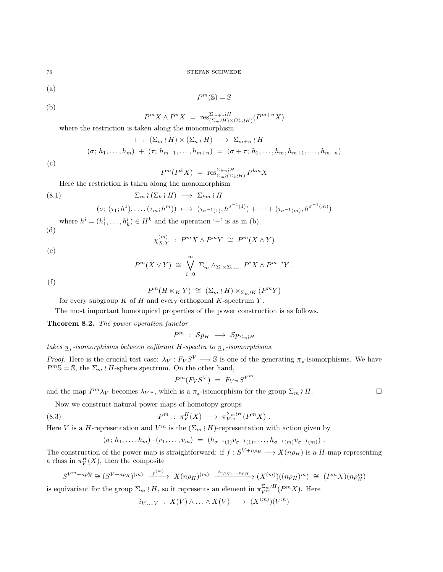(a)

$$
P^m({\mathbb S})={\mathbb S}
$$

(b)

(c)

$$
P^{m}X \wedge P^{n}X = \operatorname{res}_{(\Sigma_m \wr H) \times (\Sigma_n \wr H)}^{\Sigma_{m+n} \wr H} (P^{m+n}X)
$$

where the restriction is taken along the monomorphism

+ : 
$$
(\Sigma_m \wr H) \times (\Sigma_n \wr H) \longrightarrow \Sigma_{m+n} \wr H
$$
  
\n $(\sigma; h_1, \ldots, h_m) + (\tau; h_{m+1}, \ldots, h_{m+n}) = (\sigma + \tau; h_1, \ldots, h_m, h_{m+1}, \ldots, h_{m+n})$ 

$$
P^{m}(P^{k}X) = \operatorname{res}_{\Sigma_m \wr (\Sigma_k \wr H)}^{\Sigma_{km} \wr H} P^{km}X
$$

Here the restriction is taken along the monomorphism

<span id="page-75-0"></span>(8.1) 
$$
\Sigma_m \wr (\Sigma_k \wr H) \longrightarrow \Sigma_{km} \wr H
$$

$$
(\sigma; (\tau_1; h^1), \ldots, (\tau_m; h^m)) \longrightarrow (\tau_{\sigma^{-1}(1)}, h^{\sigma^{-1}(1)}) + \cdots + (\tau_{\sigma^{-1}(m)}, h^{\sigma^{-1}(m)})
$$

where  $h^i = (h_1^i, \ldots, h_k^i) \in H^k$  and the operation '+' is as in (b).

$$
(\mathrm{d})
$$

$$
\chi_{X,Y}^{(m)} : P^m X \wedge P^m Y \cong P^m (X \wedge Y)
$$

(e)

$$
P^{m}(X \vee Y) \cong \bigvee_{i=0}^{m} \Sigma_{m}^{+} \wedge_{\Sigma_{i} \times \Sigma_{m-i}} P^{i} X \wedge P^{m-i} Y.
$$

(f)

$$
P^{m}(H \ltimes_{K} Y) \cong (\Sigma_{m} \wr H) \ltimes_{\Sigma_{m} \wr K} (P^{m} Y)
$$

for every subgroup  $K$  of  $H$  and every orthogonal  $K$ -spectrum  $Y$ .

The most important homotopical properties of the power construction is as follows.

Theorem 8.2. The power operation functor

 $P^m$  :  $Sp_H \longrightarrow Sp_{\Sigma_m \wr H}$ 

takes  $\pi_*$ -isomorphisms between cofibrant H-spectra to  $\pi_*$ -isomorphisms.

*Proof.* Here is the crucial test case:  $\lambda_V : F_V S^V \longrightarrow \mathbb{S}$  is one of the generating  $\underline{\pi}_*$ -isomorphisms. We have  $P^m\mathbb{S} = \mathbb{S}$ , the  $\Sigma_m \wr H$ -sphere spectrum. On the other hand,

$$
P^m(F_VS^V) = F_{V^m}S^{V^m}
$$

and the map  $P^m \lambda_V$  becomes  $\lambda_{V^m}$ , which is a  $\underline{\pi}_*$ -isomorphism for the group  $\Sigma_m \wr H$ .

Now we construct natural power maps of homotopy groups

(8.3) 
$$
P^m : \pi_V^H(X) \longrightarrow \pi_{V^m}^{\Sigma_m \wr H}(P^m X) .
$$

Here V is a H-representation and  $V^m$  is the  $(\Sigma_m \wr H)$ -representation with action given by

$$
(\sigma; h_1, \ldots, h_m) \cdot (v_1, \ldots, v_m) = (h_{\sigma^{-1}(1)} v_{\sigma^{-1}(1)}, \ldots, h_{\sigma^{-1}(m)} v_{\sigma^{-1}(m)})
$$

The construction of the power map is straightforward: if  $f: S^{V+n\rho_H} \longrightarrow X(n\rho_H)$  is a H-map representing a class in  $\pi_V^H(X)$ , then the composite

$$
S^{V^m+n\rho_H^m} \cong (S^{V+n\rho_H})^{(m)} \xrightarrow{f^{(m)}} X(n\rho_H)^{(m)} \xrightarrow{i_{n\rho_H,\dots,n\rho_H}} (X^{(m)})((n\rho_H)^m) \cong (P^m X)(n\rho_H^m)
$$

is equivariant for the group  $\Sigma_m \wr H$ , so it represents an element in  $\pi_{V^m}^{\Sigma_m \wr H}(P^m X)$ . Here

$$
i_{V,\ldots,V} : X(V) \wedge \ldots \wedge X(V) \longrightarrow (X^{(m)})(V^m)
$$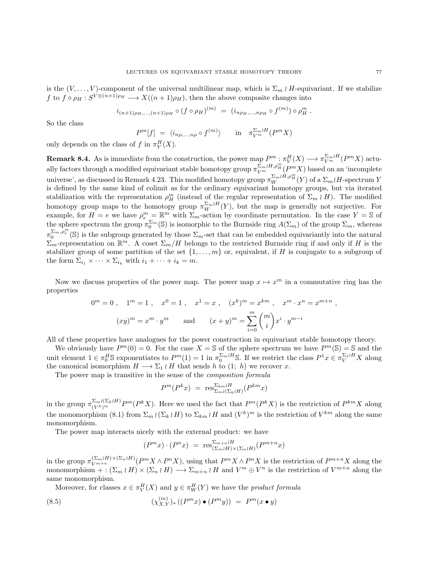<span id="page-76-1"></span>is the  $(V, \ldots, V)$ -component of the universal multilinear map, which is  $\Sigma_m \wr H$ -equivariant. If we stabilize f to  $f \circ \rho_H : S^{V \oplus (n+1)\rho_H} \longrightarrow X((n+1)\rho_H)$ , then the above composite changes into

$$
i_{(n+1)\rho_H,\dots,(n+1)\rho_H} \circ (f \circ \rho_H)^{(m)} = (i_{n\rho_H,\dots,n\rho_H} \circ f^{(m)}) \circ \rho_H^m.
$$

So the class

$$
P^{m}[f] = \langle i_{n\rho,\dots,n\rho} \circ f^{(m)} \rangle \quad \text{in} \quad \pi_{V^{m}}^{\Sigma_{m} \wr H}(P^{m}X)
$$

only depends on the class of f in  $\pi_V^H(X)$ .

**Remark 8.4.** As is immediate from the construction, the power map  $P^m$  :  $\pi_V^H(X) \longrightarrow \pi_{V^m}^{\Sigma_m \wr H}(P^m X)$  actually factors through a modified equivariant stable homotopy group  $\pi_{V^m}^{\Sigma_m \wr H,\rho_H^m}(P^mX)$  based on an 'incomplete universe', as discussed in Remark [4.23.](#page-36-0) This modified homotopy group  $\pi_W^{\Sigma_m \wr H, \rho^m_H}(Y)$  of a  $\Sigma_m \wr H$ -spectrum Y is defined by the same kind of colimit as for the ordinary equivariant homotopy groups, but via iterated stabilization with the representation  $\rho_H^m$  (instead of the regular representation of  $\Sigma_m \wr H$ ). The modified homotopy group maps to the homotopy group  $\pi_W^{\Sigma_m \wr H}(Y)$ , but the map is generally not surjective. For example, for  $H = e$  we have  $\rho_e^m = \mathbb{R}^m$  with  $\Sigma_m$ -action by coordinate permutation. In the case  $Y = \mathbb{S}$  of the sphere spectrum the group  $\pi_0^{\Sigma_m}(\mathbb{S})$  is isomorphic to the Burnside ring  $A(\Sigma_m)$  of the group  $\Sigma_m$ , whereas  $\pi_0^{\Sigma_m,\overline{\rho}_e^m}(\mathbb{S})$  is the subgroup generated by those  $\Sigma_m$ -set that can be embedded equivariantly into the natural  $\Sigma_m$ -representation on  $\mathbb{R}^m$ . A coset  $\Sigma_m/H$  belongs to the restricted Burnside ring if and only if H is the stabilizer group of some partition of the set  $\{1, \ldots, m\}$  or, equivalent, if H is conjugate to a subgroup of the form  $\Sigma_{i_1} \times \cdots \times \Sigma_{i_k}$  with  $i_1 + \cdots + i_k = m$ .

Now we discuss properties of the power map. The power map  $x \mapsto x^m$  in a commutative ring has the properties

$$
0m = 0, \t 1m = 1, \t x0 = 1, \t x1 = x, \t (xk)m = xkm, \t xm \cdot xn = xm+n,(xy)m = xm \cdot ym \t and \t (x + y)m = \sum_{i=0}^{m} {m \choose i} xi \cdot ym-i
$$

All of these properties have analogues for the power construction in equivariant stable homotopy theory.

We obviously have  $P^m(0) = 0$ . For the case  $X = \mathbb{S}$  of the sphere spectrum we have  $P^m(\mathbb{S}) = \mathbb{S}$  and the unit element  $1 \in \pi_0^H$  sexponentiates to  $P^m(1) = 1$  in  $\pi_0^{\Sigma_m \wr H}$  s. If we restrict the class  $P^1 x \in \pi_V^{\Sigma_1 \wr H} X$  along the canonical isomorphism  $H \longrightarrow \Sigma_1 \wr H$  that sends h to  $(1; h)$  we recover x.

The power map is transitive in the sense of the *composition formula* 

$$
P^{m}(P^{k}x) = \operatorname{res}_{\Sigma_m \wr (\Sigma_k \wr H)}^{\Sigma_{km} \wr H}(P^{km}x)
$$

in the group  $\pi_{(V^k)^m}^{\Sigma_m \wr (\Sigma_k \wr H)} P^m(P^k X)$ . Here we used the fact that  $P^m(P^k X)$  is the restriction of  $P^{km} X$  along the monomorphism [\(8.1\)](#page-75-0) from  $\Sigma_m \wr (\Sigma_k \wr H)$  to  $\Sigma_{km} \wr H$  and  $(V^k)^m$  is the restriction of  $V^{km}$  along the same monomorphism.

The power map interacts nicely with the external product: we have

<span id="page-76-0"></span>
$$
(P^m x) \cdot (P^n x) = \operatorname{res}_{(\Sigma_m \wr H) \times (\Sigma_n \wr H)}^{\Sigma_{m+n} \wr H} (P^{m+n} x)
$$

in the group  $\pi_{V^{m+n}}^{(\Sigma_m \wr H) \times (\Sigma_n \wr H)}(P^m X \wedge P^n X)$ , using that  $P^m X \wedge P^n X$  is the restriction of  $P^{m+n} X$  along the monomorphism  $+:(\Sigma_m\wr H)\times(\Sigma_n\wr H)\longrightarrow \Sigma_{m+n}\wr H$  and  $V^m\oplus V^n$  is the restriction of  $V^{m+n}$  along the same monomorphism.

Moreover, for classes  $x \in \pi_V^H(X)$  and  $y \in \pi_W^H(Y)$  we have the *product formula* 

(8.5) 
$$
(\chi_{X,Y}^{(m)})_* ((P^m x) \bullet (P^m y)) = P^m (x \bullet y)
$$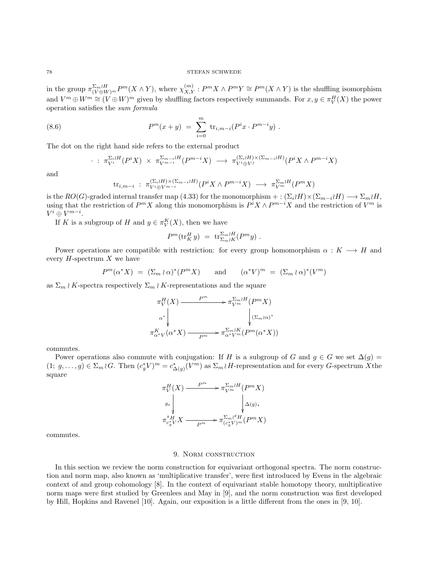<span id="page-77-2"></span>in the group  $\pi_{(V\oplus W)^m}^{\Sigma_m \wr H} P^m(X \wedge Y)$ , where  $\chi_{X,Y}^{(m)} : P^m X \wedge P^m Y \cong P^m(X \wedge Y)$  is the shuffling isomorphism and  $V^m \oplus W^m \cong (V \oplus W)^m$  given by shuffling factors respectively summands. For  $x, y \in \pi_V^H(X)$  the power operation satisfies the sum formula

(8.6) 
$$
P^{m}(x+y) = \sum_{i=0}^{m} \text{tr}_{i,m-i}(P^{i}x \cdot P^{m-i}y).
$$

The dot on the right hand side refers to the external product

<span id="page-77-0"></span>
$$
\cdot : \pi_{V^i}^{\Sigma_i \wr H}(P^i X) \times \pi_{V^{m-i}}^{\Sigma_{m-i} \wr H}(P^{m-i} X) \longrightarrow \pi_{V^i \oplus V^j}^{(\Sigma_i \wr H) \times (\Sigma_{m-i} \wr H)}(P^i X \wedge P^{m-i} X)
$$

and

$$
\text{tr}_{i,m-i} : \pi_{V^{i} \oplus V^{m-i}}^{(\Sigma_i \wr H) \times (\Sigma_{m-i} \wr H)}(P^i X \wedge P^{m-i} X) \longrightarrow \pi_{V^m}^{\Sigma_m \wr H}(P^m X)
$$

is the  $RO(G)$ -graded internal transfer map [\(4.33\)](#page-41-0) for the monomorphism + :  $(\Sigma_i H) \times (\Sigma_{m-i} H) \longrightarrow \Sigma_m H$ , using that the restriction of  $P^m X$  along this monomorphism is  $P^i X \wedge P^{m-i} X$  and the restriction of  $V^m$  is  $V^i\oplus V^{m-i}.$ 

If K is a subgroup of H and  $y \in \pi_V^K(X)$ , then we have

$$
P^m(\text{tr}_K^H y) = \text{tr}_{\Sigma_m \wr K}^{\Sigma_m \wr H} (P^m y) .
$$

Power operations are compatible with restriction: for every group homomorphism  $\alpha : K \longrightarrow H$  and every  $H$ -spectrum  $X$  we have

$$
P^m(\alpha^*X) = (\Sigma_m \wr \alpha)^* (P^m X) \quad \text{and} \quad (\alpha^* V)^m = (\Sigma_m \wr \alpha)^* (V^m)
$$

as  $\Sigma_m \wr K$ -spectra respectively  $\Sigma_m \wr K$ -representations and the square

$$
\pi_V^H(X) \xrightarrow{P^m} \pi_{V^m}^{\Sigma_m \wr H}(P^m X)
$$
\n
$$
\alpha^* \downarrow \qquad \qquad \downarrow (\Sigma_m \wr \alpha)^*
$$
\n
$$
\pi_{\alpha^* V}^K(\alpha^* X) \xrightarrow{P^m} \pi_{\alpha^* V^m}^{\Sigma_m \wr H}(P^m(\alpha^* X))
$$

commutes.

Power operations also commute with conjugation: If H is a subgroup of G and  $g \in G$  we set  $\Delta(g)$  =  $(1; g, \ldots, g) \in \Sigma_m \wr G$ . Then  $(c_g^* V)^m = c_{\Delta(g)}^* (V^m)$  as  $\Sigma_m \wr H$ -representation and for every G-spectrum X the square

$$
\begin{CD} \pi_V^H(X) \xrightarrow{P^m} \pi_{V^m}^{\Sigma_m \wr H}(P^m X) \\ \downarrow^{g_*} & \downarrow^{g_*} \\ \pi_{c^*_g V}^g X \xrightarrow{P^m} \pi_{(c^*_g V)^m}^{\Sigma_m \wr^g H}(P^m X) \end{CD}
$$

<span id="page-77-1"></span>commutes.

# 9. Norm construction

In this section we review the norm construction for equivariant orthogonal spectra. The norm construction and norm map, also known as 'multiplicative transfer', were first introduced by Evens in the algebraic context of and group cohomology [\[8\]](#page-103-0). In the context of equivariant stable homotopy theory, multiplicative norm maps were first studied by Greenlees and May in [\[9\]](#page-103-1), and the norm construction was first developed by Hill, Hopkins and Ravenel [\[10\]](#page-103-2). Again, our exposition is a little different from the ones in [\[9,](#page-103-1) [10\]](#page-103-2).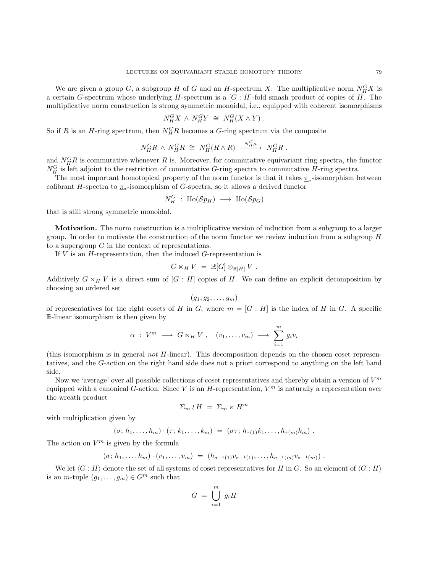<span id="page-78-0"></span>We are given a group  $G$ , a subgroup H of G and an H-spectrum X. The multiplicative norm  $N_H^G X$  is a certain G-spectrum whose underlying H-spectrum is a  $[G:H]$ -fold smash product of copies of H. The multiplicative norm construction is strong symmetric monoidal, i.e., equipped with coherent isomorphisms

$$
N_H^G X \,\wedge\, N_H^G Y \,\,\cong\,\, N_H^G (X \wedge Y) \,\, .
$$

So if R is an H-ring spectrum, then  $N_H^G R$  becomes a G-ring spectrum via the composite

$$
N_H^G R \wedge N_H^G R \cong N_H^G (R \wedge R) \xrightarrow{N_H^G \mu} N_H^G R ,
$$

and  $N_H^G R$  is commutative whenever R is. Moreover, for commutative equivariant ring spectra, the functor  $N_H^G$  is left adjoint to the restriction of commutative G-ring spectra to commutative H-ring spectra.

The most important homotopical property of the norm functor is that it takes  $\pi_*$ -isomorphism between cofibrant H-spectra to  $\underline{\pi}_*$ -isomorphism of G-spectra, so it allows a derived functor

$$
N_H^G \; : \; {\rm Ho}({\rm {\mathcal S}} p_H) \; \longrightarrow \; {\rm Ho}({\rm {\mathcal S}} p_G)
$$

that is still strong symmetric monoidal.

Motivation. The norm construction is a multiplicative version of induction from a subgroup to a larger group. In order to motivate the construction of the norm functor we review induction from a subgroup H to a supergroup  $G$  in the context of representations.

If  $V$  is an  $H$ -representation, then the induced  $G$ -representation is

$$
G\ltimes_H V = \mathbb{R}[G]\otimes_{\mathbb{R}[H]} V.
$$

Additively  $G \ltimes_H V$  is a direct sum of  $[G : H]$  copies of H. We can define an explicit decomposition by choosing an ordered set

$$
(g_1,g_2,\ldots,g_m)
$$

of representatives for the right cosets of H in G, where  $m = [G : H]$  is the index of H in G. A specific R-linear isomorphism is then given by

$$
\alpha \; : \; V^m \; \longrightarrow \; G \ltimes_H V \; , \quad (v_1, \ldots, v_m) \; \longmapsto \; \sum_{i=1}^m g_i v_i
$$

(this isomorphism is in general not H-linear). This decomposition depends on the chosen coset representatives, and the G-action on the right hand side does not a priori correspond to anything on the left hand side.

Now we 'average' over all possible collections of coset representatives and thereby obtain a version of  $V^m$ equipped with a canonical G-action. Since V is an H-representation,  $V^m$  is naturally a representation over the wreath product

$$
\Sigma_m \wr H = \Sigma_m \ltimes H^m
$$

with multiplication given by

$$
(\sigma; h_1,\ldots,h_m)\cdot(\tau; k_1,\ldots,k_m) = (\sigma\tau; h_{\tau(1)}k_1,\ldots,h_{\tau(m)}k_m).
$$

The action on  $V^m$  is given by the formula

$$
(\sigma; h_1, \ldots, h_m) \cdot (v_1, \ldots, v_m) = (h_{\sigma^{-1}(1)} v_{\sigma^{-1}(1)}, \ldots, h_{\sigma^{-1}(m)} v_{\sigma^{-1}(m)})
$$

We let  $\langle G : H \rangle$  denote the set of all systems of coset representatives for H in G. So an element of  $\langle G : H \rangle$ is an *m*-tuple  $(g_1, \ldots, g_m) \in G^m$  such that

$$
G = \bigcup_{i=1}^{m} g_i H
$$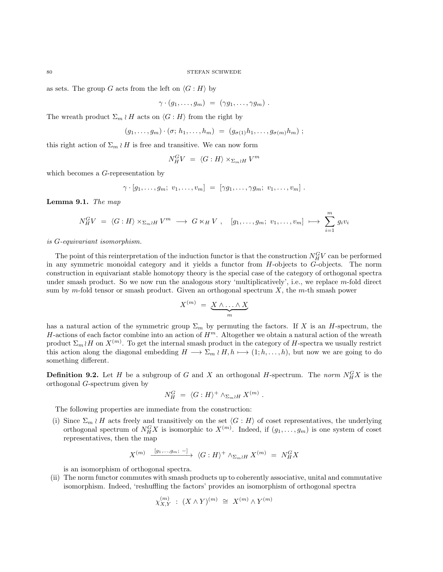as sets. The group G acts from the left on  $\langle G : H \rangle$  by

$$
\gamma \cdot (g_1, \ldots, g_m) = (\gamma g_1, \ldots, \gamma g_m) .
$$

The wreath product  $\Sigma_m \wr H$  acts on  $\langle G : H \rangle$  from the right by

$$
(g_1,\ldots,g_m)\cdot(\sigma; h_1,\ldots,h_m) = (g_{\sigma(1)}h_1,\ldots,g_{\sigma(m)}h_m);
$$

this right action of  $\Sigma_m \wr H$  is free and transitive. We can now form

$$
N_H^G V = \langle G : H \rangle \times_{\Sigma_m \wr H} V^m
$$

which becomes a *G*-representation by

$$
\gamma \cdot [g_1,\ldots,g_m;\ v_1,\ldots,v_m] = [\gamma g_1,\ldots,\gamma g_m;\ v_1,\ldots,v_m] .
$$

<span id="page-79-0"></span>Lemma 9.1. The map

$$
N_H^G V = \langle G : H \rangle \times_{\Sigma_m \wr H} V^m \longrightarrow G \times_H V , \quad [g_1, \ldots, g_m; v_1, \ldots, v_m] \longmapsto \sum_{i=1}^m g_i v_i
$$

is G-equivariant isomorphism.

The point of this reinterpretation of the induction functor is that the construction  $N_H^G V$  can be performed in any symmetric monoidal category and it yields a functor from  $H$ -objects to  $G$ -objects. The norm construction in equivariant stable homotopy theory is the special case of the category of orthogonal spectra under smash product. So we now run the analogous story 'multiplicatively', i.e., we replace m-fold direct sum by m-fold tensor or smash product. Given an orthogonal spectrum  $X$ , the m-th smash power

$$
X^{(m)} = \underbrace{X \wedge \ldots \wedge X}_{m}
$$

has a natural action of the symmetric group  $\Sigma_m$  by permuting the factors. If X is an H-spectrum, the H-actions of each factor combine into an action of  $H<sup>m</sup>$ . Altogether we obtain a natural action of the wreath product  $\Sigma_m \wr H$  on  $X^{(m)}$ . To get the internal smash product in the category of H-spectra we usually restrict this action along the diagonal embedding  $H \longrightarrow \Sigma_m \wr H, h \longmapsto (1; h, \ldots, h)$ , but now we are going to do something different.

**Definition 9.2.** Let H be a subgroup of G and X an orthogonal H-spectrum. The norm  $N_H^G X$  is the orthogonal G-spectrum given by

$$
N_H^G = \langle G : H \rangle^+ \wedge_{\Sigma_m \wr H} X^{(m)} .
$$

The following properties are immediate from the construction:

(i) Since  $\Sigma_m \wr H$  acts freely and transitively on the set  $\langle G : H \rangle$  of coset representatives, the underlying orthogonal spectrum of  $N_H^G X$  is isomorphic to  $X^{(m)}$ . Indeed, if  $(g_1, \ldots, g_m)$  is one system of coset representatives, then the map

$$
X^{(m)} \xrightarrow{[g_1, \ldots, g_m; -]} \langle G : H \rangle^+ \wedge_{\Sigma_m \wr H} X^{(m)} = N_H^G X
$$

is an isomorphism of orthogonal spectra.

(ii) The norm functor commutes with smash products up to coherently associative, unital and commutative isomorphism. Indeed, 'reshuffling the factors' provides an isomorphism of orthogonal spectra

$$
\chi_{X,Y}^{(m)} \; : \; (X \wedge Y)^{(m)} \; \cong \; X^{(m)} \wedge Y^{(m)}
$$

<span id="page-79-1"></span>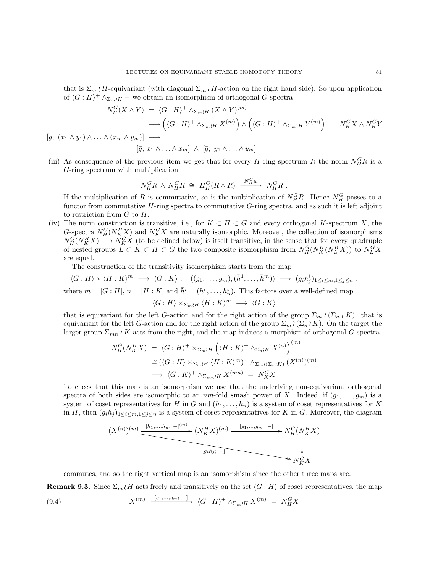that is  $\Sigma_m \wr H$ -equivariant (with diagonal  $\Sigma_m \wr H$ -action on the right hand side). So upon application of  $\langle G : H \rangle^+ \wedge_{\Sigma_m \wr H}$  – we obtain an isomorphism of orthogonal G-spectra

$$
N_H^G(X \wedge Y) = \langle G : H \rangle^+ \wedge_{\Sigma_m \wr H} (X \wedge Y)^{(m)}
$$
  
\n
$$
\longrightarrow \left( \langle G : H \rangle^+ \wedge_{\Sigma_m \wr H} X^{(m)} \right) \wedge \left( \langle G : H \rangle^+ \wedge_{\Sigma_m \wr H} Y^{(m)} \right) = N_H^G X \wedge N_H^G Y
$$
  
\n
$$
[\bar{g}; (x_1 \wedge y_1) \wedge \ldots \wedge (x_m \wedge y_m)] \longrightarrow
$$
  
\n
$$
[\bar{g}; x_1 \wedge \ldots \wedge x_m] \wedge [\bar{g}; y_1 \wedge \ldots \wedge y_m]
$$

(iii) As consequence of the previous item we get that for every H-ring spectrum R the norm  $N_H^G R$  is a G-ring spectrum with multiplication

$$
N_H^G R \,\wedge\, N_H^G R \,\,\cong\,\, H^G_H (R \wedge R) \,\xrightarrow{\phantom{a} N_H^G \mu} \,\, N_H^G R \,\,.
$$

If the multiplication of R is commutative, so is the multiplication of  $N_H^G R$ . Hence  $N_H^G$  passes to a functor from commutative  $H$ -ring spectra to commutative  $G$ -ring spectra, and as such it is left adjoint to restriction from  $G$  to  $H$ .

(iv) The norm construction is transitive, i.e., for  $K \subset H \subset G$  and every orthogonal K-spectrum X, the G-spectra  $N_H^G(N_K^H X)$  and  $N_K^G X$  are naturally isomorphic. Moreover, the collection of isomorphisms  $N_H^G(N_K^H X) \longrightarrow N_K^G X$  (to be defined below) is itself transitive, in the sense that for every quadruple of nested groups  $L \subset K \subset H \subset G$  the two composite isomorphism from  $N_H^G(N_K^H(N_L^K X))$  to  $N_L^G X$ are equal.

The construction of the transitivity isomorphism starts from the map

$$
\langle G : H \rangle \times \langle H : K \rangle^m \longrightarrow \langle G : K \rangle , \quad ((g_1, \dots, g_m), (\bar{h}^1, \dots, \bar{h}^m)) \longmapsto (g_i h_j^i)_{1 \le i \le m, 1 \le j \le n} ,
$$
  
where  $m = [G : H], n = [H : K]$  and  $\bar{h}^i = (h_1^i, \dots, h_n^i)$ . This factors over a well-defined map  

$$
\langle G : H \rangle \times_{\Sigma_m \wr H} \langle H : K \rangle^m \longrightarrow \langle G : K \rangle
$$

that is equivariant for the left G-action and for the right action of the group  $\Sigma_m \wr (\Sigma_n \wr K)$ . that is equivariant for the left G-action and for the right action of the group  $\Sigma_m \wr (\Sigma_n \wr K)$ . On the target the larger group  $\Sigma_{mn} \wr K$  acts from the right, and the map induces a morphism of orthogonal G-spectra

$$
N_H^G(N_K^H X) = \langle G : H \rangle^+ \times_{\Sigma_m \wr H} \left( \langle H : K \rangle^+ \wedge_{\Sigma_n \wr K} X^{(n)} \right)^{(m)}
$$
  
\n
$$
\cong (\langle G : H \rangle \times_{\Sigma_m \wr H} \langle H : K \rangle^m)^+ \wedge_{\Sigma_m \wr (\Sigma_n \wr K)} (X^{(n)})^{(m)}
$$
  
\n
$$
\longrightarrow \langle G : K \rangle^+ \wedge_{\Sigma_{mn} \wr K} X^{(mn)} = N_K^G X
$$

To check that this map is an isomorphism we use that the underlying non-equivariant orthogonal spectra of both sides are isomorphic to an nm-fold smash power of X. Indeed, if  $(g_1, \ldots, g_m)$  is a system of coset representatives for H in G and  $(h_1, \ldots, h_n)$  is a system of coset representatives for K in H, then  $(g_i h_j)_{1 \leq i \leq m, 1 \leq j \leq n}$  is a system of coset representatives for K in G. Moreover, the diagram

$$
(X^{(n)})^{(m)} \xrightarrow{\underbrace{\begin{bmatrix} [h_1, \dots, h_n; -]^{(m)} \end{bmatrix}} (N_K^H X)^{(m)} \xrightarrow{\begin{bmatrix} [g_1, \dots, g_m; -] \end{bmatrix}} N_H^G (N_K^H X)}
$$
\n
$$
\downarrow
$$
\n
$$
N_K^G X
$$

<span id="page-80-0"></span>commutes, and so the right vertical map is an isomorphism since the other three maps are.

**Remark 9.3.** Since  $\Sigma_m \wr H$  acts freely and transitively on the set  $\langle G : H \rangle$  of coset representatives, the map

(9.4) 
$$
X^{(m)} \xrightarrow{\left[g_1,\dots,g_m; -\right]} \langle G:H \rangle^+ \wedge_{\Sigma_m \wr H} X^{(m)} = N_H^G X
$$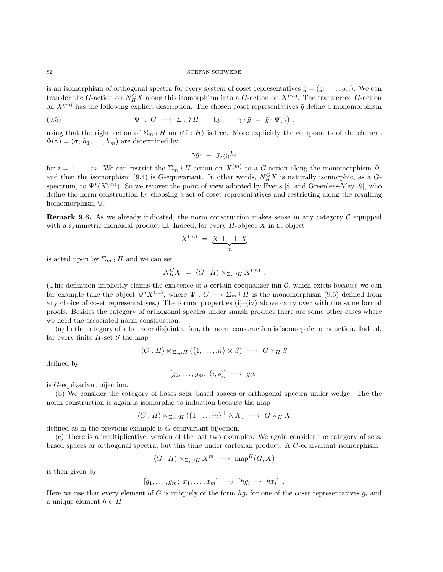#### $82$   $$\rm{STEFAN}$  SCHWEDE

is an isomorphism of orthogonal spectra for every system of coset representatives  $\bar{g} = (g_1, \ldots, g_m)$ . We can transfer the G-action on  $N_H^G X$  along this isomorphism into a G-action on  $X^{(m)}$ . The transferred G-action on  $X^{(m)}$  has the following explicit description. The chosen coset representatives  $\bar{g}$  define a monomorphism

(9.5) 
$$
\Psi : G \longrightarrow \Sigma_m \wr H \quad \text{by} \quad \gamma \cdot \bar{g} = \bar{g} \cdot \Psi(\gamma) ,
$$

using that the right action of  $\Sigma_m \wr H$  on  $\langle G : H \rangle$  is free. More explicitly the components of the element  $\Phi(\gamma) = (\sigma; h_1, \ldots, h_m)$  are determined by

<span id="page-81-0"></span>
$$
\gamma g_i = g_{\sigma(i)} h_i
$$

for  $i = 1, \ldots, m$ . We can restrict the  $\Sigma_m \wr H$ -action on  $X^{(m)}$  to a G-action along the monomorphism  $\Psi$ , and then the isomorphism [\(9.4\)](#page-80-0) is G-equivariant. In other words,  $N_H^G X$  is naturally isomorphic, as a Gspectrum, to  $\Psi^*(X^{(m)})$ . So we recover the point of view adopted by Evens [\[8\]](#page-103-0) and Greenlees-May [\[9\]](#page-103-1), who define the norm construction by choosing a set of coset representatives and restricting along the resulting homomorphism Ψ.

**Remark 9.6.** As we already indicated, the norm construction makes sense in any category  $\mathcal{C}$  equipped with a symmetric monoidal product  $\Box$ . Indeed, for every H-object X in C, object

$$
X^{(m)} = \underbrace{X \square \cdots \square X}_{m}
$$

is acted upon by  $\Sigma_m \wr H$  and we can set

$$
N_H^G X = \langle G : H \rangle \ltimes_{\Sigma_m \wr H} X^{(m)}.
$$

(This definition implicitly claims the existence of a certain coequalizer inn  $\mathcal{C}$ , which exists because we can for example take the object  $\Psi^* X^{(m)}$ , where  $\Psi: G \longrightarrow \Sigma_m \wr H$  is the monomorphism [\(9.5\)](#page-81-0) defined from any choice of coset representatives.) The formal properties  $(i)$ – $(iv)$  above carry over with the same formal proofs. Besides the category of orthogonal spectra under smash product there are some other cases where we need the associated norm construction:

(a) In the category of sets under disjoint union, the norm construction is isomorphic to induction. Indeed, for every finite  $H$ -set  $S$  the map

$$
\langle G : H \rangle \ltimes_{\Sigma_m \wr H} (\{1, \ldots, m\} \times S) \longrightarrow G \times_H S
$$

defined by

$$
[g_1,\ldots,g_m;\;(i,s)]\;\longmapsto\;g_is
$$

is G-equivariant bijection.

(b) We consider the category of bases sets, based spaces or orthogonal spectra under wedge. The the norm construction is again is isomorphic to induction because the map

$$
\langle G: H \rangle \ltimes_{\Sigma_m \wr H} (\{1, \ldots, m\}^+ \wedge X) \longrightarrow G \ltimes_H X
$$

defined as in the previous example is G-equivariant bijection.

(c) There is a 'multiplicative' version of the last two examples. We again consider the category of sets, based spaces or orthogonal spectra, but this time under cartesian product. A G-equivariant isomorphism

$$
\langle G : H \rangle \ltimes_{\Sigma_m \wr H} X^m \longrightarrow \text{map}^H(G, X)
$$

is then given by

$$
[g_1,\ldots,g_m;\;x_1,\ldots,x_m]\;\longmapsto\;[hg_i\;\mapsto\;hx_i]\;.
$$

Here we use that every element of G is uniquely of the form  $hg_i$  for one of the coset representatives  $g_i$  and a unique element  $h \in H$ .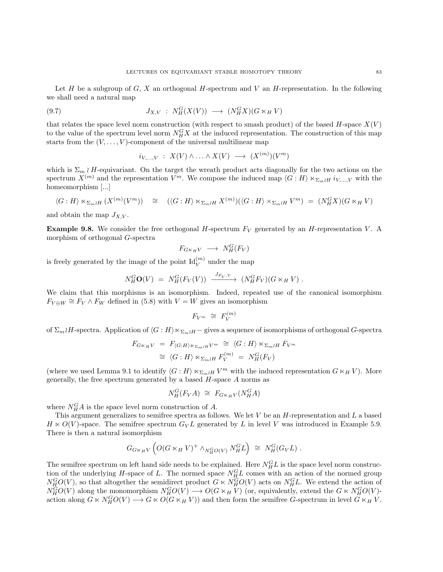<span id="page-82-2"></span>Let H be a subgroup of  $G, X$  an orthogonal H-spectrum and V an H-representation. In the following we shall need a natural map

(9.7) 
$$
J_{X,V} : N_H^G(X(V)) \longrightarrow (N_H^G X)(G \ltimes_H V)
$$

that relates the space level norm construction (with respect to smash product) of the based  $H$ -space  $X(V)$ to the value of the spectrum level norm  $N_H^G X$  at the induced representation. The construction of this map starts from the  $(V, \ldots, V)$ -component of the universal multilinear map

<span id="page-82-1"></span>
$$
i_{V,\ldots,V} : X(V) \wedge \ldots \wedge X(V) \longrightarrow (X^{(m)})(V^m)
$$

which is  $\Sigma_m \wr H$ -equivariant. On the target the wreath product acts diagonally for the two actions on the spectrum  $X^{(m)}$  and the representation  $V^m$ . We compose the induced map  $\langle G : H \rangle \ltimes_{\Sigma_m \wr H} i_{V,\ldots,V}$  with the homeomorphism [...]

$$
\langle G: H \rangle \ltimes_{\Sigma_m \wr H} (X^{(m)}(V^m)) \cong (\langle G: H \rangle \ltimes_{\Sigma_m \wr H} X^{(m)}) (\langle G: H \rangle \times_{\Sigma_m \wr H} V^m) = (N_H^G X)(G \ltimes_H V)
$$

and obtain the map  $J_{X,V}$ .

<span id="page-82-0"></span>**Example 9.8.** We consider the free orthogonal H-spectrum  $F_V$  generated by an H-representation V. A morphism of orthogonal G-spectra

$$
F_{G\ltimes_H V} \longrightarrow N_H^G(F_V)
$$

is freely generated by the image of the point  $\mathrm{Id}_V^{(m)}$  under the map

$$
N_H^G \mathbf{O}(V) = N_H^G(F_V(V)) \xrightarrow{J_{F_V,V}} (N_H^G F_V)(G \ltimes_H V).
$$

We claim that this morphisms is an isomorphism. Indeed, repeated use of the canonical isomorphism  $F_{V \oplus W} \cong F_V \wedge F_W$  defined in [\(5.8\)](#page-49-0) with  $V = W$  gives an isomorphism

$$
F_{V^m} \cong F_V^{(m)}
$$

of  $\Sigma_m$ *H*-spectra. Application of  $\langle G : H \rangle \ltimes_{\Sigma_m \wr H}$  – gives a sequence of isomorphisms of orthogonal G-spectra

$$
F_{G \ltimes_H V} = F_{\langle G:H \rangle \ltimes_{\Sigma_m \wr H} V^m} \cong \langle G:H \rangle \ltimes_{\Sigma_m \wr H} F_{V^m}
$$
  

$$
\cong \langle G:H \rangle \ltimes_{\Sigma_m \wr H} F_V^{(m)} = N_H^G(F_V)
$$

(where we used Lemma [9.1](#page-79-0) to identify  $\langle G : H \rangle \ltimes_{\Sigma_m \wr H} V^m$  with the induced representation  $G \ltimes_H V$ ). More generally, the free spectrum generated by a based  $H$ -space  $A$  norms as

$$
N_H^G(F_VA) \cong F_{G \ltimes_H V}(N_H^G A)
$$

where  $N_H^G A$  is the space level norm construction of A.

This argument generalizes to semifree spectra as follows. We let  $V$  be an  $H$ -representation and  $L$  a based  $H \ltimes O(V)$ -space. The semifree spectrum  $G_V L$  generated by L in level V was introduced in Example [5.9.](#page-50-0) There is then a natural isomorphism

$$
G_{G\ltimes_H V}\left(O(G\ltimes_H V)^+ \wedge_{N^G_H O(V)} N^G_H L\right) \cong N^G_H(G_V L) .
$$

The semifree spectrum on left hand side needs to be explained. Here  $N_H^G L$  is the space level norm construction of the underlying H-space of L. The normed space  $N_{H}^{G}L$  comes with an action of the normed group  $N_{H}^{G}O(V)$ , so that altogether the semidirect product  $G \ltimes N_{H}^{G}O(V)$  acts on  $N_{H}^{G}L$ . We extend the action of  $N_H^{\tilde{G}}O(V)$  along the monomorphism  $N_H^GO(V) \longrightarrow O(G \ltimes_H V)$  (or, equivalently, extend the  $G \ltimes N_H^GO(V)$ action along  $G \ltimes N_H^G O(V) \longrightarrow G \ltimes O(G \ltimes_H V)$  and then form the semifree G-spectrum in level  $G \ltimes_H V$ .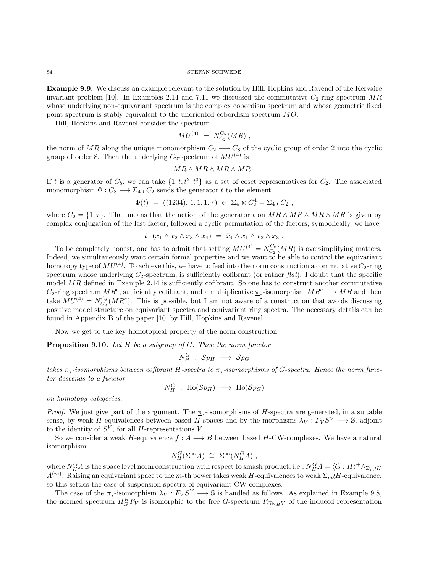<span id="page-83-0"></span> ${\small \begin{array}{c} \text{STEFAN} \end{array}}$ 

Example 9.9. We discuss an example relevant to the solution by Hill, Hopkins and Ravenel of the Kervaire invariant problem [\[10\]](#page-103-2). In Examples [2.14](#page-10-0) and [7.11](#page-71-0) we discussed the commutative  $C_2$ -ring spectrum MR whose underlying non-equivariant spectrum is the complex cobordism spectrum and whose geometric fixed point spectrum is stably equivalent to the unoriented cobordism spectrum MO.

Hill, Hopkins and Ravenel consider the spectrum

$$
MU^{(4)} \; = \; N_{C_2}^{C_8}(MR) \; ,
$$

the norm of MR along the unique monomorphism  $C_2 \longrightarrow C_8$  of the cyclic group of order 2 into the cyclic group of order 8. Then the underlying  $C_2$ -spectrum of  $MU<sup>(4)</sup>$  is

$$
MR \wedge MR \wedge MR \wedge MR.
$$

If t is a generator of  $C_8$ , we can take  $\{1, t, t^2, t^3\}$  as a set of coset representatives for  $C_2$ . The associated monomorphism  $\Phi: C_8 \longrightarrow \Sigma_4 \wr C_2$  sends the generator t to the element

$$
\Phi(t) = ((1234); 1, 1, 1, \tau) \in \Sigma_4 \ltimes C_2^4 = \Sigma_4 \wr C_2 ,
$$

where  $C_2 = \{1, \tau\}$ . That means that the action of the generator t on  $MR \wedge MR \wedge MR \wedge MR$  is given by complex conjugation of the last factor, followed a cyclic permutation of the factors; symbolically, we have

$$
t \cdot (x_1 \wedge x_2 \wedge x_3 \wedge x_4) = \bar{x}_4 \wedge x_1 \wedge x_2 \wedge x_3.
$$

To be completely honest, one has to admit that setting  $MU^{(4)} = N_{C_2}^{C_8}(MR)$  is oversimplifying matters. Indeed, we simultaneously want certain formal properties and we want to be able to control the equivariant homotopy type of  $MU^{(4)}$ . To achieve this, we have to feed into the norm construction a commutative  $C_2$ -ring spectrum whose underlying  $C_2$ -spectrum, is sufficiently cofibrant (or rather flat). I doubt that the specific model  $MR$  defined in Example [2.14](#page-10-0) is sufficiently cofibrant. So one has to construct another commutative  $C_2$ -ring spectrum  $MR^c$ , sufficiently cofibrant, and a multiplicative  $\underline{\pi}_*$ -isomorphism  $MR^c \longrightarrow MR$  and then take  $MU^{(4)} = N_{C_2}^{C_8}(MR^c)$ . This is possible, but I am not aware of a construction that avoids discussing positive model structure on equivariant spectra and equivariant ring spectra. The necessary details can be found in Appendix B of the paper [\[10\]](#page-103-2) by Hill, Hopkins and Ravenel.

Now we get to the key homotopical property of the norm construction:

**Proposition 9.10.** Let  $H$  be a subgroup of  $G$ . Then the norm functor

$$
N^G_H~:~\mathcal{S}p_H~\longrightarrow~\mathcal{S}p_G
$$

takes  $\pi_*$ -isomorphisms between cofibrant H-spectra to  $\pi_*$ -isomorphisms of G-spectra. Hence the norm functor descends to a functor

$$
N_H^G \; : \; \text{Ho}(\mathcal Sp_H) \; \longrightarrow \; \text{Ho}(\mathcal Sp_G)
$$

on homotopy categories.

*Proof.* We just give part of the argument. The  $\pi_*$ -isomorphisms of H-spectra are generated, in a suitable sense, by weak H-equivalences between based H-spaces and by the morphisms  $\lambda_V : F_V S^V \longrightarrow \mathbb{S}$ , adjoint to the identity of  $S^V$ , for all H-representations V.

So we consider a weak H-equivalence  $f : A \longrightarrow B$  between based H-CW-complexes. We have a natural isomorphism

$$
N_H^G(\Sigma^{\infty}A) \cong \Sigma^{\infty}(N_H^GA) ,
$$

where  $N_H^G A$  is the space level norm construction with respect to smash product, i.e.,  $N_H^G A = \langle G : H \rangle^+ \wedge_{\Sigma_m \wr H}$  $A^{(m)}$ . Raising an equivariant space to the m-th power takes weak H-equivalences to weak  $\Sigma_m$ *H*-equivalence, so this settles the case of suspension spectra of equivariant CW-complexes.

The case of the  $\underline{\pi}_*$ -isomorphism  $\lambda_V : F_V S^V \longrightarrow \mathbb{S}$  is handled as follows. As explained in Example [9.8,](#page-82-0) the normed spectrum  $H_G^H F_V$  is isomorphic to the free G-spectrum  $F_{G \ltimes_H V}$  of the induced representation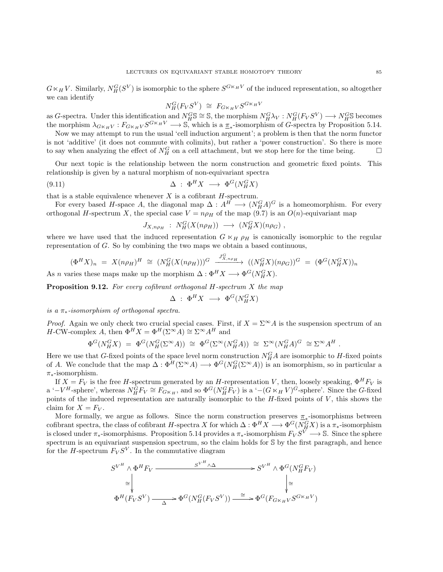<span id="page-84-1"></span> $G \ltimes_H V$ . Similarly,  $N_H^G(S^V)$  is isomorphic to the sphere  $S^{G \ltimes_H V}$  of the induced representation, so altogether we can identify

$$
N_H^G(F_VS^V) \cong F_{G \ltimes_H V} S^{G \ltimes_H V}
$$

as G-spectra. Under this identification and  $N_H^G S \cong S$ , the morphism  $N_H^G \lambda_V : N_H^G (F_V S^V) \longrightarrow N_H^G S$  becomes the morphism  $\lambda_{G\ltimes_HV}: F_{G\ltimes_HV}S^{G\ltimes_HV} \longrightarrow \mathbb{S}$ , which is a  $\underline{\pi}_*$ -isomorphism of G-spectra by Proposition [5.14.](#page-52-0)

Now we may attempt to run the usual 'cell induction argument'; a problem is then that the norm functor is not 'additive' (it does not commute with colimits), but rather a 'power construction'. So there is more to say when analyzing the effect of  $N_H^G$  on a cell attachment, but we stop here for the time being.  $\Box$ 

Our next topic is the relationship between the norm construction and geometric fixed points. This relationship is given by a natural morphism of non-equivariant spectra

(9.11) 
$$
\Delta : \Phi^H X \longrightarrow \Phi^G(N_H^G X)
$$

that is a stable equivalence whenever  $X$  is a cofibrant  $H$ -spectrum.

For every based H-space A, the diagonal map  $\Delta: A^H \longrightarrow (N_H^G A)^G$  is a homeomorphism. For every orthogonal H-spectrum X, the special case  $V = n \rho_H$  of the map [\(9.7\)](#page-82-1) is an  $O(n)$ -equivariant map

<span id="page-84-0"></span>
$$
J_{X,n\rho_H} : N_H^G(X(n\rho_H)) \longrightarrow (N_H^G X)(n\rho_G) ,
$$

where we have used that the induced representation  $G \ltimes_H \rho_H$  is canonically isomorphic to the regular representation of G. So by combining the two maps we obtain a based continuous,

$$
(\Phi^H X)_n = X(n\rho_H)^H \cong (N_H^G(X(n\rho_H)))^G \xrightarrow{J_{X,n\rho_H}^G} ((N_H^G X)(n\rho_G))^G = (\Phi^G(N_H^G X))_n
$$

As *n* varies these maps make up the morphism  $\Delta: \Phi^H X \longrightarrow \Phi^G(N_H^G X)$ .

**Proposition 9.12.** For every cofibrant orthogonal  $H$ -spectrum  $X$  the map

$$
\Delta \; : \; \Phi^H X \; \longrightarrow \; \Phi^G(N_H^G X)
$$

is a  $\pi_*$ -isomorphism of orthogonal spectra.

*Proof.* Again we only check two crucial special cases. First, if  $X = \Sigma^{\infty} A$  is the suspension spectrum of an H-CW-complex A, then  $\Phi^H X = \Phi^H(\Sigma^{\infty} A) \cong \Sigma^{\infty} A^H$  and

$$
\Phi^G(N_H^G X) = \Phi^G(N_H^G(\Sigma^\infty A)) \cong \Phi^G(\Sigma^\infty(N_H^G A)) \cong \Sigma^\infty(N_H^G A)^G \cong \Sigma^\infty A^H.
$$

Here we use that G-fixed points of the space level norm construction  $N_H^G A$  are isomorphic to H-fixed points of A. We conclude that the map  $\Delta: \Phi^H(\Sigma^{\infty} A) \longrightarrow \Phi^G(N_H^G(\Sigma^{\infty} A))$  is an isomorphism, so in particular a  $\pi_*$ -isomorphism.

If  $X = F_V$  is the free H-spectrum generated by an H-representation V, then, loosely speaking,  $\Phi^H F_V$  is a '− $V^H$ -sphere', whereas  $N_H^{\tilde{G}} F_V \cong F_{G_{\kappa_H}}$ , and so  $\Phi^G(N_H^G F_V)$  is a '− $(G \ltimes_H V)^{\tilde{G}}$ -sphere'. Since the *G*-fixed points of the induced representation are naturally isomorphic to the  $H$ -fixed points of  $V$ , this shows the claim for  $X = F_V$ .

More formally, we argue as follows. Since the norm construction preserves  $\pi_*$ -isomorphisms between cofibrant spectra, the class of cofibrant H-spectra X for which  $\Delta: \Phi^H X \longrightarrow \Phi^G(N^G_H X)$  is a  $\pi_*$ -isomorphism is closed under  $\pi_*$ -isomorphisms. Proposition [5.14](#page-52-0) provides a  $\pi_*$ -isomorphism  $F_V S^{\tilde{V}} \longrightarrow S$ . Since the sphere spectrum is an equivariant suspension spectrum, so the claim holds for S by the first paragraph, and hence for the *H*-spectrum  $F_V S^V$ . In the commutative diagram

$$
S^{V^H} \wedge \Phi^H F_V \xrightarrow{\qquad \qquad S^{V^H} \wedge \Delta} S^{V^H} \wedge \Phi^G(N_H^G F_V)
$$
  
\n
$$
\cong \downarrow \downarrow \downarrow
$$
  
\n
$$
\Phi^H(F_V S^V) \xrightarrow{\qquad \qquad \Delta} \Phi^G(N_H^G(F_V S^V)) \xrightarrow{\cong} \Phi^G(F_{G \ltimes_H V} S^{G \ltimes_H V})
$$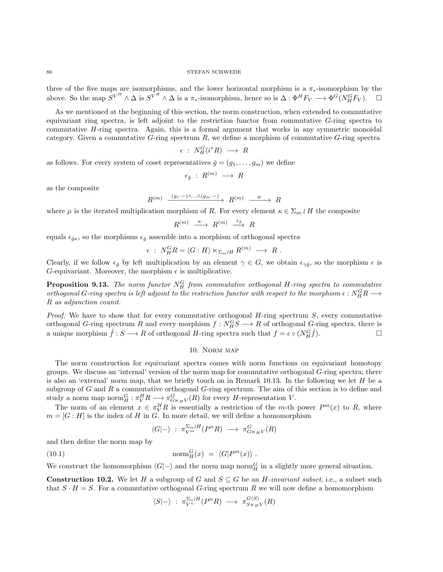<span id="page-85-2"></span>three of the five maps are isomorphisms, and the lower horizontal morphism is a  $\pi_*$ -isomorphism by the above. So the map  $S^{V^H} \wedge \Delta$  is  $S^{V^H} \wedge \Delta$  is a  $\pi_*$ -isomorphism, hence so is  $\Delta : \Phi^H F_V \longrightarrow \Phi^G(N_H^G F_V)$ .  $\Box$ 

As we mentioned at the beginning of this section, the norm construction, when extended to commutative equivariant ring spectra, is left adjoint to the restriction functor from commutative G-ring spectra to commutative  $H$ -ring spectra. Again, this is a formal argument that works in any symmetric monoidal category. Given a commutative  $G$ -ring spectrum  $R$ , we define a morphism of commutative  $G$ -ring spectra

$$
\epsilon\ :\ N^G_H(i^*R)\ \longrightarrow\ R
$$

as follows. For every system of coset representatives  $\bar{g} = (g_1, \ldots, g_m)$  we define

$$
\epsilon_{\bar{g}}~:~R^{(m)}~\longrightarrow~R
$$

as the composite

$$
R^{(m)} \xrightarrow{(g_1 \cdot -) \wedge \ldots \wedge (g_m \cdot -)} R^{(m)} \xrightarrow{\mu} R
$$

where  $\mu$  is the iterated multiplication morphism of R. For every element  $\kappa \in \Sigma_m \wr H$  the composite

$$
R^{(m)} \ \stackrel{\kappa\cdot}{\longrightarrow} \ R^{(m)} \ \stackrel{\epsilon_{\bar{g}}}{\longrightarrow} \ R
$$

equals  $\epsilon_{\bar{g}\kappa}$ , so the morphisms  $\epsilon_{\bar{g}}$  assemble into a morphism of orthogonal spectra

$$
\epsilon \; : \; N_H^G R = \langle G : H \rangle \ltimes_{\Sigma_m \wr H} R^{(m)} \; \longrightarrow \; R \; .
$$

Clearly, if we follow  $\epsilon_{\bar{g}}$  by left multiplication by an element  $\gamma \in G$ , we obtain  $\epsilon_{\gamma\bar{g}}$ , so the morphism  $\epsilon$  is G-equivariant. Moreover, the morphism  $\epsilon$  is multiplicative.

**Proposition 9.13.** The norm functor  $N_H^G$  from commutative orthogonal H-ring spectra to commutative orthogonal G-ring spectra is left adjoint to the restriction functor with respect to the morphism  $\epsilon : N^G_H R \longrightarrow$ R as adjunction counit.

*Proof.* We have to show that for every commutative orthogonal  $H$ -ring spectrum  $S$ , every commutative orthogonal G-ring spectrum R and every morphism  $f: N_H^G S \longrightarrow R$  of orthogonal G-ring spectra, there is a unique morphism  $\hat{f}: S \longrightarrow R$  of orthogonal H-ring spectra such that  $f = \epsilon \circ (N_H^G \hat{f}).$ 

## 10. Norm map

The norm construction for equivariant spectra comes with norm functions on equivariant homotopy groups. We discuss an 'internal' version of the norm map for commutative orthogonal  $G$ -ring spectra; there is also an 'external' norm map, that we briefly touch on in Remark [10.13.](#page-99-0) In the following we let  $H$  be a subgroup of  $G$  and  $R$  a commutative orthogonal  $G$ -ring spectrum. The aim of this section is to define and study a norm map  $\text{norm}_{H}^{G}: \pi_{V}^{H}R \longrightarrow \pi_{G \ltimes_{H} V}^{G}(R)$  for every H-representation V.

The norm of an element  $x \in \pi_{V}^{H} R$  is essentially a restriction of the m-th power  $P^{m}(x)$  to R, where  $m = [G : H]$  is the index of H in G. In more detail, we will define a homomorphism

<span id="page-85-1"></span>
$$
\langle G|-\rangle \; : \; \pi_{V^m}^{\Sigma_m \wr H}(P^nR) \; \longrightarrow \; \pi_{G \ltimes_H V}^G(R)
$$

and then define the norm map by

(10.1) 
$$
\operatorname{norm}_{H}^{G}(x) = \langle G|P^{m}(x)\rangle.
$$

We construct the homomorphism  $\langle G|-\rangle$  and the norm map norm $_H^G$  in a slightly more general situation.

<span id="page-85-0"></span>**Construction 10.2.** We let H a subgroup of G and  $S \subseteq G$  be an H-invariant subset, i.e., a subset such that  $S \cdot H = S$ . For a commutative orthogonal G-ring spectrum R we will now define a homomorphism

$$
\langle S | - \rangle : \pi_{V^n}^{\Sigma_n \wr H}(P^n R) \longrightarrow \pi_{S \times_H V}^{G \langle S \rangle}(R)
$$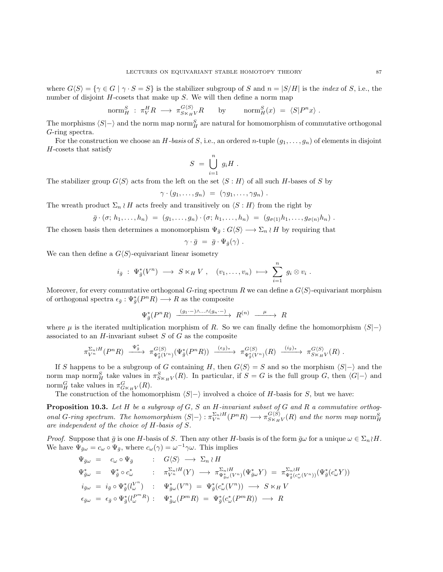where  $G\langle S\rangle = \{\gamma \in G \mid \gamma \cdot S = S\}$  is the stabilizer subgroup of S and  $n = |S/H|$  is the *index* of S, i.e., the number of disjoint  $H$ -cosets that make up  $S$ . We will then define a norm map

$$
\text{norm}_{H}^{S} : \pi_{V}^{H} R \longrightarrow \pi_{S \ltimes_{H} V}^{G \langle S \rangle} R \quad \text{by} \quad \text{norm}_{H}^{S}(x) = \langle S | P^{n} x \rangle.
$$

The morphisms  $\langle S|-\rangle$  and the norm map norm $_H^S$  are natural for homomorphism of commutative orthogonal G-ring spectra.

For the construction we choose an H-basis of S, i.e., an ordered n-tuple  $(g_1, \ldots, g_n)$  of elements in disjoint H-cosets that satisfy

$$
S = \bigcup_{i=1}^{n} g_i H.
$$

The stabilizer group  $G\langle S\rangle$  acts from the left on the set  $\langle S : H\rangle$  of all such H-bases of S by

$$
\gamma \cdot (g_1, \ldots, g_n) = (\gamma g_1, \ldots, \gamma g_n) .
$$

The wreath product  $\Sigma_n \wr H$  acts freely and transitively on  $\langle S : H \rangle$  from the right by

$$
\bar{g} \cdot (\sigma; h_1, \ldots, h_n) = (g_1, \ldots, g_n) \cdot (\sigma; h_1, \ldots, h_n) = (g_{\sigma(1)}h_1, \ldots, g_{\sigma(n)}h_n).
$$

The chosen basis then determines a monomorphism  $\Psi_{\bar{g}} : G\langle S \rangle \longrightarrow \Sigma_n \wr H$  by requiring that

$$
\gamma \cdot \bar{g} = \bar{g} \cdot \Psi_{\bar{g}}(\gamma) .
$$

We can then define a  $G\langle S\rangle$ -equivariant linear isometry

$$
i_{\bar{g}}: \Psi_{\bar{g}}^*(V^n) \longrightarrow S \ltimes_H V, \quad (v_1, \ldots, v_n) \longmapsto \sum_{i=1}^n g_i \otimes v_i.
$$

Moreover, for every commutative orthogonal G-ring spectrum R we can define a  $G\langle S\rangle$ -equivariant morphism of orthogonal spectra  $\epsilon_{\bar{g}} : \Psi_{\bar{g}}^*(P^nR) \longrightarrow R$  as the composite

$$
\Psi_{\bar{g}}^{\ast}(P^nR) \xrightarrow{(g_1\cdot -)\wedge\ldots\wedge (g_n\cdot -)} R^{(n)} \xrightarrow{\quad \mu \quad} R
$$

where  $\mu$  is the iterated multiplication morphism of R. So we can finally define the homomorphism  $\langle S|-\rangle$ associated to an  $H$ -invariant subset  $S$  of  $G$  as the composite

$$
\pi_{V^n}^{\Sigma_n \wr H}(P^nR) \xrightarrow{\Psi_{\bar{g}}^*} \pi_{\Psi_{\bar{g}}^*(V^n)}^{\mathcal{G}\langle S\rangle}(\Psi_{\bar{g}}^*(P^nR)) \xrightarrow{(\epsilon_{\bar{g}})_*} \pi_{\Psi_{\bar{g}}^*(V^n)}^{\mathcal{G}\langle S\rangle}(R) \xrightarrow{(i_{\bar{g}})_*} \pi_{S\ltimes H}^{\mathcal{G}\langle S\rangle}(R) .
$$

If S happens to be a subgroup of G containing H, then  $G\langle S\rangle = S$  and so the morphism  $\langle S|-\rangle$  and the norm map norm<sub>H</sub><sup>S</sup> take values in  $\pi_{S_{\kappa_H}V}^S(R)$ . In particular, if  $S = G$  is the full group G, then  $\langle G | \text{--} \rangle$  and norm $_H^G$  take values in  $\pi_{G \ltimes_H V}^G(R)$ .

The construction of the homomorphism  $\langle S|-\rangle$  involved a choice of H-basis for S, but we have:

<span id="page-86-0"></span>**Proposition 10.3.** Let H be a subgroup of  $G$ , S an H-invariant subset of G and R a commutative orthogonal G-ring spectrum. The homomorphism  $\langle S|-\rangle : \pi_{V^n}^{\Sigma_n \wr H}(P^nR) \longrightarrow \pi_{S \times_H V}^{G\langle S \rangle}(R)$  and the norm map norm  $_H^S$ are independent of the choice of H-basis of S.

*Proof.* Suppose that  $\bar{g}$  is one H-basis of S. Then any other H-basis is of the form  $\bar{g}\omega$  for a unique  $\omega \in \Sigma_n \wr H$ . We have  $\Psi_{\bar{g}\omega} = c_{\omega} \circ \Psi_{\bar{g}},$  where  $c_{\omega}(\gamma) = \omega^{-1}\gamma\omega$ . This implies

$$
\Psi_{\bar{g}\omega} = c_{\omega} \circ \Psi_{\bar{g}} \qquad : G\langle S \rangle \longrightarrow \Sigma_n \wr H
$$
\n
$$
\Psi_{\bar{g}\omega}^* = \Psi_{\bar{g}}^* \circ c_{\omega}^* \qquad : \pi_{V^n}^{\Sigma_n \wr H}(Y) \longrightarrow \pi_{\Psi_{\bar{g}\omega}^*(V^n)}^{\Sigma_n \wr H}(V_{\bar{g}\omega}Y) = \pi_{\Psi_{\bar{g}}^*(c_{\omega}^*(V^n))}^{\Sigma_n \wr H}(V_{\bar{g}\omega}Y)
$$
\n
$$
i_{\bar{g}\omega} = i_{\bar{g}} \circ \Psi_{\bar{g}}^*(l_{\omega}^{V^n}) \qquad : \Psi_{\bar{g}\omega}^*(V^n) = \Psi_{\bar{g}}^*(c_{\omega}^*(V^n)) \longrightarrow S \times_H V
$$
\n
$$
\epsilon_{\bar{g}\omega} = \epsilon_{\bar{g}} \circ \Psi_{\bar{g}}^*(l_{\omega}^{P^m}R) \qquad : \Psi_{\bar{g}\omega}^*(P^mR) = \Psi_{\bar{g}}^*(c_{\omega}^*(P^mR)) \longrightarrow R
$$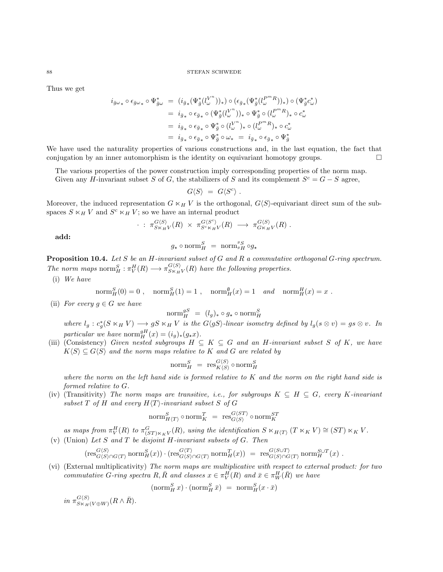Thus we get

$$
\begin{array}{rcl} i_{\bar{g}\omega_{*}}\circ\epsilon_{\bar{g}\omega_{*}}\circ\Psi_{\bar{g}\omega}^{*} & = & (i_{\bar{g}_{*}}(\Psi_{\bar{g}}^{*}(l_{\omega}^{U^{n}}))_{*})\circ(\epsilon_{\bar{g}_{*}}(\Psi_{\bar{g}}^{*}(l_{\omega}^{P^{m}R}))_{*})\circ(\Psi_{\bar{g}}^{*}c_{\omega}^{*})\\ & = & i_{\bar{g}_{*}}\circ\epsilon_{\bar{g}_{*}}\circ(\Psi_{\bar{g}}^{*}(l_{\omega}^{V^{n}}))_{*}\circ\Psi_{\bar{g}}^{*}\circ(l_{\omega}^{P^{m}R})_{*}\circ c_{\omega}^{*}\\ & = & i_{\bar{g}_{*}}\circ\epsilon_{\bar{g}_{*}}\circ\Psi_{\bar{g}}^{*}\circ(l_{\omega}^{V^{n}})_{*}\circ(l_{\omega}^{P^{m}R})_{*}\circ c_{\omega}^{*}\\ & = & i_{\bar{g}_{*}}\circ\epsilon_{\bar{g}_{*}}\circ\Psi_{\bar{g}}^{*}\circ\omega_{*} & = & i_{\bar{g}_{*}}\circ\epsilon_{\bar{g}_{*}}\circ\Psi_{\bar{g}}^{*} \end{array}
$$

We have used the naturality properties of various constructions and, in the last equation, the fact that conjugation by an inner automorphism is the identity on equivariant homotopy groups.  $\Box$ 

The various properties of the power construction imply corresponding properties of the norm map. Given any H-invariant subset S of G, the stabilizers of S and its complement  $S^c = G - S$  agree,

$$
G\langle S\rangle = G\langle S^c\rangle .
$$

Moreover, the induced representation  $G \ltimes_H V$  is the orthogonal,  $G\langle S\rangle$ -equivariant direct sum of the subspaces  $S \ltimes_H V$  and  $S^c \ltimes_H V$ ; so we have an internal product

$$
\cdot \; : \; \pi_{S\ltimes_H V}^{G\langle S\rangle}(R) \; \times \; \pi_{S\ltimes_K H V}^{G\langle S\ltimes^{\circ}\rangle}(R) \; \longrightarrow \; \pi_{G\ltimes_H V}^{G\langle S\rangle}(R) \; .
$$

add:

$$
g_{\star} \circ \mathrm{norm}^S_H = \mathrm{norm}^g_g \circ g_{\star}
$$

**Proposition 10.4.** Let S be an H-invariant subset of G and R a commutative orthogonal G-ring spectrum. The norm maps  $\text{norm}_{H}^{S}: \pi_{V}^{H}(R) \longrightarrow \pi_{S \times_H V}^{G \langle S \rangle}(R)$  have the following properties.

(i) We have

$$
\text{norm}_{H}^{S}(0) = 0 , \quad \text{norm}_{H}^{S}(1) = 1 , \quad \text{norm}_{H}^{\emptyset}(x) = 1 \quad and \quad \text{norm}_{H}^{H}(x) = x .
$$

(ii) For every  $g \in G$  we have

$$
\mathrm{norm}^{gS}_{H} = (l_g)_{*} \circ g_{*} \circ \mathrm{norm}^{S}_{H}
$$

where  $l_g : c_g^*(S \ltimes_H V) \longrightarrow gS \ltimes_H V$  is the  $G\langle gS \rangle$ -linear isometry defined by  $l_g(s \otimes v) = gs \otimes v$ . In particular we have  $\mathrm{norm}^{gH}_{H}(x) = (i_g)_*(g_*x)$ .

(iii) (Consistency) Given nested subgroups  $H \subseteq K \subseteq G$  and an H-invariant subset S of K, we have  $K\langle S\rangle \subseteq G\langle S\rangle$  and the norm maps relative to K and G are related by

$$
\mathrm{norm}^S_H = \; \mathrm{res}^{G\langle S\rangle}_{K\langle S\rangle}\circ \mathrm{norm}^S_H
$$

where the norm on the left hand side is formed relative to  $K$  and the norm on the right hand side is formed relative to G.

(iv) (Transitivity) The norm maps are transitive, i.e., for subgroups  $K \subseteq H \subseteq G$ , every K-invariant subset T of H and every  $H\langle T\rangle$ -invariant subset S of G

$$
\mathrm{norm}^S_{H\langle T\rangle}\circ\mathrm{norm}^T_K~=~\mathrm{res}^{G\langle ST\rangle}_{G\langle S\rangle}\circ\mathrm{norm}^{ST}_K
$$

as maps from  $\pi_V^H(R)$  to  $\pi_{(ST)\ltimes_KV}^G(R)$ , using the identification  $S \ltimes_{H\langle T\rangle} (T \ltimes_K V) \cong (ST) \ltimes_K V$ . (v) (Union) Let S and T be disjoint H-invariant subsets of  $G$ . Then

$$
(\operatorname{res}^{G\langle S\rangle}_{G\langle S\rangle\cap G\langle T\rangle}\operatorname{norm}^S_H(x))\cdot (\operatorname{res}^{G\langle T\rangle}_{G\langle S\rangle\cap G\langle T\rangle}\operatorname{norm}^T_H(x))\,\,=\,\, \operatorname{res}^{G\langle S\cup T\rangle}_{G\langle S\rangle\cap G\langle T\rangle}\operatorname{norm}^{S\cup T}_H(x)\,\,.
$$

(vi) (External multiplicativity) The norm maps are multiplicative with respect to external product: for two commutative G-ring spectra R,  $\bar{R}$  and classes  $x \in \pi_V^H(R)$  and  $\bar{x} \in \pi_W^H(\bar{R})$  we have

$$
(\text{norm}_{H}^{S} x) \cdot (\text{norm}_{H}^{S} \bar{x}) = \text{norm}_{H}^{S} (x \cdot \bar{x})
$$

in  $\pi_{S\ltimes_H(V\oplus W)}^{G\langle S\rangle}(R\wedge \bar{R}).$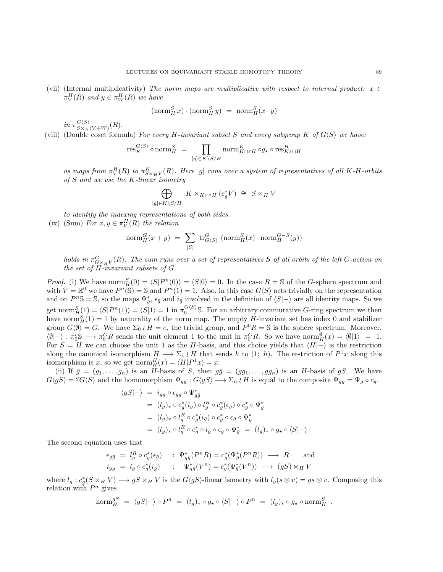<span id="page-88-0"></span>(vii) (Internal multiplicativity) The norm maps are multiplicative with respect to internal product:  $x \in$  $\pi_V^H(R)$  and  $y \in \pi_W^H(R)$  we have

$$
(\operatorname{norm}^S_H x) \cdot (\operatorname{norm}^S_H y) = \operatorname{norm}^S_H (x \cdot y)
$$

in  $\pi_{S\ltimes_H(V\oplus W)}^{G\langle S\rangle}(R)$ .

(viii) (Double coset formula) For every H-invariant subset S and every subgroup K of  $G\langle S\rangle$  we have:

$$
\operatorname{res}^{G\langle S\rangle}_K\circ \operatorname{norm}^S_H \ = \ \prod_{[g]\in K\backslash S/H} \operatorname{norm}^K_{K\cap^g H} \circ g_{\star}\circ \operatorname{res}^H_{K^g\cap H}
$$

as maps from  $\pi_V^H(R)$  to  $\pi_{S\ltimes_HV}^K(R)$ . Here [g] runs over a system of representatives of all K-H-orbits of S and we use the K-linear isometry

$$
\bigoplus_{\substack{\in K \setminus S/H}} K \ltimes_{K \cap {}^g H} (c_g^* V) \cong S \ltimes_H V
$$

to identify the indexing representations of both sides.

 $[g$ 

(ix) (Sum) For  $x, y \in \pi_V^H(R)$  the relation

$$
\text{norm}_{H}^{G}(x+y) = \sum_{[S]} \text{tr}_{G\langle S\rangle}^{G} (\text{norm}_{H}^{S}(x) \cdot \text{norm}_{H}^{G-S}(y))
$$

holds in  $\pi_{G\ltimes_HV}^G(R)$ . The sum runs over a set of representatives S of all orbits of the left G-action on the set of H-invariant subsets of G.

*Proof.* (i) We have norm  ${}_{H}^{S}(0) = \langle S|P^{n}(0)\rangle = \langle S|0\rangle = 0$ . In the case  $R = \mathbb{S}$  of the G-sphere spectrum and with  $V = \mathbb{R}^0$  we have  $P^n(\mathbb{S}) = \mathbb{S}$  and  $P^n(1) = 1$ . Also, in this case  $G\langle S \rangle$  acts trivially on the representation and on  $P^n\mathbb{S} = \mathbb{S}$ , so the maps  $\Psi_{\bar{g}}^*$ ,  $\epsilon_{\bar{g}}$  and  $i_{\bar{g}}$  involved in the definition of  $\langle S|-\rangle$  are all identity maps. So we get norm ${}_{H}^{S}(1) = \langle S|P^{n}(1)\rangle = \langle S|1\rangle = 1$  in  $\pi_{0}^{G\langle S\rangle}$ S. For an arbitrary commutative *G*-ring spectrum we then have norm ${}_{H}^{S}(1) = 1$  by naturality of the norm map. The empty H-invariant set has index 0 and stabilizer group  $G\langle\emptyset\rangle = G$ . We have  $\Sigma_0 \wr H = e$ , the trivial group, and  $P^0R = \mathbb{S}$  is the sphere spectrum. Moreover,  $\langle \emptyset | - \rangle : \pi_0^c \mathbb{S} \longrightarrow \pi_0^C R$  sends the unit element 1 to the unit in  $\pi_0^C R$ . So we have norm $_M^{\emptyset}(x) = \langle \emptyset | 1 \rangle = 1$ . For  $S = H$  we can choose the unit 1 as the H-basis, and this choice yields that  $\langle H|-\rangle$  is the restriction along the canonical isomorphism  $H \longrightarrow \Sigma_1 \wr H$  that sends h to (1; h). The restriction of  $P^1x$  along this isomorphism is x, so we get  $\text{norm}_{H}^{H}(x) = \langle H|P^{1}x \rangle = x.$ 

(ii) If  $\bar{g} = (g_1, \ldots, g_n)$  is an H-basis of S, then  $g\bar{g} = (gg_1, \ldots, gg_n)$  is an H-basis of gS. We have  $G\langle gS\rangle = {}^gG\langle S\rangle$  and the homomorphism  $\Psi_{g\bar{g}} : G\langle gS\rangle \longrightarrow \Sigma_n \wr H$  is equal to the composite  $\Psi_{g\bar{g}} = \Psi_{\bar{g}} \circ c_g$ .

$$
\langle gS|-\rangle = i_{g\bar{g}} \circ \epsilon_{g\bar{g}} \circ \Psi_{g\bar{g}}^*
$$
  
\n
$$
= (l_g)_* \circ c_g^*(i_{\bar{g}}) \circ l_g^R \circ c_g^*(\epsilon_{\bar{g}}) \circ c_g^* \circ \Psi_g^*
$$
  
\n
$$
= (l_g)_* \circ l_g^R \circ c_g^*(i_{\bar{g}}) \circ c_g^* \circ \epsilon_{\bar{g}} \circ \Psi_{\bar{g}}^*
$$
  
\n
$$
= (l_g)_* \circ l_g^R \circ c_g^* \circ i_{\bar{g}} \circ \epsilon_{\bar{g}} \circ \Psi_{\bar{g}}^* = (l_g)_* \circ g_* \circ \langle S|-\rangle
$$

The second equation uses that

$$
\epsilon_{g\bar{g}} = l_g^R \circ c_g^*(\epsilon_{\bar{g}}) \quad : \Psi_{g\bar{g}}^*(P^n R) = c_g^*(\Psi_{\bar{g}}^*(P^n R)) \longrightarrow R \quad \text{and}
$$
  

$$
i_{g\bar{g}} = l_g \circ c_g^*(i_{\bar{g}}) \quad : \Psi_{g\bar{g}}^*(V^n) = c_g^*(\Psi_{\bar{g}}^*(V^n)) \longrightarrow (gS) \ltimes_H V
$$

where  $l_g : c_g^*(S \ltimes_H V) \longrightarrow gS \ltimes_H V$  is the  $G\langle gS \rangle$ -linear isometry with  $l_g(s \otimes v) = gs \otimes v$ . Composing this relation with  $P^n$  gives

$$
\mathrm{norm}^{gS}_{H} \; = \; \langle gS | - \rangle \circ P^{n} \; = \; (l_g)_{*} \circ g_{*} \circ \langle S | - \rangle \circ P^{n} \; = \; (l_g)_{*} \circ g_{*} \circ \mathrm{norm}^{S}_{H} \; .
$$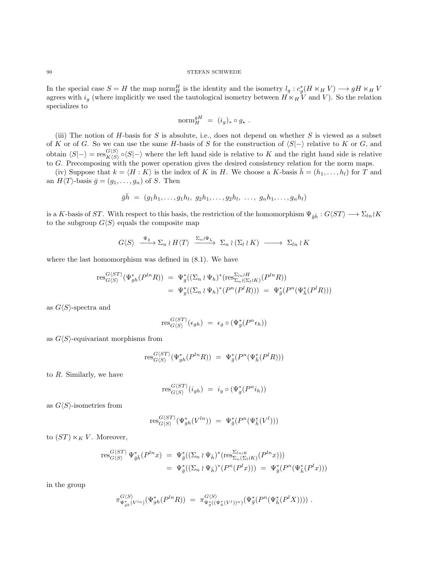In the special case  $S = H$  the map norm H is the identity and the isometry  $l_g : c_g^*(H \ltimes_H V) \longrightarrow gH \ltimes_H V$ agrees with  $i_g$  (where implicitly we used the tautological isometry between  $H \times_H V$  and V). So the relation specializes to

$$
\mathrm{norm}^{gH}_{H}~=~(i_g)_*\circ g_*~.
$$

(iii) The notion of  $H$ -basis for  $S$  is absolute, i.e., does not depend on whether  $S$  is viewed as a subset of K or of G. So we can use the same H-basis of S for the construction of  $\langle S|-\rangle$  relative to K or G, and obtain  $\langle S|-\rangle = \text{res}_{K/S}^{G\langle S\rangle}$  $K(S) \circ (S|\text{–})$  where the left hand side is relative to K and the right hand side is relative to G. Precomposing with the power operation gives the desired consistency relation for the norm maps.

(iv) Suppose that  $k = \langle H : K \rangle$  is the index of K in H. We choose a K-basis  $\bar{h} = (h_1, \ldots, h_l)$  for T and an  $H\langle T\rangle$ -basis  $\bar{g} = (g_1, \ldots, g_n)$  of S. Then

$$
\bar{g}\bar{h} = (g_1h_1, \ldots, g_1h_l, g_2h_1, \ldots, g_2h_l, \ldots, g_nh_1, \ldots, g_nh_l)
$$

is a K-basis of ST. With respect to this basis, the restriction of the homomorphism  $\Psi_{\bar{a}\bar{h}} : G\langle ST \rangle \longrightarrow \Sigma_{ln} K$ to the subgroup  $G\langle S\rangle$  equals the composite map

 $G\langle S\rangle \stackrel{\Psi_{\bar{g}}}{\longrightarrow} \Sigma_n \wr H\langle T\rangle \stackrel{\Sigma_n\wr\Psi_{\bar{h}}}{\longrightarrow} \Sigma_n \wr (\Sigma_l \wr K) \longrightarrow \Sigma_{ln} \wr K$ 

where the last homomorphism was defined in [\(8.1\)](#page-75-0). We have

$$
\text{res}_{G(S)}^{G(ST)}(\Psi_{gh}^*(P^{ln}R)) = \Psi_g^*((\Sigma_n \wr \Psi_h)^*(\text{res}_{\Sigma_n \wr (\Sigma_l \wr K)}^{\Sigma_{ln} \wr H} (P^{ln}R))
$$
  
=  $\Psi_g^*((\Sigma_n \wr \Psi_h)^*(P^n(P^lR))) = \Psi_g^*(P^n(\Psi_{\bar{h}}^*(P^lR)))$ 

as  $G\langle S\rangle$ -spectra and

$$
\operatorname{res}_{G \langle S \rangle}^{G \langle ST \rangle}(\epsilon_{gh}) \,\, = \,\, \epsilon_g \circ \big( \Psi_g^* \big( P^n \epsilon_h ) \big)
$$

as  $G\langle S\rangle$ -equivariant morphisms from

$$
\text{res}_{G\langle S\rangle}^{G\langle ST\rangle}(\Psi_{gh}^*(P^{ln}R)) = \Psi_{\bar{g}}^*(P^n(\Psi_{\bar{h}}^*(P^lR)))
$$

to R. Similarly, we have

$$
\operatorname{res}_{G\langle S\rangle}^{G\langle ST\rangle}(i_{gh})\,\,=\,\,i_g\circ\,(\Psi_g^*(P^ni_h))
$$

as  $G\langle S\rangle$ -isometries from

$$
\text{res}_{G\langle S\rangle}^{G\langle ST\rangle}(\Psi_{gh}^*(V^{ln})) = \Psi_{\bar{g}}^*(P^n(\Psi_{\bar{h}}^*(V^l)))
$$

to  $(ST) \ltimes_K V$ . Moreover,

$$
\begin{array}{rcl}\n\operatorname{res}_{G\langle S\rangle}^{G\langle ST\rangle} \Psi_{\bar{g}\bar{h}}^{*}(P^{ln}x) & = & \Psi_{\bar{g}}^{*}((\Sigma_{n} \wr \Psi_{\bar{h}})^{*}(\operatorname{res}_{\Sigma_{n}(\Sigma_{l} \wr K)}^{\Sigma_{ln\langle K\rangle}}(P^{ln}x))) \\
& = & \Psi_{\bar{g}}^{*}((\Sigma_{n} \wr \Psi_{\bar{h}})^{*}(P^{n}(P^{l}x))) \\
& = & \Psi_{\bar{g}}^{*}(P^{n}(\Psi_{\bar{h}}^{*}(P^{l}x)))\n\end{array}
$$

in the group

$$
\pi_{\Psi^*_{gh}(V^{ln})}^{G\langle S\rangle}(\Psi^*_{gh}(P^{ln}R)) = \pi_{\Psi^*_{g}((\Psi^*_{h}(V^l))^n)}^{G\langle S\rangle}(\Psi^*_{\bar{g}}(P^n(\Psi^*_{\bar{h}}(P^lX)))) .
$$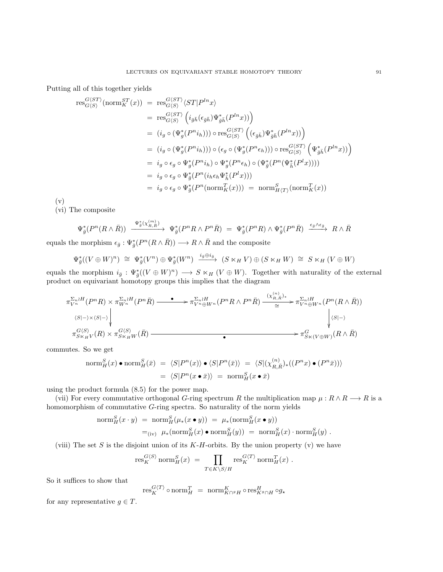Putting all of this together yields

$$
\begin{split}\n\operatorname{res}_{G\langle S\rangle}^{G\langle ST\rangle}(\operatorname{norm}_K^{ST}(x)) &= \operatorname{res}_{G\langle S\rangle}^{G\langle ST\rangle}\langle ST|P^{ln}x\rangle \\
&= \operatorname{res}_{G\langle S\rangle}^{G\langle ST\rangle}\left(i_{\bar{g}\bar{h}}(\epsilon_{\bar{g}\bar{h}})\Psi_{\bar{g}\bar{h}}^*(P^{ln}x))\right) \\
&= (i_g \circ (\Psi_g^*(P^{n}i_h))) \circ \operatorname{res}_{G\langle S\rangle}^{G\langle ST\rangle}\left((\epsilon_{\bar{g}\bar{h}})\Psi_{\bar{g}\bar{h}}^*(P^{ln}x))\right) \\
&= (i_g \circ (\Psi_g^*(P^{n}i_h))) \circ (\epsilon_g \circ (\Psi_g^*(P^{n}\epsilon_h))) \circ \operatorname{res}_{G\langle S\rangle}^{G\langle ST\rangle}\left(\Psi_{\bar{g}\bar{h}}^*(P^{ln}x))\right) \\
&= i_g \circ \epsilon_g \circ \Psi_g^*(P^{n}i_h) \circ \Psi_g^*(P^{n}\epsilon_h) \circ (\Psi_{\bar{g}}^*(P^{n}(\Psi_{\bar{h}}^*(P^{l}x)))) \\
&= i_g \circ \epsilon_g \circ \Psi_g^*(P^{n}(i_h \epsilon_h \Psi_{\bar{h}}^*(P^{l}x))) \\
&= i_g \circ \epsilon_g \circ \Psi_g^*(P^{n}(\operatorname{norm}_K^T(x))) = \operatorname{norm}_{H\langle T\rangle}^{S}(\operatorname{norm}_K^T(x))\n\end{split}
$$

(v)

(vi) The composite

$$
\Psi_{\bar{g}}^*(P^n(R\wedge \bar{R}))\ \xrightarrow{\ \Psi_{\bar{g}}^*(\chi_{R,\bar{R}}^{(m)})\ } \ \Psi_{\bar{g}}^*(P^nR\wedge P^n\bar{R})\ =\ \Psi_{\bar{g}}^*(P^nR)\wedge \Psi_{\bar{g}}^*(P^n\bar{R})\ \xrightarrow{\ \epsilon_{\bar{g}}\wedge \epsilon_{\bar{g}}\ } \ R\wedge \bar{R}
$$

equals the morphism  $\epsilon_{\bar{g}} : \Psi_{\bar{g}}^*(P^n(R \wedge \bar{R})) \longrightarrow R \wedge \bar{R}$  and the composite

$$
\Psi_{\bar{g}}^*((V \oplus W)^n) \cong \Psi_{\bar{g}}^*(V^n) \oplus \Psi_{\bar{g}}^*(W^n) \xrightarrow{i_{\bar{g}} \oplus i_{\bar{g}}} (S \ltimes_H V) \oplus (S \ltimes_H W) \cong S \ltimes_H (V \oplus W)
$$

equals the morphism  $i_{\bar{g}} : \Psi_{\bar{g}}^*(V \oplus W)^n) \longrightarrow S \ltimes_H (V \oplus W)$ . Together with naturality of the external product on equivariant homotopy groups this implies that the diagram

$$
\pi_{V^n}^{\Sigma_n \wr H}(P^nR) \times \pi_{W^n}^{\Sigma_n \wr H}(P^n\bar{R}) \longrightarrow \pi_{V^n \oplus W^n}^{\Sigma_n \wr H}(P^nR \wedge P^n\bar{R}) \xrightarrow{(\chi_{R,\bar{R}}^{\langle n \rangle})^*} \pi_{V^n \oplus W^n}^{\Sigma_n \wr H}(P^n(R \wedge \bar{R}))
$$
\n
$$
\langle S| \rightarrow \times \langle S| \rightarrow \rangle
$$
\n
$$
\pi_{S \times H}^{G\langle S \rangle}(R) \times \pi_{S \times H}^{G\langle S \rangle}(R) \longrightarrow \pi_{S \times (V \oplus W)}^{G\langle S \rangle}(R \wedge \bar{R})
$$

commutes. So we get

$$
\begin{aligned}\n\operatorname{norm}^S_H(x) \bullet \operatorname{norm}^S_H(\bar{x}) &= \langle S|P^n(x)\rangle \bullet \langle S|P^n(\bar{x})\rangle \\
&= \langle S|(\chi^{(n)}_{R,\bar{R}})_*(P^n(x) \bullet (P^n\bar{x}))\rangle \\
&= \langle S|P^n(x \bullet \bar{x})\rangle \\
&= \operatorname{norm}^S_H(x \bullet \bar{x})\n\end{aligned}
$$

using the product formula [\(8.5\)](#page-76-0) for the power map.

(vii) For every commutative orthogonal G-ring spectrum R the multiplication map  $\mu : R \wedge R \longrightarrow R$  is a homomorphism of commutative G-ring spectra. So naturality of the norm yields

$$
\begin{aligned}\n\text{norm}_{H}^{S}(x \cdot y) &= \text{norm}_{H}^{S}(\mu_{*}(x \bullet y)) = \mu_{*}(\text{norm}_{H}^{S}(x \bullet y)) \\
&=_{\text{(iv)}} \mu_{*}(\text{norm}_{H}^{S}(x) \bullet \text{norm}_{H}^{S}(y)) = \text{norm}_{H}^{S}(x) \cdot \text{norm}_{H}^{S}(y) \ .\n\end{aligned}
$$

(viii) The set S is the disjoint union of its  $K-H$ -orbits. By the union property (v) we have

$$
\operatorname{res}^{G\langle S\rangle}_K\operatorname{norm}^S_H(x) \,\, = \,\, \prod_{T\in K\backslash S/H} \operatorname{res}^{G\langle T\rangle}_K \operatorname{norm}^T_H(x) \,\, .
$$

So it suffices to show that

$$
\text{res}_{K}^{G\langle T\rangle} \circ \text{norm}_{H}^{T} = \text{norm}_{K \cap^{g} H}^{K} \circ \text{res}_{K^{g} \cap H}^{H} \circ g_{\star}
$$

for any representative  $q \in T$ .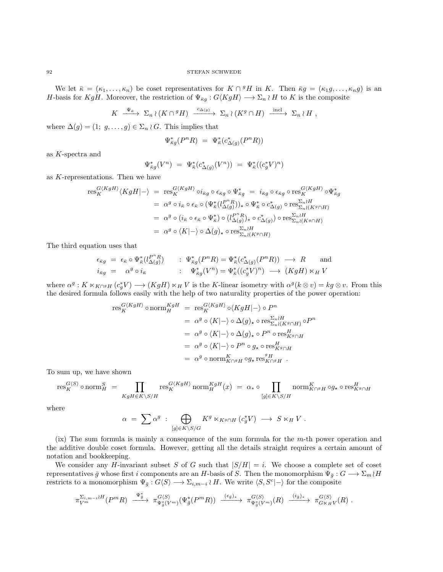We let  $\bar{\kappa} = (\kappa_1, \ldots, \kappa_n)$  be coset representatives for  $K \cap {}^g H$  in K. Then  $\bar{\kappa}g = (\kappa_1g, \ldots, \kappa_ng)$  is an H-basis for KgH. Moreover, the restriction of  $\Psi_{\bar{\kappa}g}: G\langle KgH \rangle \longrightarrow \Sigma_n \wr H$  to K is the composite

$$
K \xrightarrow{\Psi_{\bar{\kappa}}} \Sigma_n \wr (K \cap {}^g H) \xrightarrow{c_{\Delta(g)}} \Sigma_n \wr (K^g \cap H) \xrightarrow{\text{ incl}} \Sigma_n \wr H ,
$$

where  $\Delta(g) = (1; g, \ldots, g) \in \Sigma_n \wr G$ . This implies that

$$
\Psi_{\bar{\kappa}g}^*(P^nR) = \Psi_{\bar{\kappa}}^*(c_{\Delta(g)}^*(P^nR))
$$

as K-spectra and

$$
\Psi_{\bar{\kappa}g}^*(V^n) \,\, = \,\, \Psi_{\bar{\kappa}}^*(c_{\Delta(g)}^*(V^n)) \,\, = \,\, \Psi_{\bar{\kappa}}^*((c_g^*V)^n)
$$

as K-representations. Then we have

$$
\begin{split} \operatorname{res}_{K}^{G\langle KgH \rangle} \langle KgH \vert - \rangle &= \operatorname{res}_{K}^{G\langle KgH \rangle} \circ i_{\bar{g}g} \circ \epsilon_{\bar{g}g} \circ \Psi_{\bar{g}g}^{*} = i_{\bar{g}g} \circ \epsilon_{\bar{g}g} \circ \operatorname{res}_{K}^{G\langle KgH \rangle} \circ \Psi_{\bar{g}g}^{*} \\ &= \alpha^{g} \circ i_{\bar{\kappa}} \circ \epsilon_{\bar{\kappa}} \circ (\Psi_{\bar{\kappa}}^{*}(l_{\Delta(g)}^{P^{n}R}))_{*} \circ \Psi_{\bar{\kappa}}^{*} \circ c_{\Delta(g)}^{*} \circ \operatorname{res}_{\Sigma_{n}\wr(K^{g}\cap H)}^{\Sigma_{n}\wr H} \\ &= \alpha^{g} \circ (i_{\bar{\kappa}} \circ \epsilon_{\bar{\kappa}} \circ \Psi_{\bar{\kappa}}^{*}) \circ (l_{\Delta(g)}^{P^{n}R})_{*} \circ c_{\Delta(g)}^{*}) \circ \operatorname{res}_{\Sigma_{n}\wr(K^{g}\cap H)}^{\Sigma_{n}\wr H} \\ &= \alpha^{g} \circ \langle K \vert - \rangle \circ \Delta(g)_{*} \circ \operatorname{res}_{\Sigma_{n}\wr(K^{g}\cap H)}^{\Sigma_{n}\wr H} \end{split}
$$

The third equation uses that

$$
\epsilon_{\bar{\kappa}g} = \epsilon_{\bar{\kappa}} \circ \Psi_{\bar{\kappa}}^*(l_{\Delta(g)}^{P^nR}) \qquad : \Psi_{\bar{\kappa}g}^*(P^nR) = \Psi_{\bar{\kappa}}^*(c_{\Delta(g)}^*(P^nR)) \longrightarrow R \qquad \text{and}
$$
  

$$
i_{\bar{\kappa}g} = \alpha^g \circ i_{\bar{\kappa}} \qquad : \Psi_{\bar{\kappa}g}^*(V^n) = \Psi_{\bar{\kappa}}^*((c_g^*V)^n) \longrightarrow (KgH) \ltimes_H V
$$

where  $\alpha^g: K \ltimes_{K\cap^g H} (c_g^* V) \longrightarrow (KgH) \ltimes_H V$  is the K-linear isometry with  $\alpha^g (k \otimes v) = kg \otimes v$ . From this the desired formula follows easily with the help of two naturality properties of the power operation:

$$
\begin{aligned} \operatorname{res}_{K}^{G\langle KgH \rangle} \circ \operatorname{norm}_{H}^{KgH} \; &= \; \operatorname{res}_{K}^{G\langle KgH \rangle} \circ \langle KgH \vert - \rangle \circ P^{n} \\ &= \; \alpha^{g} \circ \langle K \vert - \rangle \circ \Delta(g)_{\star} \circ \operatorname{res}_{\Sigma_{n} \wr (K^{g} \cap H)}^{\Sigma_{n} \wr H} \circ P^{n} \\ &= \; \alpha^{g} \circ \langle K \vert - \rangle \circ \Delta(g)_{\star} \circ P^{n} \circ \operatorname{res}_{K^{g} \cap H}^{H} \\ &= \; \alpha^{g} \circ \langle K \vert - \rangle \circ P^{n} \circ g_{\star} \circ \operatorname{res}_{K^{g} \cap H}^{H} \\ &= \; \alpha^{g} \circ \operatorname{norm}_{K \cap^{g} H}^{K} \circ g_{\star} \operatorname{res}_{K \cap^{g} H}^{g} \; . \end{aligned}
$$

To sum up, we have shown

$$
\mathrm{res}^{G\langle S\rangle}_K\circ \mathrm{norm}^S_H\;=\;\prod_{KgH\in K\backslash S/H}\mathrm{res}^{G\langle KgH\rangle}_K\mathrm{norm}^{KgH}_H(x)\;=\;\alpha_*\circ\prod_{[g]\in K\backslash S/H}\mathrm{norm}^K_{K\cap^gH}\circ g_{\star}\circ\mathrm{res}^H_{K^g\cap H}
$$

where

$$
\alpha \;=\; \sum \alpha^g \;:\; \bigoplus_{[g]\in K\backslash S/G} K^g\ltimes_{K^g\cap H} (c_g^*V) \;\longrightarrow\; S\ltimes_H V\;.
$$

(ix) The sum formula is mainly a consequence of the sum formula for the m-th power operation and the additive double coset formula. However, getting all the details straight requires a certain amount of notation and bookkeeping.

We consider any H-invariant subset S of G such that  $|S/H| = i$ . We choose a complete set of coset representatives  $\bar{g}$  whose first i components are an H-basis of S. Then the monomorphism  $\Psi_{\bar{g}} : G \longrightarrow \Sigma_m \wr H$ restricts to a monomorphism  $\Psi_{\bar{g}}: G\langle S \rangle \longrightarrow \Sigma_{i,m-i} \wr H$ . We write  $\langle S, S^c | \rangle$  for the composite

$$
\pi_{V^m}^{\Sigma_{i,m-i} \wr H}(P^mR) \xrightarrow{\Psi_{\bar{g}}^*} \pi_{\Psi_{\bar{g}}^*(V^m)}^{G\langle S \rangle}(\Psi_{\bar{g}}^*(P^mR)) \xrightarrow{(\epsilon_{\bar{g}})_*} \pi_{\Psi_{\bar{g}}^*(V^m)}^{G\langle S \rangle}(R) \xrightarrow{(i_{\bar{g}})_*} \pi_{G\ltimes_H V}^{G\langle S \rangle}(R) .
$$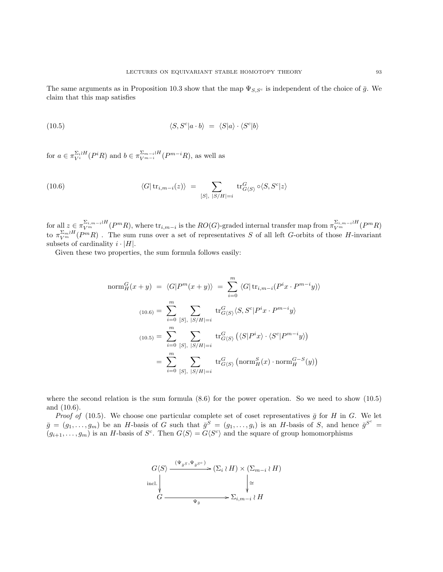The same arguments as in Proposition [10.3](#page-86-0) show that the map  $\Psi_{S,S^c}$  is independent of the choice of  $\bar{g}$ . We claim that this map satisfies

<span id="page-92-1"></span>(10.5) 
$$
\langle S, S^c | a \cdot b \rangle = \langle S | a \rangle \cdot \langle S^c | b \rangle
$$

for  $a \in \pi_{V_i}^{\Sigma_i \wr H}(P^iR)$  and  $b \in \pi_{V_i^{m-i}}^{\Sigma_{m-i} \wr H}(P^{m-i}R)$ , as well as

<span id="page-92-0"></span>(10.6) 
$$
\langle G | \operatorname{tr}_{i,m-i}(z) \rangle = \sum_{[S], |S/H|=i} \operatorname{tr}_{G\langle S \rangle}^G \circ \langle S, S^c | z \rangle
$$

 $\text{for all } z \in \pi_{V^m}^{\Sigma_{i,m-i} \wr H}(P^m R)$ , where  $\text{tr}_{i,m-i}$  is the  $RO(G)$ -graded internal transfer map from  $\pi_{V^m}^{\Sigma_{i,m-i} \wr H}(P^m R)$ to  $\pi_{V^m}^{\Sigma_m \wr H}(P^mR)$ . The sum runs over a set of representatives S of all left G-orbits of those H-invariant subsets of cardinality  $i \cdot |H|$ .

Given these two properties, the sum formula follows easily:

$$
\text{norm}_{H}^{G}(x+y) = \langle G|P^{m}(x+y)\rangle = \sum_{i=0}^{m} \langle G|\text{tr}_{i,m-i}(P^{i}x \cdot P^{m-i}y)\rangle
$$

$$
\text{(10.6)} = \sum_{i=0}^{m} \sum_{[S], |S/H|=i} \text{tr}_{G\langle S\rangle}^{G}\langle S, S^{c}|P^{i}x \cdot P^{m-i}y\rangle
$$

$$
\text{(10.5)} = \sum_{i=0}^{m} \sum_{[S], |S/H|=i} \text{tr}_{G\langle S\rangle}^{G}\left(\langle S|P^{i}x\rangle \cdot \langle S^{c}|P^{m-i}y\rangle\right)
$$

$$
= \sum_{i=0}^{m} \sum_{[S], |S/H|=i} \text{tr}_{G\langle S\rangle}^{G}\left(\text{norm}_{H}^{S}(x) \cdot \text{norm}_{H}^{G-S}(y)\right)
$$

where the second relation is the sum formula  $(8.6)$  for the power operation. So we need to show  $(10.5)$ and [\(10.6\)](#page-92-0).

*Proof of* [\(10.5\)](#page-92-1). We choose one particular complete set of coset representatives  $\bar{g}$  for H in G. We let  $\bar{g} = (g_1, \ldots, g_m)$  be an H-basis of G such that  $\bar{g}^S = (g_1, \ldots, g_i)$  is an H-basis of S, and hence  $\bar{g}^{S^c} =$  $(g_{i+1},\ldots,g_m)$  is an H-basis of  $S^c$ . Then  $G\langle S\rangle = G\langle S^c\rangle$  and the square of group homomorphisms

$$
G\langle S \rangle \xrightarrow{\ (\Psi_{\bar{g}S}, \Psi_{\bar{g}S^c}) \ \ } } (\Sigma_i \wr H) \times (\Sigma_{m-i} \wr H)
$$
  
incl.  

$$
G \xrightarrow{\Psi_{\bar{g}}} \Sigma_{i,m-i} \wr H
$$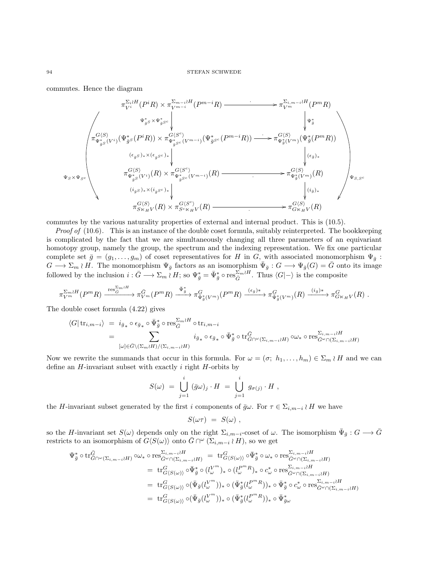commutes. Hence the diagram

$$
\pi_{V^{i}}^{\Sigma_{i}iH}(P^{i}R) \times \pi_{V^{m-i}}^{\Sigma_{m-i}iH}(P^{m-i}R) \longrightarrow \pi_{V^{m}}^{\Sigma_{i,m-i}iH}(P^{m}R)
$$
\n
$$
\downarrow \qquad \qquad \downarrow \qquad \downarrow \qquad \downarrow \qquad \downarrow \qquad \downarrow \qquad \downarrow \qquad \downarrow \qquad \downarrow \qquad \downarrow \qquad \downarrow \qquad \downarrow \qquad \downarrow \qquad \downarrow \qquad \downarrow \qquad \downarrow \qquad \downarrow \qquad \downarrow \qquad \downarrow \qquad \downarrow \qquad \downarrow \qquad \downarrow \qquad \downarrow \qquad \downarrow \qquad \downarrow \qquad \downarrow \qquad \downarrow \qquad \downarrow \qquad \downarrow \qquad \downarrow \qquad \downarrow \qquad \downarrow \qquad \downarrow \qquad \downarrow \qquad \downarrow \qquad \downarrow \qquad \downarrow \qquad \downarrow \qquad \downarrow \qquad \downarrow \qquad \downarrow \qquad \downarrow \qquad \downarrow \qquad \downarrow \qquad \downarrow \qquad \downarrow \qquad \downarrow \qquad \downarrow \qquad \downarrow \qquad \downarrow \qquad \downarrow \qquad \downarrow \qquad \downarrow \qquad \downarrow \qquad \downarrow \qquad \downarrow \qquad \downarrow \qquad \downarrow \qquad \downarrow \qquad \downarrow \qquad \downarrow \qquad \downarrow \qquad \downarrow \qquad \downarrow \qquad \downarrow \qquad \downarrow \qquad \downarrow \qquad \downarrow \qquad \downarrow \qquad \downarrow \qquad \downarrow \qquad \downarrow \qquad \downarrow \qquad \downarrow \qquad \downarrow \qquad \downarrow \qquad \downarrow \qquad \downarrow \qquad \downarrow \qquad \downarrow \qquad \downarrow \qquad \downarrow \qquad \downarrow \qquad \downarrow \qquad \downarrow \qquad \downarrow \qquad \downarrow \qquad \downarrow \qquad \downarrow \qquad \downarrow \qquad \downarrow \qquad \downarrow \qquad \downarrow \qquad \downarrow \qquad \downarrow \qquad \downarrow \qquad \downarrow \qquad \downarrow \qquad \downarrow \qquad \downarrow \qquad \downarrow \qquad \downarrow \qquad \downarrow \qquad \downarrow \qquad \downarrow \qquad \downarrow \qquad \downarrow \qquad \downarrow \qquad \downarrow \qquad \downarrow \qquad \downarrow \qquad \downarrow \qquad \down
$$

commutes by the various naturality properties of external and internal product. This is [\(10.5\)](#page-92-1).

*Proof of*  $(10.6)$ . This is an instance of the double coset formula, suitably reinterpreted. The bookkeeping is complicated by the fact that we are simultaneously changing all three parameters of an equivariant homotopy group, namely the group, the spectrum and the indexing representation. We fix one particular complete set  $\bar{g} = (g_1, \ldots, g_m)$  of coset representatives for H in G, with associated monomorphism  $\Psi_{\bar{g}}$ :  $G \longrightarrow \Sigma_m \wr H$ . The monomorphism  $\Psi_{\bar{g}}$  factors as an isomorphism  $\bar{\Psi}_{\bar{g}} : G \longrightarrow \Psi_{\bar{g}}(G) = \bar{G}$  onto its image followed by the inclusion  $i : \bar{G} \longrightarrow \Sigma_m \wr H$ ; so  $\Psi_{\bar{g}}^* = \bar{\Psi}_{\bar{g}}^* \circ \text{res}_{\bar{G}}^{\Sigma_m \wr H}$ . Thus  $\langle G | \neg \rangle$  is the composite

$$
\pi_{V^m}^{\Sigma_m \wr H}(P^mR) \xrightarrow{\operatorname{res}_{G}^{\Sigma_m \wr H}} \pi_{V^m}^{\bar{G}}(P^mR) \xrightarrow{\bar{\Psi}_{\bar{g}}^*} \pi_{\bar{\Psi}_{\bar{g}}^*(V^m)}^G(P^mR) \xrightarrow{(\epsilon_{\bar{g}})^*} \pi_{\bar{\Psi}_{\bar{g}}^*(V^m)}^G(R) \xrightarrow{(i_{\bar{g}})^*} \pi_{G \ltimes_H V}^G(R) .
$$

The double coset formula [\(4.22\)](#page-36-1) gives

$$
\langle G | \operatorname{tr}_{i,m-i} \rangle = i_{\bar{g}_*} \circ \epsilon_{\bar{g}_*} \circ \bar{\Psi}_{\bar{g}}^* \circ \operatorname{res}_{\bar{G}}^{\Sigma_m \wr H} \circ \operatorname{tr}_{i,m-i}
$$
  
= 
$$
\sum_{[\omega] \in \bar{G} \setminus (\Sigma_m \wr H) / (\Sigma_{i,m-i} \wr H)} i_{\bar{g}_*} \circ \epsilon_{\bar{g}_*} \circ \bar{\Psi}_{\bar{g}}^* \circ \operatorname{tr}_{\bar{G} \cap \omega(\Sigma_{i,m-i} \wr H)}^{\bar{G}} \circ \omega_* \circ \operatorname{res}_{\bar{G}^{\omega} \cap (\Sigma_{i,m-i} \wr H)}^{\Sigma_{i,m-i} \wr H}
$$

Now we rewrite the summands that occur in this formula. For  $\omega = (\sigma; h_1, \ldots, h_m) \in \Sigma_m \wr H$  and we can define an  $H$ -invariant subset with exactly  $i$  right  $H$ -orbits by

$$
S(\omega) = \bigcup_{j=1}^i (\bar{g}\omega)_j \cdot H = \bigcup_{j=1}^i g_{\sigma(j)} \cdot H,
$$

the H-invariant subset generated by the first i components of  $\bar{g}\omega$ . For  $\tau \in \Sigma_{i,m-i} \wr H$  we have

$$
S(\omega \tau) = S(\omega) ,
$$

so the H-invariant set  $S(\omega)$  depends only on the right  $\Sigma_{i,m-i}$ -coset of  $\omega$ . The isomorphism  $\bar{\Psi}_{\bar{g}} : G \longrightarrow \bar{G}$ restricts to an isomorphism of  $G\langle S(\omega)\rangle$  onto  $\bar{G} \cap^{\omega} (\Sigma_{i,m-i} \wr H)$ , so we get

$$
\begin{split} \Psi_{\bar{g}}^{*} \circ \operatorname{tr}^{\bar{G}}_{G \cap \omega}(\Sigma_{i,m-i} \wr H) \circ \omega_{*} \circ \operatorname{res}^{\Sigma_{i,m-i} \wr H}_{\bar{G}^{\omega} \cap (\Sigma_{i,m-i} \wr H)} &= \operatorname{tr}^{G}_{G^{\langle S}(\omega) \rangle} \circ \bar{\Psi}_{\bar{g}}^{*} \circ \omega_{*} \circ \operatorname{res}^{\Sigma_{i,m-i} \wr H}_{\bar{G}^{\omega} \cap (\Sigma_{i,m-i} \wr H)} \\ &= \operatorname{tr}^{G}_{G^{\langle S}(\omega) \rangle} \circ \bar{\Psi}_{\bar{g}}^{*} \circ (l_{\omega}^{V^{m}})_{*} \circ (l_{\omega}^{P^{m}R})_{*} \circ c_{\omega}^{*} \circ \operatorname{res}^{\Sigma_{i,m-i} \wr H}_{\bar{G}^{\omega} \cap (\Sigma_{i,m-i} \wr H)} \\ &= \operatorname{tr}^{G}_{G^{\langle S}(\omega) \rangle} \circ (\bar{\Psi}_{\bar{g}}(l_{\omega}^{V^{m}}))_{*} \circ (\bar{\Psi}_{\bar{g}}^{*}(l_{\omega}^{P^{m}R}))_{*} \circ \bar{\Psi}_{\bar{g}}^{*} \circ c_{\omega}^{*} \circ \operatorname{res}^{\Sigma_{i,m-i} \wr H}_{\bar{G}^{\omega} \cap (\Sigma_{i,m-i} \wr H)} \\ &= \operatorname{tr}^{G}_{G^{\langle S}(\omega) \rangle} \circ (\bar{\Psi}_{\bar{g}}(l_{\omega}^{V^{m}}))_{*} \circ (\bar{\Psi}_{\bar{g}}^{*}(l_{\omega}^{P^{m}R}))_{*} \circ \bar{\Psi}_{\bar{g}\omega}^{*} \end{split}
$$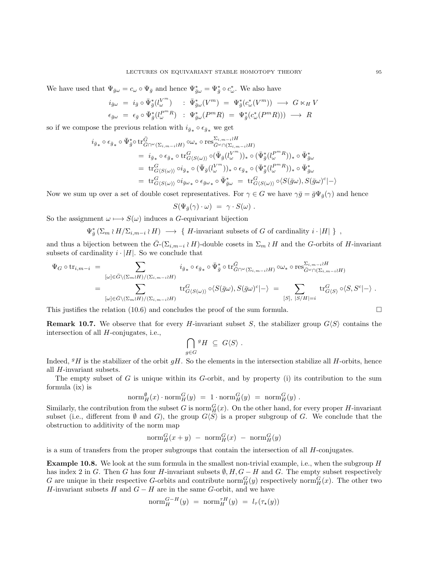We have used that  $\Psi_{\bar{g}\omega} = c_{\omega} \circ \Psi_{\bar{g}}$  and hence  $\Psi_{\bar{g}\omega}^* = \Psi_{\bar{g}}^* \circ c_{\omega}^*$ . We also have

$$
\begin{array}{rcl}\ni_{\bar{g}\omega} &=& i_{\bar{g}}\circ \bar{\Psi}_{\bar{g}}^{\ast}(l_{\omega}^{V^m}) \quad : \ \bar{\Psi}_{\bar{g}\omega}^{\ast}(V^m) \ = \ \Psi_{\bar{g}}^{\ast}(c_{\omega}^{\ast}(V^m)) \ \longrightarrow \ G \ltimes_H V \\\epsilon_{\bar{g}\omega} \ = \ \epsilon_{\bar{g}}\circ \bar{\Psi}_{\bar{g}}^{\ast}(l_{\omega}^{P^mR}) \quad : \ \Psi_{\bar{g}\omega}^{\ast}(P^mR) \ = \ \Psi_{\bar{g}}^{\ast}(c_{\omega}^{\ast}(P^mR))) \ \longrightarrow \ R \end{array}
$$

so if we compose the previous relation with  $i_{\bar{g}_*} \circ \epsilon_{\bar{g}_*}$  we get

$$
\begin{split} i_{\bar{g}_{*}} \circ \epsilon_{\bar{g}_{*}} \circ \bar{\Psi}_{\bar{g}}^{*} \circ \text{tr}^{\bar{G}}_{G \cap \omega}(\Sigma_{i,m-i} \wr H) \circ \omega_{*} \circ \text{res}^{\Sigma_{i,m-i} \wr H}_{\bar{G}^{\omega} \cap (\Sigma_{i,m-i} \wr H)} \\ & = i_{\bar{g}_{*}} \circ \epsilon_{\bar{g}_{*}} \circ \text{tr}^{\bar{G}}_{G \langle S(\omega) \rangle} \circ (\bar{\Psi}_{\bar{g}}(l^{\bar{V}^{m}}_{\omega}))_{*} \circ (\bar{\Psi}_{\bar{g}}^{*}(l^{\bar{P}^{m}R}_{\omega}))_{*} \circ \bar{\Psi}_{\bar{g}\omega}^{*} \\ & = \text{tr}^{\bar{G}}_{G \langle S(\omega) \rangle} \circ i_{\bar{g}_{*}} \circ (\bar{\Psi}_{\bar{g}}(l^{\bar{V}^{m}}_{\omega}))_{*} \circ \epsilon_{\bar{g}_{*}} \circ (\bar{\Psi}_{\bar{g}}^{*}(l^{\bar{P}^{m}R}_{\omega}))_{*} \circ \bar{\Psi}_{\bar{g}\omega}^{*} \\ & = \text{tr}^{\bar{G}}_{G \langle S(\omega) \rangle} \circ i_{\bar{g}\omega_{*}} \circ \epsilon_{\bar{g}\omega_{*}} \circ \bar{\Psi}_{\bar{g}\omega}^{*} = \text{tr}^{\bar{G}}_{G \langle S(\omega) \rangle} \circ \langle S(\bar{g}\omega), S(\bar{g}\omega)^{c}| - \rangle \end{split}
$$

Now we sum up over a set of double coset representatives. For  $\gamma \in G$  we have  $\gamma \bar{g} = \bar{g} \Psi_{\bar{g}}(\gamma)$  and hence

$$
S(\Psi_{\bar{g}}(\gamma) \cdot \omega) = \gamma \cdot S(\omega) .
$$

So the assignment  $\omega \mapsto S(\omega)$  induces a G-equivariant bijection

 $\Psi_{\bar{g}}^*(\Sigma_m \wr H/\Sigma_{i,m-i} \wr H) \longrightarrow \{ H$ -invariant subsets of G of cardinality  $i \cdot |H| \}$ ,

and thus a bijection between the  $\bar{G}$ -( $\Sigma_{i,m-i}$  i H)-double cosets in  $\Sigma_m$  if A and the G-orbits of H-invariant subsets of cardinality  $i \cdot |H|$ . So we conclude that

$$
\Psi_G \circ \operatorname{tr}_{i,m-i} = \sum_{[\omega] \in \bar{G} \setminus (\Sigma_m \wr H)/(\Sigma_{i,m-i} \wr H)} i_{\bar{g}_*} \circ \epsilon_{\bar{g}_*} \circ \bar{\Psi}_{\bar{g}}^* \circ \operatorname{tr}_{\bar{G} \cap \omega(\Sigma_{i,m-i} \wr H)}^{\bar{G}} \circ \omega_* \circ \operatorname{res}_{\bar{G}^{\omega} \cap (\Sigma_{i,m-i} \wr H)}^{\Sigma_{i,m-i} \wr H} \n= \sum_{[\omega] \in \bar{G} \setminus (\Sigma_m \wr H)/(\Sigma_{i,m-i} \wr H)} \operatorname{tr}_{G \langle S(\omega) \rangle}^{\bar{G}} \circ \langle S(\bar{g}\omega), S(\bar{g}\omega)^c \vert - \rangle = \sum_{[S], |S/H| = i} \operatorname{tr}_{G \langle S \rangle}^{\bar{G}} \circ \langle S, S^c \vert - \rangle .
$$

This justifies the relation [\(10.6\)](#page-92-0) and concludes the proof of the sum formula.  $\square$ 

**Remark 10.7.** We observe that for every *H*-invariant subset S, the stabilizer group  $G\langle S \rangle$  contains the intersection of all H-conjugates, i.e.,

$$
\bigcap_{g\in G}{}^gH\ \subseteq\ G\langle S\rangle\ .
$$

Indeed,  $gH$  is the stabilizer of the orbit  $gH$ . So the elements in the intersection stabilize all H-orbits, hence all H-invariant subsets.

The empty subset of  $G$  is unique within its  $G$ -orbit, and by property (i) its contribution to the sum formula (ix) is

$$
\mathrm{norm}^{\emptyset}_{H}(x)\cdot \mathrm{norm}^G_H(y) ~=~ 1\cdot \mathrm{norm}^G_H(y) ~=~ \mathrm{norm}^G_H(y)~.
$$

Similarly, the contribution from the subset G is norm  $_G^G(x)$ . On the other hand, for every proper H-invariant subset (i.e., different from  $\emptyset$  and G), the group  $G\langle S\rangle$  is a proper subgroup of G. We conclude that the obstruction to additivity of the norm map

$$
\mathrm{norm}^G_H(x+y) - \mathrm{norm}^G_H(x) - \mathrm{norm}^G_H(y)
$$

is a sum of transfers from the proper subgroups that contain the intersection of all  $H$ -conjugates.

Example 10.8. We look at the sum formula in the smallest non-trivial example, i.e., when the subgroup H has index 2 in G. Then G has four H-invariant subsets  $\emptyset, H, G - H$  and G. The empty subset respectively G are unique in their respective G-orbits and contribute  $\text{norm}_{H}^{G}(y)$  respectively  $\text{norm}_{H}^{G}(x)$ . The other two H-invariant subsets H and  $G - H$  are in the same G-orbit, and we have

$$
\operatorname{norm}_{H}^{G-H}(y) = \operatorname{norm}_{H}^{\tau H}(y) = l_{\tau}(\tau_{\star}(y))
$$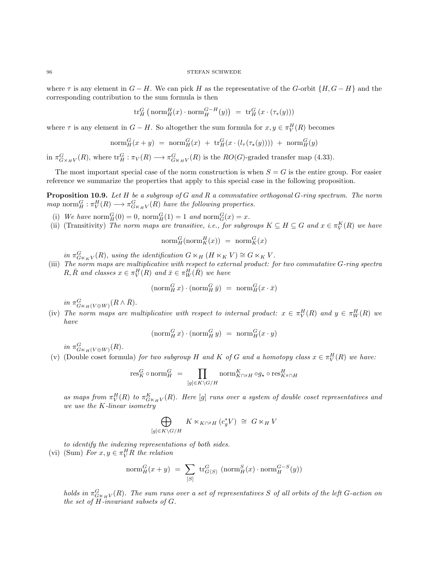<span id="page-95-0"></span>where  $\tau$  is any element in  $G - H$ . We can pick H as the representative of the G-orbit  $\{H, G - H\}$  and the corresponding contribution to the sum formula is then

$$
\mathrm{tr}_H^G\left(\,\mathrm{norm}^H_H(x) \cdot \mathrm{norm}^{G-H}_H(y)\right) \,\, = \,\, \mathrm{tr}_H^G\left(x \cdot (\tau_*(y))\right)
$$

where  $\tau$  is any element in  $G - H$ . So altogether the sum formula for  $x, y \in \pi_V^H(R)$  becomes

$$
\text{norm}_{H}^{G}(x+y) = \text{norm}_{H}^{G}(x) + \text{tr}_{H}^{G}(x \cdot (l_{\tau}(\tau_{\star}(y)))) + \text{norm}_{H}^{G}(y)
$$

in  $\pi_{G\times_HV}^G(R)$ , where  $\text{tr}_H^G: \pi_V(R) \longrightarrow \pi_{G\times_HV}^G(R)$  is the  $RO(G)$ -graded transfer map [\(4.33\)](#page-41-0).

The most important special case of the norm construction is when  $S = G$  is the entire group. For easier reference we summarize the properties that apply to this special case in the following proposition.

**Proposition 10.9.** Let  $H$  be a subgroup of  $G$  and  $R$  a commutative orthogonal  $G$ -ring spectrum. The norm map norm $_H^G: \pi_V^H(R) \longrightarrow \pi_{G \ltimes_H V}^G(R)$  have the following properties.

- (i) We have  $\text{norm}_{H}^{G}(0) = 0$ ,  $\text{norm}_{H}^{G}(1) = 1$  and  $\text{norm}_{G}^{G}(x) = x$ .
- (ii) (Transitivity) The norm maps are transitive, i.e., for subgroups  $K \subseteq H \subseteq G$  and  $x \in \pi_V^K(R)$  we have

$$
\mathrm{norm}^G_H(\mathrm{norm}^H_K(x)) = \mathrm{norm}^G_K(x)
$$

in  $\pi_{G_{\kappa_K V}}^G(R)$ , using the identification  $G \ltimes_H (H \ltimes_K V) \cong G \ltimes_K V$ .

(iii) The norm maps are multiplicative with respect to external product: for two commutative G-ring spectra  $R, \overline{R}$  and classes  $x \in \pi^H_V(R)$  and  $\overline{x} \in \pi^H_W(\overline{R})$  we have

$$
(\operatorname{norm}^G_H x) \cdot (\operatorname{norm}^G_H \bar{y}) \ = \ \operatorname{norm}^G_H (x \cdot \bar{x})
$$

in  $\pi_{G\ltimes_H(V\oplus W)}^G(R\wedge\bar{R})$ .

(iv) The norm maps are multiplicative with respect to internal product:  $x \in \pi_V^H(R)$  and  $y \in \pi_W^H(R)$  we have

$$
(\operatorname{norm}^G_H x) \cdot (\operatorname{norm}^G_H y) \ = \ \operatorname{norm}^G_H (x \cdot y)
$$

in  $\pi_{G \ltimes_H(V \oplus W)}^G(R)$ .

(v) (Double coset formula) for two subgroup H and K of G and a homotopy class  $x \in \pi_V^H(R)$  we have:

$$
\text{res}^G_K\circ \text{norm}^G_H \ = \ \prod_{[g]\in K\backslash G/H} \text{norm}^K_{K\cap^g H}\circ g_{\star}\circ \text{res}^H_{K^g\cap H}
$$

as maps from  $\pi_V^H(R)$  to  $\pi_{G\ltimes_HV}^K(R)$ . Here [g] runs over a system of double coset representatives and we use the K-linear isometry

$$
\bigoplus_{[g]\in K\backslash G/H} K\ltimes_{K\cap^g H}(c_g^*V)\ \cong\ G\ltimes_H V
$$

to identify the indexing representations of both sides. (vi) (Sum) For  $x, y \in \pi_{V}^{H}R$  the relation

$$
\mathrm{norm}_{H}^{G}(x+y) \ = \ \sum_{[S]}\ \mathrm{tr}_{G\langle S\rangle}^{G} \ (\mathrm{norm}_{H}^{S}(x)\cdot \mathrm{norm}_{H}^{G-S}(y))
$$

holds in  $\pi_{G\ltimes_HV}^G(R)$ . The sum runs over a set of representatives S of all orbits of the left G-action on the set of H-invariant subsets of G.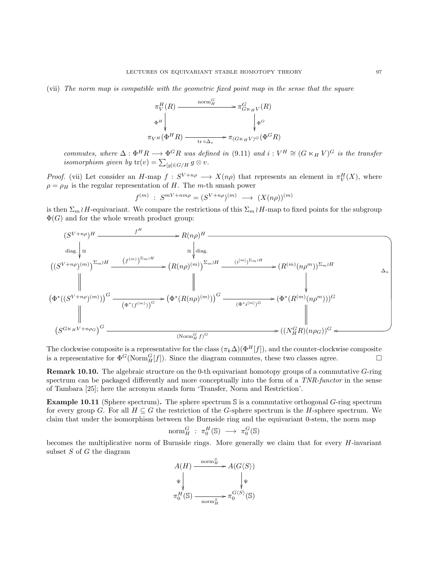<span id="page-96-0"></span>(vii) The norm map is compatible with the geometric fixed point map in the sense that the square

$$
\pi_V^H(R) \xrightarrow{\text{norm}_H^G} \pi_{G \ltimes_H V}^H(R)
$$
\n
$$
\pi_{V^H}(\Phi^H R) \xrightarrow{\text{tr}_{\Theta_{\Delta_*}}} \pi_{(G \ltimes_H V)^G}^G(\Phi^G R)
$$

commutes, where  $\Delta : \Phi^H R \longrightarrow \Phi^G R$  was defined in [\(9.11\)](#page-84-0) and  $i : V^H \cong (G \ltimes_H V)^G$  is the transfer isomorphism given by  $tr(v) = \sum_{[g] \in G/H} g \otimes v$ .

*Proof.* (vii) Let consider an H-map  $f: S^{V+n\rho} \longrightarrow X(n\rho)$  that represents an element in  $\pi_V^H(X)$ , where  $\rho = \rho_H$  is the regular representation of H. The m-th smash power

$$
f^{(m)}\;:\;S^{mV+nm\rho}=(S^{V+n\rho})^{(m)}\;\longrightarrow\;(X(n\rho))^{(m)}
$$

is then  $\Sigma_m \wr H$ -equivariant. We compare the restrictions of this  $\Sigma_m \wr H$ -map to fixed points for the subgroup  $\Phi(G)$  and for the whole wreath product group:



The clockwise composite is a representative for the class  $(\pi_k \Delta)(\Phi^H[f])$ , and the counter-clockwise composite is a representative for  $\Phi^G(\text{Norm}_H^G[f])$ . Since the diagram commutes, these two classes agree.

Remark 10.10. The algebraic structure on the 0-th equivariant homotopy groups of a commutative G-ring spectrum can be packaged differently and more conceptually into the form of a TNR-functor in the sense of Tambara [\[25\]](#page-103-3); here the acronym stands form 'Transfer, Norm and Restriction'.

**Example 10.11** (Sphere spectrum). The sphere spectrum  $\mathcal{S}$  is a commutative orthogonal G-ring spectrum for every group G. For all  $H \subseteq G$  the restriction of the G-sphere spectrum is the H-sphere spectrum. We claim that under the isomorphism between the Burnside ring and the equivariant 0-stem, the norm map

$$
\mathrm{norm}^G_H : \pi_0^H(\mathbb{S}) \longrightarrow \pi_0^G(\mathbb{S})
$$

becomes the multiplicative norm of Burnside rings. More generally we claim that for every  $H$ -invariant subset  $S$  of  $G$  the diagram

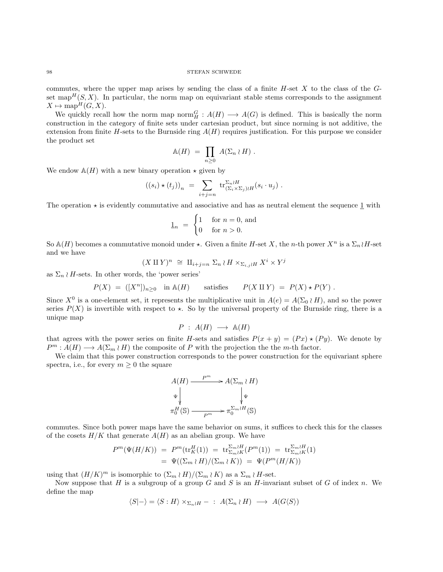commutes, where the upper map arises by sending the class of a finite  $H$ -set  $X$  to the class of the  $G$ set map<sup>H</sup> $(S, X)$ . In particular, the norm map on equivariant stable stems corresponds to the assignment  $X \mapsto \mathrm{map}^H(G, X).$ 

We quickly recall how the norm map norm $_H^G: A(H) \longrightarrow A(G)$  is defined. This is basically the norm construction in the category of finite sets under cartesian product, but since norming is not additive, the extension from finite H-sets to the Burnside ring  $A(H)$  requires justification. For this purpose we consider the product set

$$
\mathbb{A}(H) = \prod_{n \geq 0} A(\Sigma_n \wr H).
$$

We endow  $\mathbb{A}(H)$  with a new binary operation  $\star$  given by

$$
((s_i)\star (t_j))_n ~=~ \sum_{i+j=n}~ {\rm tr}^{\Sigma_n\wr H}_{(\Sigma_i\times \Sigma_j) \wr H}(s_i\cdot u_j)~.
$$

The operation  $\star$  is evidently commutative and associative and has as neutral element the sequence 1 with

$$
\underline{1}_n = \begin{cases} 1 & \text{for } n = 0, \text{ and} \\ 0 & \text{for } n > 0. \end{cases}
$$

So  $\mathbb{A}(H)$  becomes a commutative monoid under  $\star$ . Given a finite H-set X, the n-th power  $X^n$  is a  $\Sigma_n$  H-set and we have

$$
(X \amalg Y)^n \cong \amalg_{i+j=n} \Sigma_n \wr H \times_{\Sigma_{i,j} \wr H} X^i \times Y^j
$$

as  $\Sigma_n \wr H$ -sets. In other words, the 'power series'

$$
P(X) = ([Xn])n \ge 0 \text{ in } A(H) \quad \text{satisfies} \quad P(X \amalg Y) = P(X) \star P(Y) .
$$

Since  $X^0$  is a one-element set, it represents the multiplicative unit in  $A(e) = A(\Sigma_0 \wr H)$ , and so the power series  $P(X)$  is invertible with respect to  $\star$ . So by the universal property of the Burnside ring, there is a unique map

$$
P : A(H) \longrightarrow A(H)
$$

that agrees with the power series on finite H-sets and satisfies  $P(x + y) = (Px) \star (Py)$ . We denote by  $P^m: A(H) \longrightarrow A(\Sigma_m \wr H)$  the composite of P with the projection the the m-th factor.

We claim that this power construction corresponds to the power construction for the equivariant sphere spectra, i.e., for every  $m \geq 0$  the square



commutes. Since both power maps have the same behavior on sums, it suffices to check this for the classes of the cosets  $H/K$  that generate  $A(H)$  as an abelian group. We have

$$
P^{m}(\Psi(H/K)) = P^{m}(\text{tr}_{K}^{H}(1)) = \text{tr}_{\Sigma_{m} \wr K}^{\Sigma_{m} \wr H}(P^{m}(1)) = \text{tr}_{\Sigma_{m} \wr K}^{\Sigma_{m} \wr H}(1)
$$
  
= 
$$
\Psi((\Sigma_{m} \wr H)/(\Sigma_{m} \wr K)) = \Psi(P^{m}(H/K))
$$

using that  $(H/K)^m$  is isomorphic to  $(\Sigma_m \wr H)/(\Sigma_m \wr K)$  as a  $\Sigma_m \wr H$ -set.

Now suppose that H is a subgroup of a group G and S is an H-invariant subset of G of index n. We define the map

$$
\langle S | - \rangle = \langle S : H \rangle \times_{\Sigma_n \wr H} - : A(\Sigma_n \wr H) \longrightarrow A(G \langle S \rangle)
$$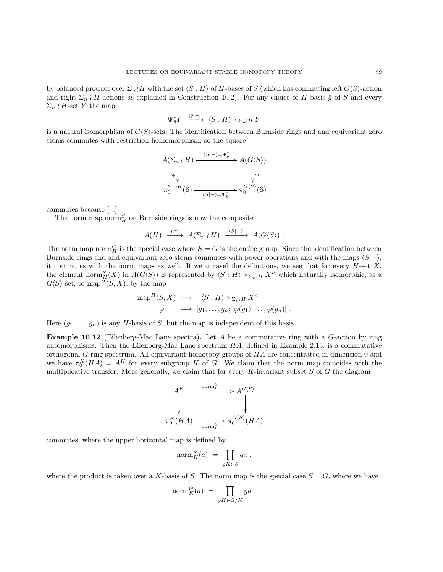<span id="page-98-0"></span>by balanced product over  $\Sigma_n \wr H$  with the set  $\langle S : H \rangle$  of H-bases of S (which has commuting left  $G\langle S \rangle$ -action and right  $\Sigma_n \nmid H$ -actions as explained in Construction [10.2\)](#page-85-0). For any choice of H-basis  $\bar{g}$  of S and every  $\Sigma_n \wr H$ -set Y the map

$$
\Psi_{\bar{g}}^* Y \xrightarrow{[\bar{g}, -]} \langle S : H \rangle \times_{\Sigma_n \wr H} Y
$$

is a natural isomorphism of  $G\langle S\rangle$ -sets. The identification between Burnside rings and and equivariant zero stems commutes with restriction homomorphism, so the square

$$
\begin{array}{ccc}\nA(\Sigma_n\wr H) & \xrightarrow{\langle S|-\rangle=\Psi_{\tilde{g}}^*} & A(G\langle S\rangle) \\
\Psi & & \downarrow \Psi \\
\pi_0^{\Sigma_n\wr H}(\mathbb{S}) & & \downarrow \Psi \\
\end{array}
$$

commutes because [...].

The norm map norm $_H^S$  on Burnside rings is now the composite

$$
A(H) \xrightarrow{P^n} A(\Sigma_n \wr H) \xrightarrow{\langle S|-\rangle} A(G\langle S \rangle) .
$$

The norm map norm  $_H^G$  is the special case where  $S = G$  is the entire group. Since the identification between Burnside rings and and equivariant zero stems commutes with power operations and with the maps  $\langle S|-\rangle$ , it commutes with the norm maps as well. If we unravel the definitions, we see that for every  $H$ -set  $X$ , the element norm  $_{H}^{S}(X)$  in  $A(G\langle S\rangle)$  is represented by  $\langle S:H\rangle\times_{\Sigma_n\wr H}X^n$  which naturally isomorphic, as a  $G\langle S\rangle$ -set, to map<sup>H</sup> $(S, X)$ , by the map

$$
\mathrm{map}^H(S, X) \longrightarrow \langle S : H \rangle \times_{\Sigma_n \wr H} X^n
$$
  

$$
\varphi \longmapsto [g_1, \dots, g_n; \; \varphi(g_1), \dots, \varphi(g_n)] .
$$

Here  $(g_1, \ldots, g_n)$  is any H-basis of S, but the map is independent of this basis.

**Example 10.12** (Eilenberg-Mac Lane spectra). Let A be a commutative ring with a  $G$ -action by ring automorphisms. Then the Eilenberg-Mac Lane spectrum  $HA$ , defined in Example [2.13,](#page-9-0) is a commutative orthogonal G-ring spectrum. All equivariant homotopy groups of HA are concentrated in dimension 0 and we have  $\pi_0^K(HA) = A^K$  for every subgroup K of G. We claim that the norm map coincides with the multiplicative transfer. More generally, we claim that for every  $K$ -invariant subset  $S$  of  $G$  the diagram

$$
A^K \xrightarrow{\text{norm}_K^S} A^{G\langle S \rangle} \downarrow
$$
  
\n
$$
\uparrow \qquad \qquad \downarrow
$$
  
\n
$$
\pi_0^K(HA) \xrightarrow{\text{norm}_K^S} \pi_0^{G\langle S \rangle}(HA)
$$

commutes, where the upper horizontal map is defined by

$$
\text{norm}^S_K(a) = \prod_{gK \in S} ga,
$$

where the product is taken over a K-basis of S. The norm map is the special case  $S = G$ , where we have

$$
\text{norm}_{K}^{G}(a) = \prod_{gK \in G/K} ga.
$$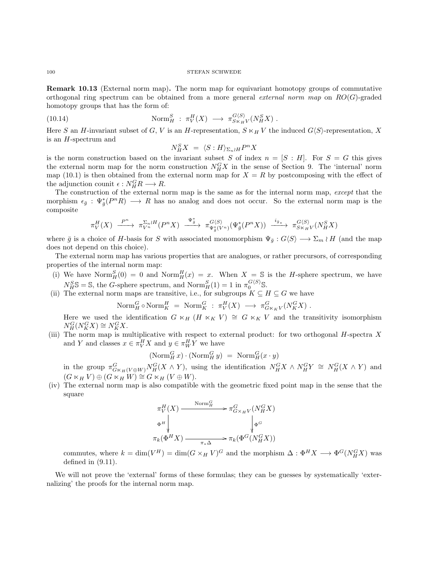<span id="page-99-1"></span><span id="page-99-0"></span>Remark 10.13 (External norm map). The norm map for equivariant homotopy groups of commutative orthogonal ring spectrum can be obtained from a more general external norm map on  $RO(G)$ -graded homotopy groups that has the form of:

(10.14) 
$$
\text{Norm}_{H}^{S} : \pi_{V}^{H}(X) \longrightarrow \pi_{S \ltimes_{H} V}^{G\langle S \rangle}(N_{H}^{S} X).
$$

Here S an H-invariant subset of G, V is an H-representation,  $S \ltimes_H V$  the induced  $G\langle S \rangle$ -representation, X is an H-spectrum and

$$
N_H^S X = \langle S : H \rangle_{\Sigma_n \wr H} P^n X
$$

is the norm construction based on the invariant subset S of index  $n = [S : H]$ . For  $S = G$  this gives the external norm map for the norm construction  $N_H^G X$  in the sense of Section [9.](#page-77-1) The 'internal' norm map [\(10.1\)](#page-85-1) is then obtained from the external norm map for  $X = R$  by postcomposing with the effect of the adjunction counit  $\epsilon : N_H^G R \longrightarrow R$ .

The construction of the external norm map is the same as for the internal norm map, except that the morphism  $\epsilon_{\bar{g}}$ :  $\Psi_{\bar{g}}^*(P^nR) \longrightarrow R$  has no analog and does not occur. So the external norm map is the composite

$$
\pi_V^H(X) \xrightarrow{P^n} \pi_{V^n}^{\Sigma_n \wr H}(P^n X) \xrightarrow{\Psi_{\bar{g}}^*} \pi_{\Psi_{\bar{g}}^*(V^n)}^{\mathcal{G}\langle S\rangle}(\Psi_{\bar{g}}^*(P^n X)) \xrightarrow{i_{\bar{g}}^*} \pi_{S \times_H V}^{\mathcal{G}\langle S\rangle}(\mathcal{N}_H^S X)
$$

where  $\bar{g}$  is a choice of H-basis for S with associated monomorphism  $\Psi_{\bar{g}}: G\langle S \rangle \longrightarrow \Sigma_m \wr H$  (and the map does not depend on this choice).

The external norm map has various properties that are analogues, or rather precursors, of corresponding properties of the internal norm map:

- (i) We have  $\text{Norm}_{H}^{S}(0) = 0$  and  $\text{Norm}_{H}^{H}(x) = x$ . When  $X = S$  is the *H*-sphere spectrum, we have  $N_H^S$ S = S, the *G*-sphere spectrum, and  $\text{Norm}_H^S(1) = 1$  in  $\pi_0^{G(S)}$ S.
- (ii) The external norm maps are transitive, i.e., for subgroups  $K \subseteq H \subseteq G$  we have

$$
\text{Norm}_{H}^{G} \circ \text{Norm}_{K}^{H} = \text{Norm}_{K}^{G} : \pi_{V}^{H}(X) \longrightarrow \pi_{G_{K K}V}^{G}(N_{K}^{G}X).
$$

Here we used the identification  $G \ltimes_H (H \ltimes_K V) \cong G \ltimes_K V$  and the transitivity isomorphism  $N_H^G(N_K^GX)\cong N_K^GX.$ 

(iii) The norm map is multiplicative with respect to external product: for two orthogonal  $H$ -spectra  $X$ and Y and classes  $x \in \pi_V^H X$  and  $y \in \pi_W^H Y$  we have

$$
(\mathrm{Norm}^G_H\, x)\cdot(\mathrm{Norm}^G_H\, y) \,\,=\,\, \mathrm{Norm}^G_H(x\cdot y)
$$

in the group  $\pi_{G_{\kappa_H}(V\oplus W)}^G N_H^G(X\wedge Y)$ , using the identification  $N_H^G X \wedge N_H^G Y \cong N_H^G (X\wedge Y)$  and  $(G \ltimes_H V) \oplus (G \ltimes_H W) \cong G \ltimes_H (V \oplus W).$ 

(iv) The external norm map is also compatible with the geometric fixed point map in the sense that the square

$$
\pi_V^H(X) \xrightarrow{\text{Norm}_{H}^G} \pi_{G \times_H V}^G(N_H^G X)
$$
\n
$$
\Phi^H \downarrow \qquad \qquad \downarrow \Phi^G
$$
\n
$$
\pi_k(\Phi^H X) \xrightarrow{\pi_* \Delta} \pi_k(\Phi^G(N_H^G X))
$$

commutes, where  $k = \dim(V^H) = \dim(G \times_H V)^G$  and the morphism  $\Delta : \Phi^H X \longrightarrow \Phi^G(N_H^G X)$  was defined in [\(9.11\)](#page-84-0).

We will not prove the 'external' forms of these formulas; they can be guesses by systematically 'externalizing' the proofs for the internal norm map.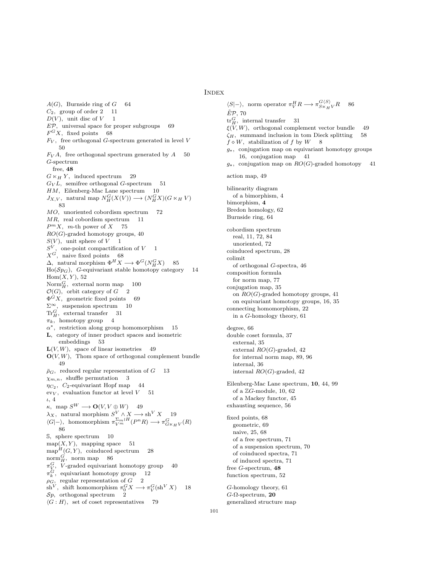### **INDEX**

<span id="page-100-0"></span> $A(G)$ , Burnside ring of  $G$  64  $C_2$ , group of order 2 11  $D(V)$ , unit disc of  $V$  1  $E\mathcal{P}$ , universal space for proper subgroups 69  $F^G X$ , fixed points 68  $F_V$ , free orthogonal G-spectrum generated in level V 50  $F_V A$ , free orthogonal spectrum generated by  $A = 50$ G-spectrum free, [48](#page-47-1)  $G \ltimes_H Y$ , induced spectrum 29  $G_V L$ , semifree orthogonal G-spectrum 51 HM, Eilenberg-Mac Lane spectrum 10  $J_{X,V},$  natural map  $N_H^G(X(V)) \longrightarrow (N_H^G X)(G\ltimes_H V)$ 83 MO, unoriented cobordism spectrum 72  $MR$ , real cobordism spectrum 11  $P^m X$ , m-th power of  $X$  75  $RO(G)$ -graded homotopy groups, [40](#page-39-0)  $S(V)$ , unit sphere of  $V$  1  $S^V$ , one-point compactification of  $V$  1  $X^G$ , naive fixed points 68  $\Delta$ , natural morphism  $\Phi^H X \longrightarrow \Phi^G(N_H^G X)$  85  $Ho(\mathcal{S}p_G)$ , G-equivariant stable homotopy category 14  $Hom(X, Y), 52$  $\text{Norm}_{H}^{G}$ , external norm map 100  $\mathcal{O}(G)$ , orbit category of  $G \quad 2$  $\Phi$ <sup>G</sup>X, geometric fixed points 69  $\Sigma^\infty, \;$  suspension spectrum  $-10$  $\text{Tr}^G_H$ , external transfer 31  $\pi_k$ , homotopy group 4  $\alpha^*$ , restriction along group homomorphism 15 L, category of inner product spaces and isometric embeddings 53  $L(V, W)$ , space of linear isometries 49  $\mathbf{O}(V, W)$ , Thom space of orthogonal complement bundle 49  $\bar{p}_G$ , reduced regular representation of  $G$  13  $\chi_{m,n}$ , shuffle permutation 3  $\eta_{C_2}$ ,  $C_2$ -equivariant Hopf map 44  $\text{ev}_V$ , evaluation functor at level  $V = 51$ ι, [4](#page-3-0)  $\kappa$ , map  $S^W \longrightarrow \mathbf{O}(V, V \oplus W)$  49  $\lambda_X$ , natural morphism  $S^V \wedge X \longrightarrow \text{sh}^V X$  19  $\langle G|-\rangle$ , homomorphism  $\pi_{V^m}^{\Sigma_m \wr H}(P^nR) \longrightarrow \pi_{G \ltimes_H V}^G(R)$ 86 S, sphere spectrum 10  $map(X, Y)$ , mapping space 51  $map^H(G, Y)$ , coinduced spectrum 28  $norm_{H}^{G}$ , norm map 86  $\pi_V^G$ , *V*-graded equivariant homotopy group 40  $\pi_k^G$ , equivariant homotopy group 12  $\mu_k$ , equivariant nonlotopy group<br> $\rho_G$ , regular representation of  $G$  2 sh<sup>V</sup>, shift homomorphism  $\pi_0^G X \longrightarrow \pi_V^G(\sh^V X)$  18  $Sp$ , orthogonal spectrum 2  $\langle G : H \rangle$ , set of coset representatives 79

 $\langle S|-\rangle$ , norm operator  $\pi_V^H R \longrightarrow \pi_{S \ltimes_H V}^{G \langle S \rangle} R$  86  $\tilde{E}P$ , [70](#page-69-1)  $\text{tr}_{H}^{G}$ , internal transfer 31  $\xi(\widetilde{V}, W)$ , orthogonal complement vector bundle 49  $\zeta_H$ , summand inclusion in tom Dieck splitting 58  $f \diamond W$ , stabilization of f by  $W = 8$ g∗, conjugation map on equivariant homotopy groups 16, conjugation map 41  $g_{\star}$ , conjugation map on  $RO(G)$ -graded homotopy action map, [49](#page-48-0) bilinearity diagram of a bimorphism, [4](#page-3-0) bimorphism, [4](#page-3-0) Bredon homology, [62](#page-61-0) Burnside ring, [64](#page-63-0) cobordism spectrum real, [11,](#page-10-1) [72,](#page-71-1) [84](#page-83-0) unoriented, [72](#page-71-1) coinduced spectrum, [28](#page-27-0) colimit of orthogonal G-spectra, [46](#page-45-0) composition formula for norm map, [77](#page-76-1) conjugation map, [35](#page-34-0) on  $RO(G)$ -graded homotopy groups, [41](#page-40-0) on equivariant homotopy groups, [16,](#page-15-0) [35](#page-34-0) connecting homomorphism, [22](#page-21-0) in a G-homology theory, [61](#page-60-0) degree, [66](#page-65-0) double coset formula, [37](#page-36-2) external, [35](#page-34-0) external  $RO(G)$ -graded, [42](#page-41-1) for internal norm map, [89,](#page-88-0) [96](#page-95-0) internal, [36](#page-35-0) internal  $RO(G)$ -graded, [42](#page-41-1) Eilenberg-Mac Lane spectrum, [10](#page-9-1), [44,](#page-43-0) [99](#page-98-0) of a ZG-module, [10,](#page-9-1) [62](#page-61-0) of a Mackey functor, [45](#page-44-0) exhausting sequence, [56](#page-55-0) fixed points, [68](#page-67-1) geometric, [69](#page-68-0) naive, [25,](#page-24-0) [68](#page-67-1) of a free spectrum, [71](#page-70-0) of a suspension spectrum, [70](#page-69-1) of coinduced spectra, [71](#page-70-0) of induced spectra, [71](#page-70-0) free G-spectrum,  $48$ function spectrum, [52](#page-51-0) G-homology theory, [61](#page-60-0)  $G$ - $\Omega$ -spectrum, [20](#page-19-0) generalized structure map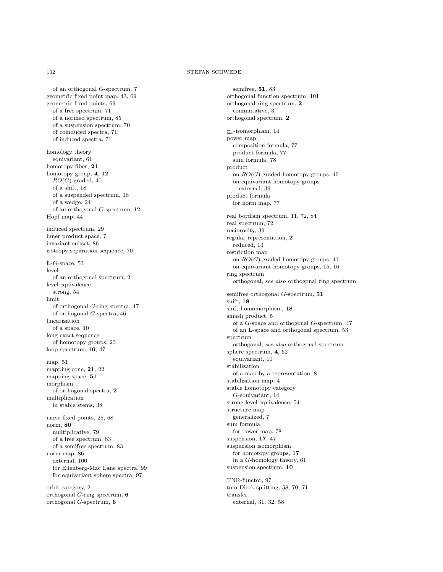of an orthogonal G-spectrum, [7](#page-6-0) geometric fixed point map, [43,](#page-42-0) [69](#page-68-0) geometric fixed points, [69](#page-68-0) of a free spectrum, [71](#page-70-0) of a normed spectrum, [85](#page-84-1) of a suspension spectrum, [70](#page-69-1) of coinduced spectra, [71](#page-70-0) of induced spectra, [71](#page-70-0) homology theory equivariant, [61](#page-60-0) homotopy fiber, [21](#page-20-0) homotopy group, [4](#page-3-0), [12](#page-11-0)  $RO(G)$ -graded, [40](#page-39-0) of a shift, [18](#page-17-0) of a suspended spectrum, [18](#page-17-0) of a wedge, [24](#page-23-0) of an orthogonal G-spectrum, [12](#page-11-0) Hopf map, [44](#page-43-0) induced spectrum, [29](#page-28-0) inner product space, [7](#page-6-0) invariant subset, [86](#page-85-2) isotropy separation sequence, [70](#page-69-1)  $L$ -G-space, [53](#page-52-1) level of an orthogonal spectrum, [2](#page-1-0) level equivalence strong, [54](#page-53-0) limit of orthogonal G-ring spectra, [47](#page-46-0) of orthogonal G-spectra, [46](#page-45-0) linearization of a space, [10](#page-9-1) long exact sequence of homotopy groups, [23](#page-22-0) loop spectrum, [16](#page-15-0), [47](#page-46-0) map, [51](#page-50-1) mapping cone, [21](#page-20-0), [22](#page-21-0) mapping space, [51](#page-50-1) morphism of orthogonal spectra, [2](#page-1-0) multiplication in stable stems, [38](#page-37-0) naive fixed points, [25,](#page-24-0) [68](#page-67-1) norm, [80](#page-79-1) multiplicative, [79](#page-78-0) of a free spectrum, [83](#page-82-2) of a semifree spectrum, [83](#page-82-2) norm map, [86](#page-85-2) external, [100](#page-99-1) for Eilenberg-Mac Lane spectra, [99](#page-98-0) for equivariant sphere spectra, [97](#page-96-0)

orbit category, [2](#page-1-0) orthogonal G-ring spectrum, [6](#page-5-0) orthogonal G-spectrum, [6](#page-5-0)

semifree, [51](#page-50-1), [83](#page-82-2) orthogonal function spectrum, [101](#page-100-0) orthogonal ring spectrum, [2](#page-1-0) commutative, [3](#page-2-0) orthogonal spectrum, [2](#page-1-0) π∗ -isomorphism, [14](#page-13-0) power map composition formula, [77](#page-76-1) product formula, [77](#page-76-1) sum formula, [78](#page-77-2) product on  $RO(G)$ -graded homotopy groups, [40](#page-39-0) on equivariant homotopy groups external, [39](#page-38-0) product formula for norm map, [77](#page-76-1) real bordism spectrum, [11,](#page-10-1) [72,](#page-71-1) [84](#page-83-0) real spectrum, [72](#page-71-1) reciprocity, [39](#page-38-0) regular representation, [2](#page-1-0) reduced, [13](#page-12-0) restriction map on  $RO(G)$ -graded homotopy groups, [41](#page-40-0) on equivariant homotopy groups, [15,](#page-14-0) [16](#page-15-0) ring spectrum orthogonal, see also orthogonal ring spectrum semifree orthogonal G-spectrum, [51](#page-50-1) shift, [18](#page-17-0) shift homomorphism, [18](#page-17-0) smash product, [5](#page-4-0) of a G-space and orthogonal G-spectrum, [47](#page-46-0) of an L-space and orthogonal spectrum, [53](#page-52-1) spectrum orthogonal, see also orthogonal spectrum sphere spectrum, [4](#page-3-0), [62](#page-61-0) equivariant, [10](#page-9-1) stabilization of a map by a representation, [8](#page-7-0) stabilization map, [4](#page-3-0) stable homotopy category G-equivariant, [14](#page-13-0) strong level equivalence, [54](#page-53-0) structure map generalized, [7](#page-6-0) sum formula for power map, [78](#page-77-2) suspension, [17](#page-16-0), [47](#page-46-0) suspension isomorphism for homotopy groups, [17](#page-16-0) in a G-homology theory, [61](#page-60-0) suspension spectrum, [10](#page-9-1)

TNR-functor, [97](#page-96-0) tom Dieck splitting, [58,](#page-57-1) [70,](#page-69-1) [71](#page-70-0) transfer external, [31,](#page-30-0) [32,](#page-31-0) [58](#page-57-1)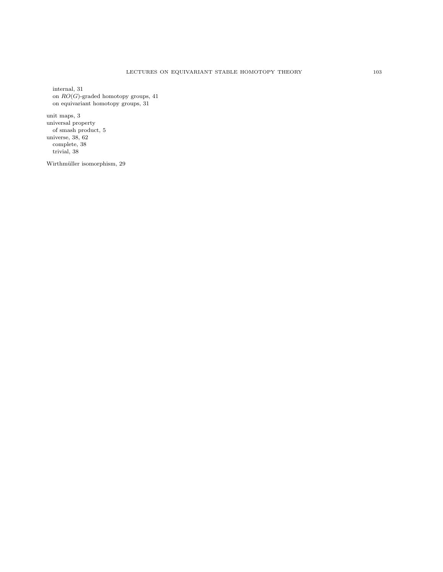internal, [31](#page-30-0) on  $RO(G)$ -graded homotopy groups, [41](#page-40-0) on equivariant homotopy groups, [31](#page-30-0)

unit maps, [3](#page-2-0) universal property of smash product, [5](#page-4-0) universe, [38,](#page-37-0) [62](#page-61-0) complete, [38](#page-37-0) trivial, [38](#page-37-0)

Wirthmüller isomorphism, [29](#page-28-0)